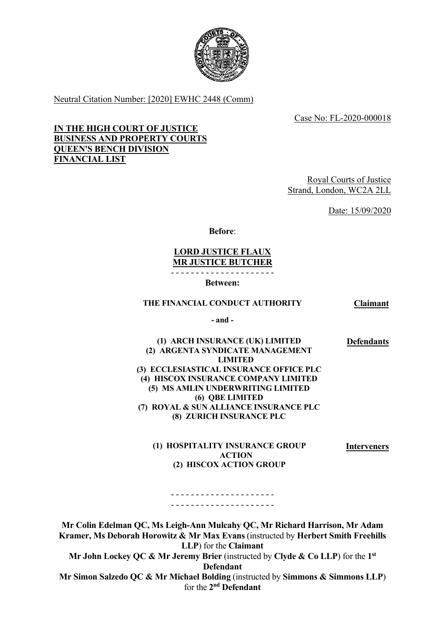

Neutral Citation Number: [2020] EWHC 2448 (Comm)

Case No: FL-2020-000018

#### **IN THE HIGH COURT OF JUSTICE BUSINESS AND PROPERTY COURTS QUEEN'S BENCH DIVISION FINANCIAL LIST**

Royal Courts of Justice Strand, London, WC2A 2LL

Date: 15/09/2020

**Before**:

#### **LORD JUSTICE FLAUX MR JUSTICE BUTCHER**

- - - - - - - - - - - - - - - - - - - - -

**Between:** 

#### **THE FINANCIAL CONDUCT AUTHORITY Claimant**

**- and -** 

**Defendants** 

**(1) ARCH INSURANCE (UK) LIMITED (2) ARGENTA SYNDICATE MANAGEMENT LIMITED (3) ECCLESIASTICAL INSURANCE OFFICE PLC (4) HISCOX INSURANCE COMPANY LIMITED (5) MS AMLIN UNDERWRITING LIMITED (6) QBE LIMITED (7) ROYAL & SUN ALLIANCE INSURANCE PLC (8) ZURICH INSURANCE PLC** 

**(1) HOSPITALITY INSURANCE GROUP ACTION (2) HISCOX ACTION GROUP** 

**Interveners** 

- - - - - - - - - - - - - - - - - - - - - - - - - - - - - - - - - - - - - - - - - -

**Mr Colin Edelman QC, Ms Leigh-Ann Mulcahy QC, Mr Richard Harrison, Mr Adam Kramer, Ms Deborah Horowitz & Mr Max Evans** (instructed by **Herbert Smith Freehills LLP**) for the **Claimant Mr John Lockey QC & Mr Jeremy Brier** (instructed by **Clyde & Co LLP**) for the **1st Defendant Mr Simon Salzedo QC & Mr Michael Bolding** (instructed by **Simmons & Simmons LLP**) for the **2nd Defendant**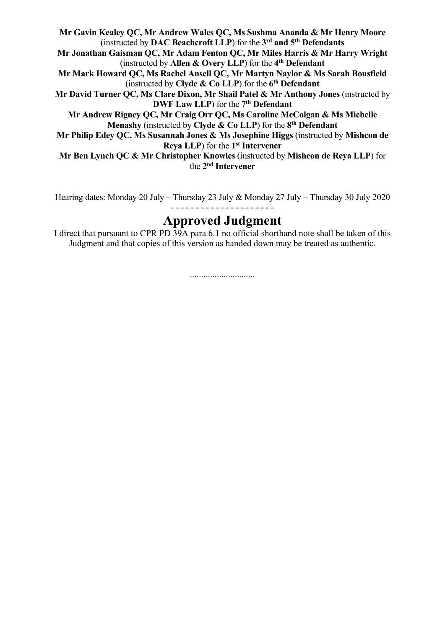**Mr Gavin Kealey QC, Mr Andrew Wales QC, Ms Sushma Ananda & Mr Henry Moore**  (instructed by **DAC Beachcroft LLP**) for the **3rd and 5th Defendants Mr Jonathan Gaisman QC, Mr Adam Fenton QC, Mr Miles Harris & Mr Harry Wright**  (instructed by **Allen & Overy LLP**) for the **4th Defendant Mr Mark Howard QC, Ms Rachel Ansell QC, Mr Martyn Naylor & Ms Sarah Bousfield**  (instructed by **Clyde & Co LLP**) for the **6th Defendant Mr David Turner QC, Ms Clare Dixon, Mr Shail Patel & Mr Anthony Jones** (instructed by **DWF Law LLP**) for the **7th Defendant Mr Andrew Rigney QC, Mr Craig Orr QC, Ms Caroline McColgan & Ms Michelle Menashy** (instructed by **Clyde & Co LLP**) for the **8th Defendant Mr Philip Edey QC, Ms Susannah Jones & Ms Josephine Higgs** (instructed by **Mishcon de Reya LLP**) for the **1st Intervener Mr Ben Lynch QC & Mr Christopher Knowles** (instructed by **Mishcon de Reya LLP**) for the **2nd Intervener** 

Hearing dates: Monday 20 July – Thursday 23 July & Monday 27 July – Thursday 30 July 2020 - - - - - - - - - - - - - - - - - - - - -

# **Approved Judgment**

I direct that pursuant to CPR PD 39A para 6.1 no official shorthand note shall be taken of this Judgment and that copies of this version as handed down may be treated as authentic.

.............................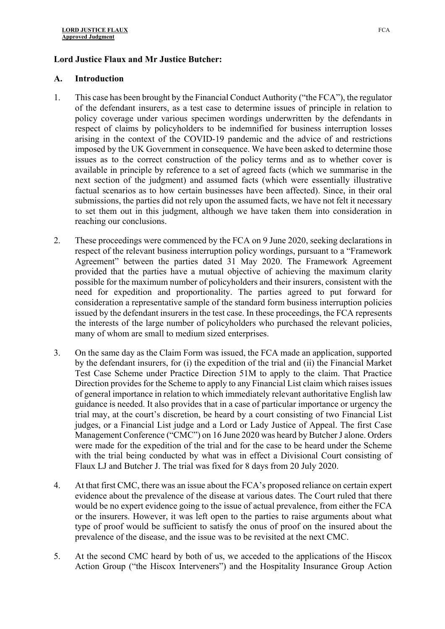## **Lord Justice Flaux and Mr Justice Butcher:**

## **A. Introduction**

- 1. This case has been brought by the Financial Conduct Authority ("the FCA"), the regulator of the defendant insurers, as a test case to determine issues of principle in relation to policy coverage under various specimen wordings underwritten by the defendants in respect of claims by policyholders to be indemnified for business interruption losses arising in the context of the COVID-19 pandemic and the advice of and restrictions imposed by the UK Government in consequence. We have been asked to determine those issues as to the correct construction of the policy terms and as to whether cover is available in principle by reference to a set of agreed facts (which we summarise in the next section of the judgment) and assumed facts (which were essentially illustrative factual scenarios as to how certain businesses have been affected). Since, in their oral submissions, the parties did not rely upon the assumed facts, we have not felt it necessary to set them out in this judgment, although we have taken them into consideration in reaching our conclusions.
- 2. These proceedings were commenced by the FCA on 9 June 2020, seeking declarations in respect of the relevant business interruption policy wordings, pursuant to a "Framework Agreement" between the parties dated 31 May 2020. The Framework Agreement provided that the parties have a mutual objective of achieving the maximum clarity possible for the maximum number of policyholders and their insurers, consistent with the need for expedition and proportionality. The parties agreed to put forward for consideration a representative sample of the standard form business interruption policies issued by the defendant insurers in the test case. In these proceedings, the FCA represents the interests of the large number of policyholders who purchased the relevant policies, many of whom are small to medium sized enterprises.
- 3. On the same day as the Claim Form was issued, the FCA made an application, supported by the defendant insurers, for (i) the expedition of the trial and (ii) the Financial Market Test Case Scheme under Practice Direction 51M to apply to the claim. That Practice Direction provides for the Scheme to apply to any Financial List claim which raises issues of general importance in relation to which immediately relevant authoritative English law guidance is needed. It also provides that in a case of particular importance or urgency the trial may, at the court's discretion, be heard by a court consisting of two Financial List judges, or a Financial List judge and a Lord or Lady Justice of Appeal. The first Case Management Conference ("CMC") on 16 June 2020 was heard by Butcher J alone. Orders were made for the expedition of the trial and for the case to be heard under the Scheme with the trial being conducted by what was in effect a Divisional Court consisting of Flaux LJ and Butcher J. The trial was fixed for 8 days from 20 July 2020.
- 4. At that first CMC, there was an issue about the FCA's proposed reliance on certain expert evidence about the prevalence of the disease at various dates. The Court ruled that there would be no expert evidence going to the issue of actual prevalence, from either the FCA or the insurers. However, it was left open to the parties to raise arguments about what type of proof would be sufficient to satisfy the onus of proof on the insured about the prevalence of the disease, and the issue was to be revisited at the next CMC.
- 5. At the second CMC heard by both of us, we acceded to the applications of the Hiscox Action Group ("the Hiscox Interveners") and the Hospitality Insurance Group Action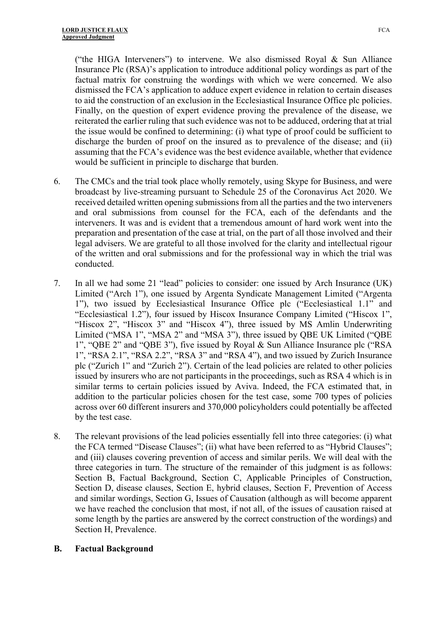("the HIGA Interveners") to intervene. We also dismissed Royal & Sun Alliance Insurance Plc (RSA)'s application to introduce additional policy wordings as part of the factual matrix for construing the wordings with which we were concerned. We also dismissed the FCA's application to adduce expert evidence in relation to certain diseases to aid the construction of an exclusion in the Ecclesiastical Insurance Office plc policies. Finally, on the question of expert evidence proving the prevalence of the disease, we reiterated the earlier ruling that such evidence was not to be adduced, ordering that at trial the issue would be confined to determining: (i) what type of proof could be sufficient to discharge the burden of proof on the insured as to prevalence of the disease; and (ii) assuming that the FCA's evidence was the best evidence available, whether that evidence would be sufficient in principle to discharge that burden.

- 6. The CMCs and the trial took place wholly remotely, using Skype for Business, and were broadcast by live-streaming pursuant to Schedule 25 of the Coronavirus Act 2020. We received detailed written opening submissions from all the parties and the two interveners and oral submissions from counsel for the FCA, each of the defendants and the interveners. It was and is evident that a tremendous amount of hard work went into the preparation and presentation of the case at trial, on the part of all those involved and their legal advisers. We are grateful to all those involved for the clarity and intellectual rigour of the written and oral submissions and for the professional way in which the trial was conducted.
- 7. In all we had some 21 "lead" policies to consider: one issued by Arch Insurance (UK) Limited ("Arch 1"), one issued by Argenta Syndicate Management Limited ("Argenta 1"), two issued by Ecclesiastical Insurance Office plc ("Ecclesiastical 1.1" and "Ecclesiastical 1.2"), four issued by Hiscox Insurance Company Limited ("Hiscox 1", "Hiscox 2", "Hiscox 3" and "Hiscox 4"), three issued by MS Amlin Underwriting Limited ("MSA 1", "MSA 2" and "MSA 3"), three issued by QBE UK Limited ("QBE 1", "QBE 2" and "QBE 3"), five issued by Royal & Sun Alliance Insurance plc ("RSA 1", "RSA 2.1", "RSA 2.2", "RSA 3" and "RSA 4"), and two issued by Zurich Insurance plc ("Zurich 1" and "Zurich 2"). Certain of the lead policies are related to other policies issued by insurers who are not participants in the proceedings, such as RSA 4 which is in similar terms to certain policies issued by Aviva. Indeed, the FCA estimated that, in addition to the particular policies chosen for the test case, some 700 types of policies across over 60 different insurers and 370,000 policyholders could potentially be affected by the test case.
- 8. The relevant provisions of the lead policies essentially fell into three categories: (i) what the FCA termed "Disease Clauses"; (ii) what have been referred to as "Hybrid Clauses"; and (iii) clauses covering prevention of access and similar perils. We will deal with the three categories in turn. The structure of the remainder of this judgment is as follows: Section B, Factual Background, Section C, Applicable Principles of Construction, Section D, disease clauses, Section E, hybrid clauses, Section F, Prevention of Access and similar wordings, Section G, Issues of Causation (although as will become apparent we have reached the conclusion that most, if not all, of the issues of causation raised at some length by the parties are answered by the correct construction of the wordings) and Section H, Prevalence.

## **B. Factual Background**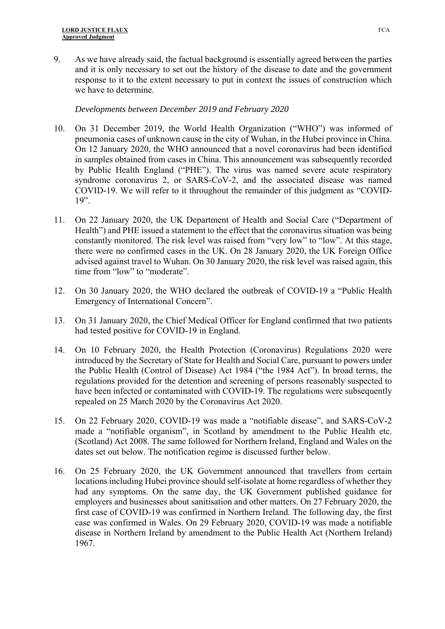9. As we have already said, the factual background is essentially agreed between the parties and it is only necessary to set out the history of the disease to date and the government response to it to the extent necessary to put in context the issues of construction which we have to determine.

## *Developments between December 2019 and February 2020*

- 10. On 31 December 2019, the World Health Organization ("WHO") was informed of pneumonia cases of unknown cause in the city of Wuhan, in the Hubei province in China. On 12 January 2020, the WHO announced that a novel coronavirus had been identified in samples obtained from cases in China. This announcement was subsequently recorded by Public Health England ("PHE"). The virus was named severe acute respiratory syndrome coronavirus 2, or SARS-CoV-2, and the associated disease was named COVID-19. We will refer to it throughout the remainder of this judgment as "COVID-19".
- 11. On 22 January 2020, the UK Department of Health and Social Care ("Department of Health") and PHE issued a statement to the effect that the coronavirus situation was being constantly monitored. The risk level was raised from "very low" to "low". At this stage, there were no confirmed cases in the UK. On 28 January 2020, the UK Foreign Office advised against travel to Wuhan. On 30 January 2020, the risk level was raised again, this time from "low" to "moderate".
- 12. On 30 January 2020, the WHO declared the outbreak of COVID-19 a "Public Health Emergency of International Concern".
- 13. On 31 January 2020, the Chief Medical Officer for England confirmed that two patients had tested positive for COVID-19 in England.
- 14. On 10 February 2020, the Health Protection (Coronavirus) Regulations 2020 were introduced by the Secretary of State for Health and Social Care, pursuant to powers under the Public Health (Control of Disease) Act 1984 ("the 1984 Act"). In broad terms, the regulations provided for the detention and screening of persons reasonably suspected to have been infected or contaminated with COVID-19. The regulations were subsequently repealed on 25 March 2020 by the Coronavirus Act 2020.
- 15. On 22 February 2020, COVID-19 was made a "notifiable disease", and SARS-CoV-2 made a "notifiable organism", in Scotland by amendment to the Public Health etc. (Scotland) Act 2008. The same followed for Northern Ireland, England and Wales on the dates set out below. The notification regime is discussed further below.
- 16. On 25 February 2020, the UK Government announced that travellers from certain locations including Hubei province should self-isolate at home regardless of whether they had any symptoms. On the same day, the UK Government published guidance for employers and businesses about sanitisation and other matters. On 27 February 2020, the first case of COVID-19 was confirmed in Northern Ireland. The following day, the first case was confirmed in Wales. On 29 February 2020, COVID-19 was made a notifiable disease in Northern Ireland by amendment to the Public Health Act (Northern Ireland) 1967.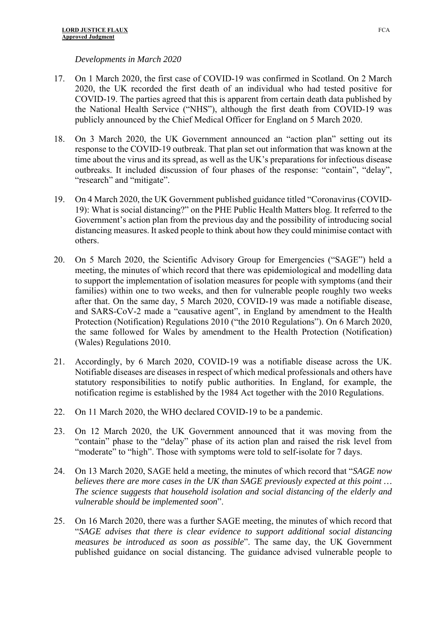#### *Developments in March 2020*

- 17. On 1 March 2020, the first case of COVID-19 was confirmed in Scotland. On 2 March 2020, the UK recorded the first death of an individual who had tested positive for COVID-19. The parties agreed that this is apparent from certain death data published by the National Health Service ("NHS"), although the first death from COVID-19 was publicly announced by the Chief Medical Officer for England on 5 March 2020.
- 18. On 3 March 2020, the UK Government announced an "action plan" setting out its response to the COVID-19 outbreak. That plan set out information that was known at the time about the virus and its spread, as well as the UK's preparations for infectious disease outbreaks. It included discussion of four phases of the response: "contain", "delay", "research" and "mitigate".
- 19. On 4 March 2020, the UK Government published guidance titled "Coronavirus (COVID-19): What is social distancing?" on the PHE Public Health Matters blog. It referred to the Government's action plan from the previous day and the possibility of introducing social distancing measures. It asked people to think about how they could minimise contact with others.
- 20. On 5 March 2020, the Scientific Advisory Group for Emergencies ("SAGE") held a meeting, the minutes of which record that there was epidemiological and modelling data to support the implementation of isolation measures for people with symptoms (and their families) within one to two weeks, and then for vulnerable people roughly two weeks after that. On the same day, 5 March 2020, COVID-19 was made a notifiable disease, and SARS-CoV-2 made a "causative agent", in England by amendment to the Health Protection (Notification) Regulations 2010 ("the 2010 Regulations"). On 6 March 2020, the same followed for Wales by amendment to the Health Protection (Notification) (Wales) Regulations 2010.
- 21. Accordingly, by 6 March 2020, COVID-19 was a notifiable disease across the UK. Notifiable diseases are diseases in respect of which medical professionals and others have statutory responsibilities to notify public authorities. In England, for example, the notification regime is established by the 1984 Act together with the 2010 Regulations.
- 22. On 11 March 2020, the WHO declared COVID-19 to be a pandemic.
- 23. On 12 March 2020, the UK Government announced that it was moving from the "contain" phase to the "delay" phase of its action plan and raised the risk level from "moderate" to "high". Those with symptoms were told to self-isolate for 7 days.
- 24. On 13 March 2020, SAGE held a meeting, the minutes of which record that "*SAGE now believes there are more cases in the UK than SAGE previously expected at this point … The science suggests that household isolation and social distancing of the elderly and vulnerable should be implemented soon*".
- 25. On 16 March 2020, there was a further SAGE meeting, the minutes of which record that "*SAGE advises that there is clear evidence to support additional social distancing measures be introduced as soon as possible*". The same day, the UK Government published guidance on social distancing. The guidance advised vulnerable people to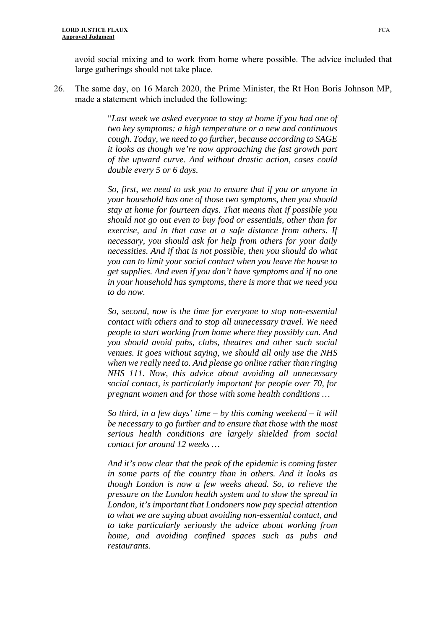avoid social mixing and to work from home where possible. The advice included that large gatherings should not take place.

26. The same day, on 16 March 2020, the Prime Minister, the Rt Hon Boris Johnson MP, made a statement which included the following:

> "*Last week we asked everyone to stay at home if you had one of two key symptoms: a high temperature or a new and continuous cough. Today, we need to go further, because according to SAGE it looks as though we're now approaching the fast growth part of the upward curve. And without drastic action, cases could double every 5 or 6 days.*

> *So, first, we need to ask you to ensure that if you or anyone in your household has one of those two symptoms, then you should stay at home for fourteen days. That means that if possible you should not go out even to buy food or essentials, other than for exercise, and in that case at a safe distance from others. If necessary, you should ask for help from others for your daily necessities. And if that is not possible, then you should do what you can to limit your social contact when you leave the house to get supplies. And even if you don't have symptoms and if no one in your household has symptoms, there is more that we need you to do now.*

> *So, second, now is the time for everyone to stop non-essential contact with others and to stop all unnecessary travel. We need people to start working from home where they possibly can. And you should avoid pubs, clubs, theatres and other such social venues. It goes without saying, we should all only use the NHS when we really need to. And please go online rather than ringing NHS 111. Now, this advice about avoiding all unnecessary social contact, is particularly important for people over 70, for pregnant women and for those with some health conditions …*

> *So third, in a few days' time – by this coming weekend – it will be necessary to go further and to ensure that those with the most serious health conditions are largely shielded from social contact for around 12 weeks …*

> *And it's now clear that the peak of the epidemic is coming faster in some parts of the country than in others. And it looks as though London is now a few weeks ahead. So, to relieve the pressure on the London health system and to slow the spread in London, it's important that Londoners now pay special attention to what we are saying about avoiding non-essential contact, and to take particularly seriously the advice about working from home, and avoiding confined spaces such as pubs and restaurants.*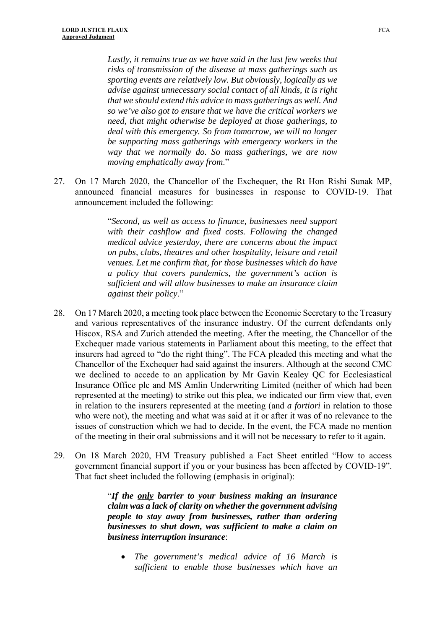Lastly, it remains true as we have said in the last few weeks that *risks of transmission of the disease at mass gatherings such as sporting events are relatively low. But obviously, logically as we advise against unnecessary social contact of all kinds, it is right that we should extend this advice to mass gatherings as well. And so we've also got to ensure that we have the critical workers we need, that might otherwise be deployed at those gatherings, to deal with this emergency. So from tomorrow, we will no longer be supporting mass gatherings with emergency workers in the way that we normally do. So mass gatherings, we are now moving emphatically away from*."

27. On 17 March 2020, the Chancellor of the Exchequer, the Rt Hon Rishi Sunak MP, announced financial measures for businesses in response to COVID-19. That announcement included the following:

> "*Second, as well as access to finance, businesses need support with their cashflow and fixed costs. Following the changed medical advice yesterday, there are concerns about the impact on pubs, clubs, theatres and other hospitality, leisure and retail venues. Let me confirm that, for those businesses which do have a policy that covers pandemics, the government's action is sufficient and will allow businesses to make an insurance claim against their policy*."

- 28. On 17 March 2020, a meeting took place between the Economic Secretary to the Treasury and various representatives of the insurance industry. Of the current defendants only Hiscox, RSA and Zurich attended the meeting. After the meeting, the Chancellor of the Exchequer made various statements in Parliament about this meeting, to the effect that insurers had agreed to "do the right thing". The FCA pleaded this meeting and what the Chancellor of the Exchequer had said against the insurers. Although at the second CMC we declined to accede to an application by Mr Gavin Kealey QC for Ecclesiastical Insurance Office plc and MS Amlin Underwriting Limited (neither of which had been represented at the meeting) to strike out this plea, we indicated our firm view that, even in relation to the insurers represented at the meeting (and *a fortiori* in relation to those who were not), the meeting and what was said at it or after it was of no relevance to the issues of construction which we had to decide. In the event, the FCA made no mention of the meeting in their oral submissions and it will not be necessary to refer to it again.
- 29. On 18 March 2020, HM Treasury published a Fact Sheet entitled "How to access government financial support if you or your business has been affected by COVID-19". That fact sheet included the following (emphasis in original):

"*If the only barrier to your business making an insurance claim was a lack of clarity on whether the government advising people to stay away from businesses, rather than ordering businesses to shut down, was sufficient to make a claim on business interruption insurance*:

 *The government's medical advice of 16 March is sufficient to enable those businesses which have an*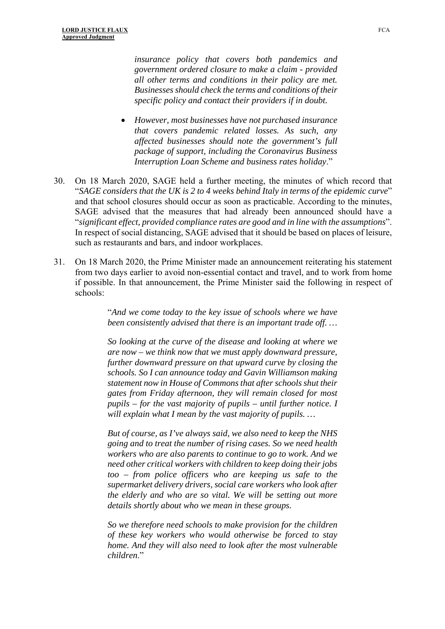*insurance policy that covers both pandemics and government ordered closure to make a claim - provided all other terms and conditions in their policy are met. Businesses should check the terms and conditions of their specific policy and contact their providers if in doubt.* 

- *However, most businesses have not purchased insurance that covers pandemic related losses. As such, any affected businesses should note the government's full package of support, including the Coronavirus Business Interruption Loan Scheme and business rates holiday*."
- 30. On 18 March 2020, SAGE held a further meeting, the minutes of which record that "*SAGE considers that the UK is 2 to 4 weeks behind Italy in terms of the epidemic curve*" and that school closures should occur as soon as practicable. According to the minutes, SAGE advised that the measures that had already been announced should have a "*significant effect, provided compliance rates are good and in line with the assumptions*". In respect of social distancing, SAGE advised that it should be based on places of leisure, such as restaurants and bars, and indoor workplaces.
- 31. On 18 March 2020, the Prime Minister made an announcement reiterating his statement from two days earlier to avoid non-essential contact and travel, and to work from home if possible. In that announcement, the Prime Minister said the following in respect of schools:

"*And we come today to the key issue of schools where we have been consistently advised that there is an important trade off. …* 

*So looking at the curve of the disease and looking at where we are now – we think now that we must apply downward pressure, further downward pressure on that upward curve by closing the schools. So I can announce today and Gavin Williamson making statement now in House of Commons that after schools shut their gates from Friday afternoon, they will remain closed for most pupils – for the vast majority of pupils – until further notice. I will explain what I mean by the vast majority of pupils. …* 

*But of course, as I've always said, we also need to keep the NHS going and to treat the number of rising cases. So we need health workers who are also parents to continue to go to work. And we need other critical workers with children to keep doing their jobs too – from police officers who are keeping us safe to the supermarket delivery drivers, social care workers who look after the elderly and who are so vital. We will be setting out more details shortly about who we mean in these groups.* 

*So we therefore need schools to make provision for the children of these key workers who would otherwise be forced to stay home. And they will also need to look after the most vulnerable children*."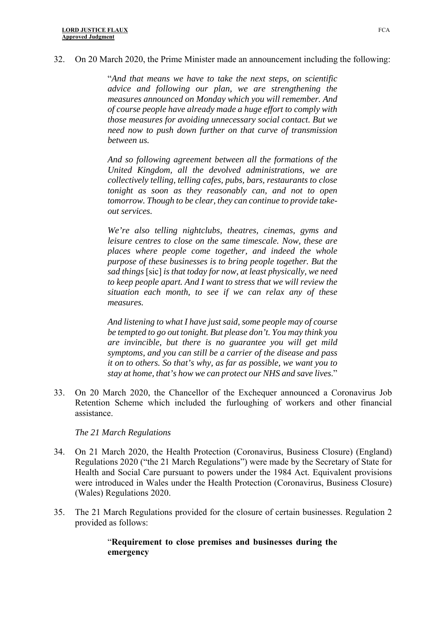#### 32. On 20 March 2020, the Prime Minister made an announcement including the following:

"*And that means we have to take the next steps, on scientific advice and following our plan, we are strengthening the measures announced on Monday which you will remember. And of course people have already made a huge effort to comply with those measures for avoiding unnecessary social contact. But we need now to push down further on that curve of transmission between us.* 

*And so following agreement between all the formations of the United Kingdom, all the devolved administrations, we are collectively telling, telling cafes, pubs, bars, restaurants to close tonight as soon as they reasonably can, and not to open tomorrow. Though to be clear, they can continue to provide takeout services.* 

*We're also telling nightclubs, theatres, cinemas, gyms and leisure centres to close on the same timescale. Now, these are places where people come together, and indeed the whole purpose of these businesses is to bring people together. But the sad things* [sic] *is that today for now, at least physically, we need to keep people apart. And I want to stress that we will review the situation each month, to see if we can relax any of these measures.* 

*And listening to what I have just said, some people may of course be tempted to go out tonight. But please don't. You may think you are invincible, but there is no guarantee you will get mild symptoms, and you can still be a carrier of the disease and pass it on to others. So that's why, as far as possible, we want you to stay at home, that's how we can protect our NHS and save lives*."

33. On 20 March 2020, the Chancellor of the Exchequer announced a Coronavirus Job Retention Scheme which included the furloughing of workers and other financial assistance.

*The 21 March Regulations* 

- 34. On 21 March 2020, the Health Protection (Coronavirus, Business Closure) (England) Regulations 2020 ("the 21 March Regulations") were made by the Secretary of State for Health and Social Care pursuant to powers under the 1984 Act. Equivalent provisions were introduced in Wales under the Health Protection (Coronavirus, Business Closure) (Wales) Regulations 2020.
- 35. The 21 March Regulations provided for the closure of certain businesses. Regulation 2 provided as follows:

#### "**Requirement to close premises and businesses during the emergency**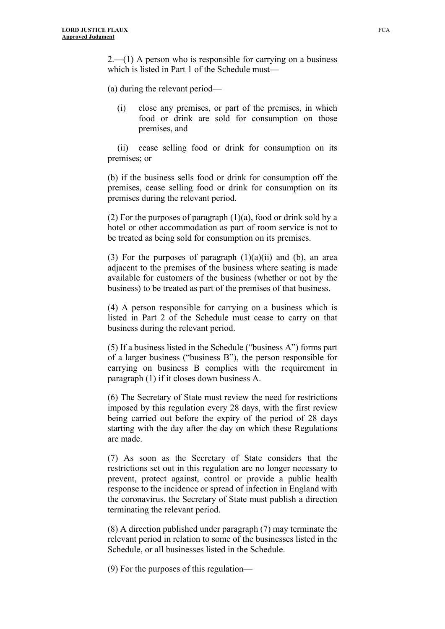2.—(1) A person who is responsible for carrying on a business which is listed in Part 1 of the Schedule must—

(a) during the relevant period—

(i) close any premises, or part of the premises, in which food or drink are sold for consumption on those premises, and

(ii) cease selling food or drink for consumption on its premises; or

(b) if the business sells food or drink for consumption off the premises, cease selling food or drink for consumption on its premises during the relevant period.

(2) For the purposes of paragraph  $(1)(a)$ , food or drink sold by a hotel or other accommodation as part of room service is not to be treated as being sold for consumption on its premises.

(3) For the purposes of paragraph  $(1)(a)(ii)$  and  $(b)$ , an area adjacent to the premises of the business where seating is made available for customers of the business (whether or not by the business) to be treated as part of the premises of that business.

(4) A person responsible for carrying on a business which is listed in Part 2 of the Schedule must cease to carry on that business during the relevant period.

(5) If a business listed in the Schedule ("business A") forms part of a larger business ("business B"), the person responsible for carrying on business B complies with the requirement in paragraph (1) if it closes down business A.

(6) The Secretary of State must review the need for restrictions imposed by this regulation every 28 days, with the first review being carried out before the expiry of the period of 28 days starting with the day after the day on which these Regulations are made.

(7) As soon as the Secretary of State considers that the restrictions set out in this regulation are no longer necessary to prevent, protect against, control or provide a public health response to the incidence or spread of infection in England with the coronavirus, the Secretary of State must publish a direction terminating the relevant period.

(8) A direction published under paragraph (7) may terminate the relevant period in relation to some of the businesses listed in the Schedule, or all businesses listed in the Schedule.

(9) For the purposes of this regulation—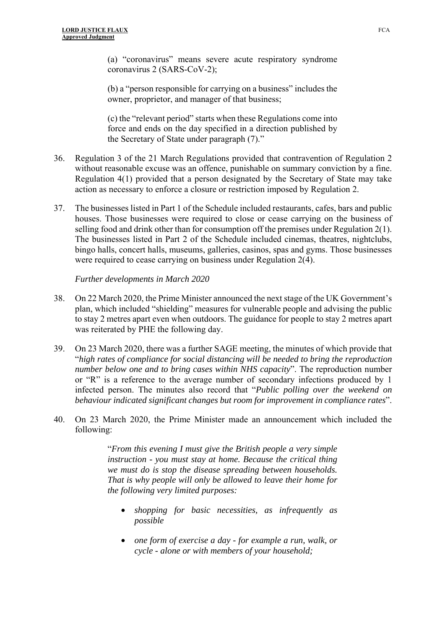(a) "coronavirus" means severe acute respiratory syndrome coronavirus 2 (SARS-CoV-2);

(b) a "person responsible for carrying on a business" includes the owner, proprietor, and manager of that business;

(c) the "relevant period" starts when these Regulations come into force and ends on the day specified in a direction published by the Secretary of State under paragraph (7)."

- 36. Regulation 3 of the 21 March Regulations provided that contravention of Regulation 2 without reasonable excuse was an offence, punishable on summary conviction by a fine. Regulation 4(1) provided that a person designated by the Secretary of State may take action as necessary to enforce a closure or restriction imposed by Regulation 2.
- 37. The businesses listed in Part 1 of the Schedule included restaurants, cafes, bars and public houses. Those businesses were required to close or cease carrying on the business of selling food and drink other than for consumption off the premises under Regulation 2(1). The businesses listed in Part 2 of the Schedule included cinemas, theatres, nightclubs, bingo halls, concert halls, museums, galleries, casinos, spas and gyms. Those businesses were required to cease carrying on business under Regulation 2(4).

*Further developments in March 2020* 

- 38. On 22 March 2020, the Prime Minister announced the next stage of the UK Government's plan, which included "shielding" measures for vulnerable people and advising the public to stay 2 metres apart even when outdoors. The guidance for people to stay 2 metres apart was reiterated by PHE the following day.
- 39. On 23 March 2020, there was a further SAGE meeting, the minutes of which provide that "*high rates of compliance for social distancing will be needed to bring the reproduction number below one and to bring cases within NHS capacity*". The reproduction number or "R" is a reference to the average number of secondary infections produced by 1 infected person. The minutes also record that "*Public polling over the weekend on behaviour indicated significant changes but room for improvement in compliance rates*".
- 40. On 23 March 2020, the Prime Minister made an announcement which included the following:

"*From this evening I must give the British people a very simple instruction - you must stay at home. Because the critical thing we must do is stop the disease spreading between households. That is why people will only be allowed to leave their home for the following very limited purposes:* 

- *shopping for basic necessities, as infrequently as possible*
- *one form of exercise a day for example a run, walk, or cycle - alone or with members of your household;*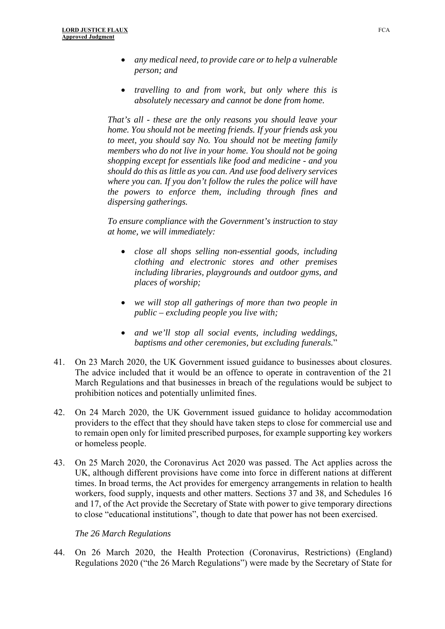- *any medical need, to provide care or to help a vulnerable person; and*
- *travelling to and from work, but only where this is absolutely necessary and cannot be done from home.*

*That's all - these are the only reasons you should leave your home. You should not be meeting friends. If your friends ask you to meet, you should say No. You should not be meeting family members who do not live in your home. You should not be going shopping except for essentials like food and medicine - and you should do this as little as you can. And use food delivery services where you can. If you don't follow the rules the police will have the powers to enforce them, including through fines and dispersing gatherings.* 

*To ensure compliance with the Government's instruction to stay at home, we will immediately:* 

- *close all shops selling non-essential goods, including clothing and electronic stores and other premises including libraries, playgrounds and outdoor gyms, and places of worship;*
- *we will stop all gatherings of more than two people in public – excluding people you live with;*
- *and we'll stop all social events, including weddings, baptisms and other ceremonies, but excluding funerals.*"
- 41. On 23 March 2020, the UK Government issued guidance to businesses about closures. The advice included that it would be an offence to operate in contravention of the 21 March Regulations and that businesses in breach of the regulations would be subject to prohibition notices and potentially unlimited fines.
- 42. On 24 March 2020, the UK Government issued guidance to holiday accommodation providers to the effect that they should have taken steps to close for commercial use and to remain open only for limited prescribed purposes, for example supporting key workers or homeless people.
- 43. On 25 March 2020, the Coronavirus Act 2020 was passed. The Act applies across the UK, although different provisions have come into force in different nations at different times. In broad terms, the Act provides for emergency arrangements in relation to health workers, food supply, inquests and other matters. Sections 37 and 38, and Schedules 16 and 17, of the Act provide the Secretary of State with power to give temporary directions to close "educational institutions", though to date that power has not been exercised.

## *The 26 March Regulations*

44. On 26 March 2020, the Health Protection (Coronavirus, Restrictions) (England) Regulations 2020 ("the 26 March Regulations") were made by the Secretary of State for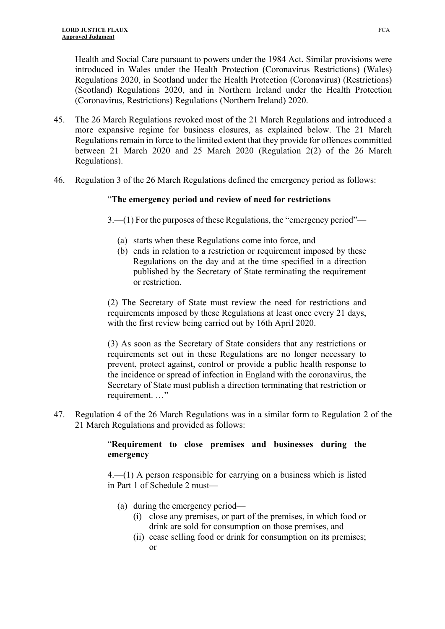Health and Social Care pursuant to powers under the 1984 Act. Similar provisions were introduced in Wales under the Health Protection (Coronavirus Restrictions) (Wales) Regulations 2020, in Scotland under the Health Protection (Coronavirus) (Restrictions) (Scotland) Regulations 2020, and in Northern Ireland under the Health Protection (Coronavirus, Restrictions) Regulations (Northern Ireland) 2020.

- 45. The 26 March Regulations revoked most of the 21 March Regulations and introduced a more expansive regime for business closures, as explained below. The 21 March Regulations remain in force to the limited extent that they provide for offences committed between 21 March 2020 and 25 March 2020 (Regulation 2(2) of the 26 March Regulations).
- 46. Regulation 3 of the 26 March Regulations defined the emergency period as follows:

## "**The emergency period and review of need for restrictions**

3.—(1) For the purposes of these Regulations, the "emergency period"—

- (a) starts when these Regulations come into force, and
- (b) ends in relation to a restriction or requirement imposed by these Regulations on the day and at the time specified in a direction published by the Secretary of State terminating the requirement or restriction.

(2) The Secretary of State must review the need for restrictions and requirements imposed by these Regulations at least once every 21 days, with the first review being carried out by 16th April 2020.

(3) As soon as the Secretary of State considers that any restrictions or requirements set out in these Regulations are no longer necessary to prevent, protect against, control or provide a public health response to the incidence or spread of infection in England with the coronavirus, the Secretary of State must publish a direction terminating that restriction or requirement. ..."

47. Regulation 4 of the 26 March Regulations was in a similar form to Regulation 2 of the 21 March Regulations and provided as follows:

#### "**Requirement to close premises and businesses during the emergency**

4.—(1) A person responsible for carrying on a business which is listed in Part 1 of Schedule 2 must—

- (a) during the emergency period—
	- (i) close any premises, or part of the premises, in which food or drink are sold for consumption on those premises, and
	- (ii) cease selling food or drink for consumption on its premises; or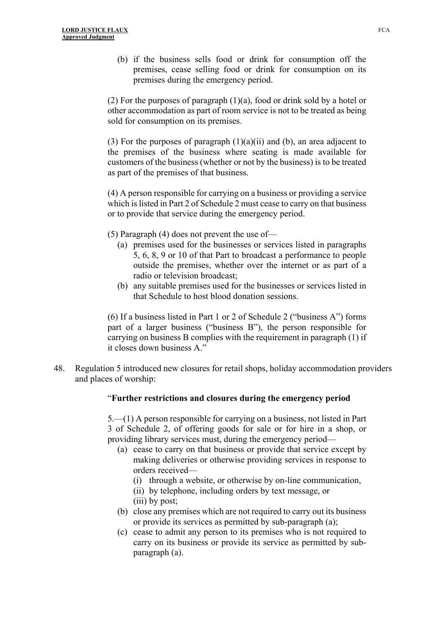(b) if the business sells food or drink for consumption off the premises, cease selling food or drink for consumption on its premises during the emergency period.

(2) For the purposes of paragraph  $(1)(a)$ , food or drink sold by a hotel or other accommodation as part of room service is not to be treated as being sold for consumption on its premises.

(3) For the purposes of paragraph  $(1)(a)(ii)$  and  $(b)$ , an area adjacent to the premises of the business where seating is made available for customers of the business (whether or not by the business) is to be treated as part of the premises of that business.

(4) A person responsible for carrying on a business or providing a service which is listed in Part 2 of Schedule 2 must cease to carry on that business or to provide that service during the emergency period.

- (5) Paragraph (4) does not prevent the use of—
	- (a) premises used for the businesses or services listed in paragraphs 5, 6, 8, 9 or 10 of that Part to broadcast a performance to people outside the premises, whether over the internet or as part of a radio or television broadcast;
	- (b) any suitable premises used for the businesses or services listed in that Schedule to host blood donation sessions.

(6) If a business listed in Part 1 or 2 of Schedule 2 ("business A") forms part of a larger business ("business B"), the person responsible for carrying on business B complies with the requirement in paragraph (1) if it closes down business A."

48. Regulation 5 introduced new closures for retail shops, holiday accommodation providers and places of worship:

## "**Further restrictions and closures during the emergency period**

5.—(1) A person responsible for carrying on a business, not listed in Part 3 of Schedule 2, of offering goods for sale or for hire in a shop, or providing library services must, during the emergency period—

- (a) cease to carry on that business or provide that service except by making deliveries or otherwise providing services in response to orders received—
	- (i) through a website, or otherwise by on-line communication,
	- (ii) by telephone, including orders by text message, or
	- (iii) by post;
- (b) close any premises which are not required to carry out its business or provide its services as permitted by sub-paragraph (a);
- (c) cease to admit any person to its premises who is not required to carry on its business or provide its service as permitted by subparagraph (a).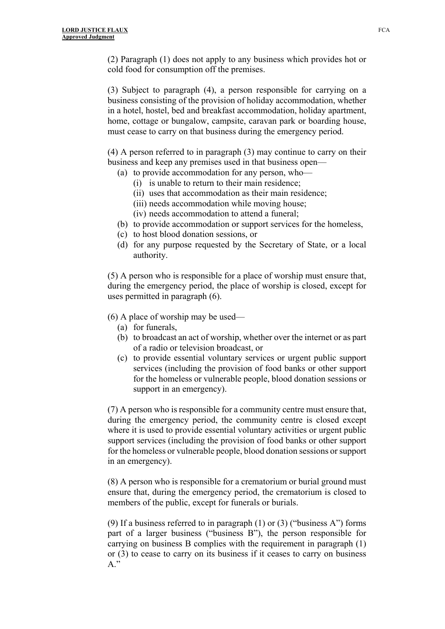(2) Paragraph (1) does not apply to any business which provides hot or cold food for consumption off the premises.

(3) Subject to paragraph (4), a person responsible for carrying on a business consisting of the provision of holiday accommodation, whether in a hotel, hostel, bed and breakfast accommodation, holiday apartment, home, cottage or bungalow, campsite, caravan park or boarding house, must cease to carry on that business during the emergency period.

(4) A person referred to in paragraph (3) may continue to carry on their business and keep any premises used in that business open—

- (a) to provide accommodation for any person, who—
	- (i) is unable to return to their main residence;
	- (ii) uses that accommodation as their main residence;
	- (iii) needs accommodation while moving house;
	- (iv) needs accommodation to attend a funeral;
- (b) to provide accommodation or support services for the homeless,
- (c) to host blood donation sessions, or
- (d) for any purpose requested by the Secretary of State, or a local authority.

(5) A person who is responsible for a place of worship must ensure that, during the emergency period, the place of worship is closed, except for uses permitted in paragraph (6).

(6) A place of worship may be used—

- (a) for funerals,
- (b) to broadcast an act of worship, whether over the internet or as part of a radio or television broadcast, or
- (c) to provide essential voluntary services or urgent public support services (including the provision of food banks or other support for the homeless or vulnerable people, blood donation sessions or support in an emergency).

(7) A person who is responsible for a community centre must ensure that, during the emergency period, the community centre is closed except where it is used to provide essential voluntary activities or urgent public support services (including the provision of food banks or other support for the homeless or vulnerable people, blood donation sessions or support in an emergency).

(8) A person who is responsible for a crematorium or burial ground must ensure that, during the emergency period, the crematorium is closed to members of the public, except for funerals or burials.

(9) If a business referred to in paragraph  $(1)$  or  $(3)$  ("business A") forms part of a larger business ("business B"), the person responsible for carrying on business B complies with the requirement in paragraph (1) or (3) to cease to carry on its business if it ceases to carry on business A."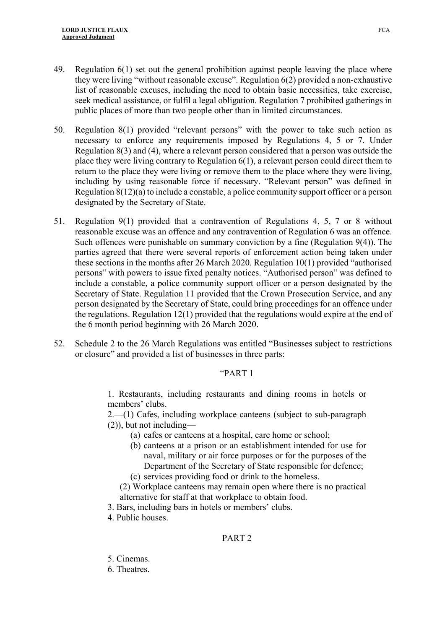- 49. Regulation 6(1) set out the general prohibition against people leaving the place where they were living "without reasonable excuse". Regulation 6(2) provided a non-exhaustive list of reasonable excuses, including the need to obtain basic necessities, take exercise, seek medical assistance, or fulfil a legal obligation. Regulation 7 prohibited gatherings in public places of more than two people other than in limited circumstances.
- 50. Regulation 8(1) provided "relevant persons" with the power to take such action as necessary to enforce any requirements imposed by Regulations 4, 5 or 7. Under Regulation 8(3) and (4), where a relevant person considered that a person was outside the place they were living contrary to Regulation 6(1), a relevant person could direct them to return to the place they were living or remove them to the place where they were living, including by using reasonable force if necessary. "Relevant person" was defined in Regulation 8(12)(a) to include a constable, a police community support officer or a person designated by the Secretary of State.
- 51. Regulation 9(1) provided that a contravention of Regulations 4, 5, 7 or 8 without reasonable excuse was an offence and any contravention of Regulation 6 was an offence. Such offences were punishable on summary conviction by a fine (Regulation 9(4)). The parties agreed that there were several reports of enforcement action being taken under these sections in the months after 26 March 2020. Regulation 10(1) provided "authorised persons" with powers to issue fixed penalty notices. "Authorised person" was defined to include a constable, a police community support officer or a person designated by the Secretary of State. Regulation 11 provided that the Crown Prosecution Service, and any person designated by the Secretary of State, could bring proceedings for an offence under the regulations. Regulation 12(1) provided that the regulations would expire at the end of the 6 month period beginning with 26 March 2020.
- 52. Schedule 2 to the 26 March Regulations was entitled "Businesses subject to restrictions or closure" and provided a list of businesses in three parts:

## "PART 1

1. Restaurants, including restaurants and dining rooms in hotels or members' clubs.

2.—(1) Cafes, including workplace canteens (subject to sub-paragraph (2)), but not including—

- (a) cafes or canteens at a hospital, care home or school;
- (b) canteens at a prison or an establishment intended for use for naval, military or air force purposes or for the purposes of the Department of the Secretary of State responsible for defence;
- (c) services providing food or drink to the homeless.
- (2) Workplace canteens may remain open where there is no practical alternative for staff at that workplace to obtain food.
- 3. Bars, including bars in hotels or members' clubs.
- 4. Public houses.

# PART 2

- 5. Cinemas.
- 6. Theatres.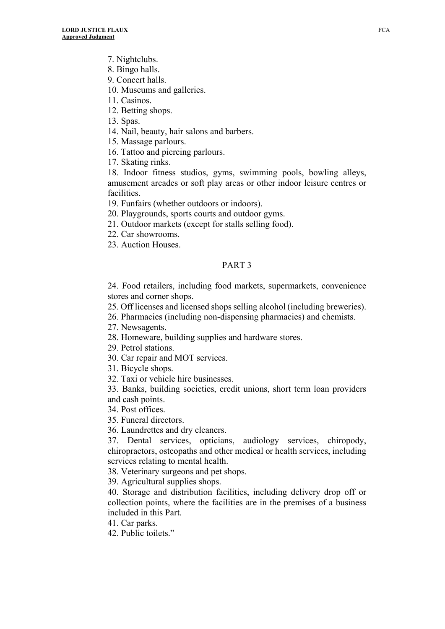- 7. Nightclubs.
- 8. Bingo halls.
- 9. Concert halls.
- 10. Museums and galleries.
- 11. Casinos.
- 12. Betting shops.
- 13. Spas.
- 14. Nail, beauty, hair salons and barbers.
- 15. Massage parlours.
- 16. Tattoo and piercing parlours.
- 17. Skating rinks.

18. Indoor fitness studios, gyms, swimming pools, bowling alleys, amusement arcades or soft play areas or other indoor leisure centres or facilities.

- 19. Funfairs (whether outdoors or indoors).
- 20. Playgrounds, sports courts and outdoor gyms.
- 21. Outdoor markets (except for stalls selling food).
- 22. Car showrooms.
- 23. Auction Houses.

#### PART 3

24. Food retailers, including food markets, supermarkets, convenience stores and corner shops.

25. Off licenses and licensed shops selling alcohol (including breweries).

26. Pharmacies (including non-dispensing pharmacies) and chemists.

- 27. Newsagents.
- 28. Homeware, building supplies and hardware stores.
- 29. Petrol stations.
- 30. Car repair and MOT services.
- 31. Bicycle shops.
- 32. Taxi or vehicle hire businesses.

33. Banks, building societies, credit unions, short term loan providers and cash points.

- 34. Post offices.
- 35. Funeral directors.

36. Laundrettes and dry cleaners.

37. Dental services, opticians, audiology services, chiropody, chiropractors, osteopaths and other medical or health services, including services relating to mental health.

38. Veterinary surgeons and pet shops.

39. Agricultural supplies shops.

40. Storage and distribution facilities, including delivery drop off or collection points, where the facilities are in the premises of a business included in this Part.

41. Car parks.

42. Public toilets."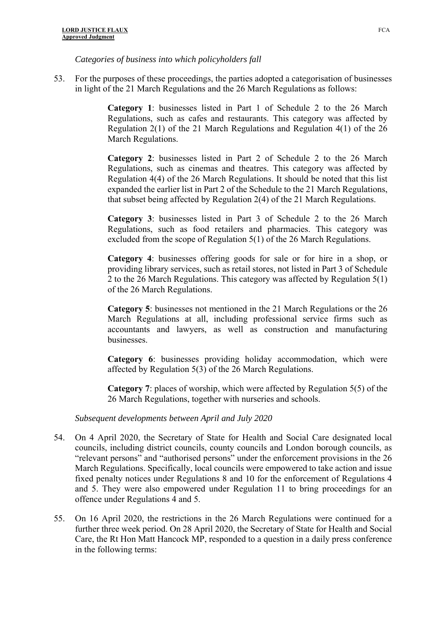*Categories of business into which policyholders fall* 

53. For the purposes of these proceedings, the parties adopted a categorisation of businesses in light of the 21 March Regulations and the 26 March Regulations as follows:

> **Category 1**: businesses listed in Part 1 of Schedule 2 to the 26 March Regulations, such as cafes and restaurants. This category was affected by Regulation 2(1) of the 21 March Regulations and Regulation 4(1) of the 26 March Regulations.

> **Category 2**: businesses listed in Part 2 of Schedule 2 to the 26 March Regulations, such as cinemas and theatres. This category was affected by Regulation 4(4) of the 26 March Regulations. It should be noted that this list expanded the earlier list in Part 2 of the Schedule to the 21 March Regulations, that subset being affected by Regulation 2(4) of the 21 March Regulations.

> **Category 3**: businesses listed in Part 3 of Schedule 2 to the 26 March Regulations, such as food retailers and pharmacies. This category was excluded from the scope of Regulation 5(1) of the 26 March Regulations.

> **Category 4**: businesses offering goods for sale or for hire in a shop, or providing library services, such as retail stores, not listed in Part 3 of Schedule 2 to the 26 March Regulations. This category was affected by Regulation 5(1) of the 26 March Regulations.

> **Category 5**: businesses not mentioned in the 21 March Regulations or the 26 March Regulations at all, including professional service firms such as accountants and lawyers, as well as construction and manufacturing businesses.

> **Category 6**: businesses providing holiday accommodation, which were affected by Regulation 5(3) of the 26 March Regulations.

> **Category 7**: places of worship, which were affected by Regulation 5(5) of the 26 March Regulations, together with nurseries and schools.

*Subsequent developments between April and July 2020* 

- 54. On 4 April 2020, the Secretary of State for Health and Social Care designated local councils, including district councils, county councils and London borough councils, as "relevant persons" and "authorised persons" under the enforcement provisions in the 26 March Regulations. Specifically, local councils were empowered to take action and issue fixed penalty notices under Regulations 8 and 10 for the enforcement of Regulations 4 and 5. They were also empowered under Regulation 11 to bring proceedings for an offence under Regulations 4 and 5.
- 55. On 16 April 2020, the restrictions in the 26 March Regulations were continued for a further three week period. On 28 April 2020, the Secretary of State for Health and Social Care, the Rt Hon Matt Hancock MP, responded to a question in a daily press conference in the following terms: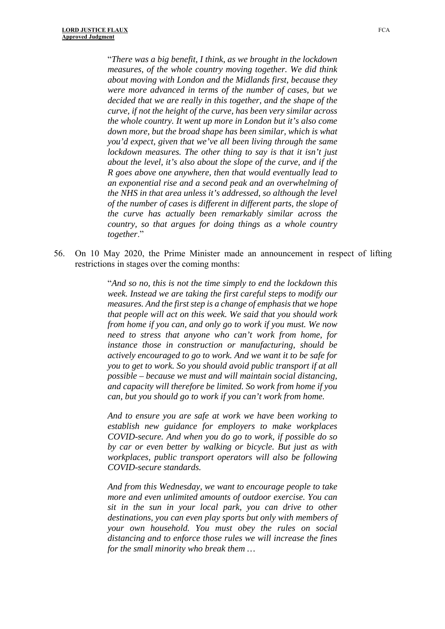"*There was a big benefit, I think, as we brought in the lockdown measures, of the whole country moving together. We did think about moving with London and the Midlands first, because they were more advanced in terms of the number of cases, but we decided that we are really in this together, and the shape of the curve, if not the height of the curve, has been very similar across the whole country. It went up more in London but it's also come down more, but the broad shape has been similar, which is what you'd expect, given that we've all been living through the same lockdown measures. The other thing to say is that it isn't just about the level, it's also about the slope of the curve, and if the R goes above one anywhere, then that would eventually lead to an exponential rise and a second peak and an overwhelming of the NHS in that area unless it's addressed, so although the level of the number of cases is different in different parts, the slope of the curve has actually been remarkably similar across the country, so that argues for doing things as a whole country together*."

56. On 10 May 2020, the Prime Minister made an announcement in respect of lifting restrictions in stages over the coming months:

> "*And so no, this is not the time simply to end the lockdown this week. Instead we are taking the first careful steps to modify our measures. And the first step is a change of emphasis that we hope that people will act on this week. We said that you should work from home if you can, and only go to work if you must. We now need to stress that anyone who can't work from home, for instance those in construction or manufacturing, should be actively encouraged to go to work. And we want it to be safe for you to get to work. So you should avoid public transport if at all possible – because we must and will maintain social distancing, and capacity will therefore be limited. So work from home if you can, but you should go to work if you can't work from home.*

> *And to ensure you are safe at work we have been working to establish new guidance for employers to make workplaces COVID-secure. And when you do go to work, if possible do so by car or even better by walking or bicycle. But just as with workplaces, public transport operators will also be following COVID-secure standards.*

> *And from this Wednesday, we want to encourage people to take more and even unlimited amounts of outdoor exercise. You can sit in the sun in your local park, you can drive to other destinations, you can even play sports but only with members of your own household. You must obey the rules on social distancing and to enforce those rules we will increase the fines for the small minority who break them …*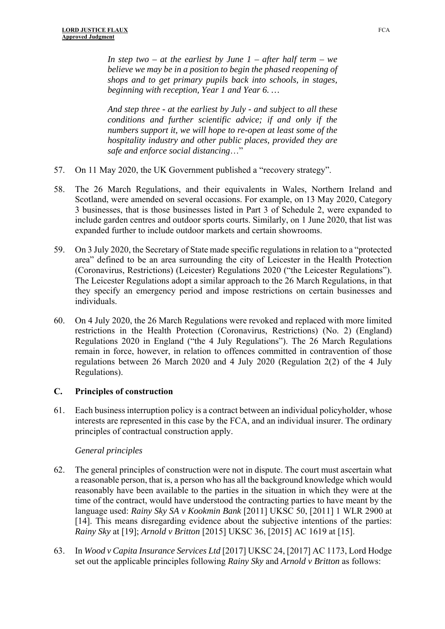*And step three - at the earliest by July - and subject to all these conditions and further scientific advice; if and only if the numbers support it, we will hope to re-open at least some of the hospitality industry and other public places, provided they are safe and enforce social distancing*…"

- 57. On 11 May 2020, the UK Government published a "recovery strategy".
- 58. The 26 March Regulations, and their equivalents in Wales, Northern Ireland and Scotland, were amended on several occasions. For example, on 13 May 2020, Category 3 businesses, that is those businesses listed in Part 3 of Schedule 2, were expanded to include garden centres and outdoor sports courts. Similarly, on 1 June 2020, that list was expanded further to include outdoor markets and certain showrooms.
- 59. On 3 July 2020, the Secretary of State made specific regulations in relation to a "protected area" defined to be an area surrounding the city of Leicester in the Health Protection (Coronavirus, Restrictions) (Leicester) Regulations 2020 ("the Leicester Regulations"). The Leicester Regulations adopt a similar approach to the 26 March Regulations, in that they specify an emergency period and impose restrictions on certain businesses and individuals.
- 60. On 4 July 2020, the 26 March Regulations were revoked and replaced with more limited restrictions in the Health Protection (Coronavirus, Restrictions) (No. 2) (England) Regulations 2020 in England ("the 4 July Regulations"). The 26 March Regulations remain in force, however, in relation to offences committed in contravention of those regulations between 26 March 2020 and 4 July 2020 (Regulation 2(2) of the 4 July Regulations).

# **C. Principles of construction**

61. Each business interruption policy is a contract between an individual policyholder, whose interests are represented in this case by the FCA, and an individual insurer. The ordinary principles of contractual construction apply.

## *General principles*

- 62. The general principles of construction were not in dispute. The court must ascertain what a reasonable person, that is, a person who has all the background knowledge which would reasonably have been available to the parties in the situation in which they were at the time of the contract, would have understood the contracting parties to have meant by the language used: *Rainy Sky SA v Kookmin Bank* [2011] UKSC 50, [2011] 1 WLR 2900 at [14]. This means disregarding evidence about the subjective intentions of the parties: *Rainy Sky* at [19]; *Arnold v Britton* [2015] UKSC 36, [2015] AC 1619 at [15].
- 63. In *Wood v Capita Insurance Services Ltd* [2017] UKSC 24, [2017] AC 1173, Lord Hodge set out the applicable principles following *Rainy Sky* and *Arnold v Britton* as follows: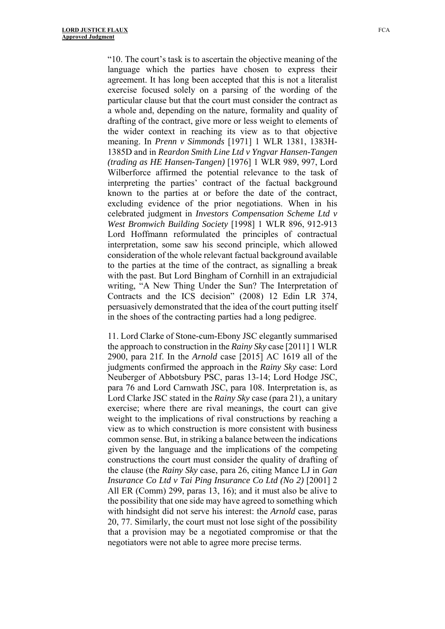"10. The court's task is to ascertain the objective meaning of the language which the parties have chosen to express their agreement. It has long been accepted that this is not a literalist exercise focused solely on a parsing of the wording of the particular clause but that the court must consider the contract as a whole and, depending on the nature, formality and quality of drafting of the contract, give more or less weight to elements of the wider context in reaching its view as to that objective meaning. In *Prenn v Simmonds* [1971] 1 WLR 1381, 1383H-1385D and in *Reardon Smith Line Ltd v Yngvar Hansen-Tangen (trading as HE Hansen-Tangen)* [1976] 1 WLR 989, 997, Lord Wilberforce affirmed the potential relevance to the task of interpreting the parties' contract of the factual background known to the parties at or before the date of the contract, excluding evidence of the prior negotiations. When in his celebrated judgment in *Investors Compensation Scheme Ltd v West Bromwich Building Society* [1998] 1 WLR 896, 912-913 Lord Hoffmann reformulated the principles of contractual interpretation, some saw his second principle, which allowed consideration of the whole relevant factual background available to the parties at the time of the contract, as signalling a break with the past. But Lord Bingham of Cornhill in an extrajudicial writing, "A New Thing Under the Sun? The Interpretation of Contracts and the ICS decision" (2008) 12 Edin LR 374, persuasively demonstrated that the idea of the court putting itself in the shoes of the contracting parties had a long pedigree.

11. Lord Clarke of Stone-cum-Ebony JSC elegantly summarised the approach to construction in the *Rainy Sky* case [2011] 1 WLR 2900, para 21f. In the *Arnold* case [2015] AC 1619 all of the judgments confirmed the approach in the *Rainy Sky* case: Lord Neuberger of Abbotsbury PSC, paras 13-14; Lord Hodge JSC, para 76 and Lord Carnwath JSC, para 108. Interpretation is, as Lord Clarke JSC stated in the *Rainy Sky* case (para 21), a unitary exercise; where there are rival meanings, the court can give weight to the implications of rival constructions by reaching a view as to which construction is more consistent with business common sense. But, in striking a balance between the indications given by the language and the implications of the competing constructions the court must consider the quality of drafting of the clause (the *Rainy Sky* case, para 26, citing Mance LJ in *Gan Insurance Co Ltd v Tai Ping Insurance Co Ltd (No 2)* [2001] 2 All ER (Comm) 299, paras 13, 16); and it must also be alive to the possibility that one side may have agreed to something which with hindsight did not serve his interest: the *Arnold* case, paras 20, 77. Similarly, the court must not lose sight of the possibility that a provision may be a negotiated compromise or that the negotiators were not able to agree more precise terms.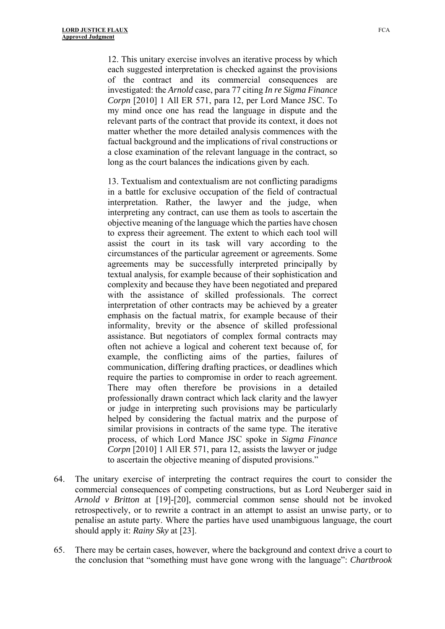12. This unitary exercise involves an iterative process by which each suggested interpretation is checked against the provisions of the contract and its commercial consequences are investigated: the *Arnold* case, para 77 citing *In re Sigma Finance Corpn* [2010] 1 All ER 571, para 12, per Lord Mance JSC. To my mind once one has read the language in dispute and the relevant parts of the contract that provide its context, it does not matter whether the more detailed analysis commences with the factual background and the implications of rival constructions or a close examination of the relevant language in the contract, so long as the court balances the indications given by each.

13. Textualism and contextualism are not conflicting paradigms in a battle for exclusive occupation of the field of contractual interpretation. Rather, the lawyer and the judge, when interpreting any contract, can use them as tools to ascertain the objective meaning of the language which the parties have chosen to express their agreement. The extent to which each tool will assist the court in its task will vary according to the circumstances of the particular agreement or agreements. Some agreements may be successfully interpreted principally by textual analysis, for example because of their sophistication and complexity and because they have been negotiated and prepared with the assistance of skilled professionals. The correct interpretation of other contracts may be achieved by a greater emphasis on the factual matrix, for example because of their informality, brevity or the absence of skilled professional assistance. But negotiators of complex formal contracts may often not achieve a logical and coherent text because of, for example, the conflicting aims of the parties, failures of communication, differing drafting practices, or deadlines which require the parties to compromise in order to reach agreement. There may often therefore be provisions in a detailed professionally drawn contract which lack clarity and the lawyer or judge in interpreting such provisions may be particularly helped by considering the factual matrix and the purpose of similar provisions in contracts of the same type. The iterative process, of which Lord Mance JSC spoke in *Sigma Finance Corpn* [2010] 1 All ER 571, para 12, assists the lawyer or judge to ascertain the objective meaning of disputed provisions."

- 64. The unitary exercise of interpreting the contract requires the court to consider the commercial consequences of competing constructions, but as Lord Neuberger said in *Arnold v Britton* at [19]-[20], commercial common sense should not be invoked retrospectively, or to rewrite a contract in an attempt to assist an unwise party, or to penalise an astute party. Where the parties have used unambiguous language, the court should apply it: *Rainy Sky* at [23].
- 65. There may be certain cases, however, where the background and context drive a court to the conclusion that "something must have gone wrong with the language": *Chartbrook*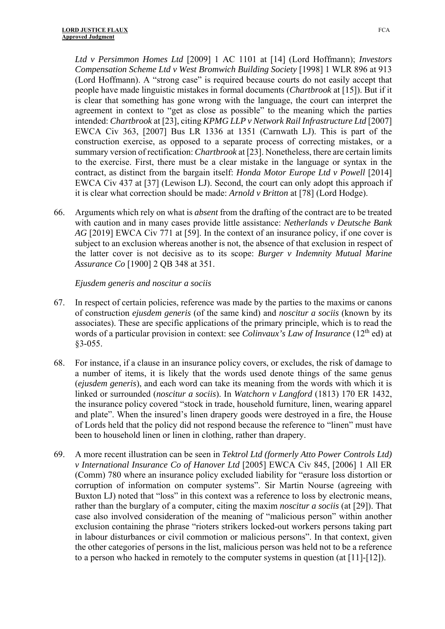*Ltd v Persimmon Homes Ltd* [2009] 1 AC 1101 at [14] (Lord Hoffmann); *Investors Compensation Scheme Ltd v West Bromwich Building Society* [1998] 1 WLR 896 at 913 (Lord Hoffmann). A "strong case" is required because courts do not easily accept that people have made linguistic mistakes in formal documents (*Chartbrook* at [15]). But if it is clear that something has gone wrong with the language, the court can interpret the agreement in context to "get as close as possible" to the meaning which the parties intended: *Chartbrook* at [23], citing *KPMG LLP v Network Rail Infrastructure Ltd* [2007] EWCA Civ 363, [2007] Bus LR 1336 at 1351 (Carnwath LJ). This is part of the construction exercise, as opposed to a separate process of correcting mistakes, or a summary version of rectification: *Chartbrook* at [23]. Nonetheless, there are certain limits to the exercise. First, there must be a clear mistake in the language or syntax in the contract, as distinct from the bargain itself: *Honda Motor Europe Ltd v Powell* [2014] EWCA Civ 437 at [37] (Lewison LJ). Second, the court can only adopt this approach if it is clear what correction should be made: *Arnold v Britton* at [78] (Lord Hodge).

66. Arguments which rely on what is *absent* from the drafting of the contract are to be treated with caution and in many cases provide little assistance: *Netherlands v Deutsche Bank AG* [2019] EWCA Civ 771 at [59]. In the context of an insurance policy, if one cover is subject to an exclusion whereas another is not, the absence of that exclusion in respect of the latter cover is not decisive as to its scope: *Burger v Indemnity Mutual Marine Assurance Co* [1900] 2 QB 348 at 351.

*Ejusdem generis and noscitur a sociis* 

- 67. In respect of certain policies, reference was made by the parties to the maxims or canons of construction *ejusdem generis* (of the same kind) and *noscitur a sociis* (known by its associates). These are specific applications of the primary principle, which is to read the words of a particular provision in context: see *Colinvaux's Law of Insurance* (12th ed) at §3-055.
- 68. For instance, if a clause in an insurance policy covers, or excludes, the risk of damage to a number of items, it is likely that the words used denote things of the same genus (*ejusdem generis*), and each word can take its meaning from the words with which it is linked or surrounded (*noscitur a sociis*). In *Watchorn v Langford* (1813) 170 ER 1432, the insurance policy covered "stock in trade, household furniture, linen, wearing apparel and plate". When the insured's linen drapery goods were destroyed in a fire, the House of Lords held that the policy did not respond because the reference to "linen" must have been to household linen or linen in clothing, rather than drapery.
- 69. A more recent illustration can be seen in *Tektrol Ltd (formerly Atto Power Controls Ltd) v International Insurance Co of Hanover Ltd* [2005] EWCA Civ 845, [2006] 1 All ER (Comm) 780 where an insurance policy excluded liability for "erasure loss distortion or corruption of information on computer systems". Sir Martin Nourse (agreeing with Buxton LJ) noted that "loss" in this context was a reference to loss by electronic means, rather than the burglary of a computer, citing the maxim *noscitur a sociis* (at [29]). That case also involved consideration of the meaning of "malicious person" within another exclusion containing the phrase "rioters strikers locked-out workers persons taking part in labour disturbances or civil commotion or malicious persons". In that context, given the other categories of persons in the list, malicious person was held not to be a reference to a person who hacked in remotely to the computer systems in question (at  $[11]-[12]$ ).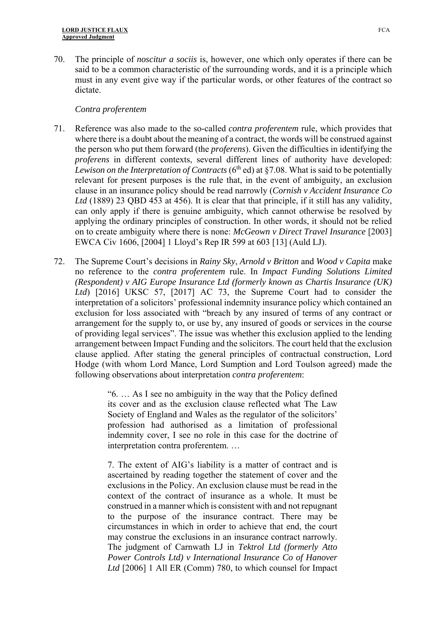70. The principle of *noscitur a sociis* is, however, one which only operates if there can be said to be a common characteristic of the surrounding words, and it is a principle which must in any event give way if the particular words, or other features of the contract so dictate.

## *Contra proferentem*

- 71. Reference was also made to the so-called *contra proferentem* rule, which provides that where there is a doubt about the meaning of a contract, the words will be construed against the person who put them forward (the *proferens*). Given the difficulties in identifying the *proferens* in different contexts, several different lines of authority have developed: *Lewison on the Interpretation of Contracts* (6<sup>th</sup> ed) at §7.08. What is said to be potentially relevant for present purposes is the rule that, in the event of ambiguity, an exclusion clause in an insurance policy should be read narrowly (*Cornish v Accident Insurance Co Ltd* (1889) 23 QBD 453 at 456). It is clear that that principle, if it still has any validity, can only apply if there is genuine ambiguity, which cannot otherwise be resolved by applying the ordinary principles of construction. In other words, it should not be relied on to create ambiguity where there is none: *McGeown v Direct Travel Insurance* [2003] EWCA Civ 1606, [2004] 1 Lloyd's Rep IR 599 at 603 [13] (Auld LJ).
- 72. The Supreme Court's decisions in *Rainy Sky*, *Arnold v Britton* and *Wood v Capita* make no reference to the *contra proferentem* rule. In *Impact Funding Solutions Limited (Respondent) v AIG Europe Insurance Ltd (formerly known as Chartis Insurance (UK) Ltd*) [2016] UKSC 57, [2017] AC 73, the Supreme Court had to consider the interpretation of a solicitors' professional indemnity insurance policy which contained an exclusion for loss associated with "breach by any insured of terms of any contract or arrangement for the supply to, or use by, any insured of goods or services in the course of providing legal services". The issue was whether this exclusion applied to the lending arrangement between Impact Funding and the solicitors. The court held that the exclusion clause applied. After stating the general principles of contractual construction, Lord Hodge (with whom Lord Mance, Lord Sumption and Lord Toulson agreed) made the following observations about interpretation *contra proferentem*:

"6. … As I see no ambiguity in the way that the Policy defined its cover and as the exclusion clause reflected what The Law Society of England and Wales as the regulator of the solicitors' profession had authorised as a limitation of professional indemnity cover, I see no role in this case for the doctrine of interpretation contra proferentem. …

7. The extent of AIG's liability is a matter of contract and is ascertained by reading together the statement of cover and the exclusions in the Policy. An exclusion clause must be read in the context of the contract of insurance as a whole. It must be construed in a manner which is consistent with and not repugnant to the purpose of the insurance contract. There may be circumstances in which in order to achieve that end, the court may construe the exclusions in an insurance contract narrowly. The judgment of Carnwath LJ in *Tektrol Ltd (formerly Atto Power Controls Ltd) v International Insurance Co of Hanover Ltd* [2006] 1 All ER (Comm) 780, to which counsel for Impact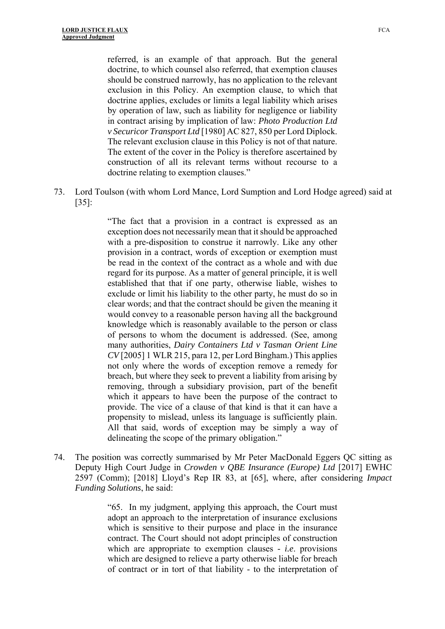referred, is an example of that approach. But the general doctrine, to which counsel also referred, that exemption clauses should be construed narrowly, has no application to the relevant exclusion in this Policy. An exemption clause, to which that doctrine applies, excludes or limits a legal liability which arises by operation of law, such as liability for negligence or liability in contract arising by implication of law: *Photo Production Ltd v Securicor Transport Ltd* [1980] AC 827, 850 per Lord Diplock. The relevant exclusion clause in this Policy is not of that nature. The extent of the cover in the Policy is therefore ascertained by construction of all its relevant terms without recourse to a doctrine relating to exemption clauses."

73. Lord Toulson (with whom Lord Mance, Lord Sumption and Lord Hodge agreed) said at [35]:

> "The fact that a provision in a contract is expressed as an exception does not necessarily mean that it should be approached with a pre-disposition to construe it narrowly. Like any other provision in a contract, words of exception or exemption must be read in the context of the contract as a whole and with due regard for its purpose. As a matter of general principle, it is well established that that if one party, otherwise liable, wishes to exclude or limit his liability to the other party, he must do so in clear words; and that the contract should be given the meaning it would convey to a reasonable person having all the background knowledge which is reasonably available to the person or class of persons to whom the document is addressed. (See, among many authorities, *Dairy Containers Ltd v Tasman Orient Line CV* [2005] 1 WLR 215, para 12, per Lord Bingham.) This applies not only where the words of exception remove a remedy for breach, but where they seek to prevent a liability from arising by removing, through a subsidiary provision, part of the benefit which it appears to have been the purpose of the contract to provide. The vice of a clause of that kind is that it can have a propensity to mislead, unless its language is sufficiently plain. All that said, words of exception may be simply a way of delineating the scope of the primary obligation."

74. The position was correctly summarised by Mr Peter MacDonald Eggers QC sitting as Deputy High Court Judge in *Crowden v QBE Insurance (Europe) Ltd* [2017] EWHC 2597 (Comm); [2018] Lloyd's Rep IR 83, at [65], where, after considering *Impact Funding Solutions*, he said:

> "65. In my judgment, applying this approach, the Court must adopt an approach to the interpretation of insurance exclusions which is sensitive to their purpose and place in the insurance contract. The Court should not adopt principles of construction which are appropriate to exemption clauses - *i.e*. provisions which are designed to relieve a party otherwise liable for breach of contract or in tort of that liability - to the interpretation of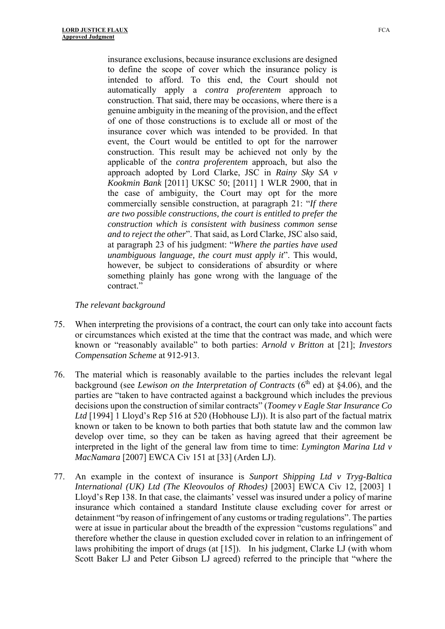insurance exclusions, because insurance exclusions are designed to define the scope of cover which the insurance policy is intended to afford. To this end, the Court should not automatically apply a *contra proferentem* approach to construction. That said, there may be occasions, where there is a genuine ambiguity in the meaning of the provision, and the effect of one of those constructions is to exclude all or most of the insurance cover which was intended to be provided. In that event, the Court would be entitled to opt for the narrower construction. This result may be achieved not only by the applicable of the *contra proferentem* approach, but also the approach adopted by Lord Clarke, JSC in *Rainy Sky SA v Kookmin Bank* [2011] UKSC 50; [2011] 1 WLR 2900, that in the case of ambiguity, the Court may opt for the more commercially sensible construction, at paragraph 21: "*If there are two possible constructions, the court is entitled to prefer the construction which is consistent with business common sense and to reject the other*". That said, as Lord Clarke, JSC also said, at paragraph 23 of his judgment: "*Where the parties have used unambiguous language, the court must apply it*". This would, however, be subject to considerations of absurdity or where something plainly has gone wrong with the language of the contract."

#### *The relevant background*

- 75. When interpreting the provisions of a contract, the court can only take into account facts or circumstances which existed at the time that the contract was made, and which were known or "reasonably available" to both parties: *Arnold v Britton* at [21]; *Investors Compensation Scheme* at 912-913.
- 76. The material which is reasonably available to the parties includes the relevant legal background (see *Lewison on the Interpretation of Contracts* (6<sup>th</sup> ed) at §4.06), and the parties are "taken to have contracted against a background which includes the previous decisions upon the construction of similar contracts" (*Toomey v Eagle Star Insurance Co Ltd* [1994] 1 Lloyd's Rep 516 at 520 (Hobhouse LJ)). It is also part of the factual matrix known or taken to be known to both parties that both statute law and the common law develop over time, so they can be taken as having agreed that their agreement be interpreted in the light of the general law from time to time: *Lymington Marina Ltd v MacNamara* [2007] EWCA Civ 151 at [33] (Arden LJ).
- 77. An example in the context of insurance is *Sunport Shipping Ltd v Tryg-Baltica International (UK) Ltd (The Kleovoulos of Rhodes)* [2003] EWCA Civ 12, [2003] 1 Lloyd's Rep 138. In that case, the claimants' vessel was insured under a policy of marine insurance which contained a standard Institute clause excluding cover for arrest or detainment "by reason of infringement of any customs or trading regulations". The parties were at issue in particular about the breadth of the expression "customs regulations" and therefore whether the clause in question excluded cover in relation to an infringement of laws prohibiting the import of drugs (at [15]). In his judgment, Clarke LJ (with whom Scott Baker LJ and Peter Gibson LJ agreed) referred to the principle that "where the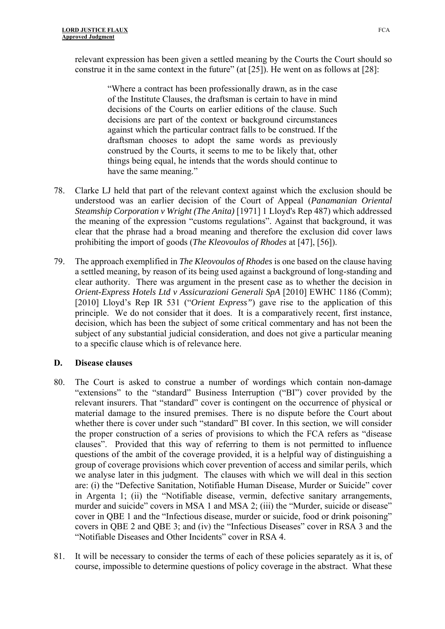relevant expression has been given a settled meaning by the Courts the Court should so construe it in the same context in the future" (at [25]). He went on as follows at [28]:

> "Where a contract has been professionally drawn, as in the case of the Institute Clauses, the draftsman is certain to have in mind decisions of the Courts on earlier editions of the clause. Such decisions are part of the context or background circumstances against which the particular contract falls to be construed. If the draftsman chooses to adopt the same words as previously construed by the Courts, it seems to me to be likely that, other things being equal, he intends that the words should continue to have the same meaning."

- 78. Clarke LJ held that part of the relevant context against which the exclusion should be understood was an earlier decision of the Court of Appeal (*Panamanian Oriental Steamship Corporation v Wright (The Anita)* [1971] 1 Lloyd's Rep 487) which addressed the meaning of the expression "customs regulations". Against that background, it was clear that the phrase had a broad meaning and therefore the exclusion did cover laws prohibiting the import of goods (*The Kleovoulos of Rhodes* at [47], [56]).
- 79. The approach exemplified in *The Kleovoulos of Rhodes* is one based on the clause having a settled meaning, by reason of its being used against a background of long-standing and clear authority. There was argument in the present case as to whether the decision in *Orient-Express Hotels Ltd v Assicurazioni Generali SpA* [2010] EWHC 1186 (Comm); [2010] Lloyd's Rep IR 531 ("*Orient Express"*) gave rise to the application of this principle. We do not consider that it does. It is a comparatively recent, first instance, decision, which has been the subject of some critical commentary and has not been the subject of any substantial judicial consideration, and does not give a particular meaning to a specific clause which is of relevance here.

# **D. Disease clauses**

- 80. The Court is asked to construe a number of wordings which contain non-damage "extensions" to the "standard" Business Interruption ("BI") cover provided by the relevant insurers. That "standard" cover is contingent on the occurrence of physical or material damage to the insured premises. There is no dispute before the Court about whether there is cover under such "standard" BI cover. In this section, we will consider the proper construction of a series of provisions to which the FCA refers as "disease clauses". Provided that this way of referring to them is not permitted to influence questions of the ambit of the coverage provided, it is a helpful way of distinguishing a group of coverage provisions which cover prevention of access and similar perils, which we analyse later in this judgment. The clauses with which we will deal in this section are: (i) the "Defective Sanitation, Notifiable Human Disease, Murder or Suicide" cover in Argenta 1; (ii) the "Notifiable disease, vermin, defective sanitary arrangements, murder and suicide" covers in MSA 1 and MSA 2; (iii) the "Murder, suicide or disease" cover in QBE 1 and the "Infectious disease, murder or suicide, food or drink poisoning" covers in QBE 2 and QBE 3; and (iv) the "Infectious Diseases" cover in RSA 3 and the "Notifiable Diseases and Other Incidents" cover in RSA 4.
- 81. It will be necessary to consider the terms of each of these policies separately as it is, of course, impossible to determine questions of policy coverage in the abstract. What these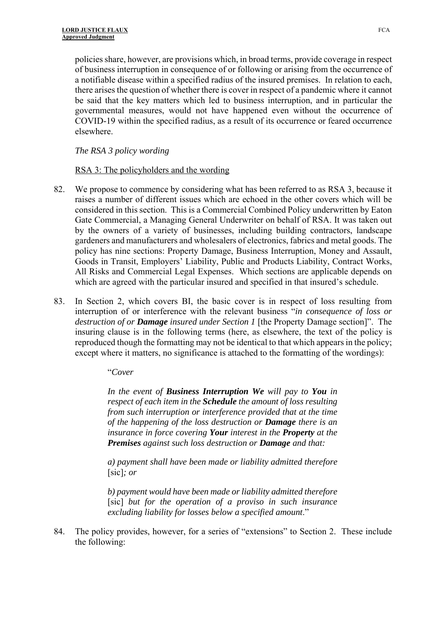policies share, however, are provisions which, in broad terms, provide coverage in respect of business interruption in consequence of or following or arising from the occurrence of a notifiable disease within a specified radius of the insured premises. In relation to each, there arises the question of whether there is cover in respect of a pandemic where it cannot be said that the key matters which led to business interruption, and in particular the governmental measures, would not have happened even without the occurrence of COVID-19 within the specified radius, as a result of its occurrence or feared occurrence elsewhere.

*The RSA 3 policy wording* 

RSA 3: The policyholders and the wording

- 82. We propose to commence by considering what has been referred to as RSA 3, because it raises a number of different issues which are echoed in the other covers which will be considered in this section. This is a Commercial Combined Policy underwritten by Eaton Gate Commercial, a Managing General Underwriter on behalf of RSA. It was taken out by the owners of a variety of businesses, including building contractors, landscape gardeners and manufacturers and wholesalers of electronics, fabrics and metal goods. The policy has nine sections: Property Damage, Business Interruption, Money and Assault, Goods in Transit, Employers' Liability, Public and Products Liability, Contract Works, All Risks and Commercial Legal Expenses. Which sections are applicable depends on which are agreed with the particular insured and specified in that insured's schedule.
- 83. In Section 2, which covers BI, the basic cover is in respect of loss resulting from interruption of or interference with the relevant business "*in consequence of loss or destruction of or Damage insured under Section 1* [the Property Damage section]". The insuring clause is in the following terms (here, as elsewhere, the text of the policy is reproduced though the formatting may not be identical to that which appears in the policy; except where it matters, no significance is attached to the formatting of the wordings):

## "*Cover*

*In the event of Business Interruption We will pay to You in respect of each item in the Schedule the amount of loss resulting from such interruption or interference provided that at the time of the happening of the loss destruction or Damage there is an insurance in force covering Your interest in the Property at the Premises against such loss destruction or Damage and that:* 

*a) payment shall have been made or liability admitted therefore*  [sic]*; or* 

*b) payment would have been made or liability admitted therefore*  [sic] *but for the operation of a proviso in such insurance excluding liability for losses below a specified amount*."

84. The policy provides, however, for a series of "extensions" to Section 2. These include the following: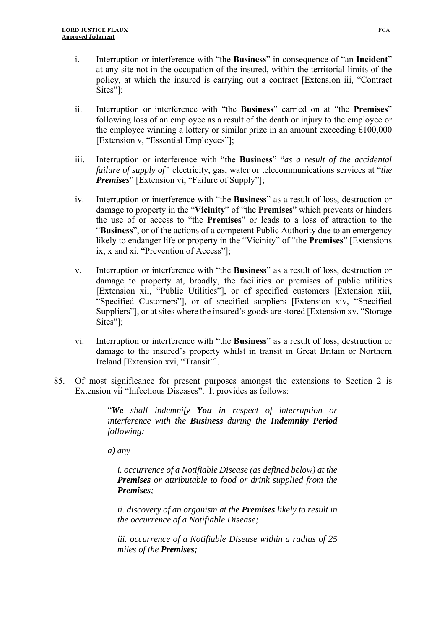- i. Interruption or interference with "the **Business**" in consequence of "an **Incident**" at any site not in the occupation of the insured, within the territorial limits of the policy, at which the insured is carrying out a contract [Extension iii, "Contract Sites"];
- ii. Interruption or interference with "the **Business**" carried on at "the **Premises**" following loss of an employee as a result of the death or injury to the employee or the employee winning a lottery or similar prize in an amount exceeding  $\text{\pounds}100,000$ [Extension v, "Essential Employees"];
- iii. Interruption or interference with "the **Business**" "*as a result of the accidental failure of supply of"* electricity, gas, water or telecommunications services at "*the Premises*" [Extension vi, "Failure of Supply"];
- iv. Interruption or interference with "the **Business**" as a result of loss, destruction or damage to property in the "**Vicinity**" of "the **Premises**" which prevents or hinders the use of or access to "the **Premises**" or leads to a loss of attraction to the "**Business**", or of the actions of a competent Public Authority due to an emergency likely to endanger life or property in the "Vicinity" of "the **Premises**" [Extensions ix, x and xi, "Prevention of Access"];
- v. Interruption or interference with "the **Business**" as a result of loss, destruction or damage to property at, broadly, the facilities or premises of public utilities [Extension xii, "Public Utilities"], or of specified customers [Extension xiii, "Specified Customers"], or of specified suppliers [Extension xiv, "Specified Suppliers"], or at sites where the insured's goods are stored [Extension xv, "Storage Sites"];
- vi. Interruption or interference with "the **Business**" as a result of loss, destruction or damage to the insured's property whilst in transit in Great Britain or Northern Ireland [Extension xvi, "Transit"].
- 85. Of most significance for present purposes amongst the extensions to Section 2 is Extension vii "Infectious Diseases". It provides as follows:

"*We shall indemnify You in respect of interruption or interference with the Business during the Indemnity Period following:* 

*a) any* 

*i. occurrence of a Notifiable Disease (as defined below) at the Premises or attributable to food or drink supplied from the Premises;* 

*ii. discovery of an organism at the Premises likely to result in the occurrence of a Notifiable Disease;* 

*iii. occurrence of a Notifiable Disease within a radius of 25 miles of the Premises;*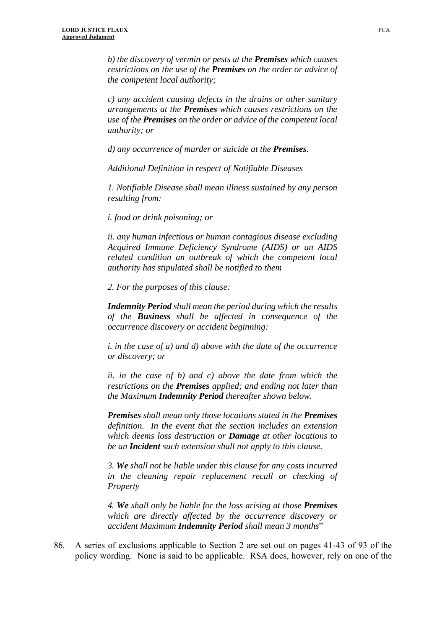*b) the discovery of vermin or pests at the Premises which causes restrictions on the use of the Premises on the order or advice of the competent local authority;* 

*c) any accident causing defects in the drains or other sanitary arrangements at the Premises which causes restrictions on the use of the Premises on the order or advice of the competent local authority; or* 

*d) any occurrence of murder or suicide at the Premises.* 

*Additional Definition in respect of Notifiable Diseases* 

*1. Notifiable Disease shall mean illness sustained by any person resulting from:* 

*i. food or drink poisoning; or* 

*ii. any human infectious or human contagious disease excluding Acquired Immune Deficiency Syndrome (AIDS) or an AIDS related condition an outbreak of which the competent local authority has stipulated shall be notified to them* 

*2. For the purposes of this clause:* 

*Indemnity Period shall mean the period during which the results of the Business shall be affected in consequence of the occurrence discovery or accident beginning:* 

*i. in the case of a) and d) above with the date of the occurrence or discovery; or* 

*ii. in the case of b) and c) above the date from which the restrictions on the Premises applied; and ending not later than the Maximum Indemnity Period thereafter shown below.* 

*Premises shall mean only those locations stated in the Premises definition. In the event that the section includes an extension which deems loss destruction or Damage at other locations to be an Incident such extension shall not apply to this clause.* 

*3. We shall not be liable under this clause for any costs incurred in the cleaning repair replacement recall or checking of Property* 

*4. We shall only be liable for the loss arising at those Premises which are directly affected by the occurrence discovery or accident Maximum Indemnity Period shall mean 3 months*"

86. A series of exclusions applicable to Section 2 are set out on pages 41-43 of 93 of the policy wording. None is said to be applicable. RSA does, however, rely on one of the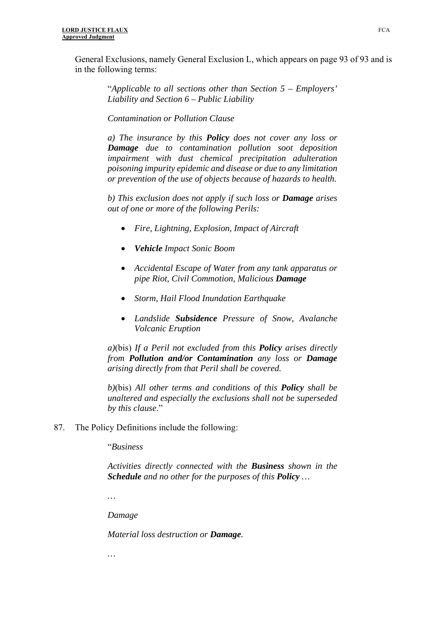General Exclusions, namely General Exclusion L, which appears on page 93 of 93 and is in the following terms:

> "*Applicable to all sections other than Section 5 – Employers' Liability and Section 6 – Public Liability*

*Contamination or Pollution Clause* 

*a) The insurance by this Policy does not cover any loss or Damage due to contamination pollution soot deposition impairment with dust chemical precipitation adulteration poisoning impurity epidemic and disease or due to any limitation or prevention of the use of objects because of hazards to health.* 

*b) This exclusion does not apply if such loss or Damage arises out of one or more of the following Perils:* 

- *Fire, Lightning, Explosion, Impact of Aircraft*
- *Vehicle Impact Sonic Boom*
- *Accidental Escape of Water from any tank apparatus or pipe Riot, Civil Commotion, Malicious Damage*
- *Storm, Hail Flood Inundation Earthquake*
- *Landslide Subsidence Pressure of Snow, Avalanche Volcanic Eruption*

*a)*(bis) *If a Peril not excluded from this Policy arises directly from Pollution and/or Contamination any loss or Damage arising directly from that Peril shall be covered.* 

*b)*(bis) *All other terms and conditions of this Policy shall be unaltered and especially the exclusions shall not be superseded by this clause*."

87. The Policy Definitions include the following:

"*Business* 

*Activities directly connected with the Business shown in the Schedule and no other for the purposes of this Policy …* 

*…* 

*Damage* 

*Material loss destruction or Damage.* 

*…*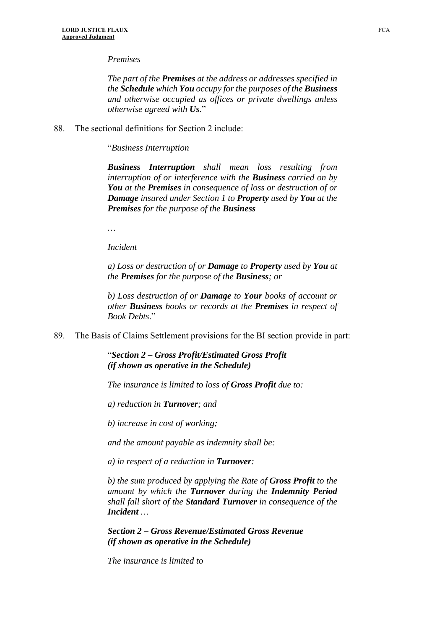*Premises* 

*The part of the Premises at the address or addresses specified in the Schedule which You occupy for the purposes of the Business and otherwise occupied as offices or private dwellings unless otherwise agreed with Us*."

88. The sectional definitions for Section 2 include:

"*Business Interruption* 

*Business Interruption shall mean loss resulting from interruption of or interference with the Business carried on by You at the Premises in consequence of loss or destruction of or Damage insured under Section 1 to Property used by You at the Premises for the purpose of the Business* 

*…* 

#### *Incident*

*a) Loss or destruction of or Damage to Property used by You at the Premises for the purpose of the Business; or* 

*b) Loss destruction of or Damage to Your books of account or other Business books or records at the Premises in respect of Book Debts*."

89. The Basis of Claims Settlement provisions for the BI section provide in part:

"*Section 2 – Gross Profit/Estimated Gross Profit (if shown as operative in the Schedule)* 

*The insurance is limited to loss of Gross Profit due to:* 

*a) reduction in Turnover; and* 

*b) increase in cost of working;* 

*and the amount payable as indemnity shall be:* 

*a) in respect of a reduction in Turnover:* 

*b) the sum produced by applying the Rate of Gross Profit to the amount by which the Turnover during the Indemnity Period shall fall short of the Standard Turnover in consequence of the Incident …* 

*Section 2 – Gross Revenue/Estimated Gross Revenue (if shown as operative in the Schedule)* 

*The insurance is limited to*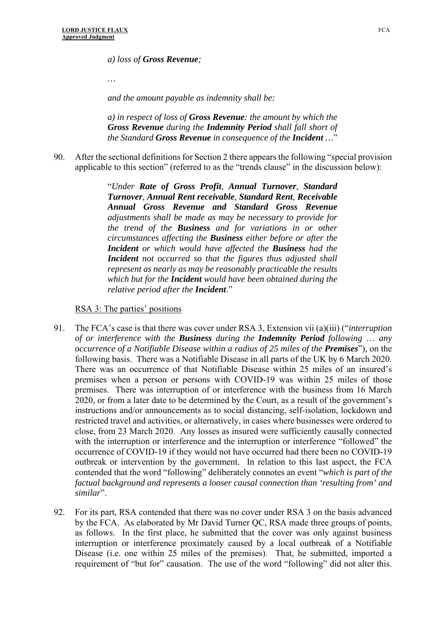*a) loss of Gross Revenue;* 

*…* 

*and the amount payable as indemnity shall be:* 

*a) in respect of loss of Gross Revenue: the amount by which the Gross Revenue during the Indemnity Period shall fall short of the Standard Gross Revenue in consequence of the Incident …*"

90. After the sectional definitions for Section 2 there appears the following "special provision applicable to this section" (referred to as the "trends clause" in the discussion below):

> "*Under Rate of Gross Profit, Annual Turnover, Standard Turnover, Annual Rent receivable, Standard Rent, Receivable Annual Gross Revenue and Standard Gross Revenue adjustments shall be made as may be necessary to provide for the trend of the Business and for variations in or other circumstances affecting the Business either before or after the Incident or which would have affected the Business had the Incident not occurred so that the figures thus adjusted shall represent as nearly as may be reasonably practicable the results which but for the Incident would have been obtained during the relative period after the Incident*."

## RSA 3: The parties' positions

- 91. The FCA's case is that there was cover under RSA 3, Extension vii (a)(iii) ("*interruption of or interference with the Business during the Indemnity Period following* … *any occurrence of a Notifiable Disease within a radius of 25 miles of the Premises*"), on the following basis. There was a Notifiable Disease in all parts of the UK by 6 March 2020. There was an occurrence of that Notifiable Disease within 25 miles of an insured's premises when a person or persons with COVID-19 was within 25 miles of those premises. There was interruption of or interference with the business from 16 March 2020, or from a later date to be determined by the Court, as a result of the government's instructions and/or announcements as to social distancing, self-isolation, lockdown and restricted travel and activities, or alternatively, in cases where businesses were ordered to close, from 23 March 2020. Any losses as insured were sufficiently causally connected with the interruption or interference and the interruption or interference "followed" the occurrence of COVID-19 if they would not have occurred had there been no COVID-19 outbreak or intervention by the government. In relation to this last aspect, the FCA contended that the word "following" deliberately connotes an event "*which is part of the factual background and represents a looser causal connection than 'resulting from' and similar*".
- 92. For its part, RSA contended that there was no cover under RSA 3 on the basis advanced by the FCA. As elaborated by Mr David Turner QC, RSA made three groups of points, as follows. In the first place, he submitted that the cover was only against business interruption or interference proximately caused by a local outbreak of a Notifiable Disease (i.e. one within 25 miles of the premises). That, he submitted, imported a requirement of "but for" causation. The use of the word "following" did not alter this.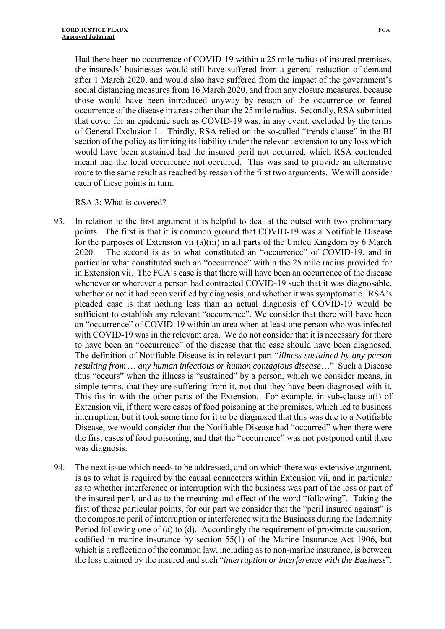Had there been no occurrence of COVID-19 within a 25 mile radius of insured premises, the insureds' businesses would still have suffered from a general reduction of demand after 1 March 2020, and would also have suffered from the impact of the government's social distancing measures from 16 March 2020, and from any closure measures, because those would have been introduced anyway by reason of the occurrence or feared occurrence of the disease in areas other than the 25 mile radius. Secondly, RSA submitted that cover for an epidemic such as COVID-19 was, in any event, excluded by the terms of General Exclusion L. Thirdly, RSA relied on the so-called "trends clause" in the BI section of the policy as limiting its liability under the relevant extension to any loss which would have been sustained had the insured peril not occurred, which RSA contended meant had the local occurrence not occurred. This was said to provide an alternative route to the same result as reached by reason of the first two arguments. We will consider each of these points in turn.

## RSA 3: What is covered?

- 93. In relation to the first argument it is helpful to deal at the outset with two preliminary points. The first is that it is common ground that COVID-19 was a Notifiable Disease for the purposes of Extension vii (a)(iii) in all parts of the United Kingdom by 6 March 2020. The second is as to what constituted an "occurrence" of COVID-19, and in particular what constituted such an "occurrence" within the 25 mile radius provided for in Extension vii. The FCA's case is that there will have been an occurrence of the disease whenever or wherever a person had contracted COVID-19 such that it was diagnosable, whether or not it had been verified by diagnosis, and whether it was symptomatic. RSA's pleaded case is that nothing less than an actual diagnosis of COVID-19 would be sufficient to establish any relevant "occurrence". We consider that there will have been an "occurrence" of COVID-19 within an area when at least one person who was infected with COVID-19 was in the relevant area. We do not consider that it is necessary for there to have been an "occurrence" of the disease that the case should have been diagnosed. The definition of Notifiable Disease is in relevant part "*illness sustained by any person resulting from … any human infectious or human contagious disease*…" Such a Disease thus "occurs" when the illness is "sustained" by a person, which we consider means, in simple terms, that they are suffering from it, not that they have been diagnosed with it. This fits in with the other parts of the Extension. For example, in sub-clause a(i) of Extension vii, if there were cases of food poisoning at the premises, which led to business interruption, but it took some time for it to be diagnosed that this was due to a Notifiable Disease, we would consider that the Notifiable Disease had "occurred" when there were the first cases of food poisoning, and that the "occurrence" was not postponed until there was diagnosis.
- 94. The next issue which needs to be addressed, and on which there was extensive argument, is as to what is required by the causal connectors within Extension vii, and in particular as to whether interference or interruption with the business was part of the loss or part of the insured peril, and as to the meaning and effect of the word "following". Taking the first of those particular points, for our part we consider that the "peril insured against" is the composite peril of interruption or interference with the Business during the Indemnity Period following one of (a) to (d). Accordingly the requirement of proximate causation, codified in marine insurance by section 55(1) of the Marine Insurance Act 1906, but which is a reflection of the common law, including as to non-marine insurance, is between the loss claimed by the insured and such "*interruption or interference with the Business*".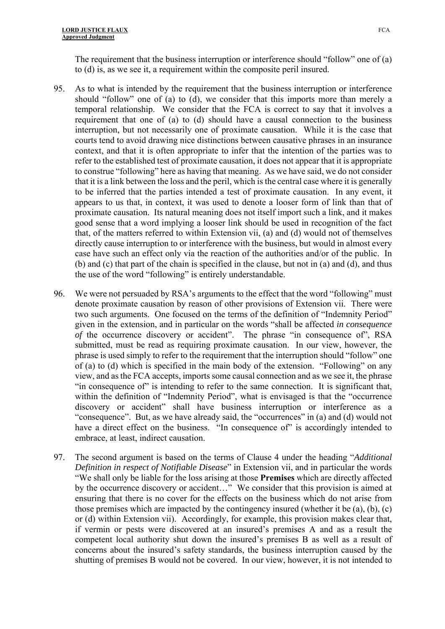The requirement that the business interruption or interference should "follow" one of (a) to (d) is, as we see it, a requirement within the composite peril insured.

- 95. As to what is intended by the requirement that the business interruption or interference should "follow" one of (a) to (d), we consider that this imports more than merely a temporal relationship. We consider that the FCA is correct to say that it involves a requirement that one of (a) to (d) should have a causal connection to the business interruption, but not necessarily one of proximate causation. While it is the case that courts tend to avoid drawing nice distinctions between causative phrases in an insurance context, and that it is often appropriate to infer that the intention of the parties was to refer to the established test of proximate causation, it does not appear that it is appropriate to construe "following" here as having that meaning. As we have said, we do not consider that it is a link between the loss and the peril, which is the central case where it is generally to be inferred that the parties intended a test of proximate causation. In any event, it appears to us that, in context, it was used to denote a looser form of link than that of proximate causation. Its natural meaning does not itself import such a link, and it makes good sense that a word implying a looser link should be used in recognition of the fact that, of the matters referred to within Extension vii, (a) and (d) would not of themselves directly cause interruption to or interference with the business, but would in almost every case have such an effect only via the reaction of the authorities and/or of the public. In (b) and (c) that part of the chain is specified in the clause, but not in (a) and (d), and thus the use of the word "following" is entirely understandable.
- 96. We were not persuaded by RSA's arguments to the effect that the word "following" must denote proximate causation by reason of other provisions of Extension vii. There were two such arguments. One focused on the terms of the definition of "Indemnity Period" given in the extension, and in particular on the words "shall be affected *in consequence of* the occurrence discovery or accident". The phrase "in consequence of", RSA submitted, must be read as requiring proximate causation. In our view, however, the phrase is used simply to refer to the requirement that the interruption should "follow" one of (a) to (d) which is specified in the main body of the extension. "Following" on any view, and as the FCA accepts, imports some causal connection and as we see it, the phrase "in consequence of" is intending to refer to the same connection. It is significant that, within the definition of "Indemnity Period", what is envisaged is that the "occurrence discovery or accident" shall have business interruption or interference as a "consequence". But, as we have already said, the "occurrences" in (a) and (d) would not have a direct effect on the business. "In consequence of" is accordingly intended to embrace, at least, indirect causation.
- 97. The second argument is based on the terms of Clause 4 under the heading "*Additional Definition in respect of Notifiable Disease*" in Extension vii, and in particular the words "We shall only be liable for the loss arising at those **Premises** which are directly affected by the occurrence discovery or accident…" We consider that this provision is aimed at ensuring that there is no cover for the effects on the business which do not arise from those premises which are impacted by the contingency insured (whether it be  $(a)$ ,  $(b)$ ,  $(c)$ ) or (d) within Extension vii). Accordingly, for example, this provision makes clear that, if vermin or pests were discovered at an insured's premises A and as a result the competent local authority shut down the insured's premises B as well as a result of concerns about the insured's safety standards, the business interruption caused by the shutting of premises B would not be covered. In our view, however, it is not intended to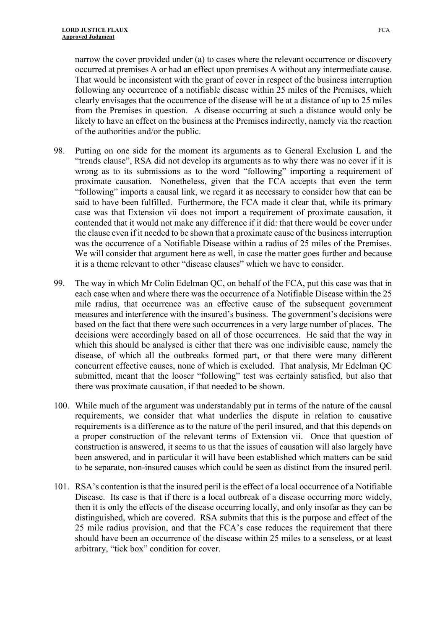narrow the cover provided under (a) to cases where the relevant occurrence or discovery occurred at premises A or had an effect upon premises A without any intermediate cause. That would be inconsistent with the grant of cover in respect of the business interruption following any occurrence of a notifiable disease within 25 miles of the Premises, which clearly envisages that the occurrence of the disease will be at a distance of up to 25 miles from the Premises in question. A disease occurring at such a distance would only be likely to have an effect on the business at the Premises indirectly, namely via the reaction of the authorities and/or the public.

- 98. Putting on one side for the moment its arguments as to General Exclusion L and the "trends clause", RSA did not develop its arguments as to why there was no cover if it is wrong as to its submissions as to the word "following" importing a requirement of proximate causation. Nonetheless, given that the FCA accepts that even the term "following" imports a causal link, we regard it as necessary to consider how that can be said to have been fulfilled. Furthermore, the FCA made it clear that, while its primary case was that Extension vii does not import a requirement of proximate causation, it contended that it would not make any difference if it did: that there would be cover under the clause even if it needed to be shown that a proximate cause of the business interruption was the occurrence of a Notifiable Disease within a radius of 25 miles of the Premises. We will consider that argument here as well, in case the matter goes further and because it is a theme relevant to other "disease clauses" which we have to consider.
- 99. The way in which Mr Colin Edelman QC, on behalf of the FCA, put this case was that in each case when and where there was the occurrence of a Notifiable Disease within the 25 mile radius, that occurrence was an effective cause of the subsequent government measures and interference with the insured's business. The government's decisions were based on the fact that there were such occurrences in a very large number of places. The decisions were accordingly based on all of those occurrences. He said that the way in which this should be analysed is either that there was one indivisible cause, namely the disease, of which all the outbreaks formed part, or that there were many different concurrent effective causes, none of which is excluded. That analysis, Mr Edelman QC submitted, meant that the looser "following" test was certainly satisfied, but also that there was proximate causation, if that needed to be shown.
- 100. While much of the argument was understandably put in terms of the nature of the causal requirements, we consider that what underlies the dispute in relation to causative requirements is a difference as to the nature of the peril insured, and that this depends on a proper construction of the relevant terms of Extension vii. Once that question of construction is answered, it seems to us that the issues of causation will also largely have been answered, and in particular it will have been established which matters can be said to be separate, non-insured causes which could be seen as distinct from the insured peril.
- 101. RSA's contention is that the insured peril is the effect of a local occurrence of a Notifiable Disease. Its case is that if there is a local outbreak of a disease occurring more widely, then it is only the effects of the disease occurring locally, and only insofar as they can be distinguished, which are covered. RSA submits that this is the purpose and effect of the 25 mile radius provision, and that the FCA's case reduces the requirement that there should have been an occurrence of the disease within 25 miles to a senseless, or at least arbitrary, "tick box" condition for cover.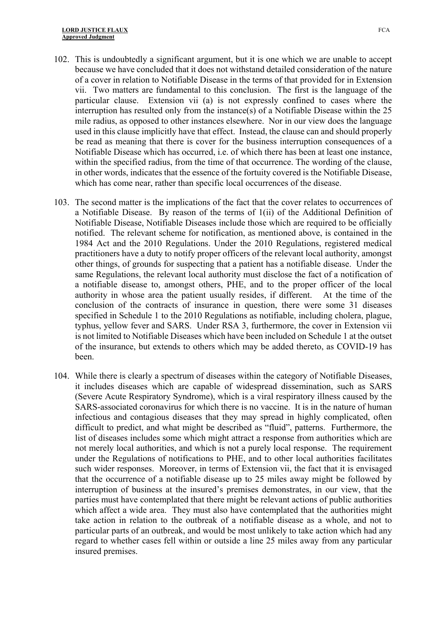- 102. This is undoubtedly a significant argument, but it is one which we are unable to accept because we have concluded that it does not withstand detailed consideration of the nature of a cover in relation to Notifiable Disease in the terms of that provided for in Extension vii. Two matters are fundamental to this conclusion. The first is the language of the particular clause. Extension vii (a) is not expressly confined to cases where the interruption has resulted only from the instance(s) of a Notifiable Disease within the  $25$ mile radius, as opposed to other instances elsewhere. Nor in our view does the language used in this clause implicitly have that effect. Instead, the clause can and should properly be read as meaning that there is cover for the business interruption consequences of a Notifiable Disease which has occurred, i.e. of which there has been at least one instance, within the specified radius, from the time of that occurrence. The wording of the clause, in other words, indicates that the essence of the fortuity covered is the Notifiable Disease, which has come near, rather than specific local occurrences of the disease.
- 103. The second matter is the implications of the fact that the cover relates to occurrences of a Notifiable Disease. By reason of the terms of 1(ii) of the Additional Definition of Notifiable Disease, Notifiable Diseases include those which are required to be officially notified. The relevant scheme for notification, as mentioned above, is contained in the 1984 Act and the 2010 Regulations. Under the 2010 Regulations, registered medical practitioners have a duty to notify proper officers of the relevant local authority, amongst other things, of grounds for suspecting that a patient has a notifiable disease. Under the same Regulations, the relevant local authority must disclose the fact of a notification of a notifiable disease to, amongst others, PHE, and to the proper officer of the local authority in whose area the patient usually resides, if different. At the time of the conclusion of the contracts of insurance in question, there were some 31 diseases specified in Schedule 1 to the 2010 Regulations as notifiable, including cholera, plague, typhus, yellow fever and SARS. Under RSA 3, furthermore, the cover in Extension vii is not limited to Notifiable Diseases which have been included on Schedule 1 at the outset of the insurance, but extends to others which may be added thereto, as COVID-19 has been.
- 104. While there is clearly a spectrum of diseases within the category of Notifiable Diseases, it includes diseases which are capable of widespread dissemination, such as SARS (Severe Acute Respiratory Syndrome), which is a viral respiratory illness caused by the SARS-associated coronavirus for which there is no vaccine. It is in the nature of human infectious and contagious diseases that they may spread in highly complicated, often difficult to predict, and what might be described as "fluid", patterns. Furthermore, the list of diseases includes some which might attract a response from authorities which are not merely local authorities, and which is not a purely local response. The requirement under the Regulations of notifications to PHE, and to other local authorities facilitates such wider responses. Moreover, in terms of Extension vii, the fact that it is envisaged that the occurrence of a notifiable disease up to 25 miles away might be followed by interruption of business at the insured's premises demonstrates, in our view, that the parties must have contemplated that there might be relevant actions of public authorities which affect a wide area. They must also have contemplated that the authorities might take action in relation to the outbreak of a notifiable disease as a whole, and not to particular parts of an outbreak, and would be most unlikely to take action which had any regard to whether cases fell within or outside a line 25 miles away from any particular insured premises.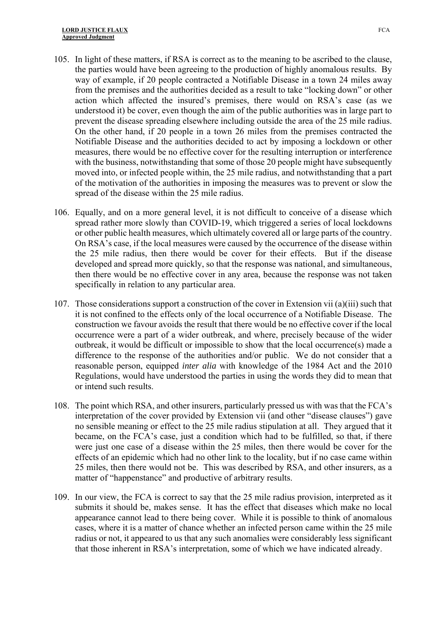- 105. In light of these matters, if RSA is correct as to the meaning to be ascribed to the clause, the parties would have been agreeing to the production of highly anomalous results. By way of example, if 20 people contracted a Notifiable Disease in a town 24 miles away from the premises and the authorities decided as a result to take "locking down" or other action which affected the insured's premises, there would on RSA's case (as we understood it) be cover, even though the aim of the public authorities was in large part to prevent the disease spreading elsewhere including outside the area of the 25 mile radius. On the other hand, if 20 people in a town 26 miles from the premises contracted the Notifiable Disease and the authorities decided to act by imposing a lockdown or other measures, there would be no effective cover for the resulting interruption or interference with the business, notwithstanding that some of those 20 people might have subsequently moved into, or infected people within, the 25 mile radius, and notwithstanding that a part of the motivation of the authorities in imposing the measures was to prevent or slow the spread of the disease within the 25 mile radius.
- 106. Equally, and on a more general level, it is not difficult to conceive of a disease which spread rather more slowly than COVID-19, which triggered a series of local lockdowns or other public health measures, which ultimately covered all or large parts of the country. On RSA's case, if the local measures were caused by the occurrence of the disease within the 25 mile radius, then there would be cover for their effects. But if the disease developed and spread more quickly, so that the response was national, and simultaneous, then there would be no effective cover in any area, because the response was not taken specifically in relation to any particular area.
- 107. Those considerations support a construction of the cover in Extension vii (a)(iii) such that it is not confined to the effects only of the local occurrence of a Notifiable Disease. The construction we favour avoids the result that there would be no effective cover if the local occurrence were a part of a wider outbreak, and where, precisely because of the wider outbreak, it would be difficult or impossible to show that the local occurrence(s) made a difference to the response of the authorities and/or public. We do not consider that a reasonable person, equipped *inter alia* with knowledge of the 1984 Act and the 2010 Regulations, would have understood the parties in using the words they did to mean that or intend such results.
- 108. The point which RSA, and other insurers, particularly pressed us with was that the FCA's interpretation of the cover provided by Extension vii (and other "disease clauses") gave no sensible meaning or effect to the 25 mile radius stipulation at all. They argued that it became, on the FCA's case, just a condition which had to be fulfilled, so that, if there were just one case of a disease within the 25 miles, then there would be cover for the effects of an epidemic which had no other link to the locality, but if no case came within 25 miles, then there would not be. This was described by RSA, and other insurers, as a matter of "happenstance" and productive of arbitrary results.
- 109. In our view, the FCA is correct to say that the 25 mile radius provision, interpreted as it submits it should be, makes sense. It has the effect that diseases which make no local appearance cannot lead to there being cover. While it is possible to think of anomalous cases, where it is a matter of chance whether an infected person came within the 25 mile radius or not, it appeared to us that any such anomalies were considerably less significant that those inherent in RSA's interpretation, some of which we have indicated already.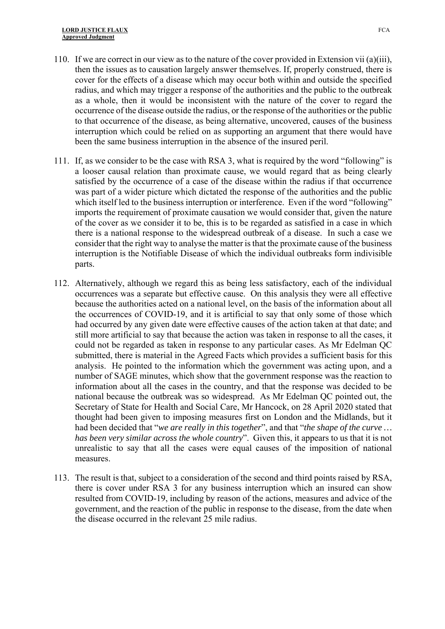- 110. If we are correct in our view as to the nature of the cover provided in Extension vii (a)(iii), then the issues as to causation largely answer themselves. If, properly construed, there is cover for the effects of a disease which may occur both within and outside the specified radius, and which may trigger a response of the authorities and the public to the outbreak as a whole, then it would be inconsistent with the nature of the cover to regard the occurrence of the disease outside the radius, or the response of the authorities or the public to that occurrence of the disease, as being alternative, uncovered, causes of the business interruption which could be relied on as supporting an argument that there would have been the same business interruption in the absence of the insured peril.
- 111. If, as we consider to be the case with RSA 3, what is required by the word "following" is a looser causal relation than proximate cause, we would regard that as being clearly satisfied by the occurrence of a case of the disease within the radius if that occurrence was part of a wider picture which dictated the response of the authorities and the public which itself led to the business interruption or interference. Even if the word "following" imports the requirement of proximate causation we would consider that, given the nature of the cover as we consider it to be, this is to be regarded as satisfied in a case in which there is a national response to the widespread outbreak of a disease. In such a case we consider that the right way to analyse the matter is that the proximate cause of the business interruption is the Notifiable Disease of which the individual outbreaks form indivisible parts.
- 112. Alternatively, although we regard this as being less satisfactory, each of the individual occurrences was a separate but effective cause. On this analysis they were all effective because the authorities acted on a national level, on the basis of the information about all the occurrences of COVID-19, and it is artificial to say that only some of those which had occurred by any given date were effective causes of the action taken at that date; and still more artificial to say that because the action was taken in response to all the cases, it could not be regarded as taken in response to any particular cases. As Mr Edelman QC submitted, there is material in the Agreed Facts which provides a sufficient basis for this analysis. He pointed to the information which the government was acting upon, and a number of SAGE minutes, which show that the government response was the reaction to information about all the cases in the country, and that the response was decided to be national because the outbreak was so widespread. As Mr Edelman QC pointed out, the Secretary of State for Health and Social Care, Mr Hancock, on 28 April 2020 stated that thought had been given to imposing measures first on London and the Midlands, but it had been decided that "*we are really in this together*", and that "*the shape of the curve … has been very similar across the whole country*". Given this, it appears to us that it is not unrealistic to say that all the cases were equal causes of the imposition of national measures.
- 113. The result is that, subject to a consideration of the second and third points raised by RSA, there is cover under RSA 3 for any business interruption which an insured can show resulted from COVID-19, including by reason of the actions, measures and advice of the government, and the reaction of the public in response to the disease, from the date when the disease occurred in the relevant 25 mile radius.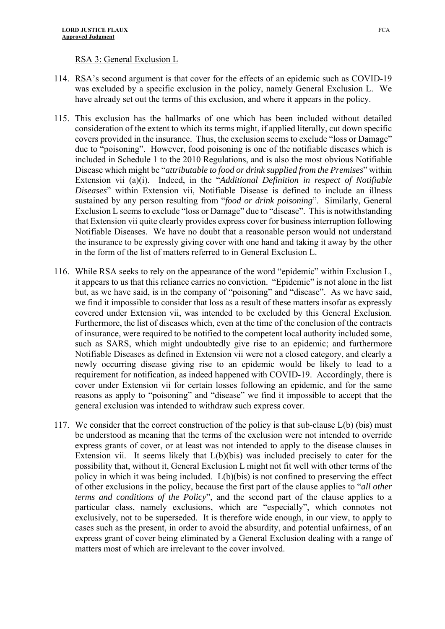#### RSA 3: General Exclusion L

- 114. RSA's second argument is that cover for the effects of an epidemic such as COVID-19 was excluded by a specific exclusion in the policy, namely General Exclusion L. We have already set out the terms of this exclusion, and where it appears in the policy.
- 115. This exclusion has the hallmarks of one which has been included without detailed consideration of the extent to which its terms might, if applied literally, cut down specific covers provided in the insurance. Thus, the exclusion seems to exclude "loss or Damage" due to "poisoning". However, food poisoning is one of the notifiable diseases which is included in Schedule 1 to the 2010 Regulations, and is also the most obvious Notifiable Disease which might be "*attributable to food or drink supplied from the Premises*" within Extension vii (a)(i). Indeed, in the "*Additional Definition in respect of Notifiable Diseases*" within Extension vii, Notifiable Disease is defined to include an illness sustained by any person resulting from "*food or drink poisoning*". Similarly, General Exclusion L seems to exclude "loss or Damage" due to "disease". This is notwithstanding that Extension vii quite clearly provides express cover for business interruption following Notifiable Diseases. We have no doubt that a reasonable person would not understand the insurance to be expressly giving cover with one hand and taking it away by the other in the form of the list of matters referred to in General Exclusion L.
- 116. While RSA seeks to rely on the appearance of the word "epidemic" within Exclusion L, it appears to us that this reliance carries no conviction. "Epidemic" is not alone in the list but, as we have said, is in the company of "poisoning" and "disease". As we have said, we find it impossible to consider that loss as a result of these matters insofar as expressly covered under Extension vii, was intended to be excluded by this General Exclusion. Furthermore, the list of diseases which, even at the time of the conclusion of the contracts of insurance, were required to be notified to the competent local authority included some, such as SARS, which might undoubtedly give rise to an epidemic; and furthermore Notifiable Diseases as defined in Extension vii were not a closed category, and clearly a newly occurring disease giving rise to an epidemic would be likely to lead to a requirement for notification, as indeed happened with COVID-19. Accordingly, there is cover under Extension vii for certain losses following an epidemic, and for the same reasons as apply to "poisoning" and "disease" we find it impossible to accept that the general exclusion was intended to withdraw such express cover.
- 117. We consider that the correct construction of the policy is that sub-clause L(b) (bis) must be understood as meaning that the terms of the exclusion were not intended to override express grants of cover, or at least was not intended to apply to the disease clauses in Extension vii. It seems likely that L(b)(bis) was included precisely to cater for the possibility that, without it, General Exclusion L might not fit well with other terms of the policy in which it was being included. L(b)(bis) is not confined to preserving the effect of other exclusions in the policy, because the first part of the clause applies to "*all other terms and conditions of the Policy*", and the second part of the clause applies to a particular class, namely exclusions, which are "especially", which connotes not exclusively, not to be superseded. It is therefore wide enough, in our view, to apply to cases such as the present, in order to avoid the absurdity, and potential unfairness, of an express grant of cover being eliminated by a General Exclusion dealing with a range of matters most of which are irrelevant to the cover involved.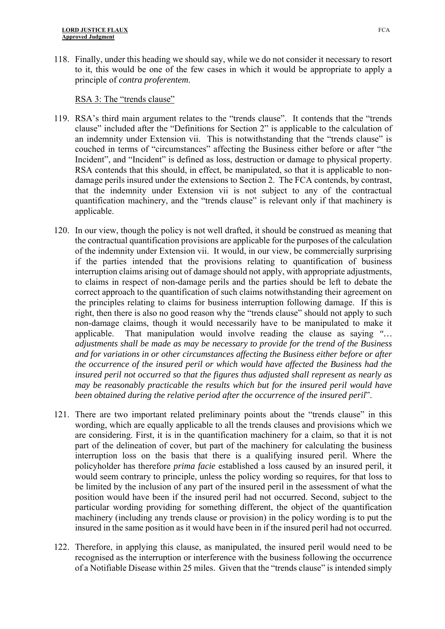118. Finally, under this heading we should say, while we do not consider it necessary to resort to it, this would be one of the few cases in which it would be appropriate to apply a principle of *contra proferentem*.

#### RSA 3: The "trends clause"

- 119. RSA's third main argument relates to the "trends clause". It contends that the "trends clause" included after the "Definitions for Section 2" is applicable to the calculation of an indemnity under Extension vii. This is notwithstanding that the "trends clause" is couched in terms of "circumstances" affecting the Business either before or after "the Incident", and "Incident" is defined as loss, destruction or damage to physical property. RSA contends that this should, in effect, be manipulated, so that it is applicable to nondamage perils insured under the extensions to Section 2. The FCA contends, by contrast, that the indemnity under Extension vii is not subject to any of the contractual quantification machinery, and the "trends clause" is relevant only if that machinery is applicable.
- 120. In our view, though the policy is not well drafted, it should be construed as meaning that the contractual quantification provisions are applicable for the purposes of the calculation of the indemnity under Extension vii. It would, in our view, be commercially surprising if the parties intended that the provisions relating to quantification of business interruption claims arising out of damage should not apply, with appropriate adjustments, to claims in respect of non-damage perils and the parties should be left to debate the correct approach to the quantification of such claims notwithstanding their agreement on the principles relating to claims for business interruption following damage. If this is right, then there is also no good reason why the "trends clause" should not apply to such non-damage claims, though it would necessarily have to be manipulated to make it applicable. That manipulation would involve reading the clause as saying *"… adjustments shall be made as may be necessary to provide for the trend of the Business and for variations in or other circumstances affecting the Business either before or after the occurrence of the insured peril or which would have affected the Business had the insured peril not occurred so that the figures thus adjusted shall represent as nearly as may be reasonably practicable the results which but for the insured peril would have been obtained during the relative period after the occurrence of the insured peril*".
- 121. There are two important related preliminary points about the "trends clause" in this wording, which are equally applicable to all the trends clauses and provisions which we are considering. First, it is in the quantification machinery for a claim, so that it is not part of the delineation of cover, but part of the machinery for calculating the business interruption loss on the basis that there is a qualifying insured peril. Where the policyholder has therefore *prima facie* established a loss caused by an insured peril, it would seem contrary to principle, unless the policy wording so requires, for that loss to be limited by the inclusion of any part of the insured peril in the assessment of what the position would have been if the insured peril had not occurred. Second, subject to the particular wording providing for something different, the object of the quantification machinery (including any trends clause or provision) in the policy wording is to put the insured in the same position as it would have been in if the insured peril had not occurred.
- 122. Therefore, in applying this clause, as manipulated, the insured peril would need to be recognised as the interruption or interference with the business following the occurrence of a Notifiable Disease within 25 miles. Given that the "trends clause" is intended simply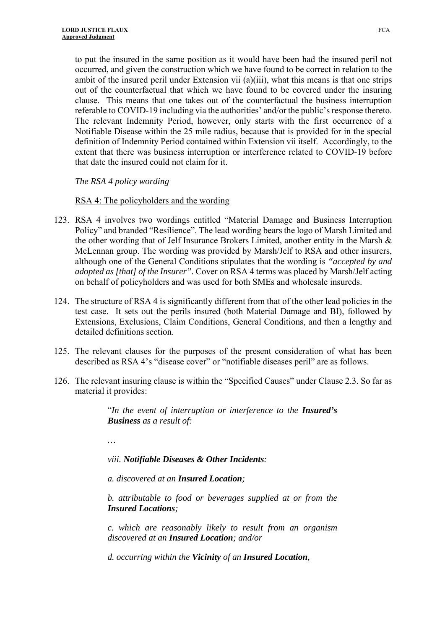to put the insured in the same position as it would have been had the insured peril not occurred, and given the construction which we have found to be correct in relation to the ambit of the insured peril under Extension vii (a)(iii), what this means is that one strips out of the counterfactual that which we have found to be covered under the insuring clause. This means that one takes out of the counterfactual the business interruption referable to COVID-19 including via the authorities' and/or the public's response thereto. The relevant Indemnity Period, however, only starts with the first occurrence of a Notifiable Disease within the 25 mile radius, because that is provided for in the special definition of Indemnity Period contained within Extension vii itself. Accordingly, to the extent that there was business interruption or interference related to COVID-19 before that date the insured could not claim for it.

*The RSA 4 policy wording* 

RSA 4: The policyholders and the wording

- 123. RSA 4 involves two wordings entitled "Material Damage and Business Interruption Policy" and branded "Resilience". The lead wording bears the logo of Marsh Limited and the other wording that of Jelf Insurance Brokers Limited, another entity in the Marsh & McLennan group. The wording was provided by Marsh/Jelf to RSA and other insurers, although one of the General Conditions stipulates that the wording is *"accepted by and adopted as [that] of the Insurer".* Cover on RSA 4 terms was placed by Marsh/Jelf acting on behalf of policyholders and was used for both SMEs and wholesale insureds.
- 124. The structure of RSA 4 is significantly different from that of the other lead policies in the test case. It sets out the perils insured (both Material Damage and BI), followed by Extensions, Exclusions, Claim Conditions, General Conditions, and then a lengthy and detailed definitions section.
- 125. The relevant clauses for the purposes of the present consideration of what has been described as RSA 4's "disease cover" or "notifiable diseases peril" are as follows.
- 126. The relevant insuring clause is within the "Specified Causes" under Clause 2.3. So far as material it provides:

"*In the event of interruption or interference to the Insured's Business as a result of:* 

*…* 

*viii. Notifiable Diseases & Other Incidents:* 

*a. discovered at an Insured Location;* 

*b. attributable to food or beverages supplied at or from the Insured Locations;* 

*c. which are reasonably likely to result from an organism discovered at an Insured Location; and/or* 

*d. occurring within the Vicinity of an Insured Location,*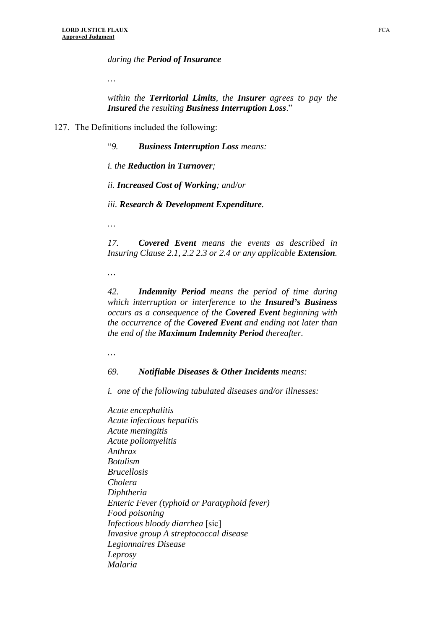*during the Period of Insurance*

*…* 

*within the Territorial Limits, the Insurer agrees to pay the Insured the resulting Business Interruption Loss*."

127. The Definitions included the following:

"*9. Business Interruption Loss means:* 

*i. the Reduction in Turnover;* 

*ii. Increased Cost of Working; and/or* 

*iii. Research & Development Expenditure.* 

*…* 

*17. Covered Event means the events as described in Insuring Clause 2.1, 2.2 2.3 or 2.4 or any applicable Extension.* 

*…* 

*42. Indemnity Period means the period of time during which interruption or interference to the Insured's Business occurs as a consequence of the Covered Event beginning with the occurrence of the Covered Event and ending not later than the end of the Maximum Indemnity Period thereafter.* 

*…* 

### *69. Notifiable Diseases & Other Incidents means:*

*i. one of the following tabulated diseases and/or illnesses:* 

*Acute encephalitis Acute infectious hepatitis Acute meningitis Acute poliomyelitis Anthrax Botulism Brucellosis Cholera Diphtheria Enteric Fever (typhoid or Paratyphoid fever) Food poisoning Infectious bloody diarrhea* [sic] *Invasive group A streptococcal disease Legionnaires Disease Leprosy Malaria*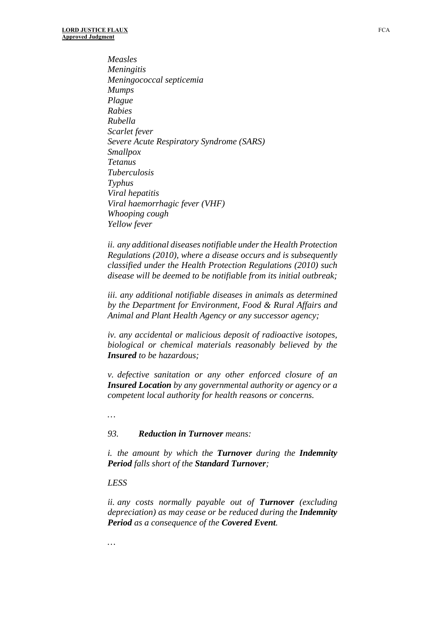*Measles Meningitis Meningococcal septicemia Mumps Plague Rabies Rubella Scarlet fever Severe Acute Respiratory Syndrome (SARS) Smallpox Tetanus Tuberculosis Typhus Viral hepatitis Viral haemorrhagic fever (VHF) Whooping cough Yellow fever* 

*ii. any additional diseases notifiable under the Health Protection Regulations (2010), where a disease occurs and is subsequently classified under the Health Protection Regulations (2010) such disease will be deemed to be notifiable from its initial outbreak;* 

*iii. any additional notifiable diseases in animals as determined by the Department for Environment, Food & Rural Affairs and Animal and Plant Health Agency or any successor agency;* 

*iv. any accidental or malicious deposit of radioactive isotopes, biological or chemical materials reasonably believed by the Insured to be hazardous;* 

*v. defective sanitation or any other enforced closure of an Insured Location by any governmental authority or agency or a competent local authority for health reasons or concerns.* 

*…* 

*93. Reduction in Turnover means:* 

*i. the amount by which the Turnover during the Indemnity Period falls short of the Standard Turnover;* 

*LESS* 

*ii. any costs normally payable out of Turnover (excluding depreciation) as may cease or be reduced during the Indemnity Period as a consequence of the Covered Event.* 

*…*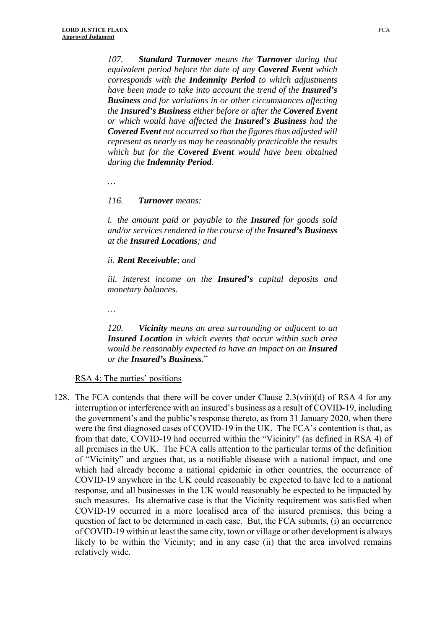*107. Standard Turnover means the Turnover during that equivalent period before the date of any Covered Event which corresponds with the Indemnity Period to which adjustments have been made to take into account the trend of the Insured's Business and for variations in or other circumstances affecting the Insured's Business either before or after the Covered Event or which would have affected the Insured's Business had the Covered Event not occurred so that the figures thus adjusted will represent as nearly as may be reasonably practicable the results which but for the Covered Event would have been obtained during the Indemnity Period.* 

*…* 

#### *116. Turnover means:*

*i. the amount paid or payable to the Insured for goods sold and/or services rendered in the course of the Insured's Business at the Insured Locations; and* 

#### *ii. Rent Receivable; and*

*iii. interest income on the Insured's capital deposits and monetary balances.* 

*…* 

*120. Vicinity means an area surrounding or adjacent to an Insured Location in which events that occur within such area would be reasonably expected to have an impact on an Insured or the Insured's Business*."

#### RSA 4: The parties' positions

128. The FCA contends that there will be cover under Clause 2.3(viii)(d) of RSA 4 for any interruption or interference with an insured's business as a result of COVID-19, including the government's and the public's response thereto, as from 31 January 2020, when there were the first diagnosed cases of COVID-19 in the UK. The FCA's contention is that, as from that date, COVID-19 had occurred within the "Vicinity" (as defined in RSA 4) of all premises in the UK. The FCA calls attention to the particular terms of the definition of "Vicinity" and argues that, as a notifiable disease with a national impact, and one which had already become a national epidemic in other countries, the occurrence of COVID-19 anywhere in the UK could reasonably be expected to have led to a national response, and all businesses in the UK would reasonably be expected to be impacted by such measures. Its alternative case is that the Vicinity requirement was satisfied when COVID-19 occurred in a more localised area of the insured premises, this being a question of fact to be determined in each case. But, the FCA submits, (i) an occurrence of COVID-19 within at least the same city, town or village or other development is always likely to be within the Vicinity; and in any case (ii) that the area involved remains relatively wide.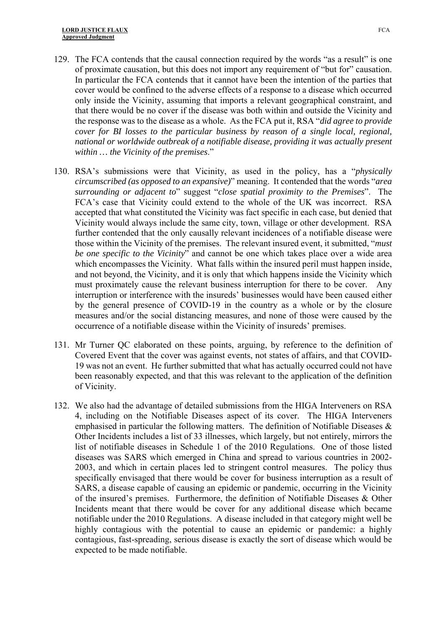- 129. The FCA contends that the causal connection required by the words "as a result" is one of proximate causation, but this does not import any requirement of "but for" causation. In particular the FCA contends that it cannot have been the intention of the parties that cover would be confined to the adverse effects of a response to a disease which occurred only inside the Vicinity, assuming that imports a relevant geographical constraint, and that there would be no cover if the disease was both within and outside the Vicinity and
	- the response was to the disease as a whole. As the FCA put it, RSA "*did agree to provide cover for BI losses to the particular business by reason of a single local, regional, national or worldwide outbreak of a notifiable disease, providing it was actually present within … the Vicinity of the premises*."
- 130. RSA's submissions were that Vicinity, as used in the policy, has a "*physically circumscribed (as opposed to an expansive)*" meaning. It contended that the words "*area surrounding or adjacent to*" suggest "*close spatial proximity to the Premises*". The FCA's case that Vicinity could extend to the whole of the UK was incorrect. RSA accepted that what constituted the Vicinity was fact specific in each case, but denied that Vicinity would always include the same city, town, village or other development. RSA further contended that the only causally relevant incidences of a notifiable disease were those within the Vicinity of the premises. The relevant insured event, it submitted, "*must be one specific to the Vicinity*" and cannot be one which takes place over a wide area which encompasses the Vicinity. What falls within the insured peril must happen inside, and not beyond, the Vicinity, and it is only that which happens inside the Vicinity which must proximately cause the relevant business interruption for there to be cover. Any interruption or interference with the insureds' businesses would have been caused either by the general presence of COVID-19 in the country as a whole or by the closure measures and/or the social distancing measures, and none of those were caused by the occurrence of a notifiable disease within the Vicinity of insureds' premises.
- 131. Mr Turner QC elaborated on these points, arguing, by reference to the definition of Covered Event that the cover was against events, not states of affairs, and that COVID-19 was not an event. He further submitted that what has actually occurred could not have been reasonably expected, and that this was relevant to the application of the definition of Vicinity.
- 132. We also had the advantage of detailed submissions from the HIGA Interveners on RSA 4, including on the Notifiable Diseases aspect of its cover. The HIGA Interveners emphasised in particular the following matters. The definition of Notifiable Diseases & Other Incidents includes a list of 33 illnesses, which largely, but not entirely, mirrors the list of notifiable diseases in Schedule 1 of the 2010 Regulations. One of those listed diseases was SARS which emerged in China and spread to various countries in 2002- 2003, and which in certain places led to stringent control measures. The policy thus specifically envisaged that there would be cover for business interruption as a result of SARS, a disease capable of causing an epidemic or pandemic, occurring in the Vicinity of the insured's premises. Furthermore, the definition of Notifiable Diseases & Other Incidents meant that there would be cover for any additional disease which became notifiable under the 2010 Regulations. A disease included in that category might well be highly contagious with the potential to cause an epidemic or pandemic: a highly contagious, fast-spreading, serious disease is exactly the sort of disease which would be expected to be made notifiable.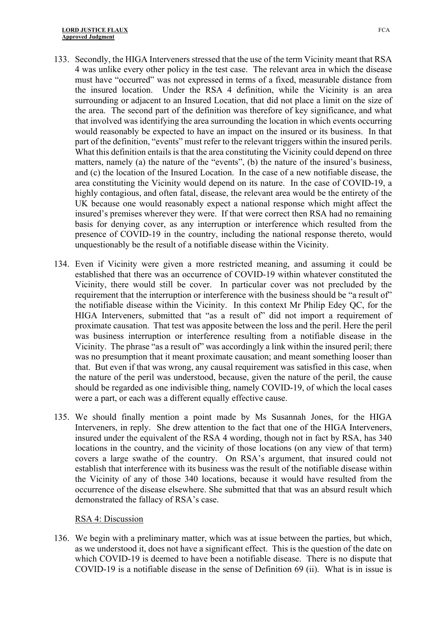- 133. Secondly, the HIGA Interveners stressed that the use of the term Vicinity meant that RSA 4 was unlike every other policy in the test case. The relevant area in which the disease must have "occurred" was not expressed in terms of a fixed, measurable distance from the insured location. Under the RSA 4 definition, while the Vicinity is an area surrounding or adjacent to an Insured Location, that did not place a limit on the size of
	- the area. The second part of the definition was therefore of key significance, and what that involved was identifying the area surrounding the location in which events occurring would reasonably be expected to have an impact on the insured or its business. In that part of the definition, "events" must refer to the relevant triggers within the insured perils. What this definition entails is that the area constituting the Vicinity could depend on three matters, namely (a) the nature of the "events", (b) the nature of the insured's business, and (c) the location of the Insured Location. In the case of a new notifiable disease, the area constituting the Vicinity would depend on its nature. In the case of COVID-19, a highly contagious, and often fatal, disease, the relevant area would be the entirety of the UK because one would reasonably expect a national response which might affect the insured's premises wherever they were. If that were correct then RSA had no remaining basis for denying cover, as any interruption or interference which resulted from the presence of COVID-19 in the country, including the national response thereto, would unquestionably be the result of a notifiable disease within the Vicinity.
- 134. Even if Vicinity were given a more restricted meaning, and assuming it could be established that there was an occurrence of COVID-19 within whatever constituted the Vicinity, there would still be cover. In particular cover was not precluded by the requirement that the interruption or interference with the business should be "a result of" the notifiable disease within the Vicinity. In this context Mr Philip Edey QC, for the HIGA Interveners, submitted that "as a result of" did not import a requirement of proximate causation. That test was apposite between the loss and the peril. Here the peril was business interruption or interference resulting from a notifiable disease in the Vicinity. The phrase "as a result of" was accordingly a link within the insured peril; there was no presumption that it meant proximate causation; and meant something looser than that. But even if that was wrong, any causal requirement was satisfied in this case, when the nature of the peril was understood, because, given the nature of the peril, the cause should be regarded as one indivisible thing, namely COVID-19, of which the local cases were a part, or each was a different equally effective cause.
- 135. We should finally mention a point made by Ms Susannah Jones, for the HIGA Interveners, in reply. She drew attention to the fact that one of the HIGA Interveners, insured under the equivalent of the RSA 4 wording, though not in fact by RSA, has 340 locations in the country, and the vicinity of those locations (on any view of that term) covers a large swathe of the country. On RSA's argument, that insured could not establish that interference with its business was the result of the notifiable disease within the Vicinity of any of those 340 locations, because it would have resulted from the occurrence of the disease elsewhere. She submitted that that was an absurd result which demonstrated the fallacy of RSA's case.

### RSA 4: Discussion

136. We begin with a preliminary matter, which was at issue between the parties, but which, as we understood it, does not have a significant effect. This is the question of the date on which COVID-19 is deemed to have been a notifiable disease. There is no dispute that COVID-19 is a notifiable disease in the sense of Definition 69 (ii). What is in issue is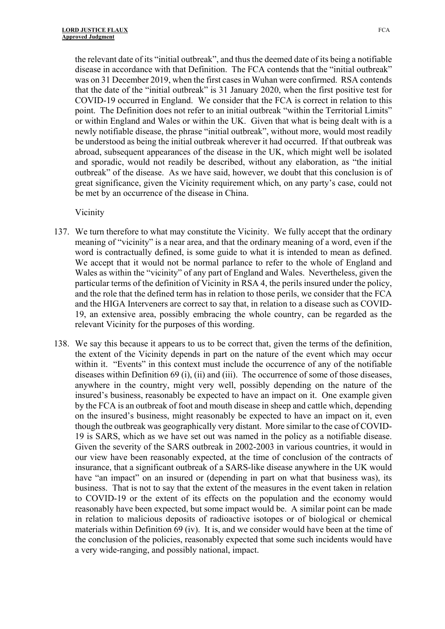the relevant date of its "initial outbreak", and thus the deemed date of its being a notifiable disease in accordance with that Definition. The FCA contends that the "initial outbreak" was on 31 December 2019, when the first cases in Wuhan were confirmed. RSA contends that the date of the "initial outbreak" is 31 January 2020, when the first positive test for COVID-19 occurred in England. We consider that the FCA is correct in relation to this point. The Definition does not refer to an initial outbreak "within the Territorial Limits" or within England and Wales or within the UK. Given that what is being dealt with is a newly notifiable disease, the phrase "initial outbreak", without more, would most readily be understood as being the initial outbreak wherever it had occurred. If that outbreak was abroad, subsequent appearances of the disease in the UK, which might well be isolated and sporadic, would not readily be described, without any elaboration, as "the initial outbreak" of the disease. As we have said, however, we doubt that this conclusion is of great significance, given the Vicinity requirement which, on any party's case, could not be met by an occurrence of the disease in China.

Vicinity

- 137. We turn therefore to what may constitute the Vicinity. We fully accept that the ordinary meaning of "vicinity" is a near area, and that the ordinary meaning of a word, even if the word is contractually defined, is some guide to what it is intended to mean as defined. We accept that it would not be normal parlance to refer to the whole of England and Wales as within the "vicinity" of any part of England and Wales. Nevertheless, given the particular terms of the definition of Vicinity in RSA 4, the perils insured under the policy, and the role that the defined term has in relation to those perils, we consider that the FCA and the HIGA Interveners are correct to say that, in relation to a disease such as COVID-19, an extensive area, possibly embracing the whole country, can be regarded as the relevant Vicinity for the purposes of this wording.
- 138. We say this because it appears to us to be correct that, given the terms of the definition, the extent of the Vicinity depends in part on the nature of the event which may occur within it. "Events" in this context must include the occurrence of any of the notifiable diseases within Definition 69 (i), (ii) and (iii). The occurrence of some of those diseases, anywhere in the country, might very well, possibly depending on the nature of the insured's business, reasonably be expected to have an impact on it. One example given by the FCA is an outbreak of foot and mouth disease in sheep and cattle which, depending on the insured's business, might reasonably be expected to have an impact on it, even though the outbreak was geographically very distant. More similar to the case of COVID-19 is SARS, which as we have set out was named in the policy as a notifiable disease. Given the severity of the SARS outbreak in 2002-2003 in various countries, it would in our view have been reasonably expected, at the time of conclusion of the contracts of insurance, that a significant outbreak of a SARS-like disease anywhere in the UK would have "an impact" on an insured or (depending in part on what that business was), its business. That is not to say that the extent of the measures in the event taken in relation to COVID-19 or the extent of its effects on the population and the economy would reasonably have been expected, but some impact would be. A similar point can be made in relation to malicious deposits of radioactive isotopes or of biological or chemical materials within Definition 69 (iv). It is, and we consider would have been at the time of the conclusion of the policies, reasonably expected that some such incidents would have a very wide-ranging, and possibly national, impact.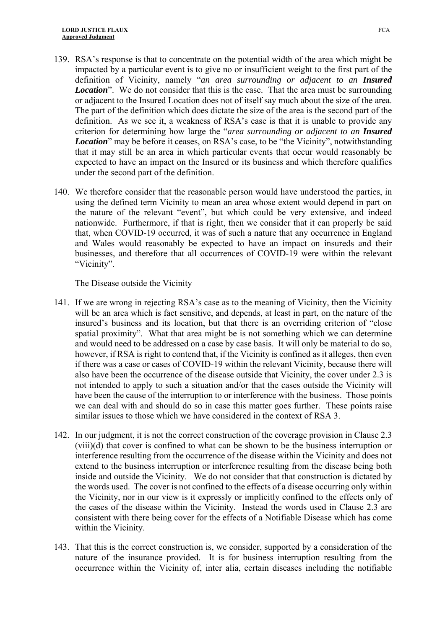- 139. RSA's response is that to concentrate on the potential width of the area which might be impacted by a particular event is to give no or insufficient weight to the first part of the definition of Vicinity, namely "*an area surrounding or adjacent to an Insured Location*". We do not consider that this is the case. That the area must be surrounding or adjacent to the Insured Location does not of itself say much about the size of the area. The part of the definition which does dictate the size of the area is the second part of the definition. As we see it, a weakness of RSA's case is that it is unable to provide any criterion for determining how large the "*area surrounding or adjacent to an Insured Location*" may be before it ceases, on RSA's case, to be "the Vicinity", notwithstanding that it may still be an area in which particular events that occur would reasonably be expected to have an impact on the Insured or its business and which therefore qualifies under the second part of the definition.
- 140. We therefore consider that the reasonable person would have understood the parties, in using the defined term Vicinity to mean an area whose extent would depend in part on the nature of the relevant "event", but which could be very extensive, and indeed nationwide. Furthermore, if that is right, then we consider that it can properly be said that, when COVID-19 occurred, it was of such a nature that any occurrence in England and Wales would reasonably be expected to have an impact on insureds and their businesses, and therefore that all occurrences of COVID-19 were within the relevant "Vicinity".

The Disease outside the Vicinity

- 141. If we are wrong in rejecting RSA's case as to the meaning of Vicinity, then the Vicinity will be an area which is fact sensitive, and depends, at least in part, on the nature of the insured's business and its location, but that there is an overriding criterion of "close spatial proximity". What that area might be is not something which we can determine and would need to be addressed on a case by case basis. It will only be material to do so, however, if RSA is right to contend that, if the Vicinity is confined as it alleges, then even if there was a case or cases of COVID-19 within the relevant Vicinity, because there will also have been the occurrence of the disease outside that Vicinity, the cover under 2.3 is not intended to apply to such a situation and/or that the cases outside the Vicinity will have been the cause of the interruption to or interference with the business. Those points we can deal with and should do so in case this matter goes further. These points raise similar issues to those which we have considered in the context of RSA 3.
- 142. In our judgment, it is not the correct construction of the coverage provision in Clause 2.3 (viii)(d) that cover is confined to what can be shown to be the business interruption or interference resulting from the occurrence of the disease within the Vicinity and does not extend to the business interruption or interference resulting from the disease being both inside and outside the Vicinity. We do not consider that that construction is dictated by the words used. The cover is not confined to the effects of a disease occurring only within the Vicinity, nor in our view is it expressly or implicitly confined to the effects only of the cases of the disease within the Vicinity. Instead the words used in Clause 2.3 are consistent with there being cover for the effects of a Notifiable Disease which has come within the Vicinity.
- 143. That this is the correct construction is, we consider, supported by a consideration of the nature of the insurance provided. It is for business interruption resulting from the occurrence within the Vicinity of, inter alia, certain diseases including the notifiable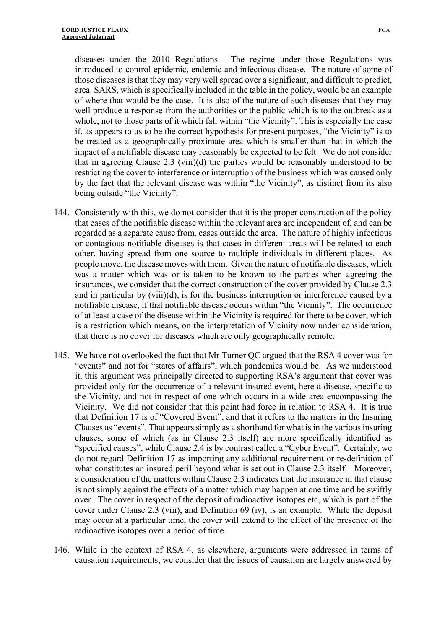diseases under the 2010 Regulations. The regime under those Regulations was introduced to control epidemic, endemic and infectious disease. The nature of some of those diseases is that they may very well spread over a significant, and difficult to predict, area. SARS, which is specifically included in the table in the policy, would be an example of where that would be the case. It is also of the nature of such diseases that they may well produce a response from the authorities or the public which is to the outbreak as a whole, not to those parts of it which fall within "the Vicinity". This is especially the case if, as appears to us to be the correct hypothesis for present purposes, "the Vicinity" is to be treated as a geographically proximate area which is smaller than that in which the impact of a notifiable disease may reasonably be expected to be felt. We do not consider that in agreeing Clause 2.3 (viii)(d) the parties would be reasonably understood to be restricting the cover to interference or interruption of the business which was caused only by the fact that the relevant disease was within "the Vicinity", as distinct from its also being outside "the Vicinity".

- 144. Consistently with this, we do not consider that it is the proper construction of the policy that cases of the notifiable disease within the relevant area are independent of, and can be regarded as a separate cause from, cases outside the area. The nature of highly infectious or contagious notifiable diseases is that cases in different areas will be related to each other, having spread from one source to multiple individuals in different places. As people move, the disease moves with them. Given the nature of notifiable diseases, which was a matter which was or is taken to be known to the parties when agreeing the insurances, we consider that the correct construction of the cover provided by Clause 2.3 and in particular by (viii)(d), is for the business interruption or interference caused by a notifiable disease, if that notifiable disease occurs within "the Vicinity". The occurrence of at least a case of the disease within the Vicinity is required for there to be cover, which is a restriction which means, on the interpretation of Vicinity now under consideration, that there is no cover for diseases which are only geographically remote.
- 145. We have not overlooked the fact that Mr Turner QC argued that the RSA 4 cover was for "events" and not for "states of affairs", which pandemics would be. As we understood it, this argument was principally directed to supporting RSA's argument that cover was provided only for the occurrence of a relevant insured event, here a disease, specific to the Vicinity, and not in respect of one which occurs in a wide area encompassing the Vicinity. We did not consider that this point had force in relation to RSA 4. It is true that Definition 17 is of "Covered Event", and that it refers to the matters in the Insuring Clauses as "events". That appears simply as a shorthand for what is in the various insuring clauses, some of which (as in Clause 2.3 itself) are more specifically identified as "specified causes", while Clause 2.4 is by contrast called a "Cyber Event". Certainly, we do not regard Definition 17 as importing any additional requirement or re-definition of what constitutes an insured peril beyond what is set out in Clause 2.3 itself. Moreover, a consideration of the matters within Clause 2.3 indicates that the insurance in that clause is not simply against the effects of a matter which may happen at one time and be swiftly over. The cover in respect of the deposit of radioactive isotopes etc, which is part of the cover under Clause 2.3 (viii), and Definition 69 (iv), is an example. While the deposit may occur at a particular time, the cover will extend to the effect of the presence of the radioactive isotopes over a period of time.
- 146. While in the context of RSA 4, as elsewhere, arguments were addressed in terms of causation requirements, we consider that the issues of causation are largely answered by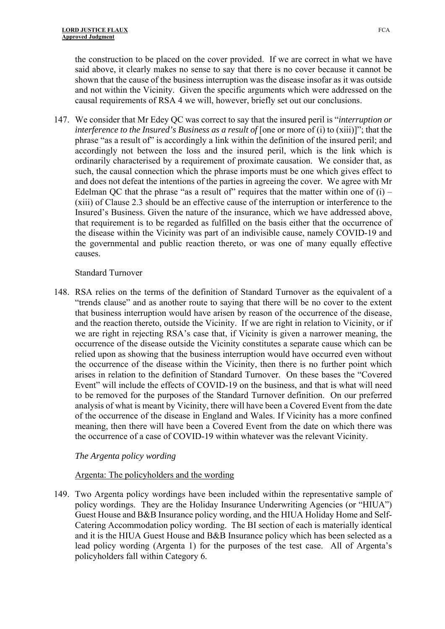the construction to be placed on the cover provided. If we are correct in what we have said above, it clearly makes no sense to say that there is no cover because it cannot be shown that the cause of the business interruption was the disease insofar as it was outside and not within the Vicinity. Given the specific arguments which were addressed on the causal requirements of RSA 4 we will, however, briefly set out our conclusions.

147. We consider that Mr Edey QC was correct to say that the insured peril is "*interruption or interference to the Insured's Business as a result of* [one or more of (i) to (xiii)]"; that the phrase "as a result of" is accordingly a link within the definition of the insured peril; and accordingly not between the loss and the insured peril, which is the link which is ordinarily characterised by a requirement of proximate causation. We consider that, as such, the causal connection which the phrase imports must be one which gives effect to and does not defeat the intentions of the parties in agreeing the cover. We agree with Mr Edelman QC that the phrase "as a result of" requires that the matter within one of  $(i)$  – (xiii) of Clause 2.3 should be an effective cause of the interruption or interference to the Insured's Business. Given the nature of the insurance, which we have addressed above, that requirement is to be regarded as fulfilled on the basis either that the occurrence of the disease within the Vicinity was part of an indivisible cause, namely COVID-19 and the governmental and public reaction thereto, or was one of many equally effective causes.

#### Standard Turnover

148. RSA relies on the terms of the definition of Standard Turnover as the equivalent of a "trends clause" and as another route to saying that there will be no cover to the extent that business interruption would have arisen by reason of the occurrence of the disease, and the reaction thereto, outside the Vicinity. If we are right in relation to Vicinity, or if we are right in rejecting RSA's case that, if Vicinity is given a narrower meaning, the occurrence of the disease outside the Vicinity constitutes a separate cause which can be relied upon as showing that the business interruption would have occurred even without the occurrence of the disease within the Vicinity, then there is no further point which arises in relation to the definition of Standard Turnover. On these bases the "Covered Event" will include the effects of COVID-19 on the business, and that is what will need to be removed for the purposes of the Standard Turnover definition. On our preferred analysis of what is meant by Vicinity, there will have been a Covered Event from the date of the occurrence of the disease in England and Wales. If Vicinity has a more confined meaning, then there will have been a Covered Event from the date on which there was the occurrence of a case of COVID-19 within whatever was the relevant Vicinity.

### *The Argenta policy wording*

#### Argenta: The policyholders and the wording

149. Two Argenta policy wordings have been included within the representative sample of policy wordings. They are the Holiday Insurance Underwriting Agencies (or "HIUA") Guest House and B&B Insurance policy wording, and the HIUA Holiday Home and Self-Catering Accommodation policy wording. The BI section of each is materially identical and it is the HIUA Guest House and B&B Insurance policy which has been selected as a lead policy wording (Argenta 1) for the purposes of the test case. All of Argenta's policyholders fall within Category 6.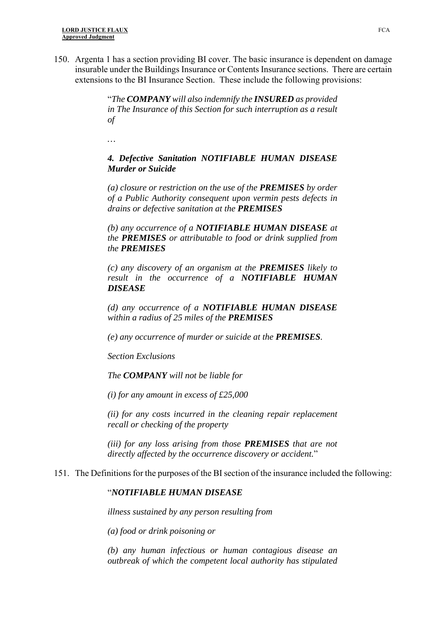150. Argenta 1 has a section providing BI cover. The basic insurance is dependent on damage insurable under the Buildings Insurance or Contents Insurance sections. There are certain extensions to the BI Insurance Section. These include the following provisions:

> "*The COMPANY will also indemnify the INSURED as provided in The Insurance of this Section for such interruption as a result of*

*…* 

# *4. Defective Sanitation NOTIFIABLE HUMAN DISEASE Murder or Suicide*

*(a) closure or restriction on the use of the PREMISES by order of a Public Authority consequent upon vermin pests defects in drains or defective sanitation at the PREMISES*

*(b) any occurrence of a NOTIFIABLE HUMAN DISEASE at the PREMISES or attributable to food or drink supplied from the PREMISES*

*(c) any discovery of an organism at the PREMISES likely to result in the occurrence of a NOTIFIABLE HUMAN DISEASE*

*(d) any occurrence of a NOTIFIABLE HUMAN DISEASE within a radius of 25 miles of the PREMISES*

*(e) any occurrence of murder or suicide at the PREMISES.* 

*Section Exclusions* 

*The COMPANY will not be liable for* 

*(i) for any amount in excess of £25,000* 

*(ii) for any costs incurred in the cleaning repair replacement recall or checking of the property* 

*(iii) for any loss arising from those PREMISES that are not directly affected by the occurrence discovery or accident.*"

151. The Definitions for the purposes of the BI section of the insurance included the following:

### "*NOTIFIABLE HUMAN DISEASE*

*illness sustained by any person resulting from* 

*(a) food or drink poisoning or* 

*(b) any human infectious or human contagious disease an outbreak of which the competent local authority has stipulated*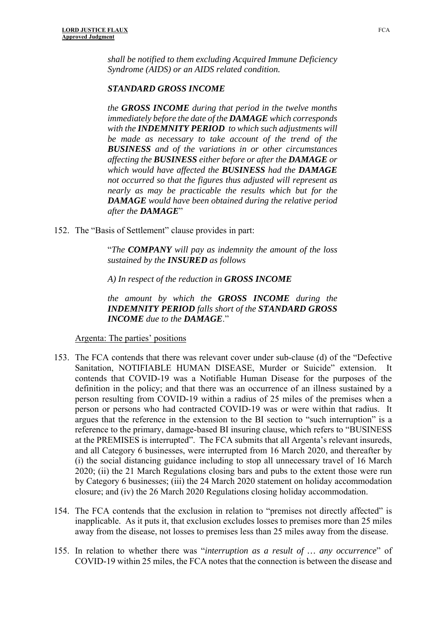*shall be notified to them excluding Acquired Immune Deficiency Syndrome (AIDS) or an AIDS related condition.* 

#### *STANDARD GROSS INCOME*

*the GROSS INCOME during that period in the twelve months immediately before the date of the DAMAGE which corresponds with the INDEMNITY PERIOD to which such adjustments will be made as necessary to take account of the trend of the BUSINESS and of the variations in or other circumstances affecting the BUSINESS either before or after the DAMAGE or which would have affected the BUSINESS had the DAMAGE not occurred so that the figures thus adjusted will represent as nearly as may be practicable the results which but for the DAMAGE would have been obtained during the relative period after the DAMAGE*"

152. The "Basis of Settlement" clause provides in part:

"*The COMPANY will pay as indemnity the amount of the loss sustained by the INSURED as follows* 

*A) In respect of the reduction in GROSS INCOME*

*the amount by which the GROSS INCOME during the INDEMNITY PERIOD falls short of the STANDARD GROSS INCOME due to the DAMAGE*."

Argenta: The parties' positions

- 153. The FCA contends that there was relevant cover under sub-clause (d) of the "Defective Sanitation, NOTIFIABLE HUMAN DISEASE, Murder or Suicide" extension. It contends that COVID-19 was a Notifiable Human Disease for the purposes of the definition in the policy; and that there was an occurrence of an illness sustained by a person resulting from COVID-19 within a radius of 25 miles of the premises when a person or persons who had contracted COVID-19 was or were within that radius. It argues that the reference in the extension to the BI section to "such interruption" is a reference to the primary, damage-based BI insuring clause, which refers to "BUSINESS at the PREMISES is interrupted". The FCA submits that all Argenta's relevant insureds, and all Category 6 businesses, were interrupted from 16 March 2020, and thereafter by (i) the social distancing guidance including to stop all unnecessary travel of 16 March 2020; (ii) the 21 March Regulations closing bars and pubs to the extent those were run by Category 6 businesses; (iii) the 24 March 2020 statement on holiday accommodation closure; and (iv) the 26 March 2020 Regulations closing holiday accommodation.
- 154. The FCA contends that the exclusion in relation to "premises not directly affected" is inapplicable. As it puts it, that exclusion excludes losses to premises more than 25 miles away from the disease, not losses to premises less than 25 miles away from the disease.
- 155. In relation to whether there was "*interruption as a result of … any occurrence*" of COVID-19 within 25 miles, the FCA notes that the connection is between the disease and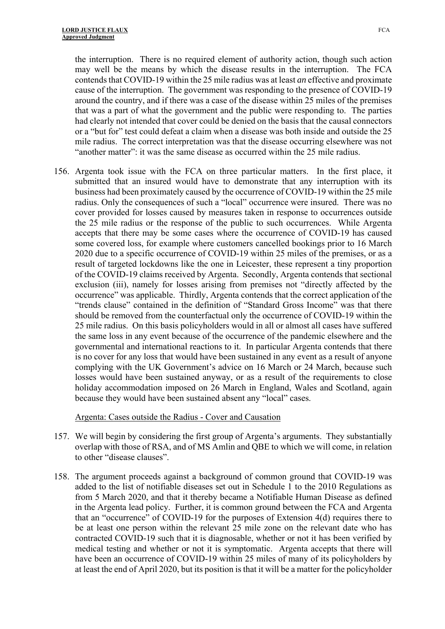the interruption. There is no required element of authority action, though such action may well be the means by which the disease results in the interruption. The FCA contends that COVID-19 within the 25 mile radius was at least *an* effective and proximate cause of the interruption. The government was responding to the presence of COVID-19 around the country, and if there was a case of the disease within 25 miles of the premises that was a part of what the government and the public were responding to. The parties had clearly not intended that cover could be denied on the basis that the causal connectors or a "but for" test could defeat a claim when a disease was both inside and outside the 25 mile radius. The correct interpretation was that the disease occurring elsewhere was not "another matter": it was the same disease as occurred within the 25 mile radius.

156. Argenta took issue with the FCA on three particular matters. In the first place, it submitted that an insured would have to demonstrate that any interruption with its business had been proximately caused by the occurrence of COVID-19 within the 25 mile radius. Only the consequences of such a "local" occurrence were insured. There was no cover provided for losses caused by measures taken in response to occurrences outside the 25 mile radius or the response of the public to such occurrences. While Argenta accepts that there may be some cases where the occurrence of COVID-19 has caused some covered loss, for example where customers cancelled bookings prior to 16 March 2020 due to a specific occurrence of COVID-19 within 25 miles of the premises, or as a result of targeted lockdowns like the one in Leicester, these represent a tiny proportion of the COVID-19 claims received by Argenta. Secondly, Argenta contends that sectional exclusion (iii), namely for losses arising from premises not "directly affected by the occurrence" was applicable. Thirdly, Argenta contends that the correct application of the "trends clause" contained in the definition of "Standard Gross Income" was that there should be removed from the counterfactual only the occurrence of COVID-19 within the 25 mile radius. On this basis policyholders would in all or almost all cases have suffered the same loss in any event because of the occurrence of the pandemic elsewhere and the governmental and international reactions to it. In particular Argenta contends that there is no cover for any loss that would have been sustained in any event as a result of anyone complying with the UK Government's advice on 16 March or 24 March, because such losses would have been sustained anyway, or as a result of the requirements to close holiday accommodation imposed on 26 March in England, Wales and Scotland, again because they would have been sustained absent any "local" cases.

Argenta: Cases outside the Radius - Cover and Causation

- 157. We will begin by considering the first group of Argenta's arguments. They substantially overlap with those of RSA, and of MS Amlin and QBE to which we will come, in relation to other "disease clauses".
- 158. The argument proceeds against a background of common ground that COVID-19 was added to the list of notifiable diseases set out in Schedule 1 to the 2010 Regulations as from 5 March 2020, and that it thereby became a Notifiable Human Disease as defined in the Argenta lead policy. Further, it is common ground between the FCA and Argenta that an "occurrence" of COVID-19 for the purposes of Extension 4(d) requires there to be at least one person within the relevant 25 mile zone on the relevant date who has contracted COVID-19 such that it is diagnosable, whether or not it has been verified by medical testing and whether or not it is symptomatic. Argenta accepts that there will have been an occurrence of COVID-19 within 25 miles of many of its policyholders by at least the end of April 2020, but its position is that it will be a matter for the policyholder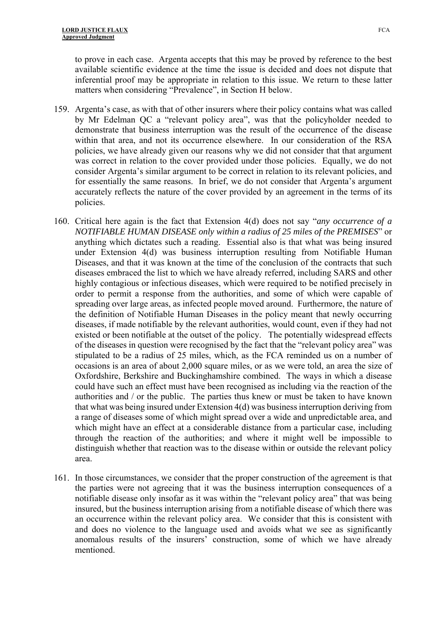to prove in each case. Argenta accepts that this may be proved by reference to the best available scientific evidence at the time the issue is decided and does not dispute that inferential proof may be appropriate in relation to this issue. We return to these latter matters when considering "Prevalence", in Section H below.

- 159. Argenta's case, as with that of other insurers where their policy contains what was called by Mr Edelman QC a "relevant policy area", was that the policyholder needed to demonstrate that business interruption was the result of the occurrence of the disease within that area, and not its occurrence elsewhere. In our consideration of the RSA policies, we have already given our reasons why we did not consider that that argument was correct in relation to the cover provided under those policies. Equally, we do not consider Argenta's similar argument to be correct in relation to its relevant policies, and for essentially the same reasons. In brief, we do not consider that Argenta's argument accurately reflects the nature of the cover provided by an agreement in the terms of its policies.
- 160. Critical here again is the fact that Extension 4(d) does not say "*any occurrence of a NOTIFIABLE HUMAN DISEASE only within a radius of 25 miles of the PREMISES*" or anything which dictates such a reading. Essential also is that what was being insured under Extension 4(d) was business interruption resulting from Notifiable Human Diseases, and that it was known at the time of the conclusion of the contracts that such diseases embraced the list to which we have already referred, including SARS and other highly contagious or infectious diseases, which were required to be notified precisely in order to permit a response from the authorities, and some of which were capable of spreading over large areas, as infected people moved around. Furthermore, the nature of the definition of Notifiable Human Diseases in the policy meant that newly occurring diseases, if made notifiable by the relevant authorities, would count, even if they had not existed or been notifiable at the outset of the policy. The potentially widespread effects of the diseases in question were recognised by the fact that the "relevant policy area" was stipulated to be a radius of 25 miles, which, as the FCA reminded us on a number of occasions is an area of about 2,000 square miles, or as we were told, an area the size of Oxfordshire, Berkshire and Buckinghamshire combined. The ways in which a disease could have such an effect must have been recognised as including via the reaction of the authorities and / or the public. The parties thus knew or must be taken to have known that what was being insured under Extension 4(d) was business interruption deriving from a range of diseases some of which might spread over a wide and unpredictable area, and which might have an effect at a considerable distance from a particular case, including through the reaction of the authorities; and where it might well be impossible to distinguish whether that reaction was to the disease within or outside the relevant policy area.
- 161. In those circumstances, we consider that the proper construction of the agreement is that the parties were not agreeing that it was the business interruption consequences of a notifiable disease only insofar as it was within the "relevant policy area" that was being insured, but the business interruption arising from a notifiable disease of which there was an occurrence within the relevant policy area. We consider that this is consistent with and does no violence to the language used and avoids what we see as significantly anomalous results of the insurers' construction, some of which we have already mentioned.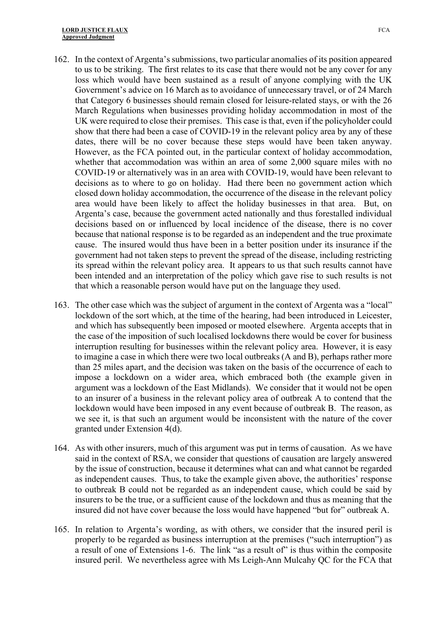- 162. In the context of Argenta's submissions, two particular anomalies of its position appeared to us to be striking. The first relates to its case that there would not be any cover for any loss which would have been sustained as a result of anyone complying with the UK Government's advice on 16 March as to avoidance of unnecessary travel, or of 24 March that Category 6 businesses should remain closed for leisure-related stays, or with the 26 March Regulations when businesses providing holiday accommodation in most of the UK were required to close their premises. This case is that, even if the policyholder could show that there had been a case of COVID-19 in the relevant policy area by any of these dates, there will be no cover because these steps would have been taken anyway. However, as the FCA pointed out, in the particular context of holiday accommodation, whether that accommodation was within an area of some 2,000 square miles with no COVID-19 or alternatively was in an area with COVID-19, would have been relevant to decisions as to where to go on holiday. Had there been no government action which closed down holiday accommodation, the occurrence of the disease in the relevant policy area would have been likely to affect the holiday businesses in that area. But, on Argenta's case, because the government acted nationally and thus forestalled individual decisions based on or influenced by local incidence of the disease, there is no cover because that national response is to be regarded as an independent and the true proximate cause. The insured would thus have been in a better position under its insurance if the government had not taken steps to prevent the spread of the disease, including restricting its spread within the relevant policy area. It appears to us that such results cannot have been intended and an interpretation of the policy which gave rise to such results is not that which a reasonable person would have put on the language they used.
- 163. The other case which was the subject of argument in the context of Argenta was a "local" lockdown of the sort which, at the time of the hearing, had been introduced in Leicester, and which has subsequently been imposed or mooted elsewhere. Argenta accepts that in the case of the imposition of such localised lockdowns there would be cover for business interruption resulting for businesses within the relevant policy area. However, it is easy to imagine a case in which there were two local outbreaks (A and B), perhaps rather more than 25 miles apart, and the decision was taken on the basis of the occurrence of each to impose a lockdown on a wider area, which embraced both (the example given in argument was a lockdown of the East Midlands). We consider that it would not be open to an insurer of a business in the relevant policy area of outbreak A to contend that the lockdown would have been imposed in any event because of outbreak B. The reason, as we see it, is that such an argument would be inconsistent with the nature of the cover granted under Extension 4(d).
- 164. As with other insurers, much of this argument was put in terms of causation. As we have said in the context of RSA, we consider that questions of causation are largely answered by the issue of construction, because it determines what can and what cannot be regarded as independent causes. Thus, to take the example given above, the authorities' response to outbreak B could not be regarded as an independent cause, which could be said by insurers to be the true, or a sufficient cause of the lockdown and thus as meaning that the insured did not have cover because the loss would have happened "but for" outbreak A.
- 165. In relation to Argenta's wording, as with others, we consider that the insured peril is properly to be regarded as business interruption at the premises ("such interruption") as a result of one of Extensions 1-6. The link "as a result of" is thus within the composite insured peril. We nevertheless agree with Ms Leigh-Ann Mulcahy QC for the FCA that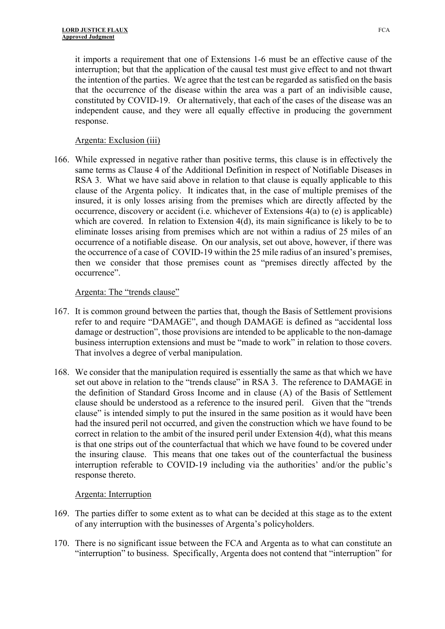it imports a requirement that one of Extensions 1-6 must be an effective cause of the interruption; but that the application of the causal test must give effect to and not thwart the intention of the parties. We agree that the test can be regarded as satisfied on the basis that the occurrence of the disease within the area was a part of an indivisible cause, constituted by COVID-19. Or alternatively, that each of the cases of the disease was an independent cause, and they were all equally effective in producing the government response.

# Argenta: Exclusion (iii)

166. While expressed in negative rather than positive terms, this clause is in effectively the same terms as Clause 4 of the Additional Definition in respect of Notifiable Diseases in RSA 3. What we have said above in relation to that clause is equally applicable to this clause of the Argenta policy. It indicates that, in the case of multiple premises of the insured, it is only losses arising from the premises which are directly affected by the occurrence, discovery or accident (i.e. whichever of Extensions 4(a) to (e) is applicable) which are covered. In relation to Extension  $4(d)$ , its main significance is likely to be to eliminate losses arising from premises which are not within a radius of 25 miles of an occurrence of a notifiable disease. On our analysis, set out above, however, if there was the occurrence of a case of COVID-19 within the 25 mile radius of an insured's premises, then we consider that those premises count as "premises directly affected by the occurrence".

# Argenta: The "trends clause"

- 167. It is common ground between the parties that, though the Basis of Settlement provisions refer to and require "DAMAGE", and though DAMAGE is defined as "accidental loss damage or destruction", those provisions are intended to be applicable to the non-damage business interruption extensions and must be "made to work" in relation to those covers. That involves a degree of verbal manipulation.
- 168. We consider that the manipulation required is essentially the same as that which we have set out above in relation to the "trends clause" in RSA 3. The reference to DAMAGE in the definition of Standard Gross Income and in clause (A) of the Basis of Settlement clause should be understood as a reference to the insured peril. Given that the "trends clause" is intended simply to put the insured in the same position as it would have been had the insured peril not occurred, and given the construction which we have found to be correct in relation to the ambit of the insured peril under Extension 4(d), what this means is that one strips out of the counterfactual that which we have found to be covered under the insuring clause. This means that one takes out of the counterfactual the business interruption referable to COVID-19 including via the authorities' and/or the public's response thereto.

# Argenta: Interruption

- 169. The parties differ to some extent as to what can be decided at this stage as to the extent of any interruption with the businesses of Argenta's policyholders.
- 170. There is no significant issue between the FCA and Argenta as to what can constitute an "interruption" to business. Specifically, Argenta does not contend that "interruption" for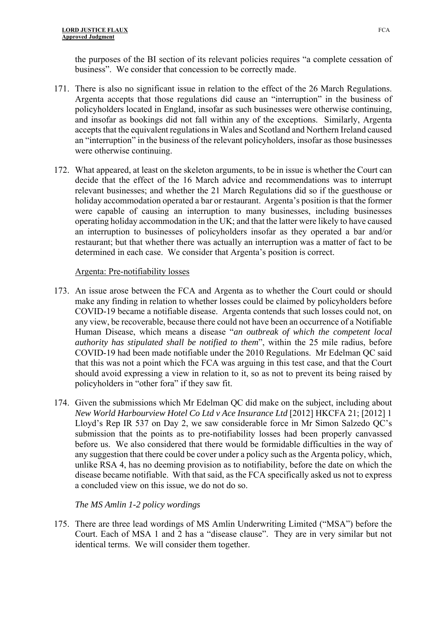the purposes of the BI section of its relevant policies requires "a complete cessation of business". We consider that concession to be correctly made.

- 171. There is also no significant issue in relation to the effect of the 26 March Regulations. Argenta accepts that those regulations did cause an "interruption" in the business of policyholders located in England, insofar as such businesses were otherwise continuing, and insofar as bookings did not fall within any of the exceptions. Similarly, Argenta accepts that the equivalent regulations in Wales and Scotland and Northern Ireland caused an "interruption" in the business of the relevant policyholders, insofar as those businesses were otherwise continuing.
- 172. What appeared, at least on the skeleton arguments, to be in issue is whether the Court can decide that the effect of the 16 March advice and recommendations was to interrupt relevant businesses; and whether the 21 March Regulations did so if the guesthouse or holiday accommodation operated a bar or restaurant. Argenta's position is that the former were capable of causing an interruption to many businesses, including businesses operating holiday accommodation in the UK; and that the latter were likely to have caused an interruption to businesses of policyholders insofar as they operated a bar and/or restaurant; but that whether there was actually an interruption was a matter of fact to be determined in each case. We consider that Argenta's position is correct.

### Argenta: Pre-notifiability losses

- 173. An issue arose between the FCA and Argenta as to whether the Court could or should make any finding in relation to whether losses could be claimed by policyholders before COVID-19 became a notifiable disease. Argenta contends that such losses could not, on any view, be recoverable, because there could not have been an occurrence of a Notifiable Human Disease, which means a disease "*an outbreak of which the competent local authority has stipulated shall be notified to them*", within the 25 mile radius, before COVID-19 had been made notifiable under the 2010 Regulations. Mr Edelman QC said that this was not a point which the FCA was arguing in this test case, and that the Court should avoid expressing a view in relation to it, so as not to prevent its being raised by policyholders in "other fora" if they saw fit.
- 174. Given the submissions which Mr Edelman QC did make on the subject, including about *New World Harbourview Hotel Co Ltd v Ace Insurance Ltd* [2012] HKCFA 21; [2012] 1 Lloyd's Rep IR 537 on Day 2, we saw considerable force in Mr Simon Salzedo QC's submission that the points as to pre-notifiability losses had been properly canvassed before us. We also considered that there would be formidable difficulties in the way of any suggestion that there could be cover under a policy such as the Argenta policy, which, unlike RSA 4, has no deeming provision as to notifiability, before the date on which the disease became notifiable. With that said, as the FCA specifically asked us not to express a concluded view on this issue, we do not do so.

### *The MS Amlin 1-2 policy wordings*

175. There are three lead wordings of MS Amlin Underwriting Limited ("MSA") before the Court. Each of MSA 1 and 2 has a "disease clause". They are in very similar but not identical terms. We will consider them together.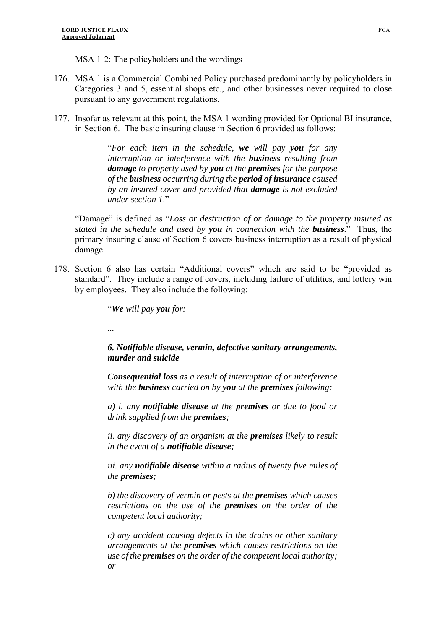### MSA 1-2: The policyholders and the wordings

- 176. MSA 1 is a Commercial Combined Policy purchased predominantly by policyholders in Categories 3 and 5, essential shops etc., and other businesses never required to close pursuant to any government regulations.
- 177. Insofar as relevant at this point, the MSA 1 wording provided for Optional BI insurance, in Section 6. The basic insuring clause in Section 6 provided as follows:

"*For each item in the schedule, we will pay you for any interruption or interference with the business resulting from damage to property used by you at the premises for the purpose of the business occurring during the period of insurance caused by an insured cover and provided that damage is not excluded under section 1*."

"Damage" is defined as "*Loss or destruction of or damage to the property insured as stated in the schedule and used by you in connection with the business*." Thus, the primary insuring clause of Section 6 covers business interruption as a result of physical damage.

178. Section 6 also has certain "Additional covers" which are said to be "provided as standard". They include a range of covers, including failure of utilities, and lottery win by employees. They also include the following:

"*We will pay you for:* 

*...* 

*6. Notifiable disease, vermin, defective sanitary arrangements, murder and suicide* 

*Consequential loss as a result of interruption of or interference with the business carried on by you at the premises following:* 

*a) i. any notifiable disease at the premises or due to food or drink supplied from the premises;* 

*ii. any discovery of an organism at the premises likely to result in the event of a notifiable disease;* 

*iii. any notifiable disease within a radius of twenty five miles of the premises;* 

*b) the discovery of vermin or pests at the premises which causes restrictions on the use of the premises on the order of the competent local authority;* 

*c) any accident causing defects in the drains or other sanitary arrangements at the premises which causes restrictions on the use of the premises on the order of the competent local authority; or*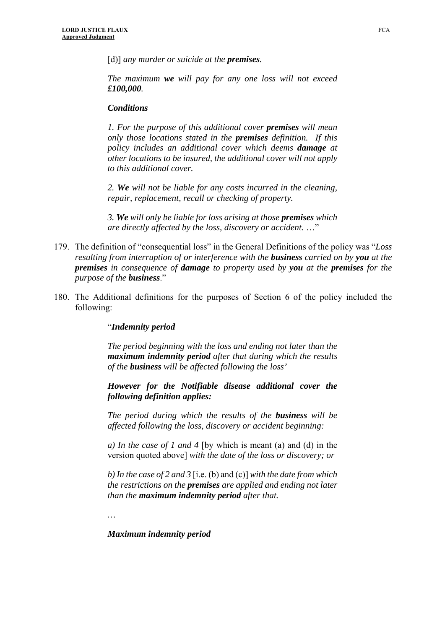[d)] *any murder or suicide at the premises.* 

*The maximum we will pay for any one loss will not exceed £100,000.* 

#### *Conditions*

*1. For the purpose of this additional cover premises will mean only those locations stated in the premises definition. If this policy includes an additional cover which deems damage at other locations to be insured, the additional cover will not apply to this additional cover.* 

*2. We will not be liable for any costs incurred in the cleaning, repair, replacement, recall or checking of property.* 

*3. We will only be liable for loss arising at those premises which are directly affected by the loss, discovery or accident.* …"

- 179. The definition of "consequential loss" in the General Definitions of the policy was "*Loss resulting from interruption of or interference with the business carried on by you at the premises in consequence of damage to property used by you at the premises for the purpose of the business*."
- 180. The Additional definitions for the purposes of Section 6 of the policy included the following:

### "*Indemnity period*

*The period beginning with the loss and ending not later than the maximum indemnity period after that during which the results of the business will be affected following the loss'* 

*However for the Notifiable disease additional cover the following definition applies:* 

*The period during which the results of the business will be affected following the loss, discovery or accident beginning:* 

*a) In the case of 1 and 4* [by which is meant (a) and (d) in the version quoted above] *with the date of the loss or discovery; or* 

*b) In the case of 2 and 3* [i.e. (b) and (c)] *with the date from which the restrictions on the premises are applied and ending not later than the maximum indemnity period after that.* 

*…* 

#### *Maximum indemnity period*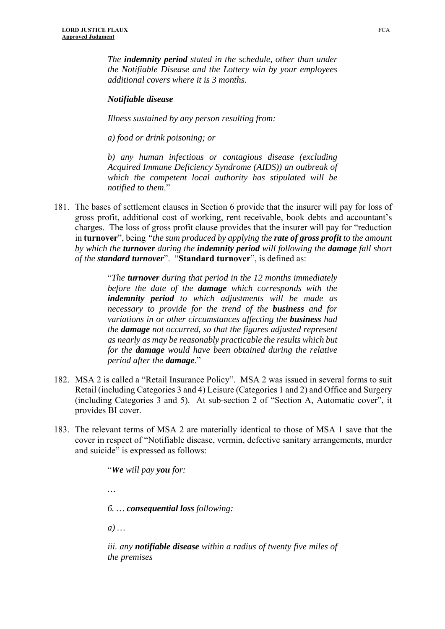**FCA** 

*The indemnity period stated in the schedule, other than under the Notifiable Disease and the Lottery win by your employees additional covers where it is 3 months.* 

#### *Notifiable disease*

*Illness sustained by any person resulting from:* 

*a) food or drink poisoning; or* 

*b) any human infectious or contagious disease (excluding Acquired Immune Deficiency Syndrome (AIDS)) an outbreak of which the competent local authority has stipulated will be notified to them*."

181. The bases of settlement clauses in Section 6 provide that the insurer will pay for loss of gross profit, additional cost of working, rent receivable, book debts and accountant's charges. The loss of gross profit clause provides that the insurer will pay for "reduction in **turnover**", being *"the sum produced by applying the rate of gross profit to the amount by which the turnover during the indemnity period will following the damage fall short of the standard turnover*". "**Standard turnover**", is defined as:

> "*The turnover during that period in the 12 months immediately before the date of the damage which corresponds with the indemnity period to which adjustments will be made as necessary to provide for the trend of the business and for variations in or other circumstances affecting the business had the damage not occurred, so that the figures adjusted represent as nearly as may be reasonably practicable the results which but for the damage would have been obtained during the relative period after the damage*."

- 182. MSA 2 is called a "Retail Insurance Policy". MSA 2 was issued in several forms to suit Retail (including Categories 3 and 4) Leisure (Categories 1 and 2) and Office and Surgery (including Categories 3 and 5). At sub-section 2 of "Section A, Automatic cover", it provides BI cover.
- 183. The relevant terms of MSA 2 are materially identical to those of MSA 1 save that the cover in respect of "Notifiable disease, vermin, defective sanitary arrangements, murder and suicide" is expressed as follows:

"*We will pay you for: … 6. … consequential loss following: a) … iii. any notifiable disease within a radius of twenty five miles of the premises*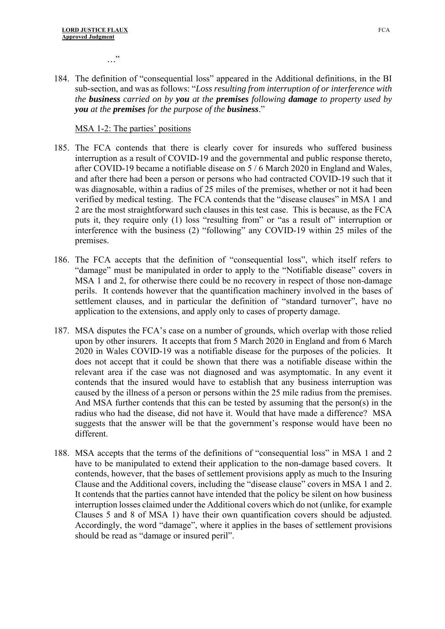*…*"

184. The definition of "consequential loss" appeared in the Additional definitions, in the BI sub-section, and was as follows: "*Loss resulting from interruption of or interference with the business carried on by you at the premises following damage to property used by you at the premises for the purpose of the business*."

# MSA 1-2: The parties' positions

- 185. The FCA contends that there is clearly cover for insureds who suffered business interruption as a result of COVID-19 and the governmental and public response thereto, after COVID-19 became a notifiable disease on 5 / 6 March 2020 in England and Wales, and after there had been a person or persons who had contracted COVID-19 such that it was diagnosable, within a radius of 25 miles of the premises, whether or not it had been verified by medical testing. The FCA contends that the "disease clauses" in MSA 1 and 2 are the most straightforward such clauses in this test case. This is because, as the FCA puts it, they require only (1) loss "resulting from" or "as a result of" interruption or interference with the business (2) "following" any COVID-19 within 25 miles of the premises.
- 186. The FCA accepts that the definition of "consequential loss", which itself refers to "damage" must be manipulated in order to apply to the "Notifiable disease" covers in MSA 1 and 2, for otherwise there could be no recovery in respect of those non-damage perils. It contends however that the quantification machinery involved in the bases of settlement clauses, and in particular the definition of "standard turnover", have no application to the extensions, and apply only to cases of property damage.
- 187. MSA disputes the FCA's case on a number of grounds, which overlap with those relied upon by other insurers. It accepts that from 5 March 2020 in England and from 6 March 2020 in Wales COVID-19 was a notifiable disease for the purposes of the policies. It does not accept that it could be shown that there was a notifiable disease within the relevant area if the case was not diagnosed and was asymptomatic. In any event it contends that the insured would have to establish that any business interruption was caused by the illness of a person or persons within the 25 mile radius from the premises. And MSA further contends that this can be tested by assuming that the person(s) in the radius who had the disease, did not have it. Would that have made a difference? MSA suggests that the answer will be that the government's response would have been no different.
- 188. MSA accepts that the terms of the definitions of "consequential loss" in MSA 1 and 2 have to be manipulated to extend their application to the non-damage based covers. It contends, however, that the bases of settlement provisions apply as much to the Insuring Clause and the Additional covers, including the "disease clause" covers in MSA 1 and 2. It contends that the parties cannot have intended that the policy be silent on how business interruption losses claimed under the Additional covers which do not (unlike, for example Clauses 5 and 8 of MSA 1) have their own quantification covers should be adjusted. Accordingly, the word "damage", where it applies in the bases of settlement provisions should be read as "damage or insured peril".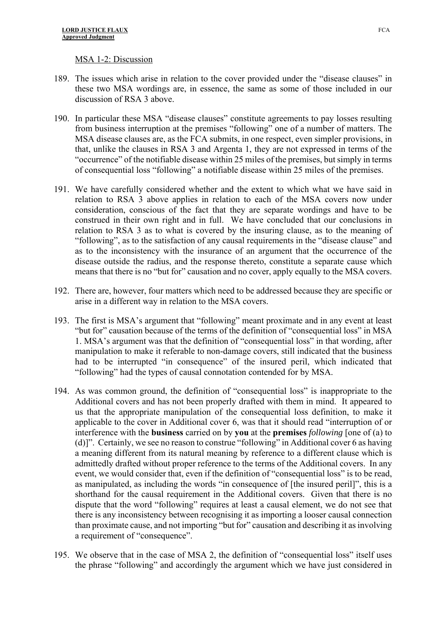#### MSA 1-2: Discussion

- 189. The issues which arise in relation to the cover provided under the "disease clauses" in these two MSA wordings are, in essence, the same as some of those included in our discussion of RSA 3 above.
- 190. In particular these MSA "disease clauses" constitute agreements to pay losses resulting from business interruption at the premises "following" one of a number of matters. The MSA disease clauses are, as the FCA submits, in one respect, even simpler provisions, in that, unlike the clauses in RSA 3 and Argenta 1, they are not expressed in terms of the "occurrence" of the notifiable disease within 25 miles of the premises, but simply in terms of consequential loss "following" a notifiable disease within 25 miles of the premises.
- 191. We have carefully considered whether and the extent to which what we have said in relation to RSA 3 above applies in relation to each of the MSA covers now under consideration, conscious of the fact that they are separate wordings and have to be construed in their own right and in full. We have concluded that our conclusions in relation to RSA 3 as to what is covered by the insuring clause, as to the meaning of "following", as to the satisfaction of any causal requirements in the "disease clause" and as to the inconsistency with the insurance of an argument that the occurrence of the disease outside the radius, and the response thereto, constitute a separate cause which means that there is no "but for" causation and no cover, apply equally to the MSA covers.
- 192. There are, however, four matters which need to be addressed because they are specific or arise in a different way in relation to the MSA covers.
- 193. The first is MSA's argument that "following" meant proximate and in any event at least "but for" causation because of the terms of the definition of "consequential loss" in MSA 1. MSA's argument was that the definition of "consequential loss" in that wording, after manipulation to make it referable to non-damage covers, still indicated that the business had to be interrupted "in consequence" of the insured peril, which indicated that "following" had the types of causal connotation contended for by MSA.
- 194. As was common ground, the definition of "consequential loss" is inappropriate to the Additional covers and has not been properly drafted with them in mind. It appeared to us that the appropriate manipulation of the consequential loss definition, to make it applicable to the cover in Additional cover 6, was that it should read "interruption of or interference with the **business** carried on by **you** at the **premises** *following* [one of (a) to (d)]". Certainly, we see no reason to construe "following" in Additional cover 6 as having a meaning different from its natural meaning by reference to a different clause which is admittedly drafted without proper reference to the terms of the Additional covers. In any event, we would consider that, even if the definition of "consequential loss" is to be read, as manipulated, as including the words "in consequence of [the insured peril]", this is a shorthand for the causal requirement in the Additional covers. Given that there is no dispute that the word "following" requires at least a causal element, we do not see that there is any inconsistency between recognising it as importing a looser causal connection than proximate cause, and not importing "but for" causation and describing it as involving a requirement of "consequence".
- 195. We observe that in the case of MSA 2, the definition of "consequential loss" itself uses the phrase "following" and accordingly the argument which we have just considered in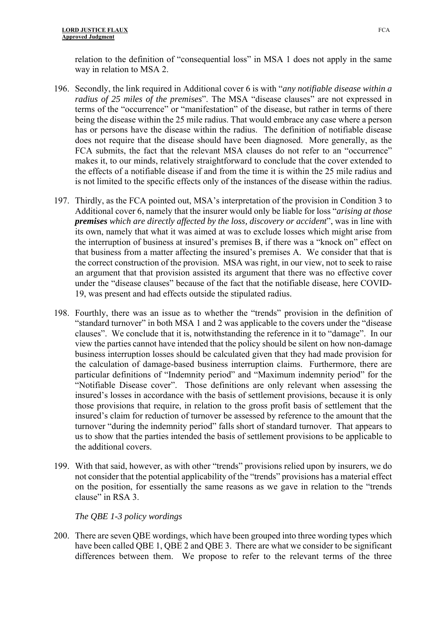relation to the definition of "consequential loss" in MSA 1 does not apply in the same way in relation to MSA 2.

- 196. Secondly, the link required in Additional cover 6 is with "*any notifiable disease within a radius of 25 miles of the premises*". The MSA "disease clauses" are not expressed in terms of the "occurrence" or "manifestation" of the disease, but rather in terms of there being the disease within the 25 mile radius. That would embrace any case where a person has or persons have the disease within the radius. The definition of notifiable disease does not require that the disease should have been diagnosed. More generally, as the FCA submits, the fact that the relevant MSA clauses do not refer to an "occurrence" makes it, to our minds, relatively straightforward to conclude that the cover extended to the effects of a notifiable disease if and from the time it is within the 25 mile radius and is not limited to the specific effects only of the instances of the disease within the radius.
- 197. Thirdly, as the FCA pointed out, MSA's interpretation of the provision in Condition 3 to Additional cover 6, namely that the insurer would only be liable for loss "*arising at those premises which are directly affected by the loss, discovery or accident*", was in line with its own, namely that what it was aimed at was to exclude losses which might arise from the interruption of business at insured's premises B, if there was a "knock on" effect on that business from a matter affecting the insured's premises A. We consider that that is the correct construction of the provision. MSA was right, in our view, not to seek to raise an argument that that provision assisted its argument that there was no effective cover under the "disease clauses" because of the fact that the notifiable disease, here COVID-19, was present and had effects outside the stipulated radius.
- 198. Fourthly, there was an issue as to whether the "trends" provision in the definition of "standard turnover" in both MSA 1 and 2 was applicable to the covers under the "disease clauses". We conclude that it is, notwithstanding the reference in it to "damage". In our view the parties cannot have intended that the policy should be silent on how non-damage business interruption losses should be calculated given that they had made provision for the calculation of damage-based business interruption claims. Furthermore, there are particular definitions of "Indemnity period" and "Maximum indemnity period" for the "Notifiable Disease cover". Those definitions are only relevant when assessing the insured's losses in accordance with the basis of settlement provisions, because it is only those provisions that require, in relation to the gross profit basis of settlement that the insured's claim for reduction of turnover be assessed by reference to the amount that the turnover "during the indemnity period" falls short of standard turnover. That appears to us to show that the parties intended the basis of settlement provisions to be applicable to the additional covers.
- 199. With that said, however, as with other "trends" provisions relied upon by insurers, we do not consider that the potential applicability of the "trends" provisions has a material effect on the position, for essentially the same reasons as we gave in relation to the "trends clause" in RSA 3.

### *The QBE 1-3 policy wordings*

200. There are seven QBE wordings, which have been grouped into three wording types which have been called QBE 1, QBE 2 and QBE 3. There are what we consider to be significant differences between them. We propose to refer to the relevant terms of the three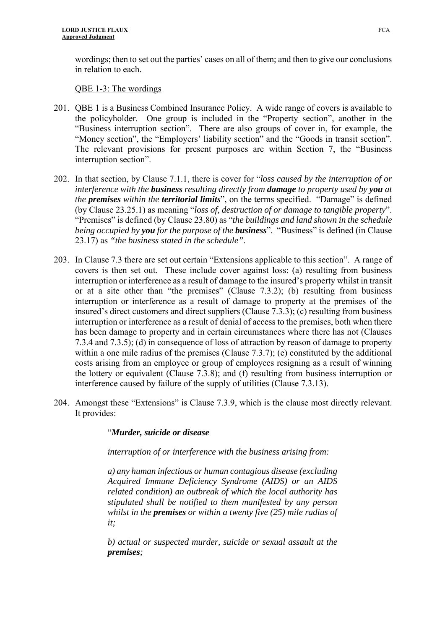wordings; then to set out the parties' cases on all of them; and then to give our conclusions in relation to each.

QBE 1-3: The wordings

- 201. QBE 1 is a Business Combined Insurance Policy. A wide range of covers is available to the policyholder. One group is included in the "Property section", another in the "Business interruption section". There are also groups of cover in, for example, the "Money section", the "Employers' liability section" and the "Goods in transit section". The relevant provisions for present purposes are within Section 7, the "Business interruption section".
- 202. In that section, by Clause 7.1.1, there is cover for "*loss caused by the interruption of or interference with the business resulting directly from damage to property used by you at the premises within the territorial limits*", on the terms specified. "Damage" is defined (by Clause 23.25.1) as meaning "*loss of, destruction of or damage to tangible property*". "Premises" is defined (by Clause 23.80) as "*the buildings and land shown in the schedule being occupied by you for the purpose of the business*". "Business" is defined (in Clause 23.17) as *"the business stated in the schedule"*.
- 203. In Clause 7.3 there are set out certain "Extensions applicable to this section". A range of covers is then set out. These include cover against loss: (a) resulting from business interruption or interference as a result of damage to the insured's property whilst in transit or at a site other than "the premises" (Clause 7.3.2); (b) resulting from business interruption or interference as a result of damage to property at the premises of the insured's direct customers and direct suppliers (Clause 7.3.3); (c) resulting from business interruption or interference as a result of denial of access to the premises, both when there has been damage to property and in certain circumstances where there has not (Clauses 7.3.4 and 7.3.5); (d) in consequence of loss of attraction by reason of damage to property within a one mile radius of the premises (Clause 7.3.7); (e) constituted by the additional costs arising from an employee or group of employees resigning as a result of winning the lottery or equivalent (Clause 7.3.8); and (f) resulting from business interruption or interference caused by failure of the supply of utilities (Clause 7.3.13).
- 204. Amongst these "Extensions" is Clause 7.3.9, which is the clause most directly relevant. It provides:

### "*Murder, suicide or disease*

*interruption of or interference with the business arising from:* 

*a) any human infectious or human contagious disease (excluding Acquired Immune Deficiency Syndrome (AIDS) or an AIDS related condition) an outbreak of which the local authority has stipulated shall be notified to them manifested by any person whilst in the premises or within a twenty five (25) mile radius of it;* 

*b) actual or suspected murder, suicide or sexual assault at the premises;*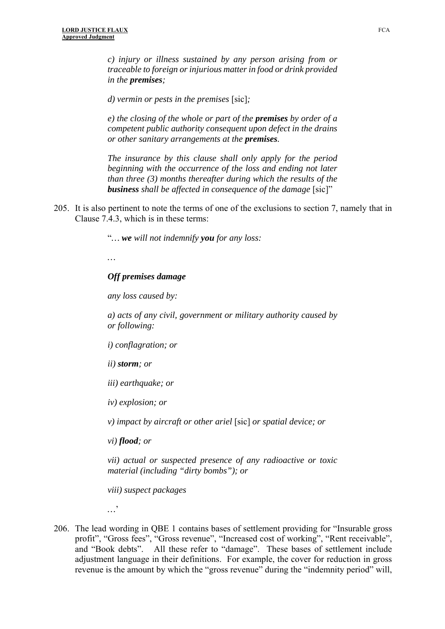*c) injury or illness sustained by any person arising from or traceable to foreign or injurious matter in food or drink provided in the premises;* 

*d) vermin or pests in the premises* [sic]*;* 

*e) the closing of the whole or part of the premises by order of a competent public authority consequent upon defect in the drains or other sanitary arrangements at the premises.* 

*The insurance by this clause shall only apply for the period beginning with the occurrence of the loss and ending not later than three (3) months thereafter during which the results of the business shall be affected in consequence of the damage* [sic]"

205. It is also pertinent to note the terms of one of the exclusions to section 7, namely that in Clause 7.4.3, which is in these terms:

"*… we will not indemnify you for any loss:* 

*…* 

#### *Off premises damage*

*any loss caused by:* 

*a) acts of any civil, government or military authority caused by or following:* 

*i) conflagration; or* 

*ii) storm; or* 

*iii) earthquake; or* 

*iv) explosion; or* 

*v) impact by aircraft or other ariel* [sic] *or spatial device; or* 

*vi) flood; or* 

*vii) actual or suspected presence of any radioactive or toxic material (including "dirty bombs"); or* 

*viii) suspect packages* 

*…*'

206. The lead wording in QBE 1 contains bases of settlement providing for "Insurable gross profit", "Gross fees", "Gross revenue", "Increased cost of working", "Rent receivable", and "Book debts". All these refer to "damage". These bases of settlement include adjustment language in their definitions. For example, the cover for reduction in gross revenue is the amount by which the "gross revenue" during the "indemnity period" will,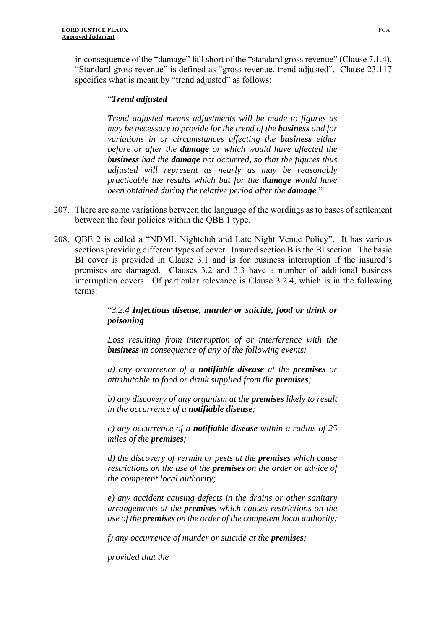in consequence of the "damage" fall short of the "standard gross revenue" (Clause 7.1.4). "Standard gross revenue" is defined as "gross revenue, trend adjusted". Clause 23.117 specifies what is meant by "trend adjusted" as follows:

# "*Trend adjusted*

*Trend adjusted means adjustments will be made to figures as may be necessary to provide for the trend of the business and for variations in or circumstances affecting the business either before or after the damage or which would have affected the business had the damage not occurred, so that the figures thus adjusted will represent as nearly as may be reasonably practicable the results which but for the damage would have been obtained during the relative period after the damage.*"

- 207. There are some variations between the language of the wordings as to bases of settlement between the four policies within the QBE 1 type.
- 208. QBE 2 is called a "NDML Nightclub and Late Night Venue Policy". It has various sections providing different types of cover. Insured section B is the BI section. The basic BI cover is provided in Clause 3.1 and is for business interruption if the insured's premises are damaged. Clauses 3.2 and 3.3 have a number of additional business interruption covers. Of particular relevance is Clause 3.2.4, which is in the following terms:

### "*3.2.4 Infectious disease, murder or suicide, food or drink or poisoning*

*Loss resulting from interruption of or interference with the business in consequence of any of the following events:* 

*a) any occurrence of a notifiable disease at the premises or attributable to food or drink supplied from the premises;* 

*b) any discovery of any organism at the premises likely to result in the occurrence of a notifiable disease;* 

*c) any occurrence of a notifiable disease within a radius of 25 miles of the premises;* 

*d) the discovery of vermin or pests at the premises which cause restrictions on the use of the premises on the order or advice of the competent local authority;* 

*e) any accident causing defects in the drains or other sanitary arrangements at the premises which causes restrictions on the use of the premises on the order of the competent local authority;* 

*f) any occurrence of murder or suicide at the premises;* 

*provided that the*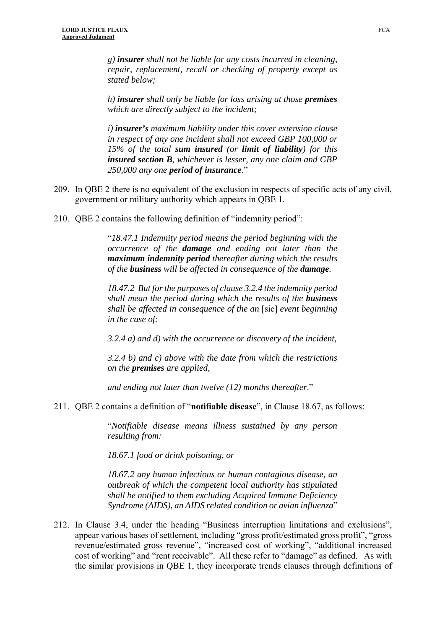*g) insurer shall not be liable for any costs incurred in cleaning, repair, replacement, recall or checking of property except as stated below;* 

*h) insurer shall only be liable for loss arising at those premises which are directly subject to the incident;* 

*i) insurer's maximum liability under this cover extension clause in respect of any one incident shall not exceed GBP 100,000 or 15% of the total sum insured (or limit of liability) for this insured section B, whichever is lesser, any one claim and GBP 250,000 any one period of insurance*."

- 209. In QBE 2 there is no equivalent of the exclusion in respects of specific acts of any civil, government or military authority which appears in QBE 1.
- 210. QBE 2 contains the following definition of "indemnity period":

"*18.47.1 Indemnity period means the period beginning with the occurrence of the damage and ending not later than the maximum indemnity period thereafter during which the results of the business will be affected in consequence of the damage.* 

*18.47.2 But for the purposes of clause 3.2.4 the indemnity period shall mean the period during which the results of the business shall be affected in consequence of the an* [sic] *event beginning in the case of:* 

*3.2.4 a) and d) with the occurrence or discovery of the incident,* 

*3.2.4 b) and c) above with the date from which the restrictions on the premises are applied,* 

*and ending not later than twelve (12) months thereafter*."

211. QBE 2 contains a definition of "**notifiable disease**", in Clause 18.67, as follows:

"*Notifiable disease means illness sustained by any person resulting from:* 

*18.67.1 food or drink poisoning, or* 

*18.67.2 any human infectious or human contagious disease, an outbreak of which the competent local authority has stipulated shall be notified to them excluding Acquired Immune Deficiency Syndrome (AIDS), an AIDS related condition or avian influenza*"

212. In Clause 3.4, under the heading "Business interruption limitations and exclusions", appear various bases of settlement, including "gross profit/estimated gross profit", "gross revenue/estimated gross revenue", "increased cost of working", "additional increased cost of working" and "rent receivable". All these refer to "damage" as defined. As with the similar provisions in QBE 1, they incorporate trends clauses through definitions of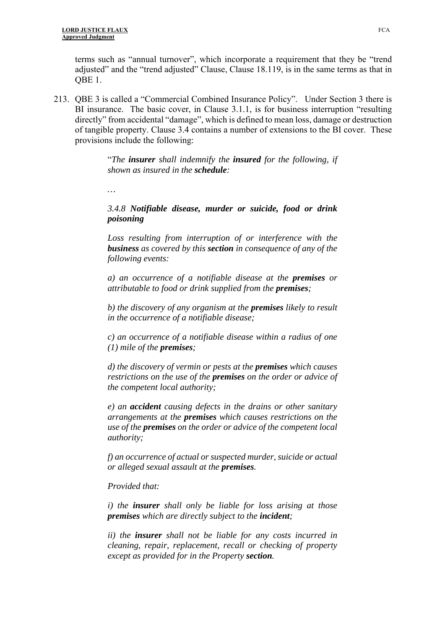terms such as "annual turnover", which incorporate a requirement that they be "trend adjusted" and the "trend adjusted" Clause, Clause 18.119, is in the same terms as that in QBE 1.

213. QBE 3 is called a "Commercial Combined Insurance Policy". Under Section 3 there is BI insurance. The basic cover, in Clause 3.1.1, is for business interruption "resulting directly" from accidental "damage", which is defined to mean loss, damage or destruction of tangible property. Clause 3.4 contains a number of extensions to the BI cover. These provisions include the following:

> "*The insurer shall indemnify the insured for the following, if shown as insured in the schedule:*

*…* 

# *3.4.8 Notifiable disease, murder or suicide, food or drink poisoning*

*Loss resulting from interruption of or interference with the business as covered by this section in consequence of any of the following events:* 

*a) an occurrence of a notifiable disease at the premises or attributable to food or drink supplied from the premises;* 

*b) the discovery of any organism at the premises likely to result in the occurrence of a notifiable disease;* 

*c) an occurrence of a notifiable disease within a radius of one (1) mile of the premises;* 

*d) the discovery of vermin or pests at the premises which causes restrictions on the use of the premises on the order or advice of the competent local authority;* 

*e) an accident causing defects in the drains or other sanitary arrangements at the premises which causes restrictions on the use of the premises on the order or advice of the competent local authority;* 

*f) an occurrence of actual or suspected murder, suicide or actual or alleged sexual assault at the premises.* 

*Provided that:* 

*i) the insurer shall only be liable for loss arising at those premises which are directly subject to the incident;* 

*ii) the insurer shall not be liable for any costs incurred in cleaning, repair, replacement, recall or checking of property except as provided for in the Property section.*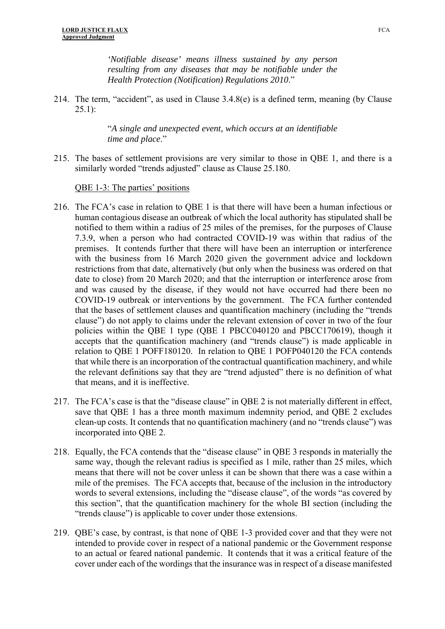*'Notifiable disease' means illness sustained by any person resulting from any diseases that may be notifiable under the Health Protection (Notification) Regulations 2010*."

214. The term, "accident", as used in Clause 3.4.8(e) is a defined term, meaning (by Clause  $25.1$ :

> "*A single and unexpected event, which occurs at an identifiable time and place*."

215. The bases of settlement provisions are very similar to those in QBE 1, and there is a similarly worded "trends adjusted" clause as Clause 25.180.

QBE 1-3: The parties' positions

- 216. The FCA's case in relation to QBE 1 is that there will have been a human infectious or human contagious disease an outbreak of which the local authority has stipulated shall be notified to them within a radius of 25 miles of the premises, for the purposes of Clause 7.3.9, when a person who had contracted COVID-19 was within that radius of the premises. It contends further that there will have been an interruption or interference with the business from 16 March 2020 given the government advice and lockdown restrictions from that date, alternatively (but only when the business was ordered on that date to close) from 20 March 2020; and that the interruption or interference arose from and was caused by the disease, if they would not have occurred had there been no COVID-19 outbreak or interventions by the government. The FCA further contended that the bases of settlement clauses and quantification machinery (including the "trends clause") do not apply to claims under the relevant extension of cover in two of the four policies within the QBE 1 type (QBE 1 PBCC040120 and PBCC170619), though it accepts that the quantification machinery (and "trends clause") is made applicable in relation to QBE 1 POFF180120. In relation to QBE 1 POFP040120 the FCA contends that while there is an incorporation of the contractual quantification machinery, and while the relevant definitions say that they are "trend adjusted" there is no definition of what that means, and it is ineffective.
- 217. The FCA's case is that the "disease clause" in QBE 2 is not materially different in effect, save that QBE 1 has a three month maximum indemnity period, and QBE 2 excludes clean-up costs. It contends that no quantification machinery (and no "trends clause") was incorporated into QBE 2.
- 218. Equally, the FCA contends that the "disease clause" in QBE 3 responds in materially the same way, though the relevant radius is specified as 1 mile, rather than 25 miles, which means that there will not be cover unless it can be shown that there was a case within a mile of the premises. The FCA accepts that, because of the inclusion in the introductory words to several extensions, including the "disease clause", of the words "as covered by this section", that the quantification machinery for the whole BI section (including the "trends clause") is applicable to cover under those extensions.
- 219. QBE's case, by contrast, is that none of QBE 1-3 provided cover and that they were not intended to provide cover in respect of a national pandemic or the Government response to an actual or feared national pandemic. It contends that it was a critical feature of the cover under each of the wordings that the insurance was in respect of a disease manifested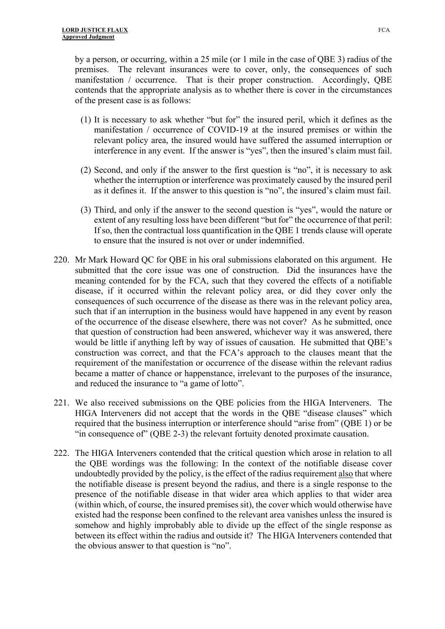by a person, or occurring, within a 25 mile (or 1 mile in the case of QBE 3) radius of the premises. The relevant insurances were to cover, only, the consequences of such manifestation / occurrence. That is their proper construction. Accordingly, QBE contends that the appropriate analysis as to whether there is cover in the circumstances of the present case is as follows:

- (1) It is necessary to ask whether "but for" the insured peril, which it defines as the manifestation / occurrence of COVID-19 at the insured premises or within the relevant policy area, the insured would have suffered the assumed interruption or interference in any event. If the answer is "yes", then the insured's claim must fail.
- (2) Second, and only if the answer to the first question is "no", it is necessary to ask whether the interruption or interference was proximately caused by the insured peril as it defines it. If the answer to this question is "no", the insured's claim must fail.
- (3) Third, and only if the answer to the second question is "yes", would the nature or extent of any resulting loss have been different "but for" the occurrence of that peril: If so, then the contractual loss quantification in the QBE 1 trends clause will operate to ensure that the insured is not over or under indemnified.
- 220. Mr Mark Howard QC for QBE in his oral submissions elaborated on this argument. He submitted that the core issue was one of construction. Did the insurances have the meaning contended for by the FCA, such that they covered the effects of a notifiable disease, if it occurred within the relevant policy area, or did they cover only the consequences of such occurrence of the disease as there was in the relevant policy area, such that if an interruption in the business would have happened in any event by reason of the occurrence of the disease elsewhere, there was not cover? As he submitted, once that question of construction had been answered, whichever way it was answered, there would be little if anything left by way of issues of causation. He submitted that QBE's construction was correct, and that the FCA's approach to the clauses meant that the requirement of the manifestation or occurrence of the disease within the relevant radius became a matter of chance or happenstance, irrelevant to the purposes of the insurance, and reduced the insurance to "a game of lotto".
- 221. We also received submissions on the QBE policies from the HIGA Interveners. The HIGA Interveners did not accept that the words in the QBE "disease clauses" which required that the business interruption or interference should "arise from" (QBE 1) or be "in consequence of" (QBE 2-3) the relevant fortuity denoted proximate causation.
- 222. The HIGA Interveners contended that the critical question which arose in relation to all the QBE wordings was the following: In the context of the notifiable disease cover undoubtedly provided by the policy, is the effect of the radius requirement also that where the notifiable disease is present beyond the radius, and there is a single response to the presence of the notifiable disease in that wider area which applies to that wider area (within which, of course, the insured premises sit), the cover which would otherwise have existed had the response been confined to the relevant area vanishes unless the insured is somehow and highly improbably able to divide up the effect of the single response as between its effect within the radius and outside it? The HIGA Interveners contended that the obvious answer to that question is "no".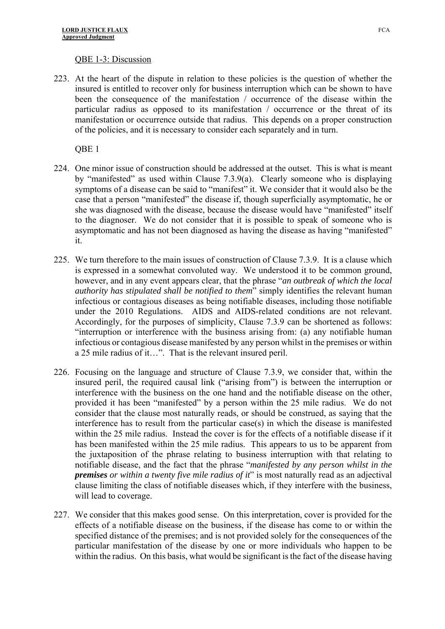## QBE 1-3: Discussion

223. At the heart of the dispute in relation to these policies is the question of whether the insured is entitled to recover only for business interruption which can be shown to have been the consequence of the manifestation / occurrence of the disease within the particular radius as opposed to its manifestation / occurrence or the threat of its manifestation or occurrence outside that radius. This depends on a proper construction of the policies, and it is necessary to consider each separately and in turn.

QBE 1

- 224. One minor issue of construction should be addressed at the outset. This is what is meant by "manifested" as used within Clause 7.3.9(a). Clearly someone who is displaying symptoms of a disease can be said to "manifest" it. We consider that it would also be the case that a person "manifested" the disease if, though superficially asymptomatic, he or she was diagnosed with the disease, because the disease would have "manifested" itself to the diagnoser. We do not consider that it is possible to speak of someone who is asymptomatic and has not been diagnosed as having the disease as having "manifested" it.
- 225. We turn therefore to the main issues of construction of Clause 7.3.9. It is a clause which is expressed in a somewhat convoluted way. We understood it to be common ground, however, and in any event appears clear, that the phrase "*an outbreak of which the local authority has stipulated shall be notified to them*" simply identifies the relevant human infectious or contagious diseases as being notifiable diseases, including those notifiable under the 2010 Regulations. AIDS and AIDS-related conditions are not relevant. Accordingly, for the purposes of simplicity, Clause 7.3.9 can be shortened as follows: "interruption or interference with the business arising from: (a) any notifiable human infectious or contagious disease manifested by any person whilst in the premises or within a 25 mile radius of it…". That is the relevant insured peril.
- 226. Focusing on the language and structure of Clause 7.3.9, we consider that, within the insured peril, the required causal link ("arising from") is between the interruption or interference with the business on the one hand and the notifiable disease on the other, provided it has been "manifested" by a person within the 25 mile radius. We do not consider that the clause most naturally reads, or should be construed, as saying that the interference has to result from the particular case(s) in which the disease is manifested within the 25 mile radius. Instead the cover is for the effects of a notifiable disease if it has been manifested within the 25 mile radius. This appears to us to be apparent from the juxtaposition of the phrase relating to business interruption with that relating to notifiable disease, and the fact that the phrase "*manifested by any person whilst in the premises or within a twenty five mile radius of it*" is most naturally read as an adjectival clause limiting the class of notifiable diseases which, if they interfere with the business, will lead to coverage.
- 227. We consider that this makes good sense. On this interpretation, cover is provided for the effects of a notifiable disease on the business, if the disease has come to or within the specified distance of the premises; and is not provided solely for the consequences of the particular manifestation of the disease by one or more individuals who happen to be within the radius. On this basis, what would be significant is the fact of the disease having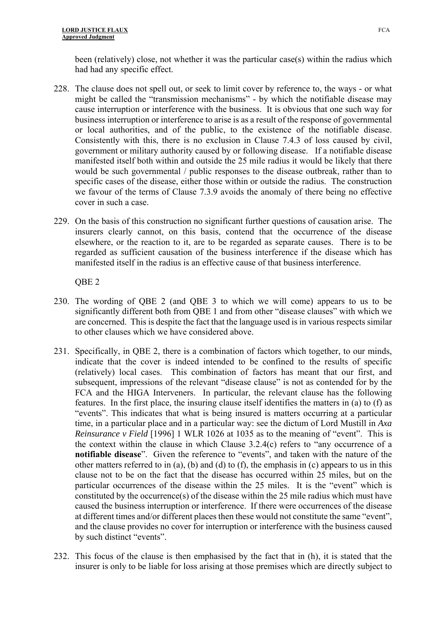been (relatively) close, not whether it was the particular case(s) within the radius which had had any specific effect.

- 228. The clause does not spell out, or seek to limit cover by reference to, the ways or what might be called the "transmission mechanisms" - by which the notifiable disease may cause interruption or interference with the business. It is obvious that one such way for business interruption or interference to arise is as a result of the response of governmental or local authorities, and of the public, to the existence of the notifiable disease. Consistently with this, there is no exclusion in Clause 7.4.3 of loss caused by civil, government or military authority caused by or following disease. If a notifiable disease manifested itself both within and outside the 25 mile radius it would be likely that there would be such governmental / public responses to the disease outbreak, rather than to specific cases of the disease, either those within or outside the radius. The construction we favour of the terms of Clause 7.3.9 avoids the anomaly of there being no effective cover in such a case.
- 229. On the basis of this construction no significant further questions of causation arise. The insurers clearly cannot, on this basis, contend that the occurrence of the disease elsewhere, or the reaction to it, are to be regarded as separate causes. There is to be regarded as sufficient causation of the business interference if the disease which has manifested itself in the radius is an effective cause of that business interference.

QBE 2

- 230. The wording of QBE 2 (and QBE 3 to which we will come) appears to us to be significantly different both from QBE 1 and from other "disease clauses" with which we are concerned. This is despite the fact that the language used is in various respects similar to other clauses which we have considered above.
- 231. Specifically, in QBE 2, there is a combination of factors which together, to our minds, indicate that the cover is indeed intended to be confined to the results of specific (relatively) local cases. This combination of factors has meant that our first, and subsequent, impressions of the relevant "disease clause" is not as contended for by the FCA and the HIGA Interveners. In particular, the relevant clause has the following features. In the first place, the insuring clause itself identifies the matters in (a) to (f) as "events". This indicates that what is being insured is matters occurring at a particular time, in a particular place and in a particular way: see the dictum of Lord Mustill in *Axa Reinsurance v Field* [1996] 1 WLR 1026 at 1035 as to the meaning of "event". This is the context within the clause in which Clause 3.2.4(c) refers to "any occurrence of a **notifiable disease**". Given the reference to "events", and taken with the nature of the other matters referred to in (a), (b) and (d) to (f), the emphasis in (c) appears to us in this clause not to be on the fact that the disease has occurred within 25 miles, but on the particular occurrences of the disease within the 25 miles. It is the "event" which is constituted by the occurrence(s) of the disease within the 25 mile radius which must have caused the business interruption or interference. If there were occurrences of the disease at different times and/or different places then these would not constitute the same "event", and the clause provides no cover for interruption or interference with the business caused by such distinct "events".
- 232. This focus of the clause is then emphasised by the fact that in (h), it is stated that the insurer is only to be liable for loss arising at those premises which are directly subject to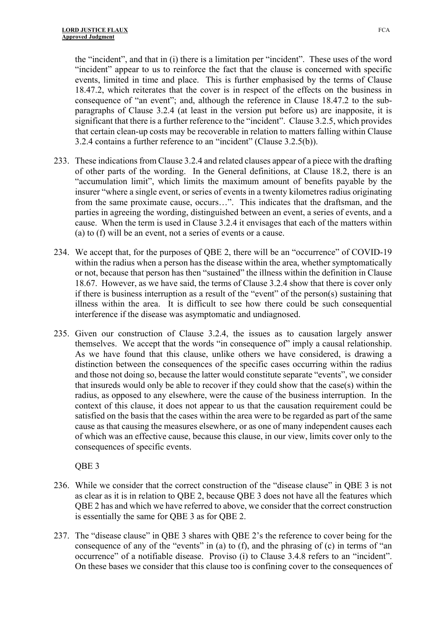the "incident", and that in (i) there is a limitation per "incident". These uses of the word "incident" appear to us to reinforce the fact that the clause is concerned with specific events, limited in time and place. This is further emphasised by the terms of Clause 18.47.2, which reiterates that the cover is in respect of the effects on the business in consequence of "an event"; and, although the reference in Clause 18.47.2 to the subparagraphs of Clause 3.2.4 (at least in the version put before us) are inapposite, it is significant that there is a further reference to the "incident". Clause 3.2.5, which provides that certain clean-up costs may be recoverable in relation to matters falling within Clause 3.2.4 contains a further reference to an "incident" (Clause 3.2.5(b)).

- 233. These indications from Clause 3.2.4 and related clauses appear of a piece with the drafting of other parts of the wording. In the General definitions, at Clause 18.2, there is an "accumulation limit", which limits the maximum amount of benefits payable by the insurer "where a single event, or series of events in a twenty kilometres radius originating from the same proximate cause, occurs…". This indicates that the draftsman, and the parties in agreeing the wording, distinguished between an event, a series of events, and a cause. When the term is used in Clause 3.2.4 it envisages that each of the matters within (a) to (f) will be an event, not a series of events or a cause.
- 234. We accept that, for the purposes of QBE 2, there will be an "occurrence" of COVID-19 within the radius when a person has the disease within the area, whether symptomatically or not, because that person has then "sustained" the illness within the definition in Clause 18.67. However, as we have said, the terms of Clause 3.2.4 show that there is cover only if there is business interruption as a result of the "event" of the person(s) sustaining that illness within the area. It is difficult to see how there could be such consequential interference if the disease was asymptomatic and undiagnosed.
- 235. Given our construction of Clause 3.2.4, the issues as to causation largely answer themselves. We accept that the words "in consequence of" imply a causal relationship. As we have found that this clause, unlike others we have considered, is drawing a distinction between the consequences of the specific cases occurring within the radius and those not doing so, because the latter would constitute separate "events", we consider that insureds would only be able to recover if they could show that the case(s) within the radius, as opposed to any elsewhere, were the cause of the business interruption. In the context of this clause, it does not appear to us that the causation requirement could be satisfied on the basis that the cases within the area were to be regarded as part of the same cause as that causing the measures elsewhere, or as one of many independent causes each of which was an effective cause, because this clause, in our view, limits cover only to the consequences of specific events.

QBE 3

- 236. While we consider that the correct construction of the "disease clause" in QBE 3 is not as clear as it is in relation to QBE 2, because QBE 3 does not have all the features which QBE 2 has and which we have referred to above, we consider that the correct construction is essentially the same for QBE 3 as for QBE 2.
- 237. The "disease clause" in QBE 3 shares with QBE 2's the reference to cover being for the consequence of any of the "events" in (a) to (f), and the phrasing of (c) in terms of "an occurrence" of a notifiable disease. Proviso (i) to Clause 3.4.8 refers to an "incident". On these bases we consider that this clause too is confining cover to the consequences of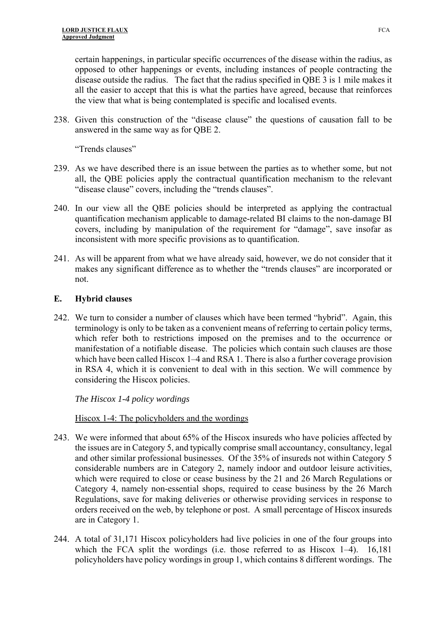certain happenings, in particular specific occurrences of the disease within the radius, as opposed to other happenings or events, including instances of people contracting the disease outside the radius. The fact that the radius specified in QBE 3 is 1 mile makes it all the easier to accept that this is what the parties have agreed, because that reinforces the view that what is being contemplated is specific and localised events.

238. Given this construction of the "disease clause" the questions of causation fall to be answered in the same way as for QBE 2.

"Trends clauses"

- 239. As we have described there is an issue between the parties as to whether some, but not all, the QBE policies apply the contractual quantification mechanism to the relevant "disease clause" covers, including the "trends clauses".
- 240. In our view all the QBE policies should be interpreted as applying the contractual quantification mechanism applicable to damage-related BI claims to the non-damage BI covers, including by manipulation of the requirement for "damage", save insofar as inconsistent with more specific provisions as to quantification.
- 241. As will be apparent from what we have already said, however, we do not consider that it makes any significant difference as to whether the "trends clauses" are incorporated or not.

# **E. Hybrid clauses**

242. We turn to consider a number of clauses which have been termed "hybrid". Again, this terminology is only to be taken as a convenient means of referring to certain policy terms, which refer both to restrictions imposed on the premises and to the occurrence or manifestation of a notifiable disease. The policies which contain such clauses are those which have been called Hiscox 1–4 and RSA 1. There is also a further coverage provision in RSA 4, which it is convenient to deal with in this section. We will commence by considering the Hiscox policies.

*The Hiscox 1-4 policy wordings* 

Hiscox 1-4: The policyholders and the wordings

- 243. We were informed that about 65% of the Hiscox insureds who have policies affected by the issues are in Category 5, and typically comprise small accountancy, consultancy, legal and other similar professional businesses. Of the 35% of insureds not within Category 5 considerable numbers are in Category 2, namely indoor and outdoor leisure activities, which were required to close or cease business by the 21 and 26 March Regulations or Category 4, namely non-essential shops, required to cease business by the 26 March Regulations, save for making deliveries or otherwise providing services in response to orders received on the web, by telephone or post. A small percentage of Hiscox insureds are in Category 1.
- 244. A total of 31,171 Hiscox policyholders had live policies in one of the four groups into which the FCA split the wordings (i.e. those referred to as Hiscox 1–4). 16,181 policyholders have policy wordings in group 1, which contains 8 different wordings. The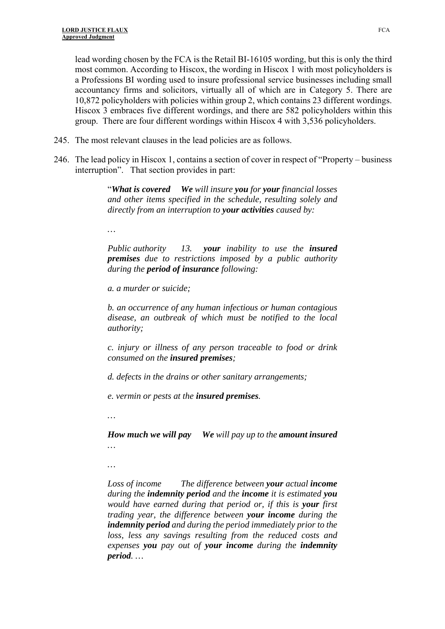lead wording chosen by the FCA is the Retail BI-16105 wording, but this is only the third most common. According to Hiscox, the wording in Hiscox 1 with most policyholders is a Professions BI wording used to insure professional service businesses including small accountancy firms and solicitors, virtually all of which are in Category 5. There are 10,872 policyholders with policies within group 2, which contains 23 different wordings. Hiscox 3 embraces five different wordings, and there are 582 policyholders within this group. There are four different wordings within Hiscox 4 with 3,536 policyholders.

- 245. The most relevant clauses in the lead policies are as follows.
- 246. The lead policy in Hiscox 1, contains a section of cover in respect of "Property business interruption". That section provides in part:

"*What is covered We will insure you for your financial losses and other items specified in the schedule, resulting solely and directly from an interruption to your activities caused by:* 

*…* 

*Public authority 13. your inability to use the insured premises due to restrictions imposed by a public authority during the period of insurance following:* 

*a. a murder or suicide;* 

*b. an occurrence of any human infectious or human contagious disease, an outbreak of which must be notified to the local authority;* 

*c. injury or illness of any person traceable to food or drink consumed on the insured premises;* 

*d. defects in the drains or other sanitary arrangements;* 

*e. vermin or pests at the insured premises.* 

*…* 

*How much we will pay We will pay up to the amount insured …* 

*…* 

*Loss of income The difference between your actual income during the indemnity period and the income it is estimated you would have earned during that period or, if this is your first trading year, the difference between your income during the indemnity period and during the period immediately prior to the loss, less any savings resulting from the reduced costs and expenses you pay out of your income during the indemnity period. …*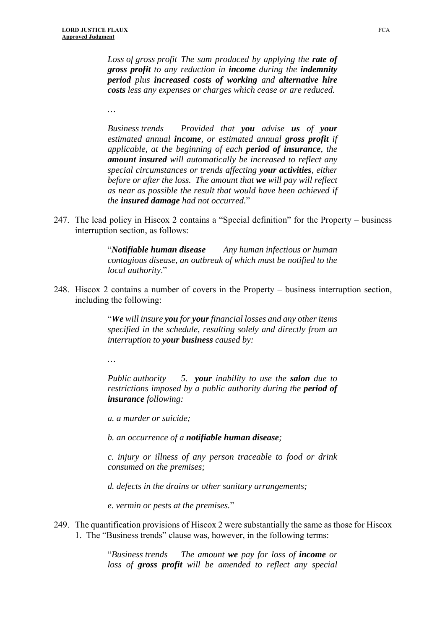Loss of gross profit The sum produced by applying the **rate of** *gross profit to any reduction in income during the indemnity period plus increased costs of working and alternative hire costs less any expenses or charges which cease or are reduced.* 

*…* 

*Business trends Provided that you advise us of your estimated annual income, or estimated annual gross profit if applicable, at the beginning of each period of insurance, the amount insured will automatically be increased to reflect any special circumstances or trends affecting your activities, either before or after the loss. The amount that we will pay will reflect as near as possible the result that would have been achieved if the insured damage had not occurred.*"

247. The lead policy in Hiscox 2 contains a "Special definition" for the Property – business interruption section, as follows:

> "*Notifiable human disease Any human infectious or human contagious disease, an outbreak of which must be notified to the local authority*."

248. Hiscox 2 contains a number of covers in the Property – business interruption section, including the following:

> "*We will insure you for your financial losses and any other items specified in the schedule, resulting solely and directly from an interruption to your business caused by:*

*…* 

*Public authority 5. your inability to use the salon due to restrictions imposed by a public authority during the period of insurance following:* 

*a. a murder or suicide;* 

*b. an occurrence of a notifiable human disease;* 

*c. injury or illness of any person traceable to food or drink consumed on the premises;* 

*d. defects in the drains or other sanitary arrangements;* 

*e. vermin or pests at the premises.*"

249. The quantification provisions of Hiscox 2 were substantially the same as those for Hiscox 1. The "Business trends" clause was, however, in the following terms:

> "*Business trends The amount we pay for loss of income or loss of gross profit will be amended to reflect any special*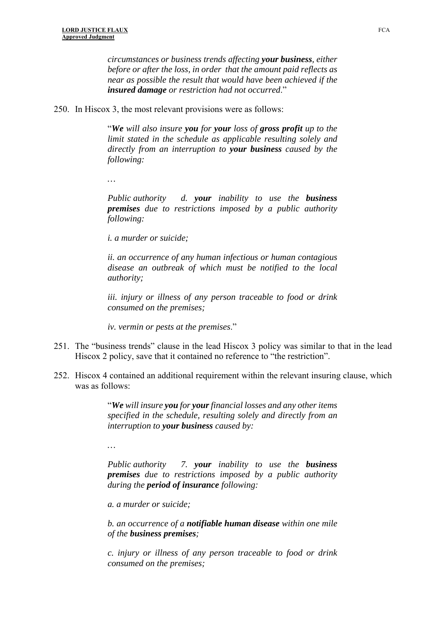*circumstances or business trends affecting your business, either before or after the loss, in order that the amount paid reflects as near as possible the result that would have been achieved if the insured damage or restriction had not occurred*."

250. In Hiscox 3, the most relevant provisions were as follows:

"*We will also insure you for your loss of gross profit up to the limit stated in the schedule as applicable resulting solely and directly from an interruption to your business caused by the following:* 

*…* 

*Public authority d. your inability to use the business premises due to restrictions imposed by a public authority following:* 

*i. a murder or suicide;* 

*ii. an occurrence of any human infectious or human contagious disease an outbreak of which must be notified to the local authority;* 

*iii. injury or illness of any person traceable to food or drink consumed on the premises;* 

*iv. vermin or pests at the premises*."

- 251. The "business trends" clause in the lead Hiscox 3 policy was similar to that in the lead Hiscox 2 policy, save that it contained no reference to "the restriction".
- 252. Hiscox 4 contained an additional requirement within the relevant insuring clause, which was as follows:

"*We will insure you for your financial losses and any other items specified in the schedule, resulting solely and directly from an interruption to your business caused by:* 

*…* 

*Public authority 7. your inability to use the business premises due to restrictions imposed by a public authority during the period of insurance following:* 

*a. a murder or suicide;* 

*b. an occurrence of a notifiable human disease within one mile of the business premises;* 

*c. injury or illness of any person traceable to food or drink consumed on the premises;*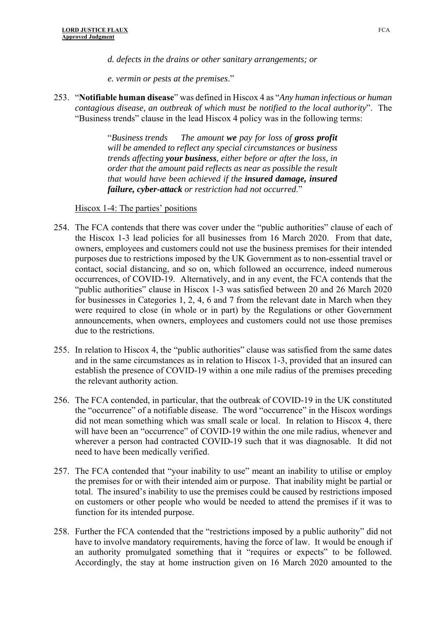*d. defects in the drains or other sanitary arrangements; or* 

- *e. vermin or pests at the premises*."
- 253. "**Notifiable human disease**" was defined in Hiscox 4 as "*Any human infectious or human contagious disease, an outbreak of which must be notified to the local authority*". The "Business trends" clause in the lead Hiscox 4 policy was in the following terms:

"*Business trends The amount we pay for loss of gross profit will be amended to reflect any special circumstances or business trends affecting your business, either before or after the loss, in order that the amount paid reflects as near as possible the result that would have been achieved if the insured damage, insured failure, cyber-attack or restriction had not occurred*."

Hiscox 1-4: The parties' positions

- 254. The FCA contends that there was cover under the "public authorities" clause of each of the Hiscox 1-3 lead policies for all businesses from 16 March 2020. From that date, owners, employees and customers could not use the business premises for their intended purposes due to restrictions imposed by the UK Government as to non-essential travel or contact, social distancing, and so on, which followed an occurrence, indeed numerous occurrences, of COVID-19. Alternatively, and in any event, the FCA contends that the "public authorities" clause in Hiscox 1-3 was satisfied between 20 and 26 March 2020 for businesses in Categories 1, 2, 4, 6 and 7 from the relevant date in March when they were required to close (in whole or in part) by the Regulations or other Government announcements, when owners, employees and customers could not use those premises due to the restrictions.
- 255. In relation to Hiscox 4, the "public authorities" clause was satisfied from the same dates and in the same circumstances as in relation to Hiscox 1-3, provided that an insured can establish the presence of COVID-19 within a one mile radius of the premises preceding the relevant authority action.
- 256. The FCA contended, in particular, that the outbreak of COVID-19 in the UK constituted the "occurrence" of a notifiable disease. The word "occurrence" in the Hiscox wordings did not mean something which was small scale or local. In relation to Hiscox 4, there will have been an "occurrence" of COVID-19 within the one mile radius, whenever and wherever a person had contracted COVID-19 such that it was diagnosable. It did not need to have been medically verified.
- 257. The FCA contended that "your inability to use" meant an inability to utilise or employ the premises for or with their intended aim or purpose. That inability might be partial or total. The insured's inability to use the premises could be caused by restrictions imposed on customers or other people who would be needed to attend the premises if it was to function for its intended purpose.
- 258. Further the FCA contended that the "restrictions imposed by a public authority" did not have to involve mandatory requirements, having the force of law. It would be enough if an authority promulgated something that it "requires or expects" to be followed. Accordingly, the stay at home instruction given on 16 March 2020 amounted to the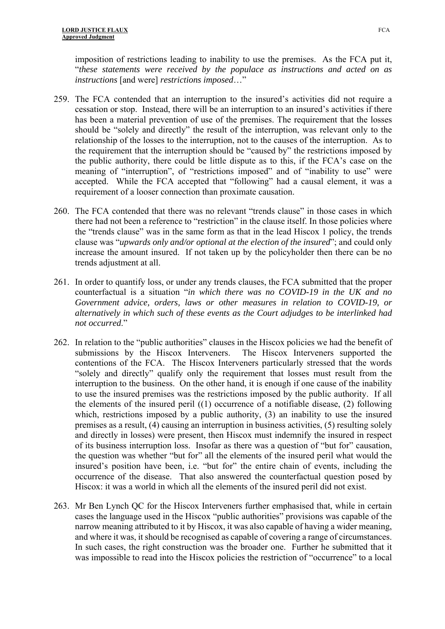imposition of restrictions leading to inability to use the premises. As the FCA put it, "*these statements were received by the populace as instructions and acted on as instructions* [and were] *restrictions imposed*…"

- 259. The FCA contended that an interruption to the insured's activities did not require a cessation or stop. Instead, there will be an interruption to an insured's activities if there has been a material prevention of use of the premises. The requirement that the losses should be "solely and directly" the result of the interruption, was relevant only to the relationship of the losses to the interruption, not to the causes of the interruption. As to the requirement that the interruption should be "caused by" the restrictions imposed by the public authority, there could be little dispute as to this, if the FCA's case on the meaning of "interruption", of "restrictions imposed" and of "inability to use" were accepted. While the FCA accepted that "following" had a causal element, it was a requirement of a looser connection than proximate causation.
- 260. The FCA contended that there was no relevant "trends clause" in those cases in which there had not been a reference to "restriction" in the clause itself. In those policies where the "trends clause" was in the same form as that in the lead Hiscox 1 policy, the trends clause was "*upwards only and/or optional at the election of the insured*"; and could only increase the amount insured. If not taken up by the policyholder then there can be no trends adjustment at all.
- 261. In order to quantify loss, or under any trends clauses, the FCA submitted that the proper counterfactual is a situation "*in which there was no COVID-19 in the UK and no Government advice, orders, laws or other measures in relation to COVID-19, or alternatively in which such of these events as the Court adjudges to be interlinked had not occurred*."
- 262. In relation to the "public authorities" clauses in the Hiscox policies we had the benefit of submissions by the Hiscox Interveners. The Hiscox Interveners supported the contentions of the FCA. The Hiscox Interveners particularly stressed that the words "solely and directly" qualify only the requirement that losses must result from the interruption to the business. On the other hand, it is enough if one cause of the inability to use the insured premises was the restrictions imposed by the public authority. If all the elements of the insured peril ((1) occurrence of a notifiable disease, (2) following which, restrictions imposed by a public authority, (3) an inability to use the insured premises as a result, (4) causing an interruption in business activities, (5) resulting solely and directly in losses) were present, then Hiscox must indemnify the insured in respect of its business interruption loss. Insofar as there was a question of "but for" causation, the question was whether "but for" all the elements of the insured peril what would the insured's position have been, i.e. "but for" the entire chain of events, including the occurrence of the disease. That also answered the counterfactual question posed by Hiscox: it was a world in which all the elements of the insured peril did not exist.
- 263. Mr Ben Lynch QC for the Hiscox Interveners further emphasised that, while in certain cases the language used in the Hiscox "public authorities" provisions was capable of the narrow meaning attributed to it by Hiscox, it was also capable of having a wider meaning, and where it was, it should be recognised as capable of covering a range of circumstances. In such cases, the right construction was the broader one. Further he submitted that it was impossible to read into the Hiscox policies the restriction of "occurrence" to a local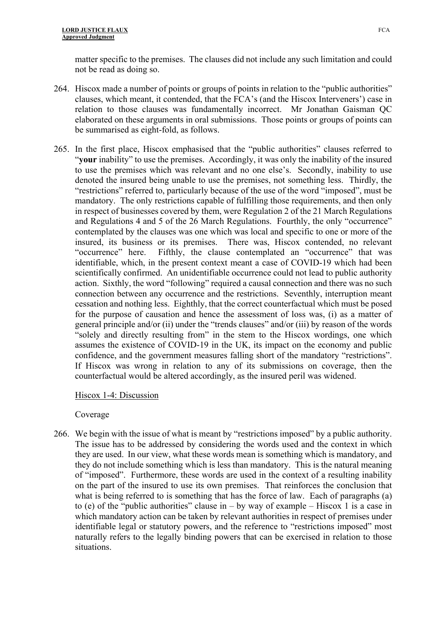matter specific to the premises. The clauses did not include any such limitation and could not be read as doing so.

- 264. Hiscox made a number of points or groups of points in relation to the "public authorities" clauses, which meant, it contended, that the FCA's (and the Hiscox Interveners') case in relation to those clauses was fundamentally incorrect. Mr Jonathan Gaisman QC elaborated on these arguments in oral submissions. Those points or groups of points can be summarised as eight-fold, as follows.
- 265. In the first place, Hiscox emphasised that the "public authorities" clauses referred to "**your** inability" to use the premises. Accordingly, it was only the inability of the insured to use the premises which was relevant and no one else's. Secondly, inability to use denoted the insured being unable to use the premises, not something less. Thirdly, the "restrictions" referred to, particularly because of the use of the word "imposed", must be mandatory. The only restrictions capable of fulfilling those requirements, and then only in respect of businesses covered by them, were Regulation 2 of the 21 March Regulations and Regulations 4 and 5 of the 26 March Regulations. Fourthly, the only "occurrence" contemplated by the clauses was one which was local and specific to one or more of the insured, its business or its premises. There was, Hiscox contended, no relevant "occurrence" here. Fifthly, the clause contemplated an "occurrence" that was identifiable, which, in the present context meant a case of COVID-19 which had been scientifically confirmed. An unidentifiable occurrence could not lead to public authority action. Sixthly, the word "following" required a causal connection and there was no such connection between any occurrence and the restrictions. Seventhly, interruption meant cessation and nothing less. Eighthly, that the correct counterfactual which must be posed for the purpose of causation and hence the assessment of loss was, (i) as a matter of general principle and/or (ii) under the "trends clauses" and/or (iii) by reason of the words "solely and directly resulting from" in the stem to the Hiscox wordings, one which assumes the existence of COVID-19 in the UK, its impact on the economy and public confidence, and the government measures falling short of the mandatory "restrictions". If Hiscox was wrong in relation to any of its submissions on coverage, then the counterfactual would be altered accordingly, as the insured peril was widened.

# Hiscox 1-4: Discussion

# Coverage

266. We begin with the issue of what is meant by "restrictions imposed" by a public authority. The issue has to be addressed by considering the words used and the context in which they are used. In our view, what these words mean is something which is mandatory, and they do not include something which is less than mandatory. This is the natural meaning of "imposed". Furthermore, these words are used in the context of a resulting inability on the part of the insured to use its own premises. That reinforces the conclusion that what is being referred to is something that has the force of law. Each of paragraphs (a) to (e) of the "public authorities" clause in – by way of example – Hiscox 1 is a case in which mandatory action can be taken by relevant authorities in respect of premises under identifiable legal or statutory powers, and the reference to "restrictions imposed" most naturally refers to the legally binding powers that can be exercised in relation to those situations.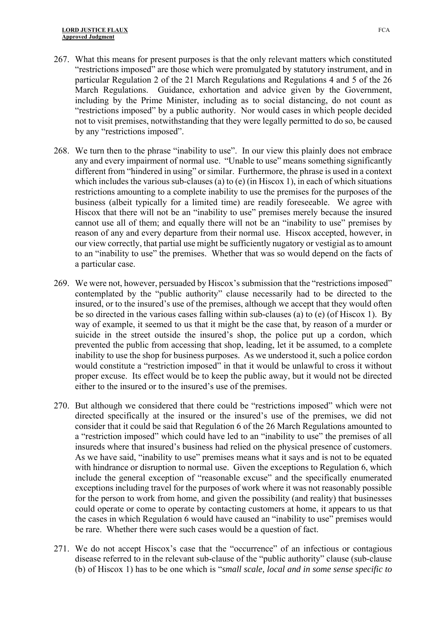- 267. What this means for present purposes is that the only relevant matters which constituted "restrictions imposed" are those which were promulgated by statutory instrument, and in particular Regulation 2 of the 21 March Regulations and Regulations 4 and 5 of the 26 March Regulations. Guidance, exhortation and advice given by the Government, including by the Prime Minister, including as to social distancing, do not count as "restrictions imposed" by a public authority. Nor would cases in which people decided not to visit premises, notwithstanding that they were legally permitted to do so, be caused by any "restrictions imposed".
- 268. We turn then to the phrase "inability to use". In our view this plainly does not embrace any and every impairment of normal use. "Unable to use" means something significantly different from "hindered in using" or similar. Furthermore, the phrase is used in a context which includes the various sub-clauses (a) to (e) (in Hiscox 1), in each of which situations restrictions amounting to a complete inability to use the premises for the purposes of the business (albeit typically for a limited time) are readily foreseeable. We agree with Hiscox that there will not be an "inability to use" premises merely because the insured cannot use all of them; and equally there will not be an "inability to use" premises by reason of any and every departure from their normal use. Hiscox accepted, however, in our view correctly, that partial use might be sufficiently nugatory or vestigial as to amount to an "inability to use" the premises. Whether that was so would depend on the facts of a particular case.
- 269. We were not, however, persuaded by Hiscox's submission that the "restrictions imposed" contemplated by the "public authority" clause necessarily had to be directed to the insured, or to the insured's use of the premises, although we accept that they would often be so directed in the various cases falling within sub-clauses (a) to (e) (of Hiscox 1). By way of example, it seemed to us that it might be the case that, by reason of a murder or suicide in the street outside the insured's shop, the police put up a cordon, which prevented the public from accessing that shop, leading, let it be assumed, to a complete inability to use the shop for business purposes. As we understood it, such a police cordon would constitute a "restriction imposed" in that it would be unlawful to cross it without proper excuse. Its effect would be to keep the public away, but it would not be directed either to the insured or to the insured's use of the premises.
- 270. But although we considered that there could be "restrictions imposed" which were not directed specifically at the insured or the insured's use of the premises, we did not consider that it could be said that Regulation 6 of the 26 March Regulations amounted to a "restriction imposed" which could have led to an "inability to use" the premises of all insureds where that insured's business had relied on the physical presence of customers. As we have said, "inability to use" premises means what it says and is not to be equated with hindrance or disruption to normal use. Given the exceptions to Regulation 6, which include the general exception of "reasonable excuse" and the specifically enumerated exceptions including travel for the purposes of work where it was not reasonably possible for the person to work from home, and given the possibility (and reality) that businesses could operate or come to operate by contacting customers at home, it appears to us that the cases in which Regulation 6 would have caused an "inability to use" premises would be rare. Whether there were such cases would be a question of fact.
- 271. We do not accept Hiscox's case that the "occurrence" of an infectious or contagious disease referred to in the relevant sub-clause of the "public authority" clause (sub-clause (b) of Hiscox 1) has to be one which is "*small scale, local and in some sense specific to*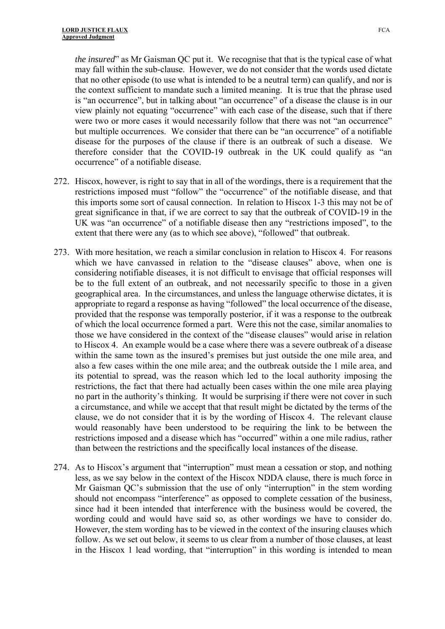*the insured*" as Mr Gaisman QC put it. We recognise that that is the typical case of what may fall within the sub-clause. However, we do not consider that the words used dictate that no other episode (to use what is intended to be a neutral term) can qualify, and nor is the context sufficient to mandate such a limited meaning. It is true that the phrase used is "an occurrence", but in talking about "an occurrence" of a disease the clause is in our view plainly not equating "occurrence" with each case of the disease, such that if there were two or more cases it would necessarily follow that there was not "an occurrence" but multiple occurrences. We consider that there can be "an occurrence" of a notifiable disease for the purposes of the clause if there is an outbreak of such a disease. We therefore consider that the COVID-19 outbreak in the UK could qualify as "an occurrence" of a notifiable disease.

- 272. Hiscox, however, is right to say that in all of the wordings, there is a requirement that the restrictions imposed must "follow" the "occurrence" of the notifiable disease, and that this imports some sort of causal connection. In relation to Hiscox 1-3 this may not be of great significance in that, if we are correct to say that the outbreak of COVID-19 in the UK was "an occurrence" of a notifiable disease then any "restrictions imposed", to the extent that there were any (as to which see above), "followed" that outbreak.
- 273. With more hesitation, we reach a similar conclusion in relation to Hiscox 4. For reasons which we have canvassed in relation to the "disease clauses" above, when one is considering notifiable diseases, it is not difficult to envisage that official responses will be to the full extent of an outbreak, and not necessarily specific to those in a given geographical area. In the circumstances, and unless the language otherwise dictates, it is appropriate to regard a response as having "followed" the local occurrence of the disease, provided that the response was temporally posterior, if it was a response to the outbreak of which the local occurrence formed a part. Were this not the case, similar anomalies to those we have considered in the context of the "disease clauses" would arise in relation to Hiscox 4. An example would be a case where there was a severe outbreak of a disease within the same town as the insured's premises but just outside the one mile area, and also a few cases within the one mile area; and the outbreak outside the 1 mile area, and its potential to spread, was the reason which led to the local authority imposing the restrictions, the fact that there had actually been cases within the one mile area playing no part in the authority's thinking. It would be surprising if there were not cover in such a circumstance, and while we accept that that result might be dictated by the terms of the clause, we do not consider that it is by the wording of Hiscox 4. The relevant clause would reasonably have been understood to be requiring the link to be between the restrictions imposed and a disease which has "occurred" within a one mile radius, rather than between the restrictions and the specifically local instances of the disease.
- 274. As to Hiscox's argument that "interruption" must mean a cessation or stop, and nothing less, as we say below in the context of the Hiscox NDDA clause, there is much force in Mr Gaisman QC's submission that the use of only "interruption" in the stem wording should not encompass "interference" as opposed to complete cessation of the business, since had it been intended that interference with the business would be covered, the wording could and would have said so, as other wordings we have to consider do. However, the stem wording has to be viewed in the context of the insuring clauses which follow. As we set out below, it seems to us clear from a number of those clauses, at least in the Hiscox 1 lead wording, that "interruption" in this wording is intended to mean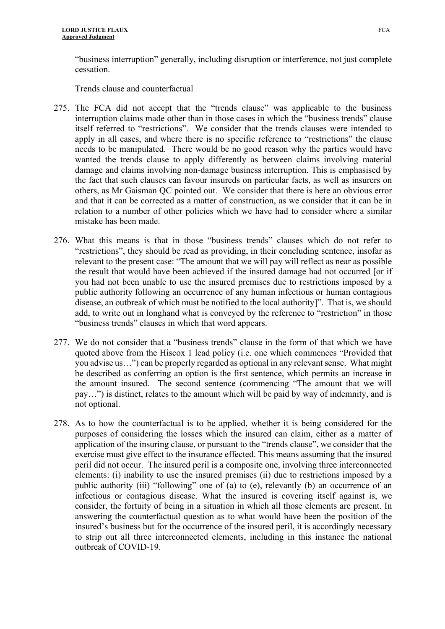"business interruption" generally, including disruption or interference, not just complete cessation.

Trends clause and counterfactual

- 275. The FCA did not accept that the "trends clause" was applicable to the business interruption claims made other than in those cases in which the "business trends" clause itself referred to "restrictions". We consider that the trends clauses were intended to apply in all cases, and where there is no specific reference to "restrictions" the clause needs to be manipulated. There would be no good reason why the parties would have wanted the trends clause to apply differently as between claims involving material damage and claims involving non-damage business interruption. This is emphasised by the fact that such clauses can favour insureds on particular facts, as well as insurers on others, as Mr Gaisman QC pointed out. We consider that there is here an obvious error and that it can be corrected as a matter of construction, as we consider that it can be in relation to a number of other policies which we have had to consider where a similar mistake has been made.
- 276. What this means is that in those "business trends" clauses which do not refer to "restrictions", they should be read as providing, in their concluding sentence, insofar as relevant to the present case: "The amount that we will pay will reflect as near as possible the result that would have been achieved if the insured damage had not occurred [or if you had not been unable to use the insured premises due to restrictions imposed by a public authority following an occurrence of any human infectious or human contagious disease, an outbreak of which must be notified to the local authority]". That is, we should add, to write out in longhand what is conveyed by the reference to "restriction" in those "business trends" clauses in which that word appears.
- 277. We do not consider that a "business trends" clause in the form of that which we have quoted above from the Hiscox 1 lead policy (i.e. one which commences "Provided that you advise us…") can be properly regarded as optional in any relevant sense. What might be described as conferring an option is the first sentence, which permits an increase in the amount insured. The second sentence (commencing "The amount that we will pay…") is distinct, relates to the amount which will be paid by way of indemnity, and is not optional.
- 278. As to how the counterfactual is to be applied, whether it is being considered for the purposes of considering the losses which the insured can claim, either as a matter of application of the insuring clause, or pursuant to the "trends clause", we consider that the exercise must give effect to the insurance effected. This means assuming that the insured peril did not occur. The insured peril is a composite one, involving three interconnected elements: (i) inability to use the insured premises (ii) due to restrictions imposed by a public authority (iii) "following" one of (a) to (e), relevantly (b) an occurrence of an infectious or contagious disease. What the insured is covering itself against is, we consider, the fortuity of being in a situation in which all those elements are present. In answering the counterfactual question as to what would have been the position of the insured's business but for the occurrence of the insured peril, it is accordingly necessary to strip out all three interconnected elements, including in this instance the national outbreak of COVID-19.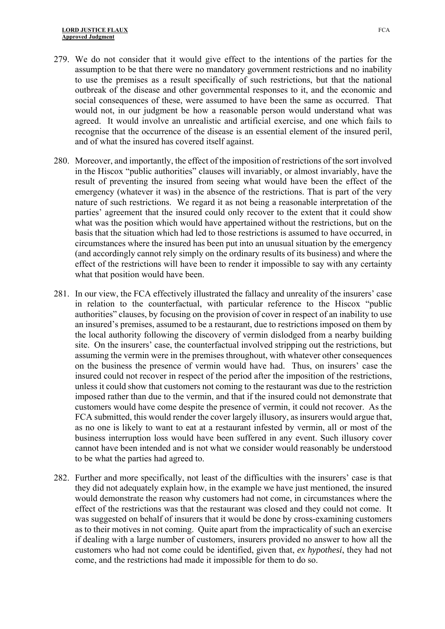- 279. We do not consider that it would give effect to the intentions of the parties for the assumption to be that there were no mandatory government restrictions and no inability to use the premises as a result specifically of such restrictions, but that the national outbreak of the disease and other governmental responses to it, and the economic and social consequences of these, were assumed to have been the same as occurred. That would not, in our judgment be how a reasonable person would understand what was agreed. It would involve an unrealistic and artificial exercise, and one which fails to recognise that the occurrence of the disease is an essential element of the insured peril, and of what the insured has covered itself against.
- 280. Moreover, and importantly, the effect of the imposition of restrictions of the sort involved in the Hiscox "public authorities" clauses will invariably, or almost invariably, have the result of preventing the insured from seeing what would have been the effect of the emergency (whatever it was) in the absence of the restrictions. That is part of the very nature of such restrictions. We regard it as not being a reasonable interpretation of the parties' agreement that the insured could only recover to the extent that it could show what was the position which would have appertained without the restrictions, but on the basis that the situation which had led to those restrictions is assumed to have occurred, in circumstances where the insured has been put into an unusual situation by the emergency (and accordingly cannot rely simply on the ordinary results of its business) and where the effect of the restrictions will have been to render it impossible to say with any certainty what that position would have been.
- 281. In our view, the FCA effectively illustrated the fallacy and unreality of the insurers' case in relation to the counterfactual, with particular reference to the Hiscox "public authorities" clauses, by focusing on the provision of cover in respect of an inability to use an insured's premises, assumed to be a restaurant, due to restrictions imposed on them by the local authority following the discovery of vermin dislodged from a nearby building site. On the insurers' case, the counterfactual involved stripping out the restrictions, but assuming the vermin were in the premises throughout, with whatever other consequences on the business the presence of vermin would have had. Thus, on insurers' case the insured could not recover in respect of the period after the imposition of the restrictions, unless it could show that customers not coming to the restaurant was due to the restriction imposed rather than due to the vermin, and that if the insured could not demonstrate that customers would have come despite the presence of vermin, it could not recover. As the FCA submitted, this would render the cover largely illusory, as insurers would argue that, as no one is likely to want to eat at a restaurant infested by vermin, all or most of the business interruption loss would have been suffered in any event. Such illusory cover cannot have been intended and is not what we consider would reasonably be understood to be what the parties had agreed to.
- 282. Further and more specifically, not least of the difficulties with the insurers' case is that they did not adequately explain how, in the example we have just mentioned, the insured would demonstrate the reason why customers had not come, in circumstances where the effect of the restrictions was that the restaurant was closed and they could not come. It was suggested on behalf of insurers that it would be done by cross-examining customers as to their motives in not coming. Quite apart from the impracticality of such an exercise if dealing with a large number of customers, insurers provided no answer to how all the customers who had not come could be identified, given that, *ex hypothesi*, they had not come, and the restrictions had made it impossible for them to do so.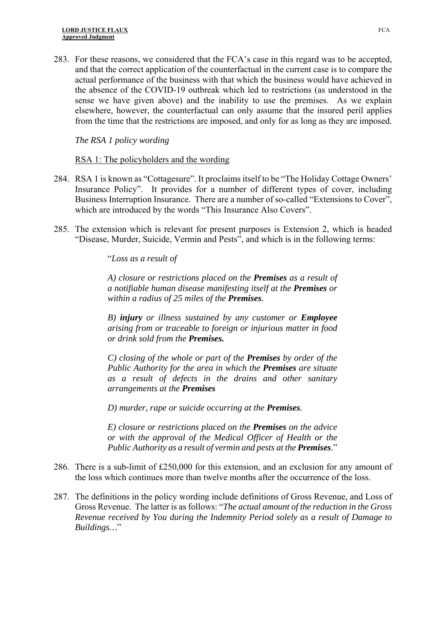283. For these reasons, we considered that the FCA's case in this regard was to be accepted, and that the correct application of the counterfactual in the current case is to compare the actual performance of the business with that which the business would have achieved in the absence of the COVID-19 outbreak which led to restrictions (as understood in the sense we have given above) and the inability to use the premises. As we explain elsewhere, however, the counterfactual can only assume that the insured peril applies from the time that the restrictions are imposed, and only for as long as they are imposed.

# *The RSA 1 policy wording*

# RSA 1: The policyholders and the wording

- 284. RSA 1 is known as "Cottagesure". It proclaims itself to be "The Holiday Cottage Owners' Insurance Policy". It provides for a number of different types of cover, including Business Interruption Insurance. There are a number of so-called "Extensions to Cover", which are introduced by the words "This Insurance Also Covers".
- 285. The extension which is relevant for present purposes is Extension 2, which is headed "Disease, Murder, Suicide, Vermin and Pests", and which is in the following terms:

"*Loss as a result of* 

*A) closure or restrictions placed on the Premises as a result of a notifiable human disease manifesting itself at the Premises or within a radius of 25 miles of the Premises.* 

*B) injury or illness sustained by any customer or Employee arising from or traceable to foreign or injurious matter in food or drink sold from the Premises.*

*C) closing of the whole or part of the Premises by order of the Public Authority for the area in which the Premises are situate as a result of defects in the drains and other sanitary arrangements at the Premises*

*D) murder, rape or suicide occurring at the Premises.* 

*E) closure or restrictions placed on the Premises on the advice or with the approval of the Medical Officer of Health or the Public Authority as a result of vermin and pests at the Premises."* 

- 286. There is a sub-limit of £250,000 for this extension, and an exclusion for any amount of the loss which continues more than twelve months after the occurrence of the loss.
- 287. The definitions in the policy wording include definitions of Gross Revenue, and Loss of Gross Revenue. The latter is as follows: "*The actual amount of the reduction in the Gross Revenue received by You during the Indemnity Period solely as a result of Damage to Buildings…*"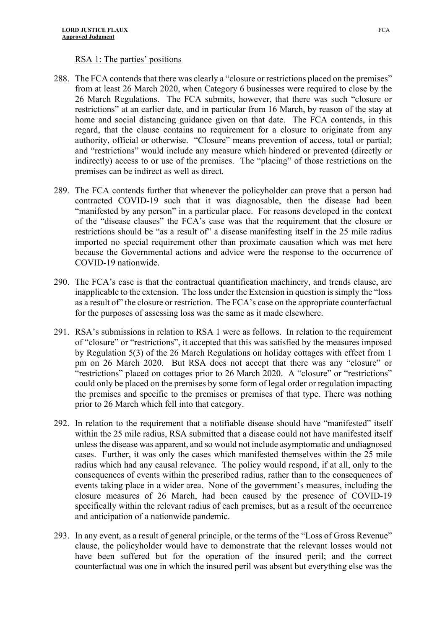## RSA 1: The parties' positions

- 288. The FCA contends that there was clearly a "closure or restrictions placed on the premises" from at least 26 March 2020, when Category 6 businesses were required to close by the 26 March Regulations. The FCA submits, however, that there was such "closure or restrictions" at an earlier date, and in particular from 16 March, by reason of the stay at home and social distancing guidance given on that date. The FCA contends, in this regard, that the clause contains no requirement for a closure to originate from any authority, official or otherwise. "Closure" means prevention of access, total or partial; and "restrictions" would include any measure which hindered or prevented (directly or indirectly) access to or use of the premises. The "placing" of those restrictions on the premises can be indirect as well as direct.
- 289. The FCA contends further that whenever the policyholder can prove that a person had contracted COVID-19 such that it was diagnosable, then the disease had been "manifested by any person" in a particular place. For reasons developed in the context of the "disease clauses" the FCA's case was that the requirement that the closure or restrictions should be "as a result of" a disease manifesting itself in the 25 mile radius imported no special requirement other than proximate causation which was met here because the Governmental actions and advice were the response to the occurrence of COVID-19 nationwide.
- 290. The FCA's case is that the contractual quantification machinery, and trends clause, are inapplicable to the extension. The loss under the Extension in question is simply the "loss as a result of the closure or restriction. The FCA's case on the appropriate counterfactual for the purposes of assessing loss was the same as it made elsewhere.
- 291. RSA's submissions in relation to RSA 1 were as follows. In relation to the requirement of "closure" or "restrictions", it accepted that this was satisfied by the measures imposed by Regulation 5(3) of the 26 March Regulations on holiday cottages with effect from 1 pm on 26 March 2020. But RSA does not accept that there was any "closure" or "restrictions" placed on cottages prior to 26 March 2020. A "closure" or "restrictions" could only be placed on the premises by some form of legal order or regulation impacting the premises and specific to the premises or premises of that type. There was nothing prior to 26 March which fell into that category.
- 292. In relation to the requirement that a notifiable disease should have "manifested" itself within the 25 mile radius, RSA submitted that a disease could not have manifested itself unless the disease was apparent, and so would not include asymptomatic and undiagnosed cases. Further, it was only the cases which manifested themselves within the 25 mile radius which had any causal relevance. The policy would respond, if at all, only to the consequences of events within the prescribed radius, rather than to the consequences of events taking place in a wider area. None of the government's measures, including the closure measures of 26 March, had been caused by the presence of COVID-19 specifically within the relevant radius of each premises, but as a result of the occurrence and anticipation of a nationwide pandemic.
- 293. In any event, as a result of general principle, or the terms of the "Loss of Gross Revenue" clause, the policyholder would have to demonstrate that the relevant losses would not have been suffered but for the operation of the insured peril; and the correct counterfactual was one in which the insured peril was absent but everything else was the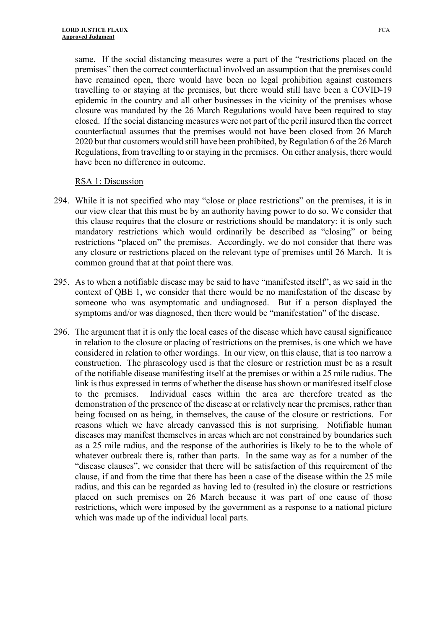same. If the social distancing measures were a part of the "restrictions placed on the premises" then the correct counterfactual involved an assumption that the premises could have remained open, there would have been no legal prohibition against customers travelling to or staying at the premises, but there would still have been a COVID-19 epidemic in the country and all other businesses in the vicinity of the premises whose closure was mandated by the 26 March Regulations would have been required to stay closed. If the social distancing measures were not part of the peril insured then the correct counterfactual assumes that the premises would not have been closed from 26 March 2020 but that customers would still have been prohibited, by Regulation 6 of the 26 March Regulations, from travelling to or staying in the premises. On either analysis, there would have been no difference in outcome.

# RSA 1: Discussion

- 294. While it is not specified who may "close or place restrictions" on the premises, it is in our view clear that this must be by an authority having power to do so. We consider that this clause requires that the closure or restrictions should be mandatory: it is only such mandatory restrictions which would ordinarily be described as "closing" or being restrictions "placed on" the premises. Accordingly, we do not consider that there was any closure or restrictions placed on the relevant type of premises until 26 March. It is common ground that at that point there was.
- 295. As to when a notifiable disease may be said to have "manifested itself", as we said in the context of QBE 1, we consider that there would be no manifestation of the disease by someone who was asymptomatic and undiagnosed. But if a person displayed the symptoms and/or was diagnosed, then there would be "manifestation" of the disease.
- 296. The argument that it is only the local cases of the disease which have causal significance in relation to the closure or placing of restrictions on the premises, is one which we have considered in relation to other wordings. In our view, on this clause, that is too narrow a construction. The phraseology used is that the closure or restriction must be as a result of the notifiable disease manifesting itself at the premises or within a 25 mile radius. The link is thus expressed in terms of whether the disease has shown or manifested itself close to the premises. Individual cases within the area are therefore treated as the demonstration of the presence of the disease at or relatively near the premises, rather than being focused on as being, in themselves, the cause of the closure or restrictions. For reasons which we have already canvassed this is not surprising. Notifiable human diseases may manifest themselves in areas which are not constrained by boundaries such as a 25 mile radius, and the response of the authorities is likely to be to the whole of whatever outbreak there is, rather than parts. In the same way as for a number of the "disease clauses", we consider that there will be satisfaction of this requirement of the clause, if and from the time that there has been a case of the disease within the 25 mile radius, and this can be regarded as having led to (resulted in) the closure or restrictions placed on such premises on 26 March because it was part of one cause of those restrictions, which were imposed by the government as a response to a national picture which was made up of the individual local parts.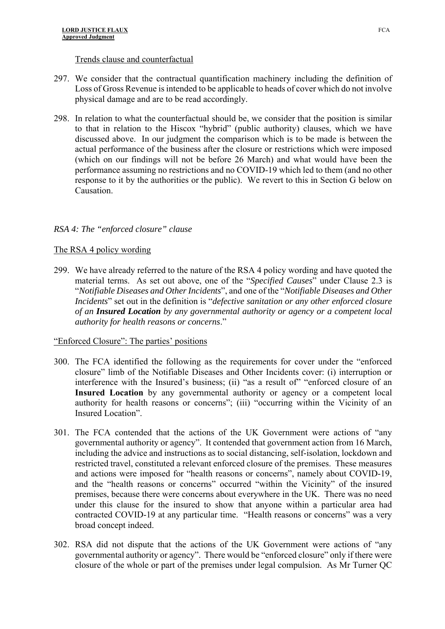## Trends clause and counterfactual

- 297. We consider that the contractual quantification machinery including the definition of Loss of Gross Revenue is intended to be applicable to heads of cover which do not involve physical damage and are to be read accordingly.
- 298. In relation to what the counterfactual should be, we consider that the position is similar to that in relation to the Hiscox "hybrid" (public authority) clauses, which we have discussed above. In our judgment the comparison which is to be made is between the actual performance of the business after the closure or restrictions which were imposed (which on our findings will not be before 26 March) and what would have been the performance assuming no restrictions and no COVID-19 which led to them (and no other response to it by the authorities or the public). We revert to this in Section G below on Causation.

# *RSA 4: The "enforced closure" clause*

# The RSA 4 policy wording

299. We have already referred to the nature of the RSA 4 policy wording and have quoted the material terms. As set out above, one of the "*Specified Causes*" under Clause 2.3 is "*Notifiable Diseases and Other Incidents*", and one of the "*Notifiable Diseases and Other Incidents*" set out in the definition is "*defective sanitation or any other enforced closure of an Insured Location by any governmental authority or agency or a competent local authority for health reasons or concerns*."

# "Enforced Closure": The parties' positions

- 300. The FCA identified the following as the requirements for cover under the "enforced closure" limb of the Notifiable Diseases and Other Incidents cover: (i) interruption or interference with the Insured's business; (ii) "as a result of" "enforced closure of an **Insured Location** by any governmental authority or agency or a competent local authority for health reasons or concerns"; (iii) "occurring within the Vicinity of an Insured Location".
- 301. The FCA contended that the actions of the UK Government were actions of "any governmental authority or agency". It contended that government action from 16 March, including the advice and instructions as to social distancing, self-isolation, lockdown and restricted travel, constituted a relevant enforced closure of the premises. These measures and actions were imposed for "health reasons or concerns", namely about COVID-19, and the "health reasons or concerns" occurred "within the Vicinity" of the insured premises, because there were concerns about everywhere in the UK. There was no need under this clause for the insured to show that anyone within a particular area had contracted COVID-19 at any particular time. "Health reasons or concerns" was a very broad concept indeed.
- 302. RSA did not dispute that the actions of the UK Government were actions of "any governmental authority or agency". There would be "enforced closure" only if there were closure of the whole or part of the premises under legal compulsion. As Mr Turner QC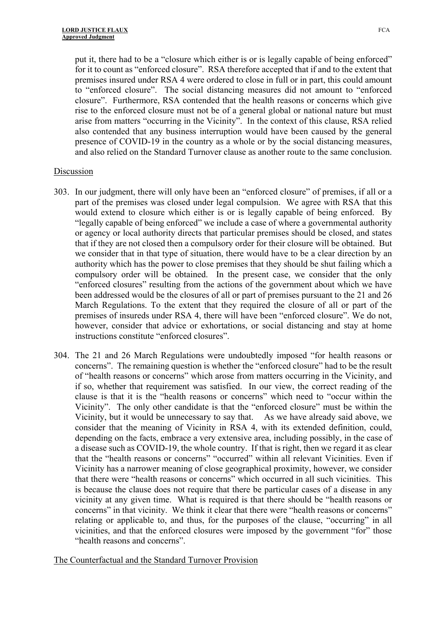put it, there had to be a "closure which either is or is legally capable of being enforced" for it to count as "enforced closure". RSA therefore accepted that if and to the extent that premises insured under RSA 4 were ordered to close in full or in part, this could amount to "enforced closure". The social distancing measures did not amount to "enforced closure". Furthermore, RSA contended that the health reasons or concerns which give rise to the enforced closure must not be of a general global or national nature but must arise from matters "occurring in the Vicinity". In the context of this clause, RSA relied also contended that any business interruption would have been caused by the general presence of COVID-19 in the country as a whole or by the social distancing measures, and also relied on the Standard Turnover clause as another route to the same conclusion.

# **Discussion**

- 303. In our judgment, there will only have been an "enforced closure" of premises, if all or a part of the premises was closed under legal compulsion. We agree with RSA that this would extend to closure which either is or is legally capable of being enforced. By "legally capable of being enforced" we include a case of where a governmental authority or agency or local authority directs that particular premises should be closed, and states that if they are not closed then a compulsory order for their closure will be obtained. But we consider that in that type of situation, there would have to be a clear direction by an authority which has the power to close premises that they should be shut failing which a compulsory order will be obtained. In the present case, we consider that the only "enforced closures" resulting from the actions of the government about which we have been addressed would be the closures of all or part of premises pursuant to the 21 and 26 March Regulations. To the extent that they required the closure of all or part of the premises of insureds under RSA 4, there will have been "enforced closure". We do not, however, consider that advice or exhortations, or social distancing and stay at home instructions constitute "enforced closures".
- 304. The 21 and 26 March Regulations were undoubtedly imposed "for health reasons or concerns". The remaining question is whether the "enforced closure" had to be the result of "health reasons or concerns" which arose from matters occurring in the Vicinity, and if so, whether that requirement was satisfied. In our view, the correct reading of the clause is that it is the "health reasons or concerns" which need to "occur within the Vicinity". The only other candidate is that the "enforced closure" must be within the Vicinity, but it would be unnecessary to say that. As we have already said above, we consider that the meaning of Vicinity in RSA 4, with its extended definition, could, depending on the facts, embrace a very extensive area, including possibly, in the case of a disease such as COVID-19, the whole country. If that is right, then we regard it as clear that the "health reasons or concerns" "occurred" within all relevant Vicinities. Even if Vicinity has a narrower meaning of close geographical proximity, however, we consider that there were "health reasons or concerns" which occurred in all such vicinities. This is because the clause does not require that there be particular cases of a disease in any vicinity at any given time. What is required is that there should be "health reasons or concerns" in that vicinity. We think it clear that there were "health reasons or concerns" relating or applicable to, and thus, for the purposes of the clause, "occurring" in all vicinities, and that the enforced closures were imposed by the government "for" those "health reasons and concerns".

The Counterfactual and the Standard Turnover Provision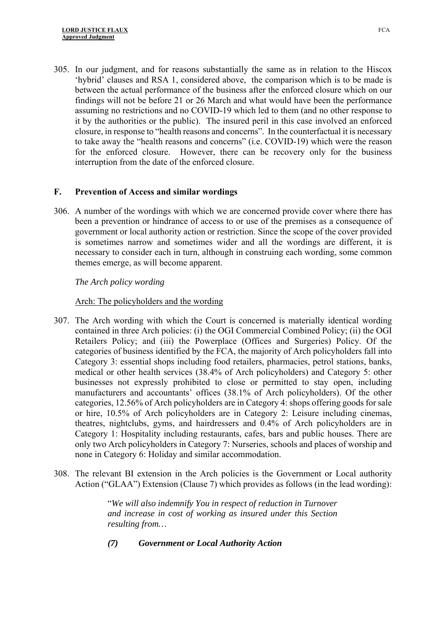305. In our judgment, and for reasons substantially the same as in relation to the Hiscox 'hybrid' clauses and RSA 1, considered above, the comparison which is to be made is between the actual performance of the business after the enforced closure which on our findings will not be before 21 or 26 March and what would have been the performance assuming no restrictions and no COVID-19 which led to them (and no other response to it by the authorities or the public). The insured peril in this case involved an enforced closure, in response to "health reasons and concerns". In the counterfactual it is necessary to take away the "health reasons and concerns" (i.e. COVID-19) which were the reason for the enforced closure. However, there can be recovery only for the business interruption from the date of the enforced closure.

# **F. Prevention of Access and similar wordings**

306. A number of the wordings with which we are concerned provide cover where there has been a prevention or hindrance of access to or use of the premises as a consequence of government or local authority action or restriction. Since the scope of the cover provided is sometimes narrow and sometimes wider and all the wordings are different, it is necessary to consider each in turn, although in construing each wording, some common themes emerge, as will become apparent.

# *The Arch policy wording*

Arch: The policyholders and the wording

- 307. The Arch wording with which the Court is concerned is materially identical wording contained in three Arch policies: (i) the OGI Commercial Combined Policy; (ii) the OGI Retailers Policy; and (iii) the Powerplace (Offices and Surgeries) Policy. Of the categories of business identified by the FCA, the majority of Arch policyholders fall into Category 3: essential shops including food retailers, pharmacies, petrol stations, banks, medical or other health services (38.4% of Arch policyholders) and Category 5: other businesses not expressly prohibited to close or permitted to stay open, including manufacturers and accountants' offices (38.1% of Arch policyholders). Of the other categories, 12.56% of Arch policyholders are in Category 4: shops offering goods for sale or hire, 10.5% of Arch policyholders are in Category 2: Leisure including cinemas, theatres, nightclubs, gyms, and hairdressers and 0.4% of Arch policyholders are in Category 1: Hospitality including restaurants, cafes, bars and public houses. There are only two Arch policyholders in Category 7: Nurseries, schools and places of worship and none in Category 6: Holiday and similar accommodation.
- 308. The relevant BI extension in the Arch policies is the Government or Local authority Action ("GLAA") Extension (Clause 7) which provides as follows (in the lead wording):

"*We will also indemnify You in respect of reduction in Turnover and increase in cost of working as insured under this Section resulting from…* 

*(7) Government or Local Authority Action*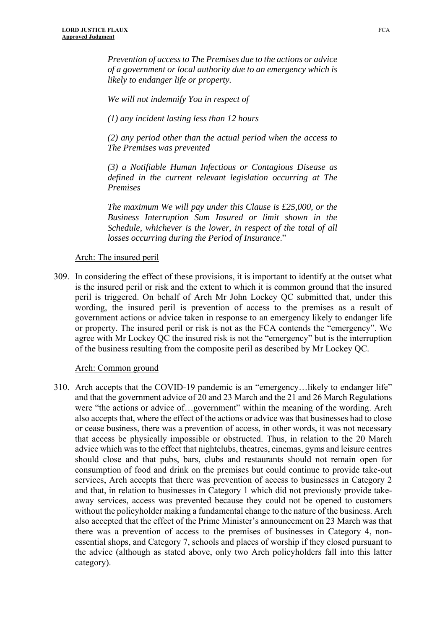*Prevention of access to The Premises due to the actions or advice of a government or local authority due to an emergency which is likely to endanger life or property.* 

*We will not indemnify You in respect of* 

*(1) any incident lasting less than 12 hours* 

*(2) any period other than the actual period when the access to The Premises was prevented* 

*(3) a Notifiable Human Infectious or Contagious Disease as defined in the current relevant legislation occurring at The Premises* 

*The maximum We will pay under this Clause is £25,000, or the Business Interruption Sum Insured or limit shown in the Schedule, whichever is the lower, in respect of the total of all losses occurring during the Period of Insurance*."

## Arch: The insured peril

309. In considering the effect of these provisions, it is important to identify at the outset what is the insured peril or risk and the extent to which it is common ground that the insured peril is triggered. On behalf of Arch Mr John Lockey QC submitted that, under this wording, the insured peril is prevention of access to the premises as a result of government actions or advice taken in response to an emergency likely to endanger life or property. The insured peril or risk is not as the FCA contends the "emergency". We agree with Mr Lockey QC the insured risk is not the "emergency" but is the interruption of the business resulting from the composite peril as described by Mr Lockey QC.

Arch: Common ground

310. Arch accepts that the COVID-19 pandemic is an "emergency…likely to endanger life" and that the government advice of 20 and 23 March and the 21 and 26 March Regulations were "the actions or advice of…government" within the meaning of the wording. Arch also accepts that, where the effect of the actions or advice was that businesses had to close or cease business, there was a prevention of access, in other words, it was not necessary that access be physically impossible or obstructed. Thus, in relation to the 20 March advice which was to the effect that nightclubs, theatres, cinemas, gyms and leisure centres should close and that pubs, bars, clubs and restaurants should not remain open for consumption of food and drink on the premises but could continue to provide take-out services, Arch accepts that there was prevention of access to businesses in Category 2 and that, in relation to businesses in Category 1 which did not previously provide takeaway services, access was prevented because they could not be opened to customers without the policyholder making a fundamental change to the nature of the business. Arch also accepted that the effect of the Prime Minister's announcement on 23 March was that there was a prevention of access to the premises of businesses in Category 4, nonessential shops, and Category 7, schools and places of worship if they closed pursuant to the advice (although as stated above, only two Arch policyholders fall into this latter category).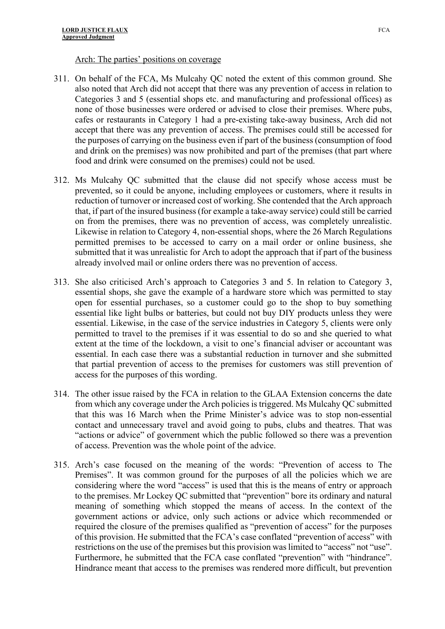### Arch: The parties' positions on coverage

- 311. On behalf of the FCA, Ms Mulcahy QC noted the extent of this common ground. She also noted that Arch did not accept that there was any prevention of access in relation to Categories 3 and 5 (essential shops etc. and manufacturing and professional offices) as none of those businesses were ordered or advised to close their premises. Where pubs, cafes or restaurants in Category 1 had a pre-existing take-away business, Arch did not accept that there was any prevention of access. The premises could still be accessed for the purposes of carrying on the business even if part of the business (consumption of food and drink on the premises) was now prohibited and part of the premises (that part where food and drink were consumed on the premises) could not be used.
- 312. Ms Mulcahy QC submitted that the clause did not specify whose access must be prevented, so it could be anyone, including employees or customers, where it results in reduction of turnover or increased cost of working. She contended that the Arch approach that, if part of the insured business (for example a take-away service) could still be carried on from the premises, there was no prevention of access, was completely unrealistic. Likewise in relation to Category 4, non-essential shops, where the 26 March Regulations permitted premises to be accessed to carry on a mail order or online business, she submitted that it was unrealistic for Arch to adopt the approach that if part of the business already involved mail or online orders there was no prevention of access.
- 313. She also criticised Arch's approach to Categories 3 and 5. In relation to Category 3, essential shops, she gave the example of a hardware store which was permitted to stay open for essential purchases, so a customer could go to the shop to buy something essential like light bulbs or batteries, but could not buy DIY products unless they were essential. Likewise, in the case of the service industries in Category 5, clients were only permitted to travel to the premises if it was essential to do so and she queried to what extent at the time of the lockdown, a visit to one's financial adviser or accountant was essential. In each case there was a substantial reduction in turnover and she submitted that partial prevention of access to the premises for customers was still prevention of access for the purposes of this wording.
- 314. The other issue raised by the FCA in relation to the GLAA Extension concerns the date from which any coverage under the Arch policies is triggered. Ms Mulcahy QC submitted that this was 16 March when the Prime Minister's advice was to stop non-essential contact and unnecessary travel and avoid going to pubs, clubs and theatres. That was "actions or advice" of government which the public followed so there was a prevention of access. Prevention was the whole point of the advice.
- 315. Arch's case focused on the meaning of the words: "Prevention of access to The Premises". It was common ground for the purposes of all the policies which we are considering where the word "access" is used that this is the means of entry or approach to the premises. Mr Lockey QC submitted that "prevention" bore its ordinary and natural meaning of something which stopped the means of access. In the context of the government actions or advice, only such actions or advice which recommended or required the closure of the premises qualified as "prevention of access" for the purposes of this provision. He submitted that the FCA's case conflated "prevention of access" with restrictions on the use of the premises but this provision was limited to "access" not "use". Furthermore, he submitted that the FCA case conflated "prevention" with "hindrance". Hindrance meant that access to the premises was rendered more difficult, but prevention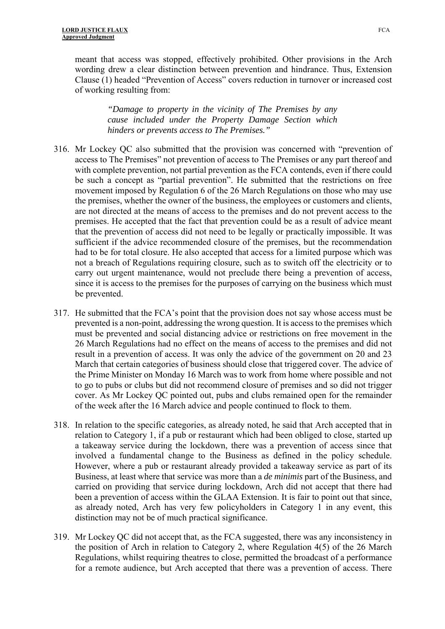meant that access was stopped, effectively prohibited. Other provisions in the Arch wording drew a clear distinction between prevention and hindrance. Thus, Extension Clause (1) headed "Prevention of Access" covers reduction in turnover or increased cost of working resulting from:

> *"Damage to property in the vicinity of The Premises by any cause included under the Property Damage Section which hinders or prevents access to The Premises."*

- 316. Mr Lockey QC also submitted that the provision was concerned with "prevention of access to The Premises" not prevention of access to The Premises or any part thereof and with complete prevention, not partial prevention as the FCA contends, even if there could be such a concept as "partial prevention". He submitted that the restrictions on free movement imposed by Regulation 6 of the 26 March Regulations on those who may use the premises, whether the owner of the business, the employees or customers and clients, are not directed at the means of access to the premises and do not prevent access to the premises. He accepted that the fact that prevention could be as a result of advice meant that the prevention of access did not need to be legally or practically impossible. It was sufficient if the advice recommended closure of the premises, but the recommendation had to be for total closure. He also accepted that access for a limited purpose which was not a breach of Regulations requiring closure, such as to switch off the electricity or to carry out urgent maintenance, would not preclude there being a prevention of access, since it is access to the premises for the purposes of carrying on the business which must be prevented.
- 317. He submitted that the FCA's point that the provision does not say whose access must be prevented is a non-point, addressing the wrong question. It is access to the premises which must be prevented and social distancing advice or restrictions on free movement in the 26 March Regulations had no effect on the means of access to the premises and did not result in a prevention of access. It was only the advice of the government on 20 and 23 March that certain categories of business should close that triggered cover. The advice of the Prime Minister on Monday 16 March was to work from home where possible and not to go to pubs or clubs but did not recommend closure of premises and so did not trigger cover. As Mr Lockey QC pointed out, pubs and clubs remained open for the remainder of the week after the 16 March advice and people continued to flock to them.
- 318. In relation to the specific categories, as already noted, he said that Arch accepted that in relation to Category 1, if a pub or restaurant which had been obliged to close, started up a takeaway service during the lockdown, there was a prevention of access since that involved a fundamental change to the Business as defined in the policy schedule. However, where a pub or restaurant already provided a takeaway service as part of its Business, at least where that service was more than a *de minimis* part of the Business, and carried on providing that service during lockdown, Arch did not accept that there had been a prevention of access within the GLAA Extension. It is fair to point out that since, as already noted, Arch has very few policyholders in Category 1 in any event, this distinction may not be of much practical significance.
- 319. Mr Lockey QC did not accept that, as the FCA suggested, there was any inconsistency in the position of Arch in relation to Category 2, where Regulation 4(5) of the 26 March Regulations, whilst requiring theatres to close, permitted the broadcast of a performance for a remote audience, but Arch accepted that there was a prevention of access. There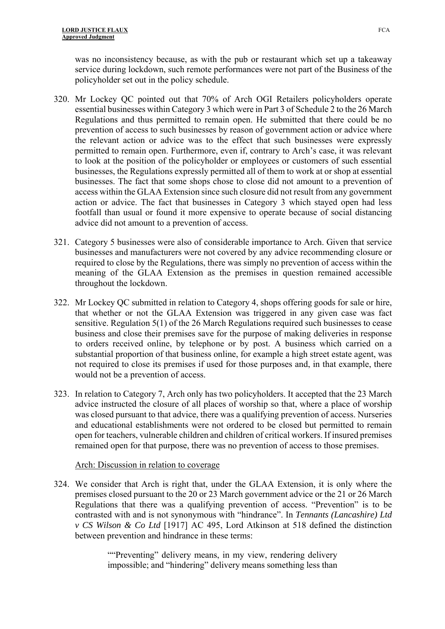was no inconsistency because, as with the pub or restaurant which set up a takeaway service during lockdown, such remote performances were not part of the Business of the policyholder set out in the policy schedule.

- 320. Mr Lockey QC pointed out that 70% of Arch OGI Retailers policyholders operate essential businesses within Category 3 which were in Part 3 of Schedule 2 to the 26 March Regulations and thus permitted to remain open. He submitted that there could be no prevention of access to such businesses by reason of government action or advice where the relevant action or advice was to the effect that such businesses were expressly permitted to remain open. Furthermore, even if, contrary to Arch's case, it was relevant to look at the position of the policyholder or employees or customers of such essential businesses, the Regulations expressly permitted all of them to work at or shop at essential businesses. The fact that some shops chose to close did not amount to a prevention of access within the GLAA Extension since such closure did not result from any government action or advice. The fact that businesses in Category 3 which stayed open had less footfall than usual or found it more expensive to operate because of social distancing advice did not amount to a prevention of access.
- 321. Category 5 businesses were also of considerable importance to Arch. Given that service businesses and manufacturers were not covered by any advice recommending closure or required to close by the Regulations, there was simply no prevention of access within the meaning of the GLAA Extension as the premises in question remained accessible throughout the lockdown.
- 322. Mr Lockey QC submitted in relation to Category 4, shops offering goods for sale or hire, that whether or not the GLAA Extension was triggered in any given case was fact sensitive. Regulation 5(1) of the 26 March Regulations required such businesses to cease business and close their premises save for the purpose of making deliveries in response to orders received online, by telephone or by post. A business which carried on a substantial proportion of that business online, for example a high street estate agent, was not required to close its premises if used for those purposes and, in that example, there would not be a prevention of access.
- 323. In relation to Category 7, Arch only has two policyholders. It accepted that the 23 March advice instructed the closure of all places of worship so that, where a place of worship was closed pursuant to that advice, there was a qualifying prevention of access. Nurseries and educational establishments were not ordered to be closed but permitted to remain open for teachers, vulnerable children and children of critical workers. If insured premises remained open for that purpose, there was no prevention of access to those premises.

# Arch: Discussion in relation to coverage

324. We consider that Arch is right that, under the GLAA Extension, it is only where the premises closed pursuant to the 20 or 23 March government advice or the 21 or 26 March Regulations that there was a qualifying prevention of access. "Prevention" is to be contrasted with and is not synonymous with "hindrance". In *Tennants (Lancashire) Ltd v CS Wilson & Co Ltd* [1917] AC 495, Lord Atkinson at 518 defined the distinction between prevention and hindrance in these terms:

> ""Preventing" delivery means, in my view, rendering delivery impossible; and "hindering" delivery means something less than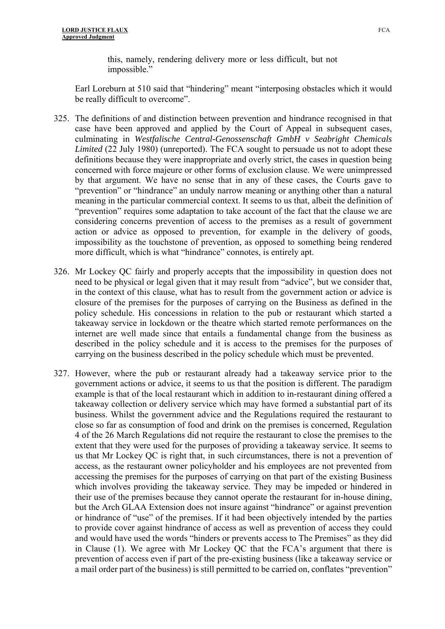this, namely, rendering delivery more or less difficult, but not impossible."

Earl Loreburn at 510 said that "hindering" meant "interposing obstacles which it would be really difficult to overcome".

- 325. The definitions of and distinction between prevention and hindrance recognised in that case have been approved and applied by the Court of Appeal in subsequent cases, culminating in *Westfalische Central-Genossenschaft GmbH v Seabright Chemicals Limited* (22 July 1980) (unreported). The FCA sought to persuade us not to adopt these definitions because they were inappropriate and overly strict, the cases in question being concerned with force majeure or other forms of exclusion clause. We were unimpressed by that argument. We have no sense that in any of these cases, the Courts gave to "prevention" or "hindrance" an unduly narrow meaning or anything other than a natural meaning in the particular commercial context. It seems to us that, albeit the definition of "prevention" requires some adaptation to take account of the fact that the clause we are considering concerns prevention of access to the premises as a result of government action or advice as opposed to prevention, for example in the delivery of goods, impossibility as the touchstone of prevention, as opposed to something being rendered more difficult, which is what "hindrance" connotes, is entirely apt.
- 326. Mr Lockey QC fairly and properly accepts that the impossibility in question does not need to be physical or legal given that it may result from "advice", but we consider that, in the context of this clause, what has to result from the government action or advice is closure of the premises for the purposes of carrying on the Business as defined in the policy schedule. His concessions in relation to the pub or restaurant which started a takeaway service in lockdown or the theatre which started remote performances on the internet are well made since that entails a fundamental change from the business as described in the policy schedule and it is access to the premises for the purposes of carrying on the business described in the policy schedule which must be prevented.
- 327. However, where the pub or restaurant already had a takeaway service prior to the government actions or advice, it seems to us that the position is different. The paradigm example is that of the local restaurant which in addition to in-restaurant dining offered a takeaway collection or delivery service which may have formed a substantial part of its business. Whilst the government advice and the Regulations required the restaurant to close so far as consumption of food and drink on the premises is concerned, Regulation 4 of the 26 March Regulations did not require the restaurant to close the premises to the extent that they were used for the purposes of providing a takeaway service. It seems to us that Mr Lockey QC is right that, in such circumstances, there is not a prevention of access, as the restaurant owner policyholder and his employees are not prevented from accessing the premises for the purposes of carrying on that part of the existing Business which involves providing the takeaway service. They may be impeded or hindered in their use of the premises because they cannot operate the restaurant for in-house dining, but the Arch GLAA Extension does not insure against "hindrance" or against prevention or hindrance of "use" of the premises. If it had been objectively intended by the parties to provide cover against hindrance of access as well as prevention of access they could and would have used the words "hinders or prevents access to The Premises" as they did in Clause (1). We agree with Mr Lockey QC that the FCA's argument that there is prevention of access even if part of the pre-existing business (like a takeaway service or a mail order part of the business) is still permitted to be carried on, conflates "prevention"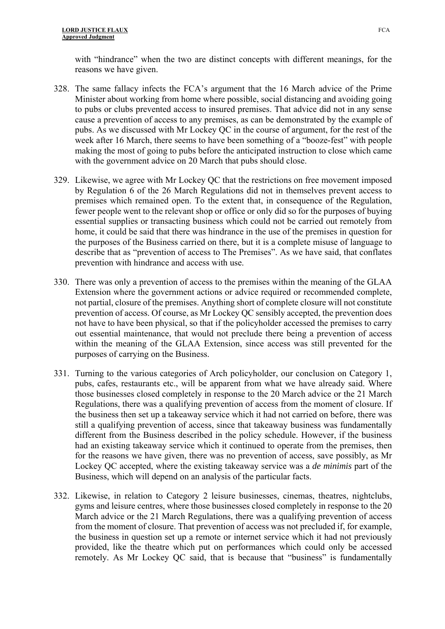with "hindrance" when the two are distinct concepts with different meanings, for the reasons we have given.

- 328. The same fallacy infects the FCA's argument that the 16 March advice of the Prime Minister about working from home where possible, social distancing and avoiding going to pubs or clubs prevented access to insured premises. That advice did not in any sense cause a prevention of access to any premises, as can be demonstrated by the example of pubs. As we discussed with Mr Lockey QC in the course of argument, for the rest of the week after 16 March, there seems to have been something of a "booze-fest" with people making the most of going to pubs before the anticipated instruction to close which came with the government advice on 20 March that pubs should close.
- 329. Likewise, we agree with Mr Lockey QC that the restrictions on free movement imposed by Regulation 6 of the 26 March Regulations did not in themselves prevent access to premises which remained open. To the extent that, in consequence of the Regulation, fewer people went to the relevant shop or office or only did so for the purposes of buying essential supplies or transacting business which could not be carried out remotely from home, it could be said that there was hindrance in the use of the premises in question for the purposes of the Business carried on there, but it is a complete misuse of language to describe that as "prevention of access to The Premises". As we have said, that conflates prevention with hindrance and access with use.
- 330. There was only a prevention of access to the premises within the meaning of the GLAA Extension where the government actions or advice required or recommended complete, not partial, closure of the premises. Anything short of complete closure will not constitute prevention of access. Of course, as Mr Lockey QC sensibly accepted, the prevention does not have to have been physical, so that if the policyholder accessed the premises to carry out essential maintenance, that would not preclude there being a prevention of access within the meaning of the GLAA Extension, since access was still prevented for the purposes of carrying on the Business.
- 331. Turning to the various categories of Arch policyholder, our conclusion on Category 1, pubs, cafes, restaurants etc., will be apparent from what we have already said. Where those businesses closed completely in response to the 20 March advice or the 21 March Regulations, there was a qualifying prevention of access from the moment of closure. If the business then set up a takeaway service which it had not carried on before, there was still a qualifying prevention of access, since that takeaway business was fundamentally different from the Business described in the policy schedule. However, if the business had an existing takeaway service which it continued to operate from the premises, then for the reasons we have given, there was no prevention of access, save possibly, as Mr Lockey QC accepted, where the existing takeaway service was a *de minimis* part of the Business, which will depend on an analysis of the particular facts.
- 332. Likewise, in relation to Category 2 leisure businesses, cinemas, theatres, nightclubs, gyms and leisure centres, where those businesses closed completely in response to the 20 March advice or the 21 March Regulations, there was a qualifying prevention of access from the moment of closure. That prevention of access was not precluded if, for example, the business in question set up a remote or internet service which it had not previously provided, like the theatre which put on performances which could only be accessed remotely. As Mr Lockey QC said, that is because that "business" is fundamentally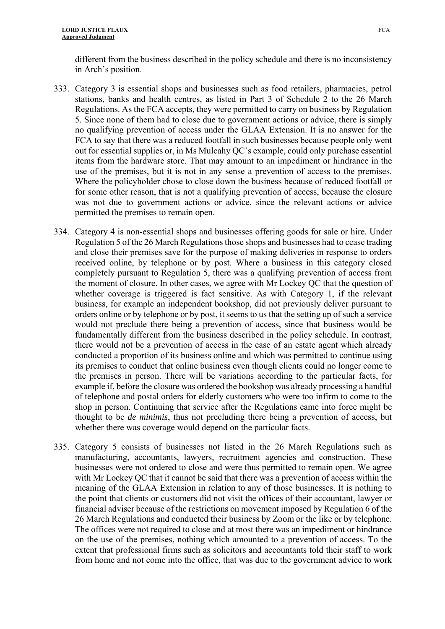different from the business described in the policy schedule and there is no inconsistency in Arch's position.

- 333. Category 3 is essential shops and businesses such as food retailers, pharmacies, petrol stations, banks and health centres, as listed in Part 3 of Schedule 2 to the 26 March Regulations. As the FCA accepts, they were permitted to carry on business by Regulation 5. Since none of them had to close due to government actions or advice, there is simply no qualifying prevention of access under the GLAA Extension. It is no answer for the FCA to say that there was a reduced footfall in such businesses because people only went out for essential supplies or, in Ms Mulcahy QC's example, could only purchase essential items from the hardware store. That may amount to an impediment or hindrance in the use of the premises, but it is not in any sense a prevention of access to the premises. Where the policyholder chose to close down the business because of reduced footfall or for some other reason, that is not a qualifying prevention of access, because the closure was not due to government actions or advice, since the relevant actions or advice permitted the premises to remain open.
- 334. Category 4 is non-essential shops and businesses offering goods for sale or hire. Under Regulation 5 of the 26 March Regulations those shops and businesses had to cease trading and close their premises save for the purpose of making deliveries in response to orders received online, by telephone or by post. Where a business in this category closed completely pursuant to Regulation 5, there was a qualifying prevention of access from the moment of closure. In other cases, we agree with Mr Lockey QC that the question of whether coverage is triggered is fact sensitive. As with Category 1, if the relevant business, for example an independent bookshop, did not previously deliver pursuant to orders online or by telephone or by post, it seems to us that the setting up of such a service would not preclude there being a prevention of access, since that business would be fundamentally different from the business described in the policy schedule. In contrast, there would not be a prevention of access in the case of an estate agent which already conducted a proportion of its business online and which was permitted to continue using its premises to conduct that online business even though clients could no longer come to the premises in person. There will be variations according to the particular facts, for example if, before the closure was ordered the bookshop was already processing a handful of telephone and postal orders for elderly customers who were too infirm to come to the shop in person. Continuing that service after the Regulations came into force might be thought to be *de minimis*, thus not precluding there being a prevention of access, but whether there was coverage would depend on the particular facts.
- 335. Category 5 consists of businesses not listed in the 26 March Regulations such as manufacturing, accountants, lawyers, recruitment agencies and construction. These businesses were not ordered to close and were thus permitted to remain open. We agree with Mr Lockey QC that it cannot be said that there was a prevention of access within the meaning of the GLAA Extension in relation to any of those businesses. It is nothing to the point that clients or customers did not visit the offices of their accountant, lawyer or financial adviser because of the restrictions on movement imposed by Regulation 6 of the 26 March Regulations and conducted their business by Zoom or the like or by telephone. The offices were not required to close and at most there was an impediment or hindrance on the use of the premises, nothing which amounted to a prevention of access. To the extent that professional firms such as solicitors and accountants told their staff to work from home and not come into the office, that was due to the government advice to work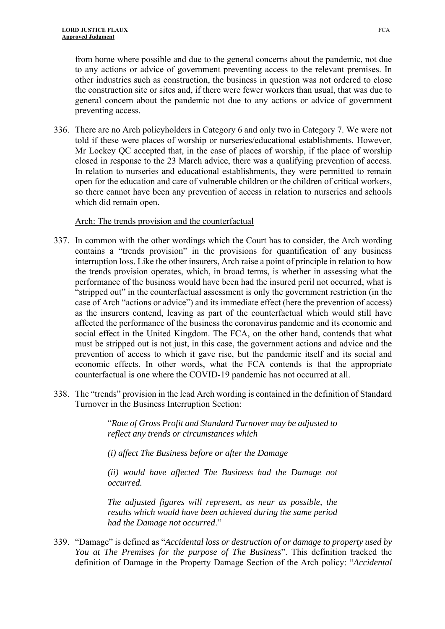from home where possible and due to the general concerns about the pandemic, not due to any actions or advice of government preventing access to the relevant premises. In other industries such as construction, the business in question was not ordered to close the construction site or sites and, if there were fewer workers than usual, that was due to general concern about the pandemic not due to any actions or advice of government preventing access.

336. There are no Arch policyholders in Category 6 and only two in Category 7. We were not told if these were places of worship or nurseries/educational establishments. However, Mr Lockey QC accepted that, in the case of places of worship, if the place of worship closed in response to the 23 March advice, there was a qualifying prevention of access. In relation to nurseries and educational establishments, they were permitted to remain open for the education and care of vulnerable children or the children of critical workers, so there cannot have been any prevention of access in relation to nurseries and schools which did remain open.

# Arch: The trends provision and the counterfactual

- 337. In common with the other wordings which the Court has to consider, the Arch wording contains a "trends provision" in the provisions for quantification of any business interruption loss. Like the other insurers, Arch raise a point of principle in relation to how the trends provision operates, which, in broad terms, is whether in assessing what the performance of the business would have been had the insured peril not occurred, what is "stripped out" in the counterfactual assessment is only the government restriction (in the case of Arch "actions or advice") and its immediate effect (here the prevention of access) as the insurers contend, leaving as part of the counterfactual which would still have affected the performance of the business the coronavirus pandemic and its economic and social effect in the United Kingdom. The FCA, on the other hand, contends that what must be stripped out is not just, in this case, the government actions and advice and the prevention of access to which it gave rise, but the pandemic itself and its social and economic effects. In other words, what the FCA contends is that the appropriate counterfactual is one where the COVID-19 pandemic has not occurred at all.
- 338. The "trends" provision in the lead Arch wording is contained in the definition of Standard Turnover in the Business Interruption Section:

"*Rate of Gross Profit and Standard Turnover may be adjusted to reflect any trends or circumstances which* 

*(i) affect The Business before or after the Damage* 

*(ii) would have affected The Business had the Damage not occurred.* 

*The adjusted figures will represent, as near as possible, the results which would have been achieved during the same period had the Damage not occurred*."

339. "Damage" is defined as "*Accidental loss or destruction of or damage to property used by You at The Premises for the purpose of The Business*". This definition tracked the definition of Damage in the Property Damage Section of the Arch policy: "*Accidental*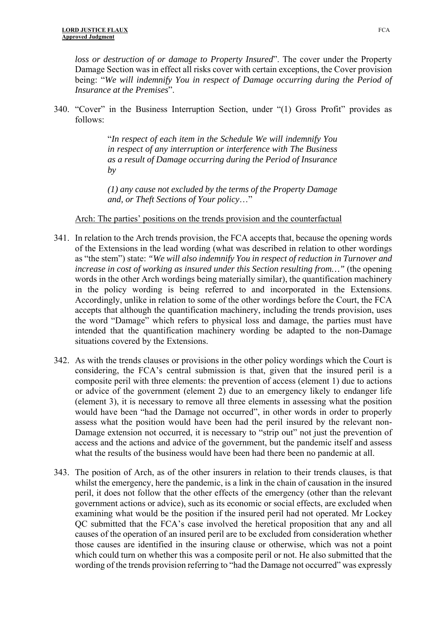*loss or destruction of or damage to Property Insured*". The cover under the Property Damage Section was in effect all risks cover with certain exceptions, the Cover provision being: "*We will indemnify You in respect of Damage occurring during the Period of Insurance at the Premises*".

340. "Cover" in the Business Interruption Section, under "(1) Gross Profit" provides as follows:

> "*In respect of each item in the Schedule We will indemnify You in respect of any interruption or interference with The Business as a result of Damage occurring during the Period of Insurance by*

> *(1) any cause not excluded by the terms of the Property Damage and, or Theft Sections of Your policy*…"

Arch: The parties' positions on the trends provision and the counterfactual

- 341. In relation to the Arch trends provision, the FCA accepts that, because the opening words of the Extensions in the lead wording (what was described in relation to other wordings as "the stem") state: *"We will also indemnify You in respect of reduction in Turnover and increase in cost of working as insured under this Section resulting from…"* (the opening words in the other Arch wordings being materially similar), the quantification machinery in the policy wording is being referred to and incorporated in the Extensions. Accordingly, unlike in relation to some of the other wordings before the Court, the FCA accepts that although the quantification machinery, including the trends provision, uses the word "Damage" which refers to physical loss and damage, the parties must have intended that the quantification machinery wording be adapted to the non-Damage situations covered by the Extensions.
- 342. As with the trends clauses or provisions in the other policy wordings which the Court is considering, the FCA's central submission is that, given that the insured peril is a composite peril with three elements: the prevention of access (element 1) due to actions or advice of the government (element 2) due to an emergency likely to endanger life (element 3), it is necessary to remove all three elements in assessing what the position would have been "had the Damage not occurred", in other words in order to properly assess what the position would have been had the peril insured by the relevant non-Damage extension not occurred, it is necessary to "strip out" not just the prevention of access and the actions and advice of the government, but the pandemic itself and assess what the results of the business would have been had there been no pandemic at all.
- 343. The position of Arch, as of the other insurers in relation to their trends clauses, is that whilst the emergency, here the pandemic, is a link in the chain of causation in the insured peril, it does not follow that the other effects of the emergency (other than the relevant government actions or advice), such as its economic or social effects, are excluded when examining what would be the position if the insured peril had not operated. Mr Lockey QC submitted that the FCA's case involved the heretical proposition that any and all causes of the operation of an insured peril are to be excluded from consideration whether those causes are identified in the insuring clause or otherwise, which was not a point which could turn on whether this was a composite peril or not. He also submitted that the wording of the trends provision referring to "had the Damage not occurred" was expressly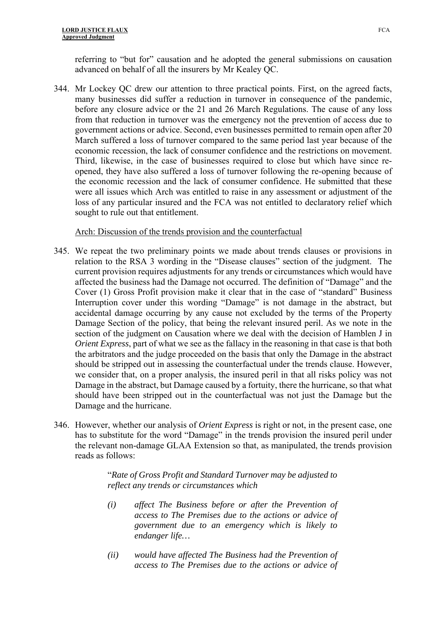referring to "but for" causation and he adopted the general submissions on causation advanced on behalf of all the insurers by Mr Kealey QC.

344. Mr Lockey QC drew our attention to three practical points. First, on the agreed facts, many businesses did suffer a reduction in turnover in consequence of the pandemic, before any closure advice or the 21 and 26 March Regulations. The cause of any loss from that reduction in turnover was the emergency not the prevention of access due to government actions or advice. Second, even businesses permitted to remain open after 20 March suffered a loss of turnover compared to the same period last year because of the economic recession, the lack of consumer confidence and the restrictions on movement. Third, likewise, in the case of businesses required to close but which have since reopened, they have also suffered a loss of turnover following the re-opening because of the economic recession and the lack of consumer confidence. He submitted that these were all issues which Arch was entitled to raise in any assessment or adjustment of the loss of any particular insured and the FCA was not entitled to declaratory relief which sought to rule out that entitlement.

Arch: Discussion of the trends provision and the counterfactual

- 345. We repeat the two preliminary points we made about trends clauses or provisions in relation to the RSA 3 wording in the "Disease clauses" section of the judgment. The current provision requires adjustments for any trends or circumstances which would have affected the business had the Damage not occurred. The definition of "Damage" and the Cover (1) Gross Profit provision make it clear that in the case of "standard" Business Interruption cover under this wording "Damage" is not damage in the abstract, but accidental damage occurring by any cause not excluded by the terms of the Property Damage Section of the policy, that being the relevant insured peril. As we note in the section of the judgment on Causation where we deal with the decision of Hamblen J in *Orient Express*, part of what we see as the fallacy in the reasoning in that case is that both the arbitrators and the judge proceeded on the basis that only the Damage in the abstract should be stripped out in assessing the counterfactual under the trends clause. However, we consider that, on a proper analysis, the insured peril in that all risks policy was not Damage in the abstract, but Damage caused by a fortuity, there the hurricane, so that what should have been stripped out in the counterfactual was not just the Damage but the Damage and the hurricane.
- 346. However, whether our analysis of *Orient Express* is right or not, in the present case, one has to substitute for the word "Damage" in the trends provision the insured peril under the relevant non-damage GLAA Extension so that, as manipulated, the trends provision reads as follows:

"*Rate of Gross Profit and Standard Turnover may be adjusted to reflect any trends or circumstances which* 

- *(i) affect The Business before or after the Prevention of access to The Premises due to the actions or advice of government due to an emergency which is likely to endanger life…*
- *(ii) would have affected The Business had the Prevention of access to The Premises due to the actions or advice of*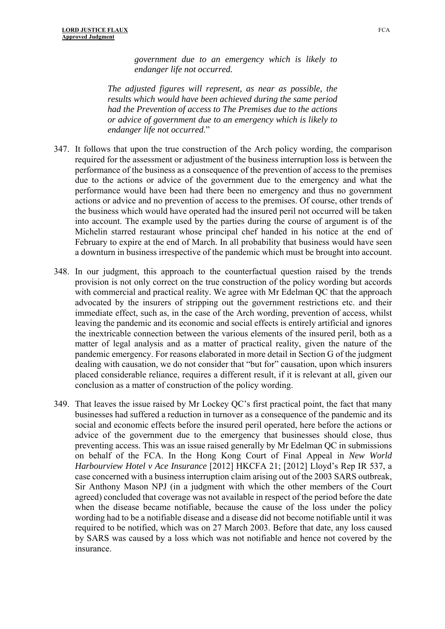*government due to an emergency which is likely to endanger life not occurred.* 

*The adjusted figures will represent, as near as possible, the results which would have been achieved during the same period had the Prevention of access to The Premises due to the actions or advice of government due to an emergency which is likely to endanger life not occurred*."

- 347. It follows that upon the true construction of the Arch policy wording, the comparison required for the assessment or adjustment of the business interruption loss is between the performance of the business as a consequence of the prevention of access to the premises due to the actions or advice of the government due to the emergency and what the performance would have been had there been no emergency and thus no government actions or advice and no prevention of access to the premises. Of course, other trends of the business which would have operated had the insured peril not occurred will be taken into account. The example used by the parties during the course of argument is of the Michelin starred restaurant whose principal chef handed in his notice at the end of February to expire at the end of March. In all probability that business would have seen a downturn in business irrespective of the pandemic which must be brought into account.
- 348. In our judgment, this approach to the counterfactual question raised by the trends provision is not only correct on the true construction of the policy wording but accords with commercial and practical reality. We agree with Mr Edelman QC that the approach advocated by the insurers of stripping out the government restrictions etc. and their immediate effect, such as, in the case of the Arch wording, prevention of access, whilst leaving the pandemic and its economic and social effects is entirely artificial and ignores the inextricable connection between the various elements of the insured peril, both as a matter of legal analysis and as a matter of practical reality, given the nature of the pandemic emergency. For reasons elaborated in more detail in Section G of the judgment dealing with causation, we do not consider that "but for" causation, upon which insurers placed considerable reliance, requires a different result, if it is relevant at all, given our conclusion as a matter of construction of the policy wording.
- 349. That leaves the issue raised by Mr Lockey QC's first practical point, the fact that many businesses had suffered a reduction in turnover as a consequence of the pandemic and its social and economic effects before the insured peril operated, here before the actions or advice of the government due to the emergency that businesses should close, thus preventing access. This was an issue raised generally by Mr Edelman QC in submissions on behalf of the FCA. In the Hong Kong Court of Final Appeal in *New World Harbourview Hotel v Ace Insurance* [2012] HKCFA 21; [2012] Lloyd's Rep IR 537, a case concerned with a business interruption claim arising out of the 2003 SARS outbreak, Sir Anthony Mason NPJ (in a judgment with which the other members of the Court agreed) concluded that coverage was not available in respect of the period before the date when the disease became notifiable, because the cause of the loss under the policy wording had to be a notifiable disease and a disease did not become notifiable until it was required to be notified, which was on 27 March 2003. Before that date, any loss caused by SARS was caused by a loss which was not notifiable and hence not covered by the insurance.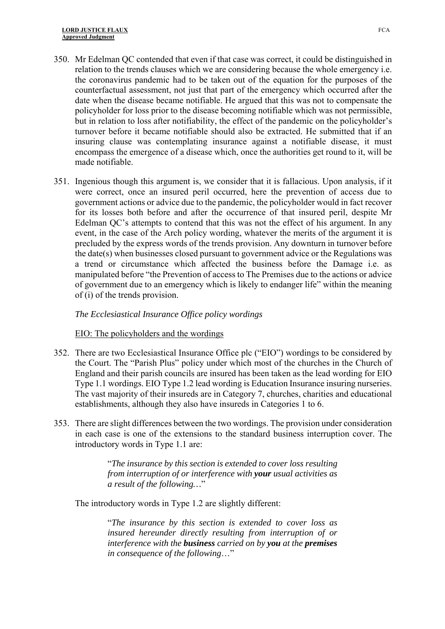- 350. Mr Edelman QC contended that even if that case was correct, it could be distinguished in relation to the trends clauses which we are considering because the whole emergency i.e. the coronavirus pandemic had to be taken out of the equation for the purposes of the counterfactual assessment, not just that part of the emergency which occurred after the date when the disease became notifiable. He argued that this was not to compensate the policyholder for loss prior to the disease becoming notifiable which was not permissible, but in relation to loss after notifiability, the effect of the pandemic on the policyholder's turnover before it became notifiable should also be extracted. He submitted that if an insuring clause was contemplating insurance against a notifiable disease, it must encompass the emergence of a disease which, once the authorities get round to it, will be made notifiable.
- 351. Ingenious though this argument is, we consider that it is fallacious. Upon analysis, if it were correct, once an insured peril occurred, here the prevention of access due to government actions or advice due to the pandemic, the policyholder would in fact recover for its losses both before and after the occurrence of that insured peril, despite Mr Edelman QC's attempts to contend that this was not the effect of his argument. In any event, in the case of the Arch policy wording, whatever the merits of the argument it is precluded by the express words of the trends provision. Any downturn in turnover before the date(s) when businesses closed pursuant to government advice or the Regulations was a trend or circumstance which affected the business before the Damage i.e. as manipulated before "the Prevention of access to The Premises due to the actions or advice of government due to an emergency which is likely to endanger life" within the meaning of (i) of the trends provision.

## *The Ecclesiastical Insurance Office policy wordings*

EIO: The policyholders and the wordings

- 352. There are two Ecclesiastical Insurance Office plc ("EIO") wordings to be considered by the Court. The "Parish Plus" policy under which most of the churches in the Church of England and their parish councils are insured has been taken as the lead wording for EIO Type 1.1 wordings. EIO Type 1.2 lead wording is Education Insurance insuring nurseries. The vast majority of their insureds are in Category 7, churches, charities and educational establishments, although they also have insureds in Categories 1 to 6.
- 353. There are slight differences between the two wordings. The provision under consideration in each case is one of the extensions to the standard business interruption cover. The introductory words in Type 1.1 are:

"*The insurance by this section is extended to cover loss resulting from interruption of or interference with your usual activities as a result of the following…*"

The introductory words in Type 1.2 are slightly different:

"*The insurance by this section is extended to cover loss as insured hereunder directly resulting from interruption of or interference with the business carried on by you at the premises in consequence of the following*…"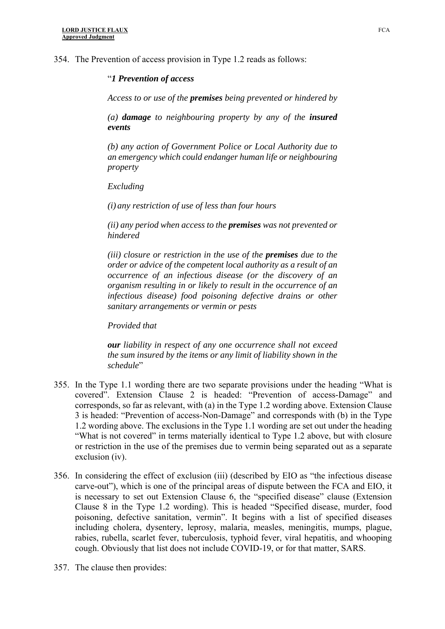354. The Prevention of access provision in Type 1.2 reads as follows:

## "*1 Prevention of access*

*Access to or use of the premises being prevented or hindered by* 

*(a) damage to neighbouring property by any of the insured events* 

*(b) any action of Government Police or Local Authority due to an emergency which could endanger human life or neighbouring property*

*Excluding* 

*(i) any restriction of use of less than four hours* 

*(ii) any period when access to the premises was not prevented or hindered* 

*(iii) closure or restriction in the use of the premises due to the order or advice of the competent local authority as a result of an occurrence of an infectious disease (or the discovery of an organism resulting in or likely to result in the occurrence of an infectious disease) food poisoning defective drains or other sanitary arrangements or vermin or pests* 

*Provided that* 

*our liability in respect of any one occurrence shall not exceed the sum insured by the items or any limit of liability shown in the schedule*"

- 355. In the Type 1.1 wording there are two separate provisions under the heading "What is covered". Extension Clause 2 is headed: "Prevention of access-Damage" and corresponds, so far as relevant, with (a) in the Type 1.2 wording above. Extension Clause 3 is headed: "Prevention of access-Non-Damage" and corresponds with (b) in the Type 1.2 wording above. The exclusions in the Type 1.1 wording are set out under the heading "What is not covered" in terms materially identical to Type 1.2 above, but with closure or restriction in the use of the premises due to vermin being separated out as a separate exclusion (iv).
- 356. In considering the effect of exclusion (iii) (described by EIO as "the infectious disease carve-out"), which is one of the principal areas of dispute between the FCA and EIO, it is necessary to set out Extension Clause 6, the "specified disease" clause (Extension Clause 8 in the Type 1.2 wording). This is headed "Specified disease, murder, food poisoning, defective sanitation, vermin". It begins with a list of specified diseases including cholera, dysentery, leprosy, malaria, measles, meningitis, mumps, plague, rabies, rubella, scarlet fever, tuberculosis, typhoid fever, viral hepatitis, and whooping cough. Obviously that list does not include COVID-19, or for that matter, SARS.
- 357. The clause then provides: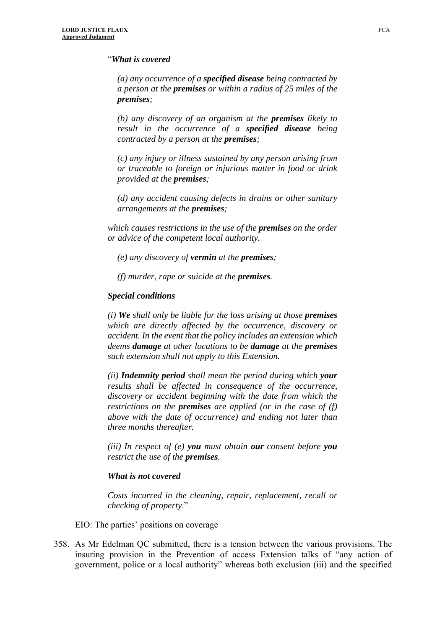## "*What is covered*

*(a) any occurrence of a specified disease being contracted by a person at the premises or within a radius of 25 miles of the premises;* 

*(b) any discovery of an organism at the premises likely to result in the occurrence of a specified disease being contracted by a person at the premises;* 

*(c) any injury or illness sustained by any person arising from or traceable to foreign or injurious matter in food or drink provided at the premises;* 

*(d) any accident causing defects in drains or other sanitary arrangements at the premises;* 

*which causes restrictions in the use of the premises on the order or advice of the competent local authority.* 

*(e) any discovery of vermin at the premises;* 

*(f) murder, rape or suicide at the premises.* 

#### *Special conditions*

*(i) We shall only be liable for the loss arising at those premises which are directly affected by the occurrence, discovery or accident. In the event that the policy includes an extension which deems damage at other locations to be damage at the premises such extension shall not apply to this Extension.* 

*(ii) Indemnity period shall mean the period during which your results shall be affected in consequence of the occurrence, discovery or accident beginning with the date from which the restrictions on the premises are applied (or in the case of (f) above with the date of occurrence) and ending not later than three months thereafter.* 

*(iii) In respect of (e) you must obtain our consent before you restrict the use of the premises.* 

#### *What is not covered*

*Costs incurred in the cleaning, repair, replacement, recall or checking of property*."

#### EIO: The parties' positions on coverage

358. As Mr Edelman QC submitted, there is a tension between the various provisions. The insuring provision in the Prevention of access Extension talks of "any action of government, police or a local authority" whereas both exclusion (iii) and the specified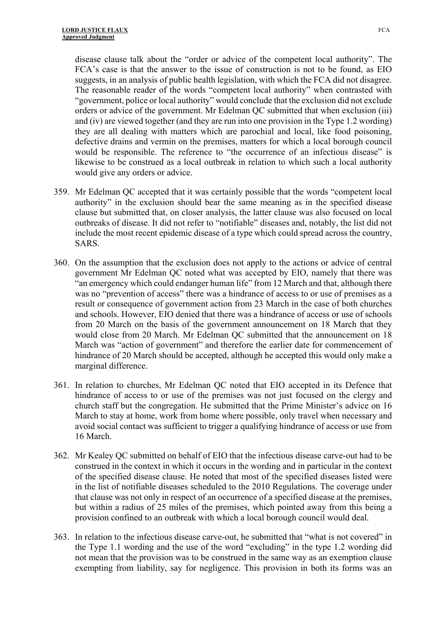disease clause talk about the "order or advice of the competent local authority". The FCA's case is that the answer to the issue of construction is not to be found, as EIO suggests, in an analysis of public health legislation, with which the FCA did not disagree. The reasonable reader of the words "competent local authority" when contrasted with "government, police or local authority" would conclude that the exclusion did not exclude orders or advice of the government. Mr Edelman QC submitted that when exclusion (iii) and (iv) are viewed together (and they are run into one provision in the Type 1.2 wording) they are all dealing with matters which are parochial and local, like food poisoning, defective drains and vermin on the premises, matters for which a local borough council would be responsible. The reference to "the occurrence of an infectious disease" is likewise to be construed as a local outbreak in relation to which such a local authority would give any orders or advice.

- 359. Mr Edelman QC accepted that it was certainly possible that the words "competent local authority" in the exclusion should bear the same meaning as in the specified disease clause but submitted that, on closer analysis, the latter clause was also focused on local outbreaks of disease. It did not refer to "notifiable" diseases and, notably, the list did not include the most recent epidemic disease of a type which could spread across the country, SARS.
- 360. On the assumption that the exclusion does not apply to the actions or advice of central government Mr Edelman QC noted what was accepted by EIO, namely that there was "an emergency which could endanger human life" from 12 March and that, although there was no "prevention of access" there was a hindrance of access to or use of premises as a result or consequence of government action from 23 March in the case of both churches and schools. However, EIO denied that there was a hindrance of access or use of schools from 20 March on the basis of the government announcement on 18 March that they would close from 20 March. Mr Edelman QC submitted that the announcement on 18 March was "action of government" and therefore the earlier date for commencement of hindrance of 20 March should be accepted, although he accepted this would only make a marginal difference.
- 361. In relation to churches, Mr Edelman QC noted that EIO accepted in its Defence that hindrance of access to or use of the premises was not just focused on the clergy and church staff but the congregation. He submitted that the Prime Minister's advice on 16 March to stay at home, work from home where possible, only travel when necessary and avoid social contact was sufficient to trigger a qualifying hindrance of access or use from 16 March.
- 362. Mr Kealey QC submitted on behalf of EIO that the infectious disease carve-out had to be construed in the context in which it occurs in the wording and in particular in the context of the specified disease clause. He noted that most of the specified diseases listed were in the list of notifiable diseases scheduled to the 2010 Regulations. The coverage under that clause was not only in respect of an occurrence of a specified disease at the premises, but within a radius of 25 miles of the premises, which pointed away from this being a provision confined to an outbreak with which a local borough council would deal.
- 363. In relation to the infectious disease carve-out, he submitted that "what is not covered" in the Type 1.1 wording and the use of the word "excluding" in the type 1.2 wording did not mean that the provision was to be construed in the same way as an exemption clause exempting from liability, say for negligence. This provision in both its forms was an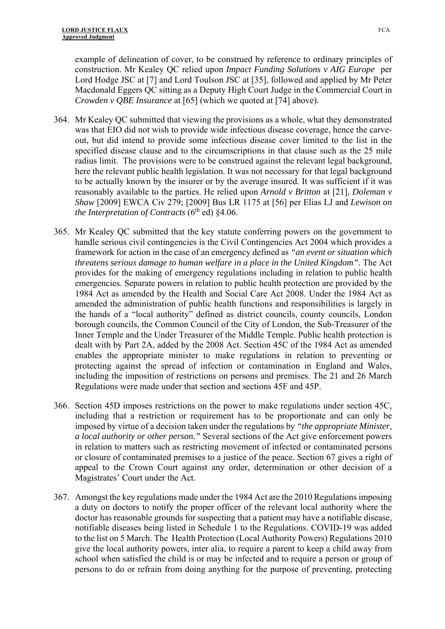example of delineation of cover, to be construed by reference to ordinary principles of construction. Mr Kealey QC relied upon *Impact Funding Solutions v AIG Europe* per Lord Hodge JSC at [7] and Lord Toulson JSC at [35], followed and applied by Mr Peter Macdonald Eggers QC sitting as a Deputy High Court Judge in the Commercial Court in *Crowden v QBE Insurance* at [65] (which we quoted at [74] above).

- 364. Mr Kealey QC submitted that viewing the provisions as a whole, what they demonstrated was that EIO did not wish to provide wide infectious disease coverage, hence the carveout, but did intend to provide some infectious disease cover limited to the list in the specified disease clause and to the circumscriptions in that clause such as the 25 mile radius limit. The provisions were to be construed against the relevant legal background, here the relevant public health legislation. It was not necessary for that legal background to be actually known by the insurer or by the average insured. It was sufficient if it was reasonably available to the parties. He relied upon *Arnold v Britton* at [21], *Doleman v Shaw* [2009] EWCA Civ 279; [2009] Bus LR 1175 at [56] per Elias LJ and *Lewison on the Interpretation of Contracts* (6<sup>th</sup> ed) §4.06.
- 365. Mr Kealey QC submitted that the key statute conferring powers on the government to handle serious civil contingencies is the Civil Contingencies Act 2004 which provides a framework for action in the case of an emergency defined as *"an event or situation which threatens serious damage to human welfare in a place in the United Kingdom".* The Act provides for the making of emergency regulations including in relation to public health emergencies. Separate powers in relation to public health protection are provided by the 1984 Act as amended by the Health and Social Care Act 2008. Under the 1984 Act as amended the administration of public health functions and responsibilities is largely in the hands of a "local authority" defined as district councils, county councils, London borough councils, the Common Council of the City of London, the Sub-Treasurer of the Inner Temple and the Under Treasurer of the Middle Temple. Public health protection is dealt with by Part 2A, added by the 2008 Act. Section 45C of the 1984 Act as amended enables the appropriate minister to make regulations in relation to preventing or protecting against the spread of infection or contamination in England and Wales, including the imposition of restrictions on persons and premises. The 21 and 26 March Regulations were made under that section and sections 45F and 45P.
- 366. Section 45D imposes restrictions on the power to make regulations under section 45C, including that a restriction or requirement has to be proportionate and can only be imposed by virtue of a decision taken under the regulations by *"the appropriate Minister, a local authority or other person."* Several sections of the Act give enforcement powers in relation to matters such as restricting movement of infected or contaminated persons or closure of contaminated premises to a justice of the peace. Section 67 gives a right of appeal to the Crown Court against any order, determination or other decision of a Magistrates' Court under the Act.
- 367. Amongst the key regulations made under the 1984 Act are the 2010 Regulations imposing a duty on doctors to notify the proper officer of the relevant local authority where the doctor has reasonable grounds for suspecting that a patient may have a notifiable disease, notifiable diseases being listed in Schedule 1 to the Regulations. COVID-19 was added to the list on 5 March. The Health Protection (Local Authority Powers) Regulations 2010 give the local authority powers, inter alia, to require a parent to keep a child away from school when satisfied the child is or may be infected and to require a person or group of persons to do or refrain from doing anything for the purpose of preventing, protecting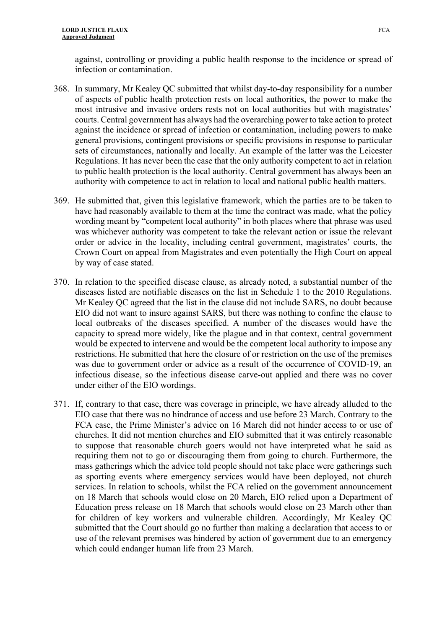against, controlling or providing a public health response to the incidence or spread of infection or contamination.

- 368. In summary, Mr Kealey QC submitted that whilst day-to-day responsibility for a number of aspects of public health protection rests on local authorities, the power to make the most intrusive and invasive orders rests not on local authorities but with magistrates' courts. Central government has always had the overarching power to take action to protect against the incidence or spread of infection or contamination, including powers to make general provisions, contingent provisions or specific provisions in response to particular sets of circumstances, nationally and locally. An example of the latter was the Leicester Regulations. It has never been the case that the only authority competent to act in relation to public health protection is the local authority. Central government has always been an authority with competence to act in relation to local and national public health matters.
- 369. He submitted that, given this legislative framework, which the parties are to be taken to have had reasonably available to them at the time the contract was made, what the policy wording meant by "competent local authority" in both places where that phrase was used was whichever authority was competent to take the relevant action or issue the relevant order or advice in the locality, including central government, magistrates' courts, the Crown Court on appeal from Magistrates and even potentially the High Court on appeal by way of case stated.
- 370. In relation to the specified disease clause, as already noted, a substantial number of the diseases listed are notifiable diseases on the list in Schedule 1 to the 2010 Regulations. Mr Kealey QC agreed that the list in the clause did not include SARS, no doubt because EIO did not want to insure against SARS, but there was nothing to confine the clause to local outbreaks of the diseases specified. A number of the diseases would have the capacity to spread more widely, like the plague and in that context, central government would be expected to intervene and would be the competent local authority to impose any restrictions. He submitted that here the closure of or restriction on the use of the premises was due to government order or advice as a result of the occurrence of COVID-19, an infectious disease, so the infectious disease carve-out applied and there was no cover under either of the EIO wordings.
- 371. If, contrary to that case, there was coverage in principle, we have already alluded to the EIO case that there was no hindrance of access and use before 23 March. Contrary to the FCA case, the Prime Minister's advice on 16 March did not hinder access to or use of churches. It did not mention churches and EIO submitted that it was entirely reasonable to suppose that reasonable church goers would not have interpreted what he said as requiring them not to go or discouraging them from going to church. Furthermore, the mass gatherings which the advice told people should not take place were gatherings such as sporting events where emergency services would have been deployed, not church services. In relation to schools, whilst the FCA relied on the government announcement on 18 March that schools would close on 20 March, EIO relied upon a Department of Education press release on 18 March that schools would close on 23 March other than for children of key workers and vulnerable children. Accordingly, Mr Kealey QC submitted that the Court should go no further than making a declaration that access to or use of the relevant premises was hindered by action of government due to an emergency which could endanger human life from 23 March.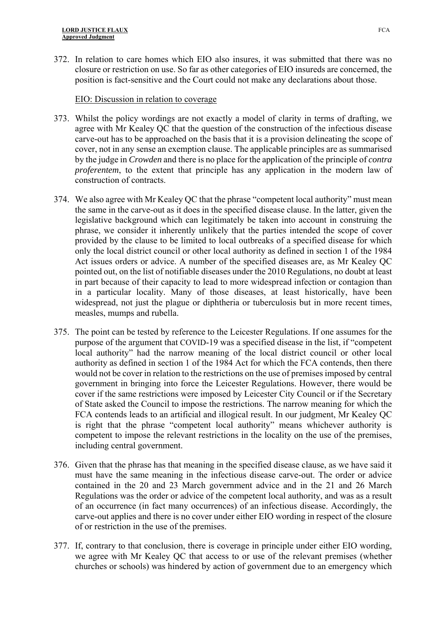372. In relation to care homes which EIO also insures, it was submitted that there was no closure or restriction on use. So far as other categories of EIO insureds are concerned, the position is fact-sensitive and the Court could not make any declarations about those.

#### EIO: Discussion in relation to coverage

- 373. Whilst the policy wordings are not exactly a model of clarity in terms of drafting, we agree with Mr Kealey QC that the question of the construction of the infectious disease carve-out has to be approached on the basis that it is a provision delineating the scope of cover, not in any sense an exemption clause. The applicable principles are as summarised by the judge in *Crowden* and there is no place for the application of the principle of *contra proferentem*, to the extent that principle has any application in the modern law of construction of contracts.
- 374. We also agree with Mr Kealey QC that the phrase "competent local authority" must mean the same in the carve-out as it does in the specified disease clause. In the latter, given the legislative background which can legitimately be taken into account in construing the phrase, we consider it inherently unlikely that the parties intended the scope of cover provided by the clause to be limited to local outbreaks of a specified disease for which only the local district council or other local authority as defined in section 1 of the 1984 Act issues orders or advice. A number of the specified diseases are, as Mr Kealey QC pointed out, on the list of notifiable diseases under the 2010 Regulations, no doubt at least in part because of their capacity to lead to more widespread infection or contagion than in a particular locality. Many of those diseases, at least historically, have been widespread, not just the plague or diphtheria or tuberculosis but in more recent times, measles, mumps and rubella.
- 375. The point can be tested by reference to the Leicester Regulations. If one assumes for the purpose of the argument that COVID-19 was a specified disease in the list, if "competent local authority" had the narrow meaning of the local district council or other local authority as defined in section 1 of the 1984 Act for which the FCA contends, then there would not be cover in relation to the restrictions on the use of premises imposed by central government in bringing into force the Leicester Regulations. However, there would be cover if the same restrictions were imposed by Leicester City Council or if the Secretary of State asked the Council to impose the restrictions. The narrow meaning for which the FCA contends leads to an artificial and illogical result. In our judgment, Mr Kealey QC is right that the phrase "competent local authority" means whichever authority is competent to impose the relevant restrictions in the locality on the use of the premises, including central government.
- 376. Given that the phrase has that meaning in the specified disease clause, as we have said it must have the same meaning in the infectious disease carve-out. The order or advice contained in the 20 and 23 March government advice and in the 21 and 26 March Regulations was the order or advice of the competent local authority, and was as a result of an occurrence (in fact many occurrences) of an infectious disease. Accordingly, the carve-out applies and there is no cover under either EIO wording in respect of the closure of or restriction in the use of the premises.
- 377. If, contrary to that conclusion, there is coverage in principle under either EIO wording, we agree with Mr Kealey QC that access to or use of the relevant premises (whether churches or schools) was hindered by action of government due to an emergency which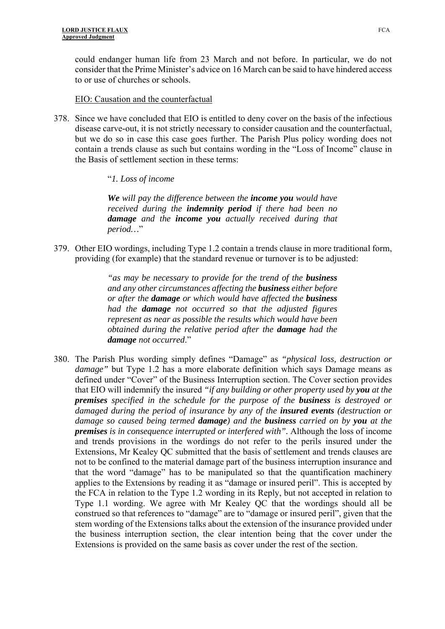could endanger human life from 23 March and not before. In particular, we do not consider that the Prime Minister's advice on 16 March can be said to have hindered access to or use of churches or schools.

#### EIO: Causation and the counterfactual

378. Since we have concluded that EIO is entitled to deny cover on the basis of the infectious disease carve-out, it is not strictly necessary to consider causation and the counterfactual, but we do so in case this case goes further. The Parish Plus policy wording does not contain a trends clause as such but contains wording in the "Loss of Income" clause in the Basis of settlement section in these terms:

### "*1. Loss of income*

*We will pay the difference between the income you would have received during the indemnity period if there had been no damage and the income you actually received during that period…*"

379. Other EIO wordings, including Type 1.2 contain a trends clause in more traditional form, providing (for example) that the standard revenue or turnover is to be adjusted:

> *"as may be necessary to provide for the trend of the business and any other circumstances affecting the business either before or after the damage or which would have affected the business had the damage not occurred so that the adjusted figures represent as near as possible the results which would have been obtained during the relative period after the damage had the damage not occurred*."

380. The Parish Plus wording simply defines "Damage" as *"physical loss, destruction or damage"* but Type 1.2 has a more elaborate definition which says Damage means as defined under "Cover" of the Business Interruption section. The Cover section provides that EIO will indemnify the insured *"if any building or other property used by you at the premises specified in the schedule for the purpose of the business is destroyed or damaged during the period of insurance by any of the insured events (destruction or damage so caused being termed damage) and the business carried on by you at the premises is in consequence interrupted or interfered with".* Although the loss of income and trends provisions in the wordings do not refer to the perils insured under the Extensions, Mr Kealey QC submitted that the basis of settlement and trends clauses are not to be confined to the material damage part of the business interruption insurance and that the word "damage" has to be manipulated so that the quantification machinery applies to the Extensions by reading it as "damage or insured peril". This is accepted by the FCA in relation to the Type 1.2 wording in its Reply, but not accepted in relation to Type 1.1 wording. We agree with Mr Kealey QC that the wordings should all be construed so that references to "damage" are to "damage or insured peril", given that the stem wording of the Extensions talks about the extension of the insurance provided under the business interruption section, the clear intention being that the cover under the Extensions is provided on the same basis as cover under the rest of the section.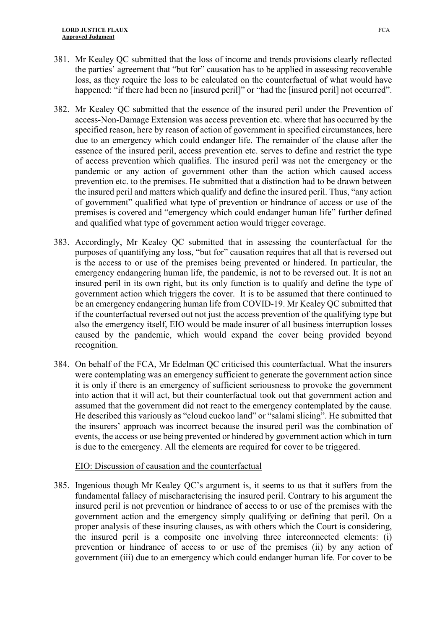- 381. Mr Kealey QC submitted that the loss of income and trends provisions clearly reflected the parties' agreement that "but for" causation has to be applied in assessing recoverable loss, as they require the loss to be calculated on the counterfactual of what would have happened: "if there had been no [insured peril]" or "had the [insured peril] not occurred".
- 382. Mr Kealey QC submitted that the essence of the insured peril under the Prevention of access-Non-Damage Extension was access prevention etc. where that has occurred by the specified reason, here by reason of action of government in specified circumstances, here due to an emergency which could endanger life. The remainder of the clause after the essence of the insured peril, access prevention etc. serves to define and restrict the type of access prevention which qualifies. The insured peril was not the emergency or the pandemic or any action of government other than the action which caused access prevention etc. to the premises. He submitted that a distinction had to be drawn between the insured peril and matters which qualify and define the insured peril. Thus, "any action of government" qualified what type of prevention or hindrance of access or use of the premises is covered and "emergency which could endanger human life" further defined and qualified what type of government action would trigger coverage.
- 383. Accordingly, Mr Kealey QC submitted that in assessing the counterfactual for the purposes of quantifying any loss, "but for" causation requires that all that is reversed out is the access to or use of the premises being prevented or hindered. In particular, the emergency endangering human life, the pandemic, is not to be reversed out. It is not an insured peril in its own right, but its only function is to qualify and define the type of government action which triggers the cover. It is to be assumed that there continued to be an emergency endangering human life from COVID-19. Mr Kealey QC submitted that if the counterfactual reversed out not just the access prevention of the qualifying type but also the emergency itself, EIO would be made insurer of all business interruption losses caused by the pandemic, which would expand the cover being provided beyond recognition.
- 384. On behalf of the FCA, Mr Edelman QC criticised this counterfactual. What the insurers were contemplating was an emergency sufficient to generate the government action since it is only if there is an emergency of sufficient seriousness to provoke the government into action that it will act, but their counterfactual took out that government action and assumed that the government did not react to the emergency contemplated by the cause. He described this variously as "cloud cuckoo land" or "salami slicing". He submitted that the insurers' approach was incorrect because the insured peril was the combination of events, the access or use being prevented or hindered by government action which in turn is due to the emergency. All the elements are required for cover to be triggered.

### EIO: Discussion of causation and the counterfactual

385. Ingenious though Mr Kealey QC's argument is, it seems to us that it suffers from the fundamental fallacy of mischaracterising the insured peril. Contrary to his argument the insured peril is not prevention or hindrance of access to or use of the premises with the government action and the emergency simply qualifying or defining that peril. On a proper analysis of these insuring clauses, as with others which the Court is considering, the insured peril is a composite one involving three interconnected elements: (i) prevention or hindrance of access to or use of the premises (ii) by any action of government (iii) due to an emergency which could endanger human life. For cover to be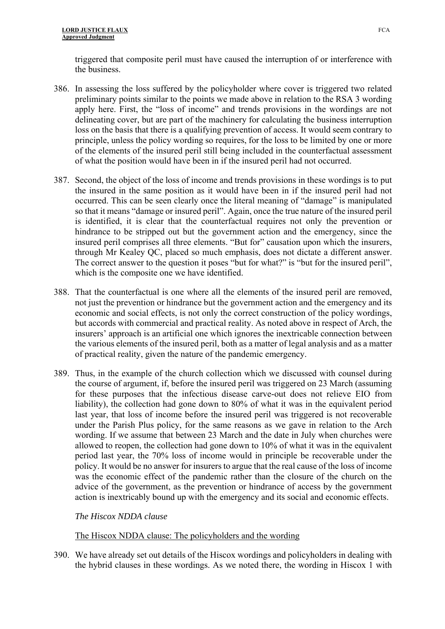triggered that composite peril must have caused the interruption of or interference with the business.

- 386. In assessing the loss suffered by the policyholder where cover is triggered two related preliminary points similar to the points we made above in relation to the RSA 3 wording apply here. First, the "loss of income" and trends provisions in the wordings are not delineating cover, but are part of the machinery for calculating the business interruption loss on the basis that there is a qualifying prevention of access. It would seem contrary to principle, unless the policy wording so requires, for the loss to be limited by one or more of the elements of the insured peril still being included in the counterfactual assessment of what the position would have been in if the insured peril had not occurred.
- 387. Second, the object of the loss of income and trends provisions in these wordings is to put the insured in the same position as it would have been in if the insured peril had not occurred. This can be seen clearly once the literal meaning of "damage" is manipulated so that it means "damage or insured peril". Again, once the true nature of the insured peril is identified, it is clear that the counterfactual requires not only the prevention or hindrance to be stripped out but the government action and the emergency, since the insured peril comprises all three elements. "But for" causation upon which the insurers, through Mr Kealey QC, placed so much emphasis, does not dictate a different answer. The correct answer to the question it poses "but for what?" is "but for the insured peril", which is the composite one we have identified.
- 388. That the counterfactual is one where all the elements of the insured peril are removed, not just the prevention or hindrance but the government action and the emergency and its economic and social effects, is not only the correct construction of the policy wordings, but accords with commercial and practical reality. As noted above in respect of Arch, the insurers' approach is an artificial one which ignores the inextricable connection between the various elements of the insured peril, both as a matter of legal analysis and as a matter of practical reality, given the nature of the pandemic emergency.
- 389. Thus, in the example of the church collection which we discussed with counsel during the course of argument, if, before the insured peril was triggered on 23 March (assuming for these purposes that the infectious disease carve-out does not relieve EIO from liability), the collection had gone down to 80% of what it was in the equivalent period last year, that loss of income before the insured peril was triggered is not recoverable under the Parish Plus policy, for the same reasons as we gave in relation to the Arch wording. If we assume that between 23 March and the date in July when churches were allowed to reopen, the collection had gone down to 10% of what it was in the equivalent period last year, the 70% loss of income would in principle be recoverable under the policy. It would be no answer for insurers to argue that the real cause of the loss of income was the economic effect of the pandemic rather than the closure of the church on the advice of the government, as the prevention or hindrance of access by the government action is inextricably bound up with the emergency and its social and economic effects.

### *The Hiscox NDDA clause*

# The Hiscox NDDA clause: The policyholders and the wording

390. We have already set out details of the Hiscox wordings and policyholders in dealing with the hybrid clauses in these wordings. As we noted there, the wording in Hiscox 1 with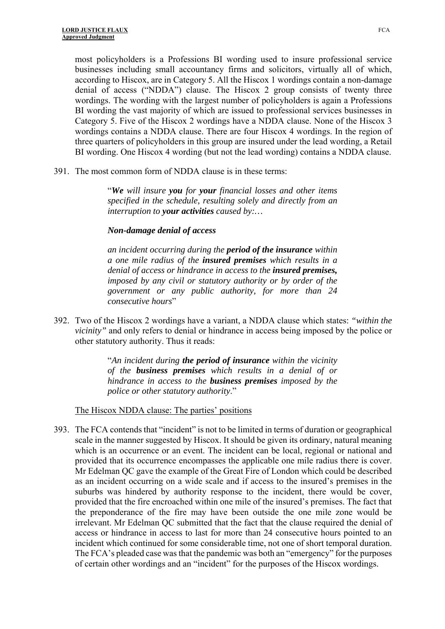most policyholders is a Professions BI wording used to insure professional service businesses including small accountancy firms and solicitors, virtually all of which, according to Hiscox, are in Category 5. All the Hiscox 1 wordings contain a non-damage denial of access ("NDDA") clause. The Hiscox 2 group consists of twenty three wordings. The wording with the largest number of policyholders is again a Professions BI wording the vast majority of which are issued to professional services businesses in Category 5. Five of the Hiscox 2 wordings have a NDDA clause. None of the Hiscox 3 wordings contains a NDDA clause. There are four Hiscox 4 wordings. In the region of three quarters of policyholders in this group are insured under the lead wording, a Retail BI wording. One Hiscox 4 wording (but not the lead wording) contains a NDDA clause.

391. The most common form of NDDA clause is in these terms:

"*We will insure you for your financial losses and other items specified in the schedule, resulting solely and directly from an interruption to your activities caused by:…*

#### *Non-damage denial of access*

*an incident occurring during the period of the insurance within a one mile radius of the insured premises which results in a denial of access or hindrance in access to the insured premises, imposed by any civil or statutory authority or by order of the government or any public authority, for more than 24 consecutive hours*"

392. Two of the Hiscox 2 wordings have a variant, a NDDA clause which states: *"within the vicinity"* and only refers to denial or hindrance in access being imposed by the police or other statutory authority. Thus it reads:

> "*An incident during the period of insurance within the vicinity of the business premises which results in a denial of or hindrance in access to the business premises imposed by the police or other statutory authority*."

The Hiscox NDDA clause: The parties' positions

393. The FCA contends that "incident" is not to be limited in terms of duration or geographical scale in the manner suggested by Hiscox. It should be given its ordinary, natural meaning which is an occurrence or an event. The incident can be local, regional or national and provided that its occurrence encompasses the applicable one mile radius there is cover. Mr Edelman QC gave the example of the Great Fire of London which could be described as an incident occurring on a wide scale and if access to the insured's premises in the suburbs was hindered by authority response to the incident, there would be cover, provided that the fire encroached within one mile of the insured's premises. The fact that the preponderance of the fire may have been outside the one mile zone would be irrelevant. Mr Edelman QC submitted that the fact that the clause required the denial of access or hindrance in access to last for more than 24 consecutive hours pointed to an incident which continued for some considerable time, not one of short temporal duration. The FCA's pleaded case was that the pandemic was both an "emergency" for the purposes of certain other wordings and an "incident" for the purposes of the Hiscox wordings.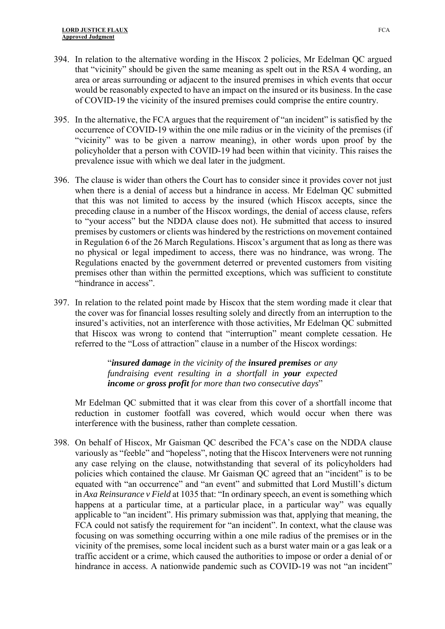- 394. In relation to the alternative wording in the Hiscox 2 policies, Mr Edelman QC argued that "vicinity" should be given the same meaning as spelt out in the RSA 4 wording, an area or areas surrounding or adjacent to the insured premises in which events that occur would be reasonably expected to have an impact on the insured or its business. In the case of COVID-19 the vicinity of the insured premises could comprise the entire country.
- 395. In the alternative, the FCA argues that the requirement of "an incident" is satisfied by the occurrence of COVID-19 within the one mile radius or in the vicinity of the premises (if "vicinity" was to be given a narrow meaning), in other words upon proof by the policyholder that a person with COVID-19 had been within that vicinity. This raises the prevalence issue with which we deal later in the judgment.
- 396. The clause is wider than others the Court has to consider since it provides cover not just when there is a denial of access but a hindrance in access. Mr Edelman QC submitted that this was not limited to access by the insured (which Hiscox accepts, since the preceding clause in a number of the Hiscox wordings, the denial of access clause, refers to "your access" but the NDDA clause does not). He submitted that access to insured premises by customers or clients was hindered by the restrictions on movement contained in Regulation 6 of the 26 March Regulations. Hiscox's argument that as long as there was no physical or legal impediment to access, there was no hindrance, was wrong. The Regulations enacted by the government deterred or prevented customers from visiting premises other than within the permitted exceptions, which was sufficient to constitute "hindrance in access".
- 397. In relation to the related point made by Hiscox that the stem wording made it clear that the cover was for financial losses resulting solely and directly from an interruption to the insured's activities, not an interference with those activities, Mr Edelman QC submitted that Hiscox was wrong to contend that "interruption" meant complete cessation. He referred to the "Loss of attraction" clause in a number of the Hiscox wordings:

"*insured damage in the vicinity of the insured premises or any fundraising event resulting in a shortfall in your expected income or gross profit for more than two consecutive days*"

Mr Edelman QC submitted that it was clear from this cover of a shortfall income that reduction in customer footfall was covered, which would occur when there was interference with the business, rather than complete cessation.

398. On behalf of Hiscox, Mr Gaisman QC described the FCA's case on the NDDA clause variously as "feeble" and "hopeless", noting that the Hiscox Interveners were not running any case relying on the clause, notwithstanding that several of its policyholders had policies which contained the clause. Mr Gaisman QC agreed that an "incident" is to be equated with "an occurrence" and "an event" and submitted that Lord Mustill's dictum in *Axa Reinsurance v Field* at 1035 that: "In ordinary speech, an event is something which happens at a particular time, at a particular place, in a particular way" was equally applicable to "an incident". His primary submission was that, applying that meaning, the FCA could not satisfy the requirement for "an incident". In context, what the clause was focusing on was something occurring within a one mile radius of the premises or in the vicinity of the premises, some local incident such as a burst water main or a gas leak or a traffic accident or a crime, which caused the authorities to impose or order a denial of or hindrance in access. A nationwide pandemic such as COVID-19 was not "an incident"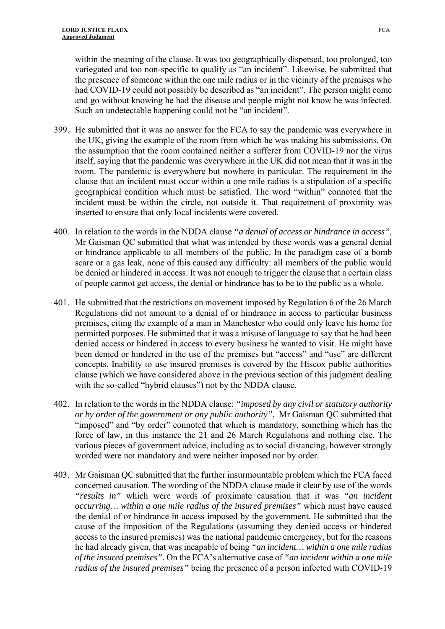within the meaning of the clause. It was too geographically dispersed, too prolonged, too variegated and too non-specific to qualify as "an incident". Likewise, he submitted that the presence of someone within the one mile radius or in the vicinity of the premises who had COVID-19 could not possibly be described as "an incident". The person might come and go without knowing he had the disease and people might not know he was infected. Such an undetectable happening could not be "an incident".

- 399. He submitted that it was no answer for the FCA to say the pandemic was everywhere in the UK, giving the example of the room from which he was making his submissions. On the assumption that the room contained neither a sufferer from COVID-19 nor the virus itself, saying that the pandemic was everywhere in the UK did not mean that it was in the room. The pandemic is everywhere but nowhere in particular. The requirement in the clause that an incident must occur within a one mile radius is a stipulation of a specific geographical condition which must be satisfied. The word "within" connoted that the incident must be within the circle, not outside it. That requirement of proximity was inserted to ensure that only local incidents were covered.
- 400. In relation to the words in the NDDA clause *"a denial of access or hindrance in access"*, Mr Gaisman QC submitted that what was intended by these words was a general denial or hindrance applicable to all members of the public. In the paradigm case of a bomb scare or a gas leak, none of this caused any difficulty: all members of the public would be denied or hindered in access. It was not enough to trigger the clause that a certain class of people cannot get access, the denial or hindrance has to be to the public as a whole.
- 401. He submitted that the restrictions on movement imposed by Regulation 6 of the 26 March Regulations did not amount to a denial of or hindrance in access to particular business premises, citing the example of a man in Manchester who could only leave his home for permitted purposes. He submitted that it was a misuse of language to say that he had been denied access or hindered in access to every business he wanted to visit. He might have been denied or hindered in the use of the premises but "access" and "use" are different concepts. Inability to use insured premises is covered by the Hiscox public authorities clause (which we have considered above in the previous section of this judgment dealing with the so-called "hybrid clauses") not by the NDDA clause.
- 402. In relation to the words in the NDDA clause: *"imposed by any civil or statutory authority or by order of the government or any public authority"*, Mr Gaisman QC submitted that "imposed" and "by order" connoted that which is mandatory, something which has the force of law, in this instance the 21 and 26 March Regulations and nothing else. The various pieces of government advice, including as to social distancing, however strongly worded were not mandatory and were neither imposed nor by order.
- 403. Mr Gaisman QC submitted that the further insurmountable problem which the FCA faced concerned causation. The wording of the NDDA clause made it clear by use of the words *"results in"* which were words of proximate causation that it was *"an incident occurring… within a one mile radius of the insured premises"* which must have caused the denial of or hindrance in access imposed by the government. He submitted that the cause of the imposition of the Regulations (assuming they denied access or hindered access to the insured premises) was the national pandemic emergency, but for the reasons he had already given, that was incapable of being *"an incident… within a one mile radius of the insured premises"*. On the FCA's alternative case of *"an incident within a one mile radius of the insured premises"* being the presence of a person infected with COVID-19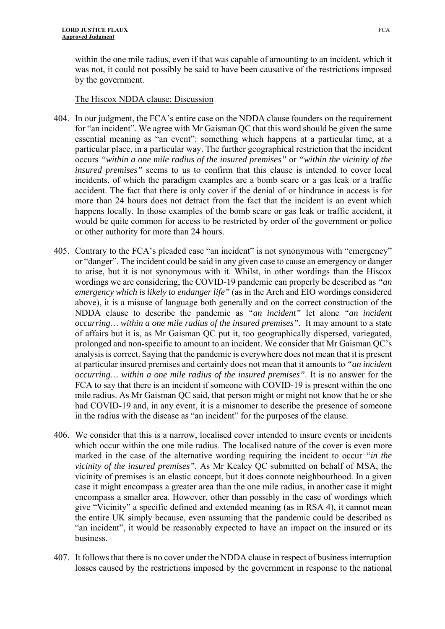within the one mile radius, even if that was capable of amounting to an incident, which it was not, it could not possibly be said to have been causative of the restrictions imposed by the government.

## The Hiscox NDDA clause: Discussion

- 404. In our judgment, the FCA's entire case on the NDDA clause founders on the requirement for "an incident". We agree with Mr Gaisman QC that this word should be given the same essential meaning as "an event": something which happens at a particular time, at a particular place, in a particular way. The further geographical restriction that the incident occurs *"within a one mile radius of the insured premises"* or *"within the vicinity of the insured premises"* seems to us to confirm that this clause is intended to cover local incidents, of which the paradigm examples are a bomb scare or a gas leak or a traffic accident. The fact that there is only cover if the denial of or hindrance in access is for more than 24 hours does not detract from the fact that the incident is an event which happens locally. In those examples of the bomb scare or gas leak or traffic accident, it would be quite common for access to be restricted by order of the government or police or other authority for more than 24 hours.
- 405. Contrary to the FCA's pleaded case "an incident" is not synonymous with "emergency" or "danger". The incident could be said in any given case to cause an emergency or danger to arise, but it is not synonymous with it. Whilst, in other wordings than the Hiscox wordings we are considering, the COVID-19 pandemic can properly be described as *"an emergency which is likely to endanger life"* (as in the Arch and EIO wordings considered above), it is a misuse of language both generally and on the correct construction of the NDDA clause to describe the pandemic as *"an incident"* let alone *"an incident occurring… within a one mile radius of the insured premises".* It may amount to a state of affairs but it is, as Mr Gaisman QC put it, too geographically dispersed, variegated, prolonged and non-specific to amount to an incident. We consider that Mr Gaisman QC's analysis is correct. Saying that the pandemic is everywhere does not mean that it is present at particular insured premises and certainly does not mean that it amounts to *"an incident occurring… within a one mile radius of the insured premises"*. It is no answer for the FCA to say that there is an incident if someone with COVID-19 is present within the one mile radius. As Mr Gaisman QC said, that person might or might not know that he or she had COVID-19 and, in any event, it is a misnomer to describe the presence of someone in the radius with the disease as "an incident" for the purposes of the clause.
- 406. We consider that this is a narrow, localised cover intended to insure events or incidents which occur within the one mile radius. The localised nature of the cover is even more marked in the case of the alternative wording requiring the incident to occur *"in the vicinity of the insured premises".* As Mr Kealey QC submitted on behalf of MSA, the vicinity of premises is an elastic concept, but it does connote neighbourhood. In a given case it might encompass a greater area than the one mile radius, in another case it might encompass a smaller area. However, other than possibly in the case of wordings which give "Vicinity" a specific defined and extended meaning (as in RSA 4), it cannot mean the entire UK simply because, even assuming that the pandemic could be described as "an incident", it would be reasonably expected to have an impact on the insured or its business.
- 407. It follows that there is no cover under the NDDA clause in respect of business interruption losses caused by the restrictions imposed by the government in response to the national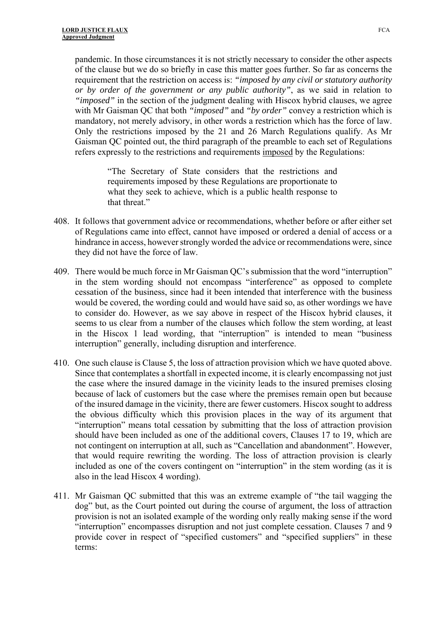pandemic. In those circumstances it is not strictly necessary to consider the other aspects of the clause but we do so briefly in case this matter goes further. So far as concerns the requirement that the restriction on access is: *"imposed by any civil or statutory authority or by order of the government or any public authority"*, as we said in relation to *"imposed"* in the section of the judgment dealing with Hiscox hybrid clauses, we agree with Mr Gaisman QC that both *"imposed"* and *"by order"* convey a restriction which is mandatory, not merely advisory, in other words a restriction which has the force of law. Only the restrictions imposed by the 21 and 26 March Regulations qualify. As Mr Gaisman QC pointed out, the third paragraph of the preamble to each set of Regulations refers expressly to the restrictions and requirements imposed by the Regulations:

> "The Secretary of State considers that the restrictions and requirements imposed by these Regulations are proportionate to what they seek to achieve, which is a public health response to that threat."

- 408. It follows that government advice or recommendations, whether before or after either set of Regulations came into effect, cannot have imposed or ordered a denial of access or a hindrance in access, however strongly worded the advice or recommendations were, since they did not have the force of law.
- 409. There would be much force in Mr Gaisman QC's submission that the word "interruption" in the stem wording should not encompass "interference" as opposed to complete cessation of the business, since had it been intended that interference with the business would be covered, the wording could and would have said so, as other wordings we have to consider do. However, as we say above in respect of the Hiscox hybrid clauses, it seems to us clear from a number of the clauses which follow the stem wording, at least in the Hiscox 1 lead wording, that "interruption" is intended to mean "business interruption" generally, including disruption and interference.
- 410. One such clause is Clause 5, the loss of attraction provision which we have quoted above. Since that contemplates a shortfall in expected income, it is clearly encompassing not just the case where the insured damage in the vicinity leads to the insured premises closing because of lack of customers but the case where the premises remain open but because of the insured damage in the vicinity, there are fewer customers. Hiscox sought to address the obvious difficulty which this provision places in the way of its argument that "interruption" means total cessation by submitting that the loss of attraction provision should have been included as one of the additional covers, Clauses 17 to 19, which are not contingent on interruption at all, such as "Cancellation and abandonment". However, that would require rewriting the wording. The loss of attraction provision is clearly included as one of the covers contingent on "interruption" in the stem wording (as it is also in the lead Hiscox 4 wording).
- 411. Mr Gaisman QC submitted that this was an extreme example of "the tail wagging the dog" but, as the Court pointed out during the course of argument, the loss of attraction provision is not an isolated example of the wording only really making sense if the word "interruption" encompasses disruption and not just complete cessation. Clauses 7 and 9 provide cover in respect of "specified customers" and "specified suppliers" in these terms: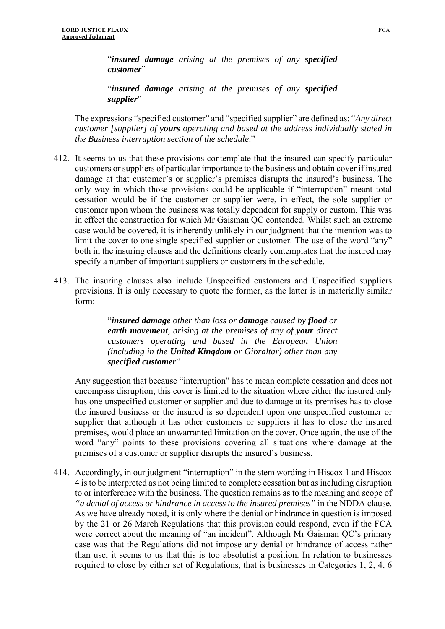"*insured damage arising at the premises of any specified customer*"

"*insured damage arising at the premises of any specified supplier*"

The expressions "specified customer" and "specified supplier" are defined as: "*Any direct customer [supplier] of yours operating and based at the address individually stated in the Business interruption section of the schedule*."

- 412. It seems to us that these provisions contemplate that the insured can specify particular customers or suppliers of particular importance to the business and obtain cover if insured damage at that customer's or supplier's premises disrupts the insured's business. The only way in which those provisions could be applicable if "interruption" meant total cessation would be if the customer or supplier were, in effect, the sole supplier or customer upon whom the business was totally dependent for supply or custom. This was in effect the construction for which Mr Gaisman QC contended. Whilst such an extreme case would be covered, it is inherently unlikely in our judgment that the intention was to limit the cover to one single specified supplier or customer. The use of the word "any" both in the insuring clauses and the definitions clearly contemplates that the insured may specify a number of important suppliers or customers in the schedule.
- 413. The insuring clauses also include Unspecified customers and Unspecified suppliers provisions. It is only necessary to quote the former, as the latter is in materially similar form:

"*insured damage other than loss or damage caused by flood or earth movement, arising at the premises of any of your direct customers operating and based in the European Union (including in the United Kingdom or Gibraltar) other than any specified customer*"

Any suggestion that because "interruption" has to mean complete cessation and does not encompass disruption, this cover is limited to the situation where either the insured only has one unspecified customer or supplier and due to damage at its premises has to close the insured business or the insured is so dependent upon one unspecified customer or supplier that although it has other customers or suppliers it has to close the insured premises, would place an unwarranted limitation on the cover. Once again, the use of the word "any" points to these provisions covering all situations where damage at the premises of a customer or supplier disrupts the insured's business.

414. Accordingly, in our judgment "interruption" in the stem wording in Hiscox 1 and Hiscox 4 is to be interpreted as not being limited to complete cessation but as including disruption to or interference with the business. The question remains as to the meaning and scope of *"a denial of access or hindrance in access to the insured premises"* in the NDDA clause. As we have already noted, it is only where the denial or hindrance in question is imposed by the 21 or 26 March Regulations that this provision could respond, even if the FCA were correct about the meaning of "an incident". Although Mr Gaisman QC's primary case was that the Regulations did not impose any denial or hindrance of access rather than use, it seems to us that this is too absolutist a position. In relation to businesses required to close by either set of Regulations, that is businesses in Categories 1, 2, 4, 6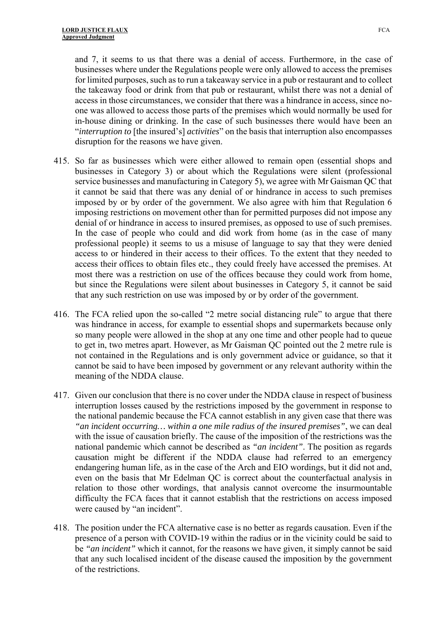and 7, it seems to us that there was a denial of access. Furthermore, in the case of businesses where under the Regulations people were only allowed to access the premises for limited purposes, such as to run a takeaway service in a pub or restaurant and to collect the takeaway food or drink from that pub or restaurant, whilst there was not a denial of access in those circumstances, we consider that there was a hindrance in access, since noone was allowed to access those parts of the premises which would normally be used for in-house dining or drinking. In the case of such businesses there would have been an "*interruption to* [the insured's] *activities*" on the basis that interruption also encompasses disruption for the reasons we have given.

- 415. So far as businesses which were either allowed to remain open (essential shops and businesses in Category 3) or about which the Regulations were silent (professional service businesses and manufacturing in Category 5), we agree with Mr Gaisman QC that it cannot be said that there was any denial of or hindrance in access to such premises imposed by or by order of the government. We also agree with him that Regulation 6 imposing restrictions on movement other than for permitted purposes did not impose any denial of or hindrance in access to insured premises, as opposed to use of such premises. In the case of people who could and did work from home (as in the case of many professional people) it seems to us a misuse of language to say that they were denied access to or hindered in their access to their offices. To the extent that they needed to access their offices to obtain files etc., they could freely have accessed the premises. At most there was a restriction on use of the offices because they could work from home, but since the Regulations were silent about businesses in Category 5, it cannot be said that any such restriction on use was imposed by or by order of the government.
- 416. The FCA relied upon the so-called "2 metre social distancing rule" to argue that there was hindrance in access, for example to essential shops and supermarkets because only so many people were allowed in the shop at any one time and other people had to queue to get in, two metres apart. However, as Mr Gaisman QC pointed out the 2 metre rule is not contained in the Regulations and is only government advice or guidance, so that it cannot be said to have been imposed by government or any relevant authority within the meaning of the NDDA clause.
- 417. Given our conclusion that there is no cover under the NDDA clause in respect of business interruption losses caused by the restrictions imposed by the government in response to the national pandemic because the FCA cannot establish in any given case that there was *"an incident occurring… within a one mile radius of the insured premises"*, we can deal with the issue of causation briefly. The cause of the imposition of the restrictions was the national pandemic which cannot be described as *"an incident"*. The position as regards causation might be different if the NDDA clause had referred to an emergency endangering human life, as in the case of the Arch and EIO wordings, but it did not and, even on the basis that Mr Edelman QC is correct about the counterfactual analysis in relation to those other wordings, that analysis cannot overcome the insurmountable difficulty the FCA faces that it cannot establish that the restrictions on access imposed were caused by "an incident".
- 418. The position under the FCA alternative case is no better as regards causation. Even if the presence of a person with COVID-19 within the radius or in the vicinity could be said to be *"an incident"* which it cannot, for the reasons we have given, it simply cannot be said that any such localised incident of the disease caused the imposition by the government of the restrictions.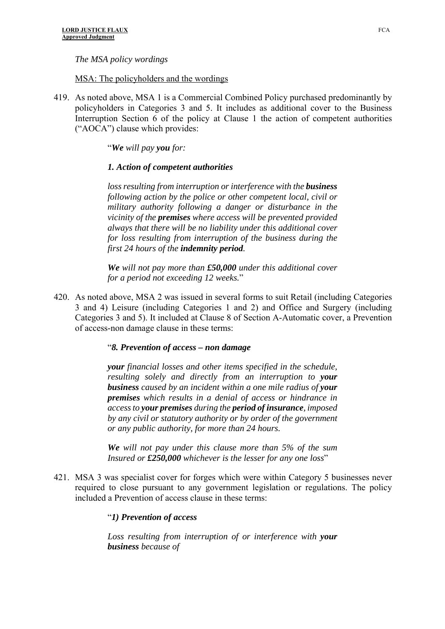*The MSA policy wordings* 

MSA: The policyholders and the wordings

419. As noted above, MSA 1 is a Commercial Combined Policy purchased predominantly by policyholders in Categories 3 and 5. It includes as additional cover to the Business Interruption Section 6 of the policy at Clause 1 the action of competent authorities ("AOCA") clause which provides:

"*We will pay you for:* 

# *1. Action of competent authorities*

*loss resulting from interruption or interference with the <i>business following action by the police or other competent local, civil or military authority following a danger or disturbance in the vicinity of the premises where access will be prevented provided always that there will be no liability under this additional cover for loss resulting from interruption of the business during the first 24 hours of the indemnity period.* 

*We will not pay more than £50,000 under this additional cover for a period not exceeding 12 weeks.*"

420. As noted above, MSA 2 was issued in several forms to suit Retail (including Categories 3 and 4) Leisure (including Categories 1 and 2) and Office and Surgery (including Categories 3 and 5). It included at Clause 8 of Section A-Automatic cover, a Prevention of access-non damage clause in these terms:

### "*8. Prevention of access – non damage*

*your financial losses and other items specified in the schedule, resulting solely and directly from an interruption to your business caused by an incident within a one mile radius of your premises which results in a denial of access or hindrance in access to your premises during the period of insurance, imposed by any civil or statutory authority or by order of the government or any public authority, for more than 24 hours.* 

*We will not pay under this clause more than 5% of the sum Insured or £250,000 whichever is the lesser for any one loss*"

421. MSA 3 was specialist cover for forges which were within Category 5 businesses never required to close pursuant to any government legislation or regulations. The policy included a Prevention of access clause in these terms:

### "*1) Prevention of access*

*Loss resulting from interruption of or interference with your business because of*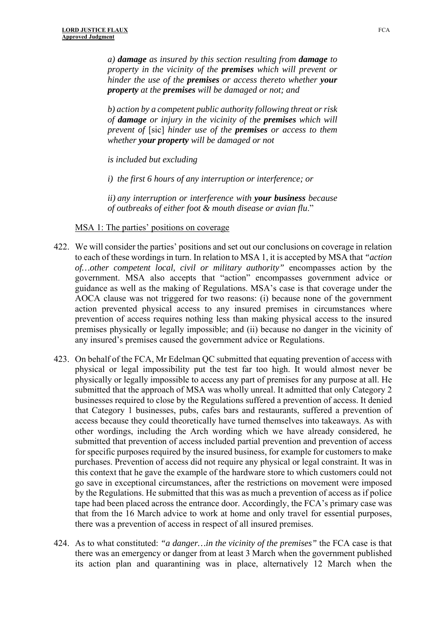*a) damage as insured by this section resulting from damage to property in the vicinity of the premises which will prevent or hinder the use of the premises or access thereto whether your property at the premises will be damaged or not; and* 

*b) action by a competent public authority following threat or risk of damage or injury in the vicinity of the premises which will prevent of* [sic] *hinder use of the premises or access to them whether your property will be damaged or not* 

*is included but excluding* 

*i) the first 6 hours of any interruption or interference; or* 

*ii) any interruption or interference with your business because of outbreaks of either foot & mouth disease or avian flu*."

#### MSA 1: The parties' positions on coverage

- 422. We will consider the parties' positions and set out our conclusions on coverage in relation to each of these wordings in turn. In relation to MSA 1, it is accepted by MSA that *"action of…other competent local, civil or military authority"* encompasses action by the government. MSA also accepts that "action" encompasses government advice or guidance as well as the making of Regulations. MSA's case is that coverage under the AOCA clause was not triggered for two reasons: (i) because none of the government action prevented physical access to any insured premises in circumstances where prevention of access requires nothing less than making physical access to the insured premises physically or legally impossible; and (ii) because no danger in the vicinity of any insured's premises caused the government advice or Regulations.
- 423. On behalf of the FCA, Mr Edelman QC submitted that equating prevention of access with physical or legal impossibility put the test far too high. It would almost never be physically or legally impossible to access any part of premises for any purpose at all. He submitted that the approach of MSA was wholly unreal. It admitted that only Category 2 businesses required to close by the Regulations suffered a prevention of access. It denied that Category 1 businesses, pubs, cafes bars and restaurants, suffered a prevention of access because they could theoretically have turned themselves into takeaways. As with other wordings, including the Arch wording which we have already considered, he submitted that prevention of access included partial prevention and prevention of access for specific purposes required by the insured business, for example for customers to make purchases. Prevention of access did not require any physical or legal constraint. It was in this context that he gave the example of the hardware store to which customers could not go save in exceptional circumstances, after the restrictions on movement were imposed by the Regulations. He submitted that this was as much a prevention of access as if police tape had been placed across the entrance door. Accordingly, the FCA's primary case was that from the 16 March advice to work at home and only travel for essential purposes, there was a prevention of access in respect of all insured premises.
- 424. As to what constituted: *"a danger…in the vicinity of the premises"* the FCA case is that there was an emergency or danger from at least 3 March when the government published its action plan and quarantining was in place, alternatively 12 March when the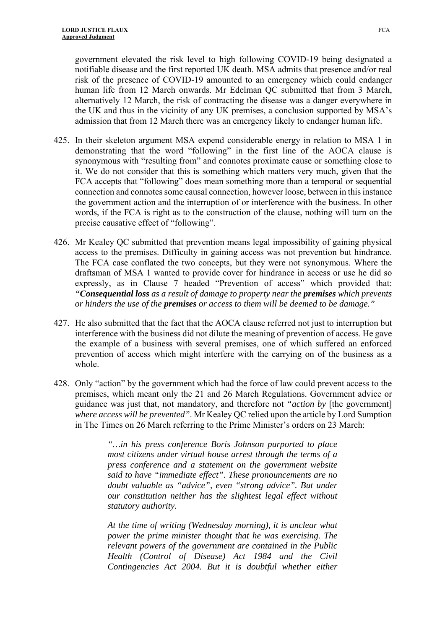government elevated the risk level to high following COVID-19 being designated a notifiable disease and the first reported UK death. MSA admits that presence and/or real risk of the presence of COVID-19 amounted to an emergency which could endanger human life from 12 March onwards. Mr Edelman QC submitted that from 3 March, alternatively 12 March, the risk of contracting the disease was a danger everywhere in the UK and thus in the vicinity of any UK premises, a conclusion supported by MSA's admission that from 12 March there was an emergency likely to endanger human life.

- 425. In their skeleton argument MSA expend considerable energy in relation to MSA 1 in demonstrating that the word "following" in the first line of the AOCA clause is synonymous with "resulting from" and connotes proximate cause or something close to it. We do not consider that this is something which matters very much, given that the FCA accepts that "following" does mean something more than a temporal or sequential connection and connotes some causal connection, however loose, between in this instance the government action and the interruption of or interference with the business. In other words, if the FCA is right as to the construction of the clause, nothing will turn on the precise causative effect of "following".
- 426. Mr Kealey QC submitted that prevention means legal impossibility of gaining physical access to the premises. Difficulty in gaining access was not prevention but hindrance. The FCA case conflated the two concepts, but they were not synonymous. Where the draftsman of MSA 1 wanted to provide cover for hindrance in access or use he did so expressly, as in Clause 7 headed "Prevention of access" which provided that: *"Consequential loss as a result of damage to property near the premises which prevents or hinders the use of the premises or access to them will be deemed to be damage."*
- 427. He also submitted that the fact that the AOCA clause referred not just to interruption but interference with the business did not dilute the meaning of prevention of access. He gave the example of a business with several premises, one of which suffered an enforced prevention of access which might interfere with the carrying on of the business as a whole.
- 428. Only "action" by the government which had the force of law could prevent access to the premises, which meant only the 21 and 26 March Regulations. Government advice or guidance was just that, not mandatory, and therefore not *"action by* [the government] *where access will be prevented"*. Mr Kealey QC relied upon the article by Lord Sumption in The Times on 26 March referring to the Prime Minister's orders on 23 March:

*"…in his press conference Boris Johnson purported to place most citizens under virtual house arrest through the terms of a press conference and a statement on the government website said to have "immediate effect". These pronouncements are no doubt valuable as "advice", even "strong advice". But under our constitution neither has the slightest legal effect without statutory authority.* 

*At the time of writing (Wednesday morning), it is unclear what power the prime minister thought that he was exercising. The relevant powers of the government are contained in the Public Health (Control of Disease) Act 1984 and the Civil Contingencies Act 2004. But it is doubtful whether either*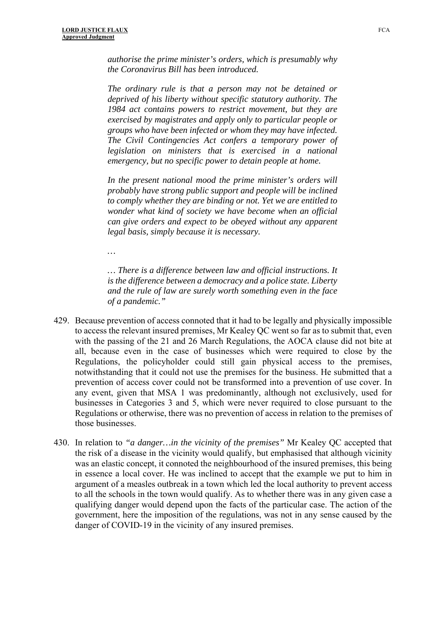*authorise the prime minister's orders, which is presumably why the Coronavirus Bill has been introduced.* 

*The ordinary rule is that a person may not be detained or deprived of his liberty without specific statutory authority. The 1984 act contains powers to restrict movement, but they are exercised by magistrates and apply only to particular people or groups who have been infected or whom they may have infected. The Civil Contingencies Act confers a temporary power of legislation on ministers that is exercised in a national emergency, but no specific power to detain people at home.* 

*In the present national mood the prime minister's orders will probably have strong public support and people will be inclined to comply whether they are binding or not. Yet we are entitled to wonder what kind of society we have become when an official can give orders and expect to be obeyed without any apparent legal basis, simply because it is necessary.* 

*…* 

*… There is a difference between law and official instructions. It is the difference between a democracy and a police state. Liberty and the rule of law are surely worth something even in the face of a pandemic."* 

- 429. Because prevention of access connoted that it had to be legally and physically impossible to access the relevant insured premises, Mr Kealey QC went so far as to submit that, even with the passing of the 21 and 26 March Regulations, the AOCA clause did not bite at all, because even in the case of businesses which were required to close by the Regulations, the policyholder could still gain physical access to the premises, notwithstanding that it could not use the premises for the business. He submitted that a prevention of access cover could not be transformed into a prevention of use cover. In any event, given that MSA 1 was predominantly, although not exclusively, used for businesses in Categories 3 and 5, which were never required to close pursuant to the Regulations or otherwise, there was no prevention of access in relation to the premises of those businesses.
- 430. In relation to *"a danger…in the vicinity of the premises"* Mr Kealey QC accepted that the risk of a disease in the vicinity would qualify, but emphasised that although vicinity was an elastic concept, it connoted the neighbourhood of the insured premises, this being in essence a local cover. He was inclined to accept that the example we put to him in argument of a measles outbreak in a town which led the local authority to prevent access to all the schools in the town would qualify. As to whether there was in any given case a qualifying danger would depend upon the facts of the particular case. The action of the government, here the imposition of the regulations, was not in any sense caused by the danger of COVID-19 in the vicinity of any insured premises.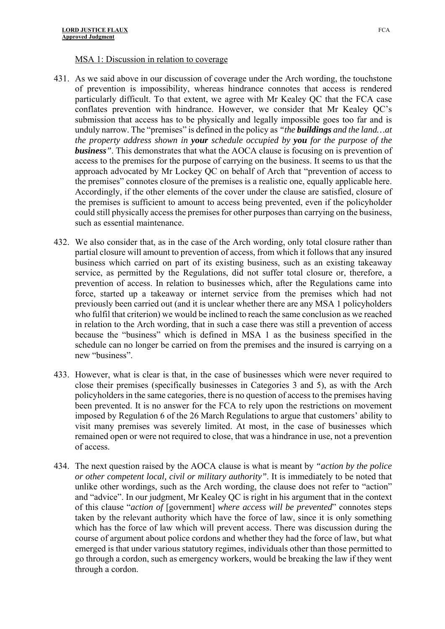#### MSA 1: Discussion in relation to coverage

- 431. As we said above in our discussion of coverage under the Arch wording, the touchstone of prevention is impossibility, whereas hindrance connotes that access is rendered particularly difficult. To that extent, we agree with Mr Kealey QC that the FCA case conflates prevention with hindrance. However, we consider that Mr Kealey QC's submission that access has to be physically and legally impossible goes too far and is unduly narrow. The "premises" is defined in the policy as *"the buildings and the land…at the property address shown in your schedule occupied by you for the purpose of the business"*. This demonstrates that what the AOCA clause is focusing on is prevention of access to the premises for the purpose of carrying on the business. It seems to us that the approach advocated by Mr Lockey QC on behalf of Arch that "prevention of access to the premises" connotes closure of the premises is a realistic one, equally applicable here. Accordingly, if the other elements of the cover under the clause are satisfied, closure of the premises is sufficient to amount to access being prevented, even if the policyholder could still physically access the premises for other purposes than carrying on the business, such as essential maintenance.
- 432. We also consider that, as in the case of the Arch wording, only total closure rather than partial closure will amount to prevention of access, from which it follows that any insured business which carried on part of its existing business, such as an existing takeaway service, as permitted by the Regulations, did not suffer total closure or, therefore, a prevention of access. In relation to businesses which, after the Regulations came into force, started up a takeaway or internet service from the premises which had not previously been carried out (and it is unclear whether there are any MSA 1 policyholders who fulfil that criterion) we would be inclined to reach the same conclusion as we reached in relation to the Arch wording, that in such a case there was still a prevention of access because the "business" which is defined in MSA 1 as the business specified in the schedule can no longer be carried on from the premises and the insured is carrying on a new "business".
- 433. However, what is clear is that, in the case of businesses which were never required to close their premises (specifically businesses in Categories 3 and 5), as with the Arch policyholders in the same categories, there is no question of access to the premises having been prevented. It is no answer for the FCA to rely upon the restrictions on movement imposed by Regulation 6 of the 26 March Regulations to argue that customers' ability to visit many premises was severely limited. At most, in the case of businesses which remained open or were not required to close, that was a hindrance in use, not a prevention of access.
- 434. The next question raised by the AOCA clause is what is meant by *"action by the police or other competent local, civil or military authority"*. It is immediately to be noted that unlike other wordings, such as the Arch wording, the clause does not refer to "action" and "advice". In our judgment, Mr Kealey QC is right in his argument that in the context of this clause "*action of* [government] *where access will be prevented*" connotes steps taken by the relevant authority which have the force of law, since it is only something which has the force of law which will prevent access. There was discussion during the course of argument about police cordons and whether they had the force of law, but what emerged is that under various statutory regimes, individuals other than those permitted to go through a cordon, such as emergency workers, would be breaking the law if they went through a cordon.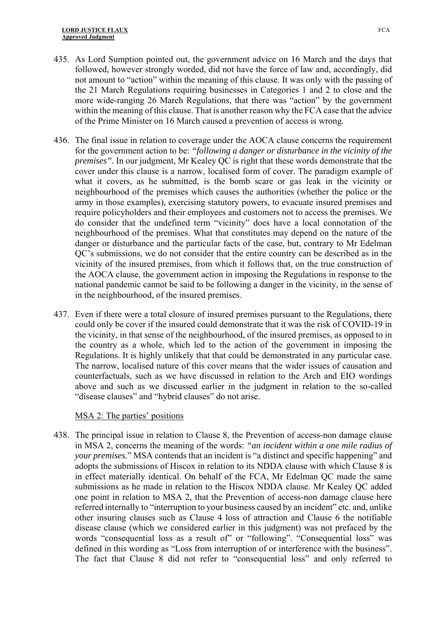- 435. As Lord Sumption pointed out, the government advice on 16 March and the days that followed, however strongly worded, did not have the force of law and, accordingly, did not amount to "action" within the meaning of this clause. It was only with the passing of the 21 March Regulations requiring businesses in Categories 1 and 2 to close and the more wide-ranging 26 March Regulations, that there was "action" by the government within the meaning of this clause. That is another reason why the FCA case that the advice of the Prime Minister on 16 March caused a prevention of access is wrong.
- 436. The final issue in relation to coverage under the AOCA clause concerns the requirement for the government action to be: *"following a danger or disturbance in the vicinity of the premises".* In our judgment, Mr Kealey QC is right that these words demonstrate that the cover under this clause is a narrow, localised form of cover. The paradigm example of what it covers, as he submitted, is the bomb scare or gas leak in the vicinity or neighbourhood of the premises which causes the authorities (whether the police or the army in those examples), exercising statutory powers, to evacuate insured premises and require policyholders and their employees and customers not to access the premises. We do consider that the undefined term "vicinity" does have a local connotation of the neighbourhood of the premises. What that constitutes may depend on the nature of the danger or disturbance and the particular facts of the case, but, contrary to Mr Edelman QC's submissions, we do not consider that the entire country can be described as in the vicinity of the insured premises, from which it follows that, on the true construction of the AOCA clause, the government action in imposing the Regulations in response to the national pandemic cannot be said to be following a danger in the vicinity, in the sense of in the neighbourhood, of the insured premises.
- 437. Even if there were a total closure of insured premises pursuant to the Regulations, there could only be cover if the insured could demonstrate that it was the risk of COVID-19 in the vicinity, in that sense of the neighbourhood, of the insured premises, as opposed to in the country as a whole, which led to the action of the government in imposing the Regulations. It is highly unlikely that that could be demonstrated in any particular case. The narrow, localised nature of this cover means that the wider issues of causation and counterfactuals, such as we have discussed in relation to the Arch and EIO wordings above and such as we discussed earlier in the judgment in relation to the so-called "disease clauses" and "hybrid clauses" do not arise.

### MSA 2: The parties' positions

438. The principal issue in relation to Clause 8, the Prevention of access-non damage clause in MSA 2, concerns the meaning of the words: *"an incident within a one mile radius of your premises.*" MSA contends that an incident is "a distinct and specific happening" and adopts the submissions of Hiscox in relation to its NDDA clause with which Clause 8 is in effect materially identical. On behalf of the FCA, Mr Edelman QC made the same submissions as he made in relation to the Hiscox NDDA clause. Mr Kealey QC added one point in relation to MSA 2, that the Prevention of access-non damage clause here referred internally to "interruption to your business caused by an incident" etc. and, unlike other insuring clauses such as Clause 4 loss of attraction and Clause 6 the notifiable disease clause (which we considered earlier in this judgment) was not prefaced by the words "consequential loss as a result of" or "following". "Consequential loss" was defined in this wording as "Loss from interruption of or interference with the business". The fact that Clause 8 did not refer to "consequential loss" and only referred to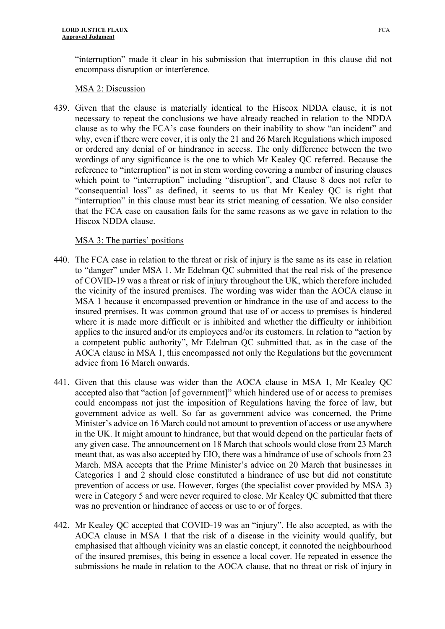"interruption" made it clear in his submission that interruption in this clause did not encompass disruption or interference.

#### MSA 2: Discussion

439. Given that the clause is materially identical to the Hiscox NDDA clause, it is not necessary to repeat the conclusions we have already reached in relation to the NDDA clause as to why the FCA's case founders on their inability to show "an incident" and why, even if there were cover, it is only the 21 and 26 March Regulations which imposed or ordered any denial of or hindrance in access. The only difference between the two wordings of any significance is the one to which Mr Kealey QC referred. Because the reference to "interruption" is not in stem wording covering a number of insuring clauses which point to "interruption" including "disruption", and Clause 8 does not refer to "consequential loss" as defined, it seems to us that Mr Kealey QC is right that "interruption" in this clause must bear its strict meaning of cessation. We also consider that the FCA case on causation fails for the same reasons as we gave in relation to the Hiscox NDDA clause.

### MSA 3: The parties' positions

- 440. The FCA case in relation to the threat or risk of injury is the same as its case in relation to "danger" under MSA 1. Mr Edelman QC submitted that the real risk of the presence of COVID-19 was a threat or risk of injury throughout the UK, which therefore included the vicinity of the insured premises. The wording was wider than the AOCA clause in MSA 1 because it encompassed prevention or hindrance in the use of and access to the insured premises. It was common ground that use of or access to premises is hindered where it is made more difficult or is inhibited and whether the difficulty or inhibition applies to the insured and/or its employees and/or its customers. In relation to "action by a competent public authority", Mr Edelman QC submitted that, as in the case of the AOCA clause in MSA 1, this encompassed not only the Regulations but the government advice from 16 March onwards.
- 441. Given that this clause was wider than the AOCA clause in MSA 1, Mr Kealey QC accepted also that "action [of government]" which hindered use of or access to premises could encompass not just the imposition of Regulations having the force of law, but government advice as well. So far as government advice was concerned, the Prime Minister's advice on 16 March could not amount to prevention of access or use anywhere in the UK. It might amount to hindrance, but that would depend on the particular facts of any given case. The announcement on 18 March that schools would close from 23 March meant that, as was also accepted by EIO, there was a hindrance of use of schools from 23 March. MSA accepts that the Prime Minister's advice on 20 March that businesses in Categories 1 and 2 should close constituted a hindrance of use but did not constitute prevention of access or use. However, forges (the specialist cover provided by MSA 3) were in Category 5 and were never required to close. Mr Kealey QC submitted that there was no prevention or hindrance of access or use to or of forges.
- 442. Mr Kealey QC accepted that COVID-19 was an "injury". He also accepted, as with the AOCA clause in MSA 1 that the risk of a disease in the vicinity would qualify, but emphasised that although vicinity was an elastic concept, it connoted the neighbourhood of the insured premises, this being in essence a local cover. He repeated in essence the submissions he made in relation to the AOCA clause, that no threat or risk of injury in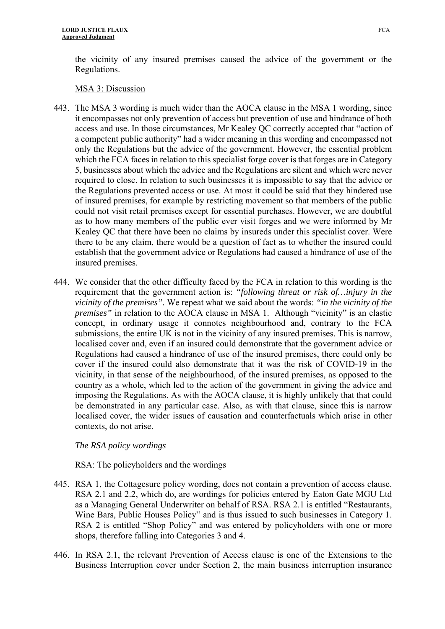the vicinity of any insured premises caused the advice of the government or the Regulations.

#### MSA 3: Discussion

- 443. The MSA 3 wording is much wider than the AOCA clause in the MSA 1 wording, since it encompasses not only prevention of access but prevention of use and hindrance of both access and use. In those circumstances, Mr Kealey QC correctly accepted that "action of a competent public authority" had a wider meaning in this wording and encompassed not only the Regulations but the advice of the government. However, the essential problem which the FCA faces in relation to this specialist forge cover is that forges are in Category 5, businesses about which the advice and the Regulations are silent and which were never required to close. In relation to such businesses it is impossible to say that the advice or the Regulations prevented access or use. At most it could be said that they hindered use of insured premises, for example by restricting movement so that members of the public could not visit retail premises except for essential purchases. However, we are doubtful as to how many members of the public ever visit forges and we were informed by Mr Kealey QC that there have been no claims by insureds under this specialist cover. Were there to be any claim, there would be a question of fact as to whether the insured could establish that the government advice or Regulations had caused a hindrance of use of the insured premises.
- 444. We consider that the other difficulty faced by the FCA in relation to this wording is the requirement that the government action is: *"following threat or risk of…injury in the vicinity of the premises".* We repeat what we said about the words: *"in the vicinity of the premises"* in relation to the AOCA clause in MSA 1. Although "vicinity" is an elastic concept, in ordinary usage it connotes neighbourhood and, contrary to the FCA submissions, the entire UK is not in the vicinity of any insured premises. This is narrow, localised cover and, even if an insured could demonstrate that the government advice or Regulations had caused a hindrance of use of the insured premises, there could only be cover if the insured could also demonstrate that it was the risk of COVID-19 in the vicinity, in that sense of the neighbourhood, of the insured premises, as opposed to the country as a whole, which led to the action of the government in giving the advice and imposing the Regulations. As with the AOCA clause, it is highly unlikely that that could be demonstrated in any particular case. Also, as with that clause, since this is narrow localised cover, the wider issues of causation and counterfactuals which arise in other contexts, do not arise.

### *The RSA policy wordings*

### RSA: The policyholders and the wordings

- 445. RSA 1, the Cottagesure policy wording, does not contain a prevention of access clause. RSA 2.1 and 2.2, which do, are wordings for policies entered by Eaton Gate MGU Ltd as a Managing General Underwriter on behalf of RSA. RSA 2.1 is entitled "Restaurants, Wine Bars, Public Houses Policy" and is thus issued to such businesses in Category 1. RSA 2 is entitled "Shop Policy" and was entered by policyholders with one or more shops, therefore falling into Categories 3 and 4.
- 446. In RSA 2.1, the relevant Prevention of Access clause is one of the Extensions to the Business Interruption cover under Section 2, the main business interruption insurance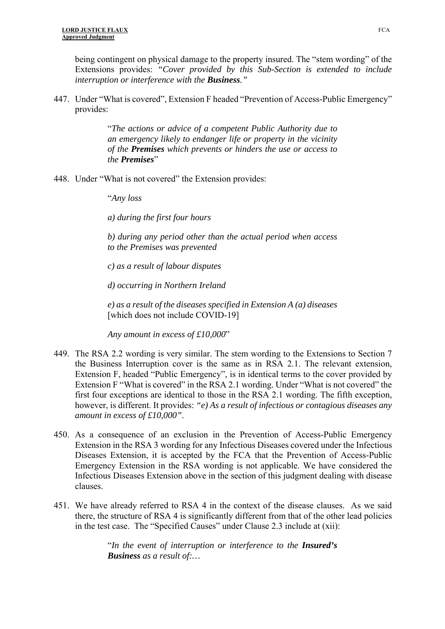being contingent on physical damage to the property insured. The "stem wording" of the Extensions provides: *"Cover provided by this Sub-Section is extended to include interruption or interference with the Business."* 

447. Under "What is covered", Extension F headed "Prevention of Access-Public Emergency" provides:

> "*The actions or advice of a competent Public Authority due to an emergency likely to endanger life or property in the vicinity of the Premises which prevents or hinders the use or access to the Premises*"

448. Under "What is not covered" the Extension provides:

"*Any loss* 

*a) during the first four hours* 

*b) during any period other than the actual period when access to the Premises was prevented* 

*c) as a result of labour disputes* 

*d) occurring in Northern Ireland* 

*e) as a result of the diseases specified in Extension A (a) diseases*  [which does not include COVID-19]

*Any amount in excess of £10,000*"

- 449. The RSA 2.2 wording is very similar. The stem wording to the Extensions to Section 7 the Business Interruption cover is the same as in RSA 2.1. The relevant extension, Extension F, headed "Public Emergency", is in identical terms to the cover provided by Extension F "What is covered" in the RSA 2.1 wording. Under "What is not covered" the first four exceptions are identical to those in the RSA 2.1 wording. The fifth exception, however, is different. It provides: *"e) As a result of infectious or contagious diseases any amount in excess of £10,000"*.
- 450. As a consequence of an exclusion in the Prevention of Access-Public Emergency Extension in the RSA 3 wording for any Infectious Diseases covered under the Infectious Diseases Extension, it is accepted by the FCA that the Prevention of Access-Public Emergency Extension in the RSA wording is not applicable. We have considered the Infectious Diseases Extension above in the section of this judgment dealing with disease clauses.
- 451. We have already referred to RSA 4 in the context of the disease clauses. As we said there, the structure of RSA 4 is significantly different from that of the other lead policies in the test case. The "Specified Causes" under Clause 2.3 include at (xii):

"*In the event of interruption or interference to the Insured's Business as a result of:…*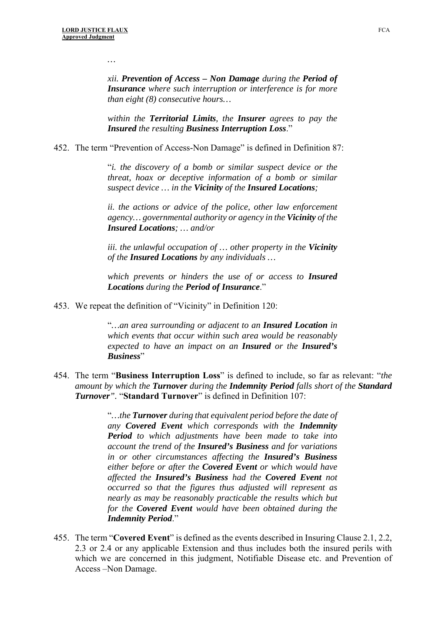*…* 

*xii. Prevention of Access – Non Damage during the Period of Insurance where such interruption or interference is for more than eight (8) consecutive hours…* 

*within the Territorial Limits, the Insurer agrees to pay the Insured the resulting Business Interruption Loss*."

452. The term "Prevention of Access-Non Damage" is defined in Definition 87:

"*i. the discovery of a bomb or similar suspect device or the threat, hoax or deceptive information of a bomb or similar suspect device … in the Vicinity of the Insured Locations;* 

*ii. the actions or advice of the police, other law enforcement agency… governmental authority or agency in the Vicinity of the Insured Locations; … and/or* 

*iii. the unlawful occupation of … other property in the Vicinity of the Insured Locations by any individuals …* 

*which prevents or hinders the use of or access to Insured Locations during the Period of Insurance*."

453. We repeat the definition of "Vicinity" in Definition 120:

"*…an area surrounding or adjacent to an Insured Location in which events that occur within such area would be reasonably expected to have an impact on an Insured or the Insured's Business*"

454. The term "**Business Interruption Loss**" is defined to include, so far as relevant: "*the amount by which the Turnover during the Indemnity Period falls short of the Standard Turnover".* "**Standard Turnover**" is defined in Definition 107:

> "*…the Turnover during that equivalent period before the date of any Covered Event which corresponds with the Indemnity Period to which adjustments have been made to take into account the trend of the Insured's Business and for variations in or other circumstances affecting the Insured's Business either before or after the Covered Event or which would have affected the Insured's Business had the Covered Event not occurred so that the figures thus adjusted will represent as nearly as may be reasonably practicable the results which but for the Covered Event would have been obtained during the Indemnity Period*."

455. The term "**Covered Event**" is defined as the events described in Insuring Clause 2.1, 2.2, 2.3 or 2.4 or any applicable Extension and thus includes both the insured perils with which we are concerned in this judgment, Notifiable Disease etc. and Prevention of Access –Non Damage.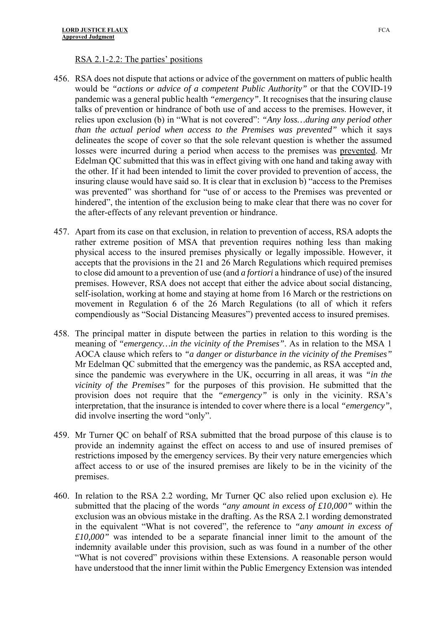#### RSA 2.1-2.2: The parties' positions

- 456. RSA does not dispute that actions or advice of the government on matters of public health would be *"actions or advice of a competent Public Authority"* or that the COVID-19 pandemic was a general public health *"emergency"*. It recognises that the insuring clause talks of prevention or hindrance of both use of and access to the premises. However, it relies upon exclusion (b) in "What is not covered": *"Any loss…during any period other than the actual period when access to the Premises was prevented"* which it says delineates the scope of cover so that the sole relevant question is whether the assumed losses were incurred during a period when access to the premises was prevented. Mr Edelman QC submitted that this was in effect giving with one hand and taking away with the other. If it had been intended to limit the cover provided to prevention of access, the insuring clause would have said so. It is clear that in exclusion b) "access to the Premises was prevented" was shorthand for "use of or access to the Premises was prevented or hindered", the intention of the exclusion being to make clear that there was no cover for the after-effects of any relevant prevention or hindrance.
- 457. Apart from its case on that exclusion, in relation to prevention of access, RSA adopts the rather extreme position of MSA that prevention requires nothing less than making physical access to the insured premises physically or legally impossible. However, it accepts that the provisions in the 21 and 26 March Regulations which required premises to close did amount to a prevention of use (and *a fortiori* a hindrance of use) of the insured premises. However, RSA does not accept that either the advice about social distancing, self-isolation, working at home and staying at home from 16 March or the restrictions on movement in Regulation 6 of the 26 March Regulations (to all of which it refers compendiously as "Social Distancing Measures") prevented access to insured premises.
- 458. The principal matter in dispute between the parties in relation to this wording is the meaning of *"emergency…in the vicinity of the Premises"*. As in relation to the MSA 1 AOCA clause which refers to *"a danger or disturbance in the vicinity of the Premises"* Mr Edelman QC submitted that the emergency was the pandemic, as RSA accepted and, since the pandemic was everywhere in the UK, occurring in all areas, it was *"in the vicinity of the Premises"* for the purposes of this provision. He submitted that the provision does not require that the *"emergency"* is only in the vicinity. RSA's interpretation, that the insurance is intended to cover where there is a local *"emergency"*, did involve inserting the word "only".
- 459. Mr Turner QC on behalf of RSA submitted that the broad purpose of this clause is to provide an indemnity against the effect on access to and use of insured premises of restrictions imposed by the emergency services. By their very nature emergencies which affect access to or use of the insured premises are likely to be in the vicinity of the premises.
- 460. In relation to the RSA 2.2 wording, Mr Turner QC also relied upon exclusion e). He submitted that the placing of the words *"any amount in excess of £10,000"* within the exclusion was an obvious mistake in the drafting. As the RSA 2.1 wording demonstrated in the equivalent "What is not covered", the reference to *"any amount in excess of £10,000"* was intended to be a separate financial inner limit to the amount of the indemnity available under this provision, such as was found in a number of the other "What is not covered" provisions within these Extensions. A reasonable person would have understood that the inner limit within the Public Emergency Extension was intended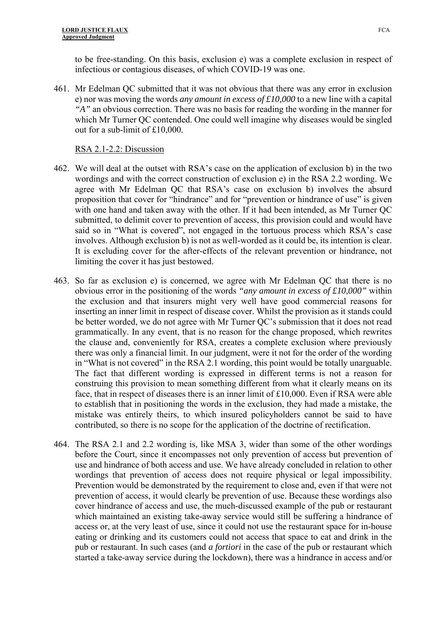to be free-standing. On this basis, exclusion e) was a complete exclusion in respect of infectious or contagious diseases, of which COVID-19 was one.

461. Mr Edelman QC submitted that it was not obvious that there was any error in exclusion e) nor was moving the words *any amount in excess of £10,000* to a new line with a capital *"A"* an obvious correction. There was no basis for reading the wording in the manner for which Mr Turner QC contended. One could well imagine why diseases would be singled out for a sub-limit of £10,000.

# RSA 2.1-2.2: Discussion

- 462. We will deal at the outset with RSA's case on the application of exclusion b) in the two wordings and with the correct construction of exclusion e) in the RSA 2.2 wording. We agree with Mr Edelman QC that RSA's case on exclusion b) involves the absurd proposition that cover for "hindrance" and for "prevention or hindrance of use" is given with one hand and taken away with the other. If it had been intended, as Mr Turner QC submitted, to delimit cover to prevention of access, this provision could and would have said so in "What is covered", not engaged in the tortuous process which RSA's case involves. Although exclusion b) is not as well-worded as it could be, its intention is clear. It is excluding cover for the after-effects of the relevant prevention or hindrance, not limiting the cover it has just bestowed.
- 463. So far as exclusion e) is concerned, we agree with Mr Edelman QC that there is no obvious error in the positioning of the words *"any amount in excess of £10,000"* within the exclusion and that insurers might very well have good commercial reasons for inserting an inner limit in respect of disease cover. Whilst the provision as it stands could be better worded, we do not agree with Mr Turner QC's submission that it does not read grammatically. In any event, that is no reason for the change proposed, which rewrites the clause and, conveniently for RSA, creates a complete exclusion where previously there was only a financial limit. In our judgment, were it not for the order of the wording in "What is not covered" in the RSA 2.1 wording, this point would be totally unarguable. The fact that different wording is expressed in different terms is not a reason for construing this provision to mean something different from what it clearly means on its face, that in respect of diseases there is an inner limit of £10,000. Even if RSA were able to establish that in positioning the words in the exclusion, they had made a mistake, the mistake was entirely theirs, to which insured policyholders cannot be said to have contributed, so there is no scope for the application of the doctrine of rectification.
- 464. The RSA 2.1 and 2.2 wording is, like MSA 3, wider than some of the other wordings before the Court, since it encompasses not only prevention of access but prevention of use and hindrance of both access and use. We have already concluded in relation to other wordings that prevention of access does not require physical or legal impossibility. Prevention would be demonstrated by the requirement to close and, even if that were not prevention of access, it would clearly be prevention of use. Because these wordings also cover hindrance of access and use, the much-discussed example of the pub or restaurant which maintained an existing take-away service would still be suffering a hindrance of access or, at the very least of use, since it could not use the restaurant space for in-house eating or drinking and its customers could not access that space to eat and drink in the pub or restaurant. In such cases (and *a fortiori* in the case of the pub or restaurant which started a take-away service during the lockdown), there was a hindrance in access and/or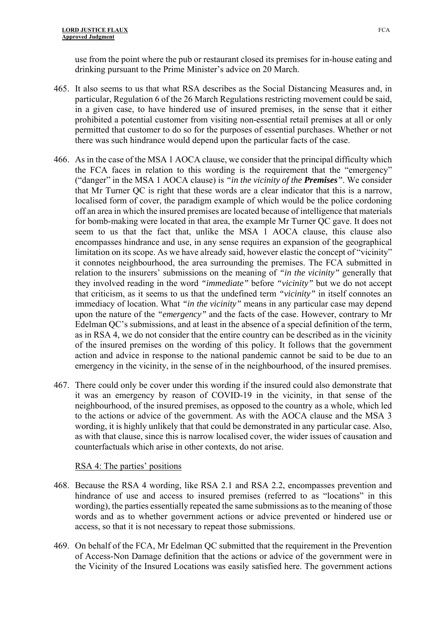use from the point where the pub or restaurant closed its premises for in-house eating and drinking pursuant to the Prime Minister's advice on 20 March.

- 465. It also seems to us that what RSA describes as the Social Distancing Measures and, in particular, Regulation 6 of the 26 March Regulations restricting movement could be said, in a given case, to have hindered use of insured premises, in the sense that it either prohibited a potential customer from visiting non-essential retail premises at all or only permitted that customer to do so for the purposes of essential purchases. Whether or not there was such hindrance would depend upon the particular facts of the case.
- 466. As in the case of the MSA 1 AOCA clause, we consider that the principal difficulty which the FCA faces in relation to this wording is the requirement that the "emergency" ("danger" in the MSA 1 AOCA clause) is *"in the vicinity of the Premises"*. We consider that Mr Turner QC is right that these words are a clear indicator that this is a narrow, localised form of cover, the paradigm example of which would be the police cordoning off an area in which the insured premises are located because of intelligence that materials for bomb-making were located in that area, the example Mr Turner QC gave. It does not seem to us that the fact that, unlike the MSA 1 AOCA clause, this clause also encompasses hindrance and use, in any sense requires an expansion of the geographical limitation on its scope. As we have already said, however elastic the concept of "vicinity" it connotes neighbourhood, the area surrounding the premises. The FCA submitted in relation to the insurers' submissions on the meaning of *"in the vicinity"* generally that they involved reading in the word *"immediate"* before *"vicinity"* but we do not accept that criticism, as it seems to us that the undefined term *"vicinity"* in itself connotes an immediacy of location. What *"in the vicinity"* means in any particular case may depend upon the nature of the *"emergency"* and the facts of the case. However, contrary to Mr Edelman QC's submissions, and at least in the absence of a special definition of the term, as in RSA 4, we do not consider that the entire country can be described as in the vicinity of the insured premises on the wording of this policy. It follows that the government action and advice in response to the national pandemic cannot be said to be due to an emergency in the vicinity, in the sense of in the neighbourhood, of the insured premises.
- 467. There could only be cover under this wording if the insured could also demonstrate that it was an emergency by reason of COVID-19 in the vicinity, in that sense of the neighbourhood, of the insured premises, as opposed to the country as a whole, which led to the actions or advice of the government. As with the AOCA clause and the MSA 3 wording, it is highly unlikely that that could be demonstrated in any particular case. Also, as with that clause, since this is narrow localised cover, the wider issues of causation and counterfactuals which arise in other contexts, do not arise.

### RSA 4: The parties' positions

- 468. Because the RSA 4 wording, like RSA 2.1 and RSA 2.2, encompasses prevention and hindrance of use and access to insured premises (referred to as "locations" in this wording), the parties essentially repeated the same submissions as to the meaning of those words and as to whether government actions or advice prevented or hindered use or access, so that it is not necessary to repeat those submissions.
- 469. On behalf of the FCA, Mr Edelman QC submitted that the requirement in the Prevention of Access-Non Damage definition that the actions or advice of the government were in the Vicinity of the Insured Locations was easily satisfied here. The government actions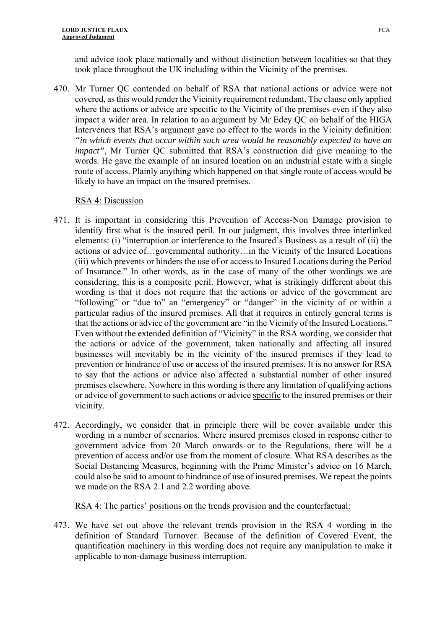and advice took place nationally and without distinction between localities so that they took place throughout the UK including within the Vicinity of the premises.

470. Mr Turner QC contended on behalf of RSA that national actions or advice were not covered, as this would render the Vicinity requirement redundant. The clause only applied where the actions or advice are specific to the Vicinity of the premises even if they also impact a wider area. In relation to an argument by Mr Edey QC on behalf of the HIGA Interveners that RSA's argument gave no effect to the words in the Vicinity definition: *"in which events that occur within such area would be reasonably expected to have an impact*", Mr Turner QC submitted that RSA's construction did give meaning to the words. He gave the example of an insured location on an industrial estate with a single route of access. Plainly anything which happened on that single route of access would be likely to have an impact on the insured premises.

# RSA 4: Discussion

- 471. It is important in considering this Prevention of Access-Non Damage provision to identify first what is the insured peril. In our judgment, this involves three interlinked elements: (i) "interruption or interference to the Insured's Business as a result of (ii) the actions or advice of…governmental authority…in the Vicinity of the Insured Locations (iii) which prevents or hinders the use of or access to Insured Locations during the Period of Insurance." In other words, as in the case of many of the other wordings we are considering, this is a composite peril. However, what is strikingly different about this wording is that it does not require that the actions or advice of the government are "following" or "due to" an "emergency" or "danger" in the vicinity of or within a particular radius of the insured premises. All that it requires in entirely general terms is that the actions or advice of the government are "in the Vicinity of the Insured Locations." Even without the extended definition of "Vicinity" in the RSA wording, we consider that the actions or advice of the government, taken nationally and affecting all insured businesses will inevitably be in the vicinity of the insured premises if they lead to prevention or hindrance of use or access of the insured premises. It is no answer for RSA to say that the actions or advice also affected a substantial number of other insured premises elsewhere. Nowhere in this wording is there any limitation of qualifying actions or advice of government to such actions or advice specific to the insured premises or their vicinity.
- 472. Accordingly, we consider that in principle there will be cover available under this wording in a number of scenarios. Where insured premises closed in response either to government advice from 20 March onwards or to the Regulations, there will be a prevention of access and/or use from the moment of closure. What RSA describes as the Social Distancing Measures, beginning with the Prime Minister's advice on 16 March, could also be said to amount to hindrance of use of insured premises. We repeat the points we made on the RSA 2.1 and 2.2 wording above.

RSA 4: The parties' positions on the trends provision and the counterfactual:

473. We have set out above the relevant trends provision in the RSA 4 wording in the definition of Standard Turnover. Because of the definition of Covered Event, the quantification machinery in this wording does not require any manipulation to make it applicable to non-damage business interruption.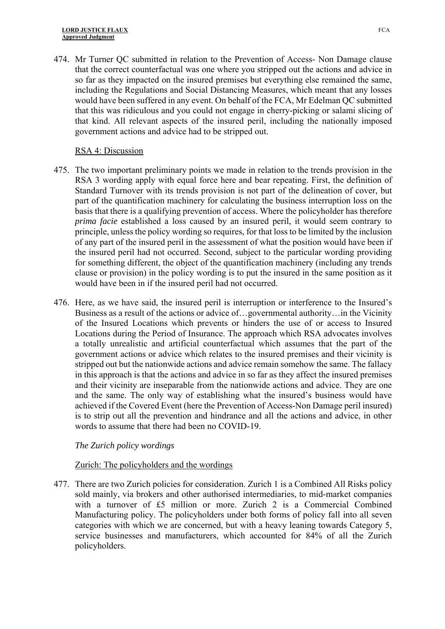474. Mr Turner QC submitted in relation to the Prevention of Access- Non Damage clause that the correct counterfactual was one where you stripped out the actions and advice in so far as they impacted on the insured premises but everything else remained the same, including the Regulations and Social Distancing Measures, which meant that any losses would have been suffered in any event. On behalf of the FCA, Mr Edelman QC submitted that this was ridiculous and you could not engage in cherry-picking or salami slicing of that kind. All relevant aspects of the insured peril, including the nationally imposed government actions and advice had to be stripped out.

### RSA 4: Discussion

- 475. The two important preliminary points we made in relation to the trends provision in the RSA 3 wording apply with equal force here and bear repeating. First, the definition of Standard Turnover with its trends provision is not part of the delineation of cover, but part of the quantification machinery for calculating the business interruption loss on the basis that there is a qualifying prevention of access. Where the policyholder has therefore *prima facie* established a loss caused by an insured peril, it would seem contrary to principle, unless the policy wording so requires, for that loss to be limited by the inclusion of any part of the insured peril in the assessment of what the position would have been if the insured peril had not occurred. Second, subject to the particular wording providing for something different, the object of the quantification machinery (including any trends clause or provision) in the policy wording is to put the insured in the same position as it would have been in if the insured peril had not occurred.
- 476. Here, as we have said, the insured peril is interruption or interference to the Insured's Business as a result of the actions or advice of…governmental authority…in the Vicinity of the Insured Locations which prevents or hinders the use of or access to Insured Locations during the Period of Insurance. The approach which RSA advocates involves a totally unrealistic and artificial counterfactual which assumes that the part of the government actions or advice which relates to the insured premises and their vicinity is stripped out but the nationwide actions and advice remain somehow the same. The fallacy in this approach is that the actions and advice in so far as they affect the insured premises and their vicinity are inseparable from the nationwide actions and advice. They are one and the same. The only way of establishing what the insured's business would have achieved if the Covered Event (here the Prevention of Access-Non Damage peril insured) is to strip out all the prevention and hindrance and all the actions and advice, in other words to assume that there had been no COVID-19.

# *The Zurich policy wordings*

### Zurich: The policyholders and the wordings

477. There are two Zurich policies for consideration. Zurich 1 is a Combined All Risks policy sold mainly, via brokers and other authorised intermediaries, to mid-market companies with a turnover of £5 million or more. Zurich 2 is a Commercial Combined Manufacturing policy. The policyholders under both forms of policy fall into all seven categories with which we are concerned, but with a heavy leaning towards Category 5, service businesses and manufacturers, which accounted for 84% of all the Zurich policyholders.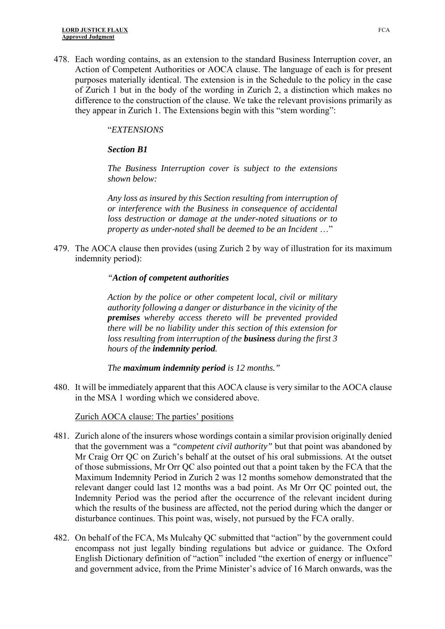478. Each wording contains, as an extension to the standard Business Interruption cover, an Action of Competent Authorities or AOCA clause. The language of each is for present purposes materially identical. The extension is in the Schedule to the policy in the case of Zurich 1 but in the body of the wording in Zurich 2, a distinction which makes no difference to the construction of the clause. We take the relevant provisions primarily as they appear in Zurich 1. The Extensions begin with this "stem wording":

"*EXTENSIONS* 

#### *Section B1*

*The Business Interruption cover is subject to the extensions shown below:* 

*Any loss as insured by this Section resulting from interruption of or interference with the Business in consequence of accidental loss destruction or damage at the under-noted situations or to property as under-noted shall be deemed to be an Incident* …"

479. The AOCA clause then provides (using Zurich 2 by way of illustration for its maximum indemnity period):

#### *"Action of competent authorities*

*Action by the police or other competent local, civil or military authority following a danger or disturbance in the vicinity of the premises whereby access thereto will be prevented provided there will be no liability under this section of this extension for loss resulting from interruption of the business during the first 3 hours of the indemnity period.* 

*The maximum indemnity period is 12 months."* 

480. It will be immediately apparent that this AOCA clause is very similar to the AOCA clause in the MSA 1 wording which we considered above.

Zurich AOCA clause: The parties' positions

- 481. Zurich alone of the insurers whose wordings contain a similar provision originally denied that the government was a *"competent civil authority"* but that point was abandoned by Mr Craig Orr QC on Zurich's behalf at the outset of his oral submissions. At the outset of those submissions, Mr Orr QC also pointed out that a point taken by the FCA that the Maximum Indemnity Period in Zurich 2 was 12 months somehow demonstrated that the relevant danger could last 12 months was a bad point. As Mr Orr QC pointed out, the Indemnity Period was the period after the occurrence of the relevant incident during which the results of the business are affected, not the period during which the danger or disturbance continues. This point was, wisely, not pursued by the FCA orally.
- 482. On behalf of the FCA, Ms Mulcahy QC submitted that "action" by the government could encompass not just legally binding regulations but advice or guidance. The Oxford English Dictionary definition of "action" included "the exertion of energy or influence" and government advice, from the Prime Minister's advice of 16 March onwards, was the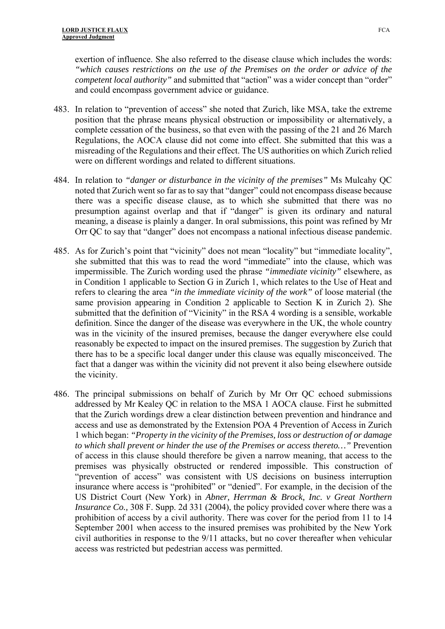exertion of influence. She also referred to the disease clause which includes the words: *"which causes restrictions on the use of the Premises on the order or advice of the competent local authority"* and submitted that "action" was a wider concept than "order" and could encompass government advice or guidance.

- 483. In relation to "prevention of access" she noted that Zurich, like MSA, take the extreme position that the phrase means physical obstruction or impossibility or alternatively, a complete cessation of the business, so that even with the passing of the 21 and 26 March Regulations, the AOCA clause did not come into effect. She submitted that this was a misreading of the Regulations and their effect. The US authorities on which Zurich relied were on different wordings and related to different situations.
- 484. In relation to *"danger or disturbance in the vicinity of the premises"* Ms Mulcahy QC noted that Zurich went so far as to say that "danger" could not encompass disease because there was a specific disease clause, as to which she submitted that there was no presumption against overlap and that if "danger" is given its ordinary and natural meaning, a disease is plainly a danger. In oral submissions, this point was refined by Mr Orr QC to say that "danger" does not encompass a national infectious disease pandemic.
- 485. As for Zurich's point that "vicinity" does not mean "locality" but "immediate locality", she submitted that this was to read the word "immediate" into the clause, which was impermissible. The Zurich wording used the phrase *"immediate vicinity"* elsewhere, as in Condition 1 applicable to Section G in Zurich 1, which relates to the Use of Heat and refers to clearing the area *"in the immediate vicinity of the work"* of loose material (the same provision appearing in Condition 2 applicable to Section K in Zurich 2). She submitted that the definition of "Vicinity" in the RSA 4 wording is a sensible, workable definition. Since the danger of the disease was everywhere in the UK, the whole country was in the vicinity of the insured premises, because the danger everywhere else could reasonably be expected to impact on the insured premises. The suggestion by Zurich that there has to be a specific local danger under this clause was equally misconceived. The fact that a danger was within the vicinity did not prevent it also being elsewhere outside the vicinity.
- 486. The principal submissions on behalf of Zurich by Mr Orr QC echoed submissions addressed by Mr Kealey QC in relation to the MSA 1 AOCA clause. First he submitted that the Zurich wordings drew a clear distinction between prevention and hindrance and access and use as demonstrated by the Extension POA 4 Prevention of Access in Zurich 1 which began: *"Property in the vicinity of the Premises, loss or destruction of or damage to which shall prevent or hinder the use of the Premises or access thereto…"* Prevention of access in this clause should therefore be given a narrow meaning, that access to the premises was physically obstructed or rendered impossible. This construction of "prevention of access" was consistent with US decisions on business interruption insurance where access is "prohibited" or "denied". For example, in the decision of the US District Court (New York) in *Abner, Herrman & Brock, Inc. v Great Northern Insurance Co.,* 308 F. Supp. 2d 331 (2004), the policy provided cover where there was a prohibition of access by a civil authority. There was cover for the period from 11 to 14 September 2001 when access to the insured premises was prohibited by the New York civil authorities in response to the 9/11 attacks, but no cover thereafter when vehicular access was restricted but pedestrian access was permitted.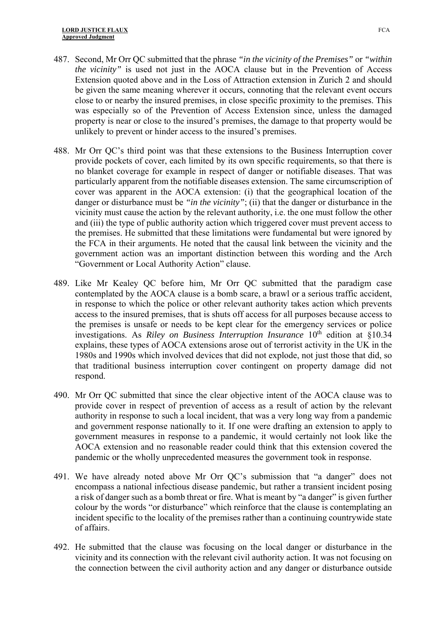- 487. Second, Mr Orr QC submitted that the phrase *"in the vicinity of the Premises"* or *"within the vicinity"* is used not just in the AOCA clause but in the Prevention of Access Extension quoted above and in the Loss of Attraction extension in Zurich 2 and should be given the same meaning wherever it occurs, connoting that the relevant event occurs close to or nearby the insured premises, in close specific proximity to the premises. This was especially so of the Prevention of Access Extension since, unless the damaged property is near or close to the insured's premises, the damage to that property would be unlikely to prevent or hinder access to the insured's premises.
- 488. Mr Orr QC's third point was that these extensions to the Business Interruption cover provide pockets of cover, each limited by its own specific requirements, so that there is no blanket coverage for example in respect of danger or notifiable diseases. That was particularly apparent from the notifiable diseases extension. The same circumscription of cover was apparent in the AOCA extension: (i) that the geographical location of the danger or disturbance must be "*in the vicinity*"; (ii) that the danger or disturbance in the vicinity must cause the action by the relevant authority, i.e. the one must follow the other and (iii) the type of public authority action which triggered cover must prevent access to the premises. He submitted that these limitations were fundamental but were ignored by the FCA in their arguments. He noted that the causal link between the vicinity and the government action was an important distinction between this wording and the Arch "Government or Local Authority Action" clause.
- 489. Like Mr Kealey QC before him, Mr Orr QC submitted that the paradigm case contemplated by the AOCA clause is a bomb scare, a brawl or a serious traffic accident, in response to which the police or other relevant authority takes action which prevents access to the insured premises, that is shuts off access for all purposes because access to the premises is unsafe or needs to be kept clear for the emergency services or police investigations. As *Riley on Business Interruption Insurance* 10<sup>th</sup> edition at §10.34 explains, these types of AOCA extensions arose out of terrorist activity in the UK in the 1980s and 1990s which involved devices that did not explode, not just those that did, so that traditional business interruption cover contingent on property damage did not respond.
- 490. Mr Orr QC submitted that since the clear objective intent of the AOCA clause was to provide cover in respect of prevention of access as a result of action by the relevant authority in response to such a local incident, that was a very long way from a pandemic and government response nationally to it. If one were drafting an extension to apply to government measures in response to a pandemic, it would certainly not look like the AOCA extension and no reasonable reader could think that this extension covered the pandemic or the wholly unprecedented measures the government took in response.
- 491. We have already noted above Mr Orr QC's submission that "a danger" does not encompass a national infectious disease pandemic, but rather a transient incident posing a risk of danger such as a bomb threat or fire. What is meant by "a danger" is given further colour by the words "or disturbance" which reinforce that the clause is contemplating an incident specific to the locality of the premises rather than a continuing countrywide state of affairs.
- 492. He submitted that the clause was focusing on the local danger or disturbance in the vicinity and its connection with the relevant civil authority action. It was not focusing on the connection between the civil authority action and any danger or disturbance outside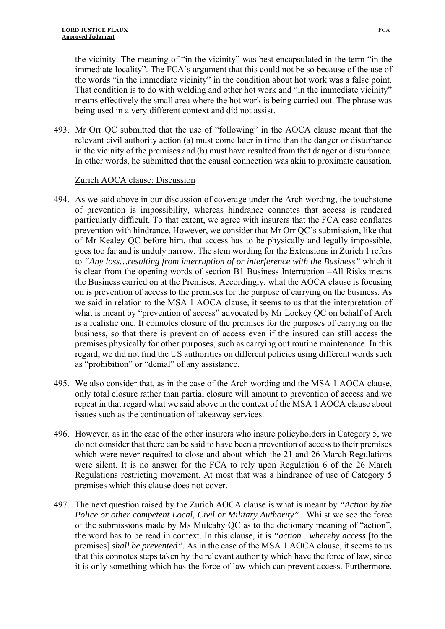the vicinity. The meaning of "in the vicinity" was best encapsulated in the term "in the immediate locality". The FCA's argument that this could not be so because of the use of the words "in the immediate vicinity" in the condition about hot work was a false point. That condition is to do with welding and other hot work and "in the immediate vicinity" means effectively the small area where the hot work is being carried out. The phrase was being used in a very different context and did not assist.

493. Mr Orr QC submitted that the use of "following" in the AOCA clause meant that the relevant civil authority action (a) must come later in time than the danger or disturbance in the vicinity of the premises and (b) must have resulted from that danger or disturbance. In other words, he submitted that the causal connection was akin to proximate causation.

# Zurich AOCA clause: Discussion

- 494. As we said above in our discussion of coverage under the Arch wording, the touchstone of prevention is impossibility, whereas hindrance connotes that access is rendered particularly difficult. To that extent, we agree with insurers that the FCA case conflates prevention with hindrance. However, we consider that Mr Orr QC's submission, like that of Mr Kealey QC before him, that access has to be physically and legally impossible, goes too far and is unduly narrow. The stem wording for the Extensions in Zurich 1 refers to *"Any loss…resulting from interruption of or interference with the Business"* which it is clear from the opening words of section B1 Business Interruption –All Risks means the Business carried on at the Premises. Accordingly, what the AOCA clause is focusing on is prevention of access to the premises for the purpose of carrying on the business. As we said in relation to the MSA 1 AOCA clause, it seems to us that the interpretation of what is meant by "prevention of access" advocated by Mr Lockey QC on behalf of Arch is a realistic one. It connotes closure of the premises for the purposes of carrying on the business, so that there is prevention of access even if the insured can still access the premises physically for other purposes, such as carrying out routine maintenance. In this regard, we did not find the US authorities on different policies using different words such as "prohibition" or "denial" of any assistance.
- 495. We also consider that, as in the case of the Arch wording and the MSA 1 AOCA clause, only total closure rather than partial closure will amount to prevention of access and we repeat in that regard what we said above in the context of the MSA 1 AOCA clause about issues such as the continuation of takeaway services.
- 496. However, as in the case of the other insurers who insure policyholders in Category 5, we do not consider that there can be said to have been a prevention of access to their premises which were never required to close and about which the 21 and 26 March Regulations were silent. It is no answer for the FCA to rely upon Regulation 6 of the 26 March Regulations restricting movement. At most that was a hindrance of use of Category 5 premises which this clause does not cover.
- 497. The next question raised by the Zurich AOCA clause is what is meant by *"Action by the Police or other competent Local, Civil or Military Authority"*. Whilst we see the force of the submissions made by Ms Mulcahy QC as to the dictionary meaning of "action", the word has to be read in context. In this clause, it is *"action…whereby access* [to the premises] *shall be prevented".* As in the case of the MSA 1 AOCA clause, it seems to us that this connotes steps taken by the relevant authority which have the force of law, since it is only something which has the force of law which can prevent access. Furthermore,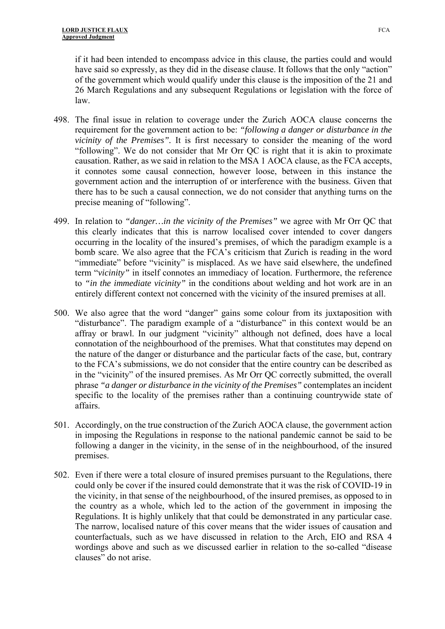if it had been intended to encompass advice in this clause, the parties could and would have said so expressly, as they did in the disease clause. It follows that the only "action" of the government which would qualify under this clause is the imposition of the 21 and 26 March Regulations and any subsequent Regulations or legislation with the force of law.

- 498. The final issue in relation to coverage under the Zurich AOCA clause concerns the requirement for the government action to be: *"following a danger or disturbance in the vicinity of the Premises".* It is first necessary to consider the meaning of the word "following". We do not consider that Mr Orr QC is right that it is akin to proximate causation. Rather, as we said in relation to the MSA 1 AOCA clause, as the FCA accepts, it connotes some causal connection, however loose, between in this instance the government action and the interruption of or interference with the business. Given that there has to be such a causal connection, we do not consider that anything turns on the precise meaning of "following".
- 499. In relation to *"danger…in the vicinity of the Premises"* we agree with Mr Orr QC that this clearly indicates that this is narrow localised cover intended to cover dangers occurring in the locality of the insured's premises, of which the paradigm example is a bomb scare. We also agree that the FCA's criticism that Zurich is reading in the word "immediate" before "vicinity" is misplaced. As we have said elsewhere, the undefined term "*vicinity"* in itself connotes an immediacy of location. Furthermore, the reference to *"in the immediate vicinity"* in the conditions about welding and hot work are in an entirely different context not concerned with the vicinity of the insured premises at all.
- 500. We also agree that the word "danger" gains some colour from its juxtaposition with "disturbance". The paradigm example of a "disturbance" in this context would be an affray or brawl. In our judgment "vicinity" although not defined, does have a local connotation of the neighbourhood of the premises. What that constitutes may depend on the nature of the danger or disturbance and the particular facts of the case, but, contrary to the FCA's submissions, we do not consider that the entire country can be described as in the "vicinity" of the insured premises. As Mr Orr QC correctly submitted, the overall phrase *"a danger or disturbance in the vicinity of the Premises"* contemplates an incident specific to the locality of the premises rather than a continuing countrywide state of affairs.
- 501. Accordingly, on the true construction of the Zurich AOCA clause, the government action in imposing the Regulations in response to the national pandemic cannot be said to be following a danger in the vicinity, in the sense of in the neighbourhood, of the insured premises.
- 502. Even if there were a total closure of insured premises pursuant to the Regulations, there could only be cover if the insured could demonstrate that it was the risk of COVID-19 in the vicinity, in that sense of the neighbourhood, of the insured premises, as opposed to in the country as a whole, which led to the action of the government in imposing the Regulations. It is highly unlikely that that could be demonstrated in any particular case. The narrow, localised nature of this cover means that the wider issues of causation and counterfactuals, such as we have discussed in relation to the Arch, EIO and RSA 4 wordings above and such as we discussed earlier in relation to the so-called "disease clauses" do not arise.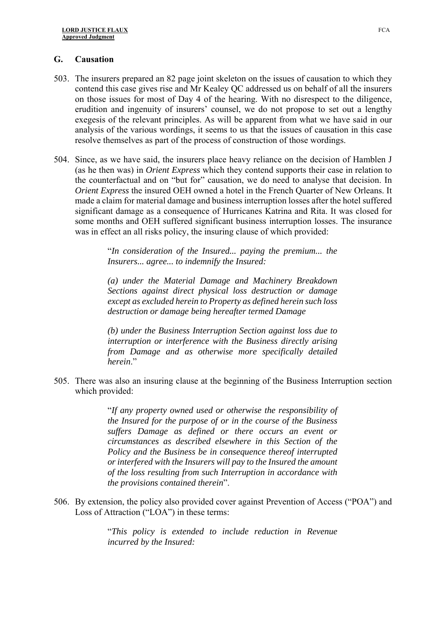## **G. Causation**

- 503. The insurers prepared an 82 page joint skeleton on the issues of causation to which they contend this case gives rise and Mr Kealey QC addressed us on behalf of all the insurers on those issues for most of Day 4 of the hearing. With no disrespect to the diligence, erudition and ingenuity of insurers' counsel, we do not propose to set out a lengthy exegesis of the relevant principles. As will be apparent from what we have said in our analysis of the various wordings, it seems to us that the issues of causation in this case resolve themselves as part of the process of construction of those wordings.
- 504. Since, as we have said, the insurers place heavy reliance on the decision of Hamblen J (as he then was) in *Orient Express* which they contend supports their case in relation to the counterfactual and on "but for" causation, we do need to analyse that decision. In *Orient Express* the insured OEH owned a hotel in the French Quarter of New Orleans. It made a claim for material damage and business interruption losses after the hotel suffered significant damage as a consequence of Hurricanes Katrina and Rita. It was closed for some months and OEH suffered significant business interruption losses. The insurance was in effect an all risks policy, the insuring clause of which provided:

"*In consideration of the Insured... paying the premium... the Insurers... agree... to indemnify the Insured:* 

*(a) under the Material Damage and Machinery Breakdown Sections against direct physical loss destruction or damage except as excluded herein to Property as defined herein such loss destruction or damage being hereafter termed Damage* 

*(b) under the Business Interruption Section against loss due to interruption or interference with the Business directly arising from Damage and as otherwise more specifically detailed herein*."

505. There was also an insuring clause at the beginning of the Business Interruption section which provided:

> "*If any property owned used or otherwise the responsibility of the Insured for the purpose of or in the course of the Business suffers Damage as defined or there occurs an event or circumstances as described elsewhere in this Section of the Policy and the Business be in consequence thereof interrupted or interfered with the Insurers will pay to the Insured the amount of the loss resulting from such Interruption in accordance with the provisions contained therein*".

506. By extension, the policy also provided cover against Prevention of Access ("POA") and Loss of Attraction ("LOA") in these terms:

> "*This policy is extended to include reduction in Revenue incurred by the Insured:*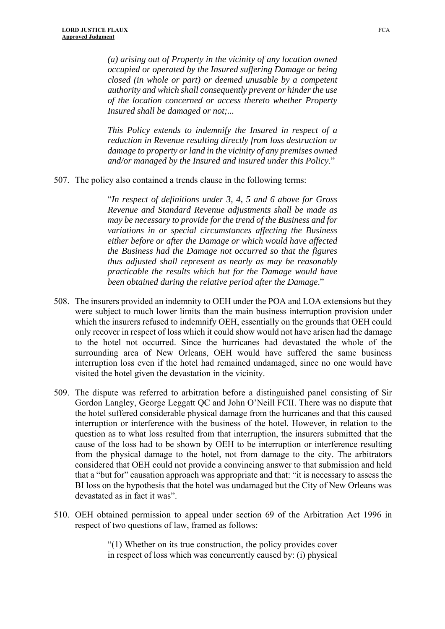*(a) arising out of Property in the vicinity of any location owned occupied or operated by the Insured suffering Damage or being closed (in whole or part) or deemed unusable by a competent authority and which shall consequently prevent or hinder the use of the location concerned or access thereto whether Property Insured shall be damaged or not;...* 

*This Policy extends to indemnify the Insured in respect of a reduction in Revenue resulting directly from loss destruction or damage to property or land in the vicinity of any premises owned and/or managed by the Insured and insured under this Policy*."

507. The policy also contained a trends clause in the following terms:

"*In respect of definitions under 3, 4, 5 and 6 above for Gross Revenue and Standard Revenue adjustments shall be made as may be necessary to provide for the trend of the Business and for variations in or special circumstances affecting the Business either before or after the Damage or which would have affected the Business had the Damage not occurred so that the figures thus adjusted shall represent as nearly as may be reasonably practicable the results which but for the Damage would have been obtained during the relative period after the Damage*."

- 508. The insurers provided an indemnity to OEH under the POA and LOA extensions but they were subject to much lower limits than the main business interruption provision under which the insurers refused to indemnify OEH, essentially on the grounds that OEH could only recover in respect of loss which it could show would not have arisen had the damage to the hotel not occurred. Since the hurricanes had devastated the whole of the surrounding area of New Orleans, OEH would have suffered the same business interruption loss even if the hotel had remained undamaged, since no one would have visited the hotel given the devastation in the vicinity.
- 509. The dispute was referred to arbitration before a distinguished panel consisting of Sir Gordon Langley, George Leggatt QC and John O'Neill FCII. There was no dispute that the hotel suffered considerable physical damage from the hurricanes and that this caused interruption or interference with the business of the hotel. However, in relation to the question as to what loss resulted from that interruption, the insurers submitted that the cause of the loss had to be shown by OEH to be interruption or interference resulting from the physical damage to the hotel, not from damage to the city. The arbitrators considered that OEH could not provide a convincing answer to that submission and held that a "but for" causation approach was appropriate and that: "it is necessary to assess the BI loss on the hypothesis that the hotel was undamaged but the City of New Orleans was devastated as in fact it was".
- 510. OEH obtained permission to appeal under section 69 of the Arbitration Act 1996 in respect of two questions of law, framed as follows:

"(1) Whether on its true construction, the policy provides cover in respect of loss which was concurrently caused by: (i) physical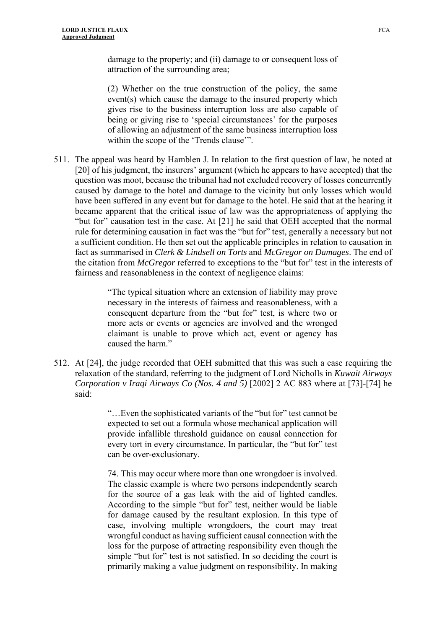damage to the property; and (ii) damage to or consequent loss of attraction of the surrounding area;

(2) Whether on the true construction of the policy, the same event(s) which cause the damage to the insured property which gives rise to the business interruption loss are also capable of being or giving rise to 'special circumstances' for the purposes of allowing an adjustment of the same business interruption loss within the scope of the 'Trends clause'".

511. The appeal was heard by Hamblen J. In relation to the first question of law, he noted at [20] of his judgment, the insurers' argument (which he appears to have accepted) that the question was moot, because the tribunal had not excluded recovery of losses concurrently caused by damage to the hotel and damage to the vicinity but only losses which would have been suffered in any event but for damage to the hotel. He said that at the hearing it became apparent that the critical issue of law was the appropriateness of applying the "but for" causation test in the case. At [21] he said that OEH accepted that the normal rule for determining causation in fact was the "but for" test, generally a necessary but not a sufficient condition. He then set out the applicable principles in relation to causation in fact as summarised in *Clerk & Lindsell on Torts* and *McGregor on Damages*. The end of the citation from *McGregor* referred to exceptions to the "but for" test in the interests of fairness and reasonableness in the context of negligence claims:

> "The typical situation where an extension of liability may prove necessary in the interests of fairness and reasonableness, with a consequent departure from the "but for" test, is where two or more acts or events or agencies are involved and the wronged claimant is unable to prove which act, event or agency has caused the harm."

512. At [24], the judge recorded that OEH submitted that this was such a case requiring the relaxation of the standard, referring to the judgment of Lord Nicholls in *Kuwait Airways Corporation v Iraqi Airways Co (Nos. 4 and 5)* [2002] 2 AC 883 where at [73]-[74] he said:

> "…Even the sophisticated variants of the "but for" test cannot be expected to set out a formula whose mechanical application will provide infallible threshold guidance on causal connection for every tort in every circumstance. In particular, the "but for" test can be over-exclusionary.

> 74. This may occur where more than one wrongdoer is involved. The classic example is where two persons independently search for the source of a gas leak with the aid of lighted candles. According to the simple "but for" test, neither would be liable for damage caused by the resultant explosion. In this type of case, involving multiple wrongdoers, the court may treat wrongful conduct as having sufficient causal connection with the loss for the purpose of attracting responsibility even though the simple "but for" test is not satisfied. In so deciding the court is primarily making a value judgment on responsibility. In making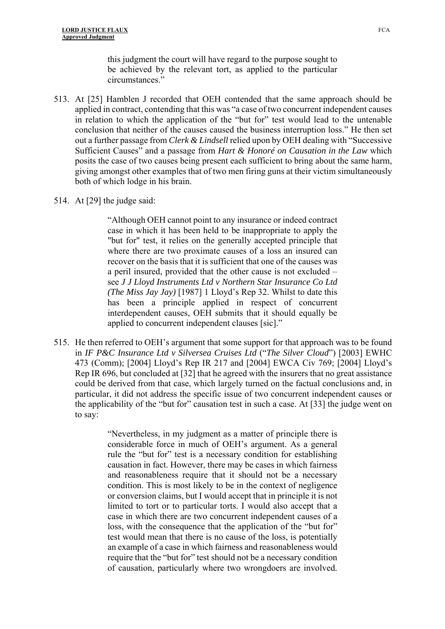this judgment the court will have regard to the purpose sought to be achieved by the relevant tort, as applied to the particular circumstances."

- 513. At [25] Hamblen J recorded that OEH contended that the same approach should be applied in contract, contending that this was "a case of two concurrent independent causes in relation to which the application of the "but for" test would lead to the untenable conclusion that neither of the causes caused the business interruption loss." He then set out a further passage from *Clerk & Lindsell* relied upon by OEH dealing with "Successive Sufficient Causes" and a passage from *Hart & Honoré on Causation in the Law* which posits the case of two causes being present each sufficient to bring about the same harm, giving amongst other examples that of two men firing guns at their victim simultaneously both of which lodge in his brain.
- 514. At [29] the judge said:

"Although OEH cannot point to any insurance or indeed contract case in which it has been held to be inappropriate to apply the "but for" test, it relies on the generally accepted principle that where there are two proximate causes of a loss an insured can recover on the basis that it is sufficient that one of the causes was a peril insured, provided that the other cause is not excluded – see *J J Lloyd Instruments Ltd v Northern Star Insurance Co Ltd (The Miss Jay Jay)* [1987] 1 Lloyd's Rep 32. Whilst to date this has been a principle applied in respect of concurrent interdependent causes, OEH submits that it should equally be applied to concurrent independent clauses [sic]."

515. He then referred to OEH's argument that some support for that approach was to be found in *IF P&C Insurance Ltd v Silversea Cruises Ltd* ("*The Silver Cloud*") [2003] EWHC 473 (Comm); [2004] Lloyd's Rep IR 217 and [2004] EWCA Civ 769; [2004] Lloyd's Rep IR 696, but concluded at [32] that he agreed with the insurers that no great assistance could be derived from that case, which largely turned on the factual conclusions and, in particular, it did not address the specific issue of two concurrent independent causes or the applicability of the "but for" causation test in such a case. At [33] the judge went on to say:

> "Nevertheless, in my judgment as a matter of principle there is considerable force in much of OEH's argument. As a general rule the "but for" test is a necessary condition for establishing causation in fact. However, there may be cases in which fairness and reasonableness require that it should not be a necessary condition. This is most likely to be in the context of negligence or conversion claims, but I would accept that in principle it is not limited to tort or to particular torts. I would also accept that a case in which there are two concurrent independent causes of a loss, with the consequence that the application of the "but for" test would mean that there is no cause of the loss, is potentially an example of a case in which fairness and reasonableness would require that the "but for" test should not be a necessary condition of causation, particularly where two wrongdoers are involved.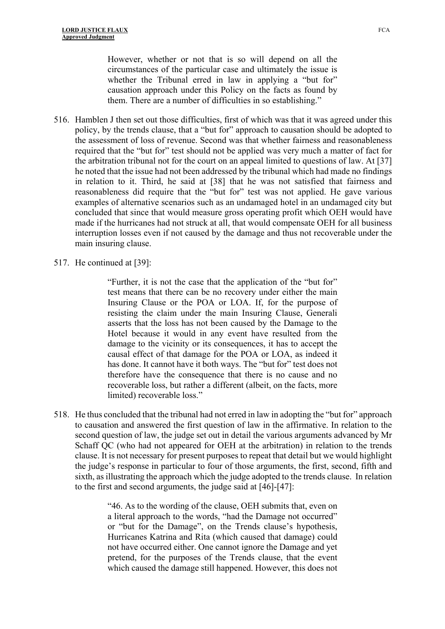However, whether or not that is so will depend on all the circumstances of the particular case and ultimately the issue is whether the Tribunal erred in law in applying a "but for" causation approach under this Policy on the facts as found by them. There are a number of difficulties in so establishing."

- 516. Hamblen J then set out those difficulties, first of which was that it was agreed under this policy, by the trends clause, that a "but for" approach to causation should be adopted to the assessment of loss of revenue. Second was that whether fairness and reasonableness required that the "but for" test should not be applied was very much a matter of fact for the arbitration tribunal not for the court on an appeal limited to questions of law. At [37] he noted that the issue had not been addressed by the tribunal which had made no findings in relation to it. Third, he said at [38] that he was not satisfied that fairness and reasonableness did require that the "but for" test was not applied. He gave various examples of alternative scenarios such as an undamaged hotel in an undamaged city but concluded that since that would measure gross operating profit which OEH would have made if the hurricanes had not struck at all, that would compensate OEH for all business interruption losses even if not caused by the damage and thus not recoverable under the main insuring clause.
- 517. He continued at [39]:

"Further, it is not the case that the application of the "but for" test means that there can be no recovery under either the main Insuring Clause or the POA or LOA. If, for the purpose of resisting the claim under the main Insuring Clause, Generali asserts that the loss has not been caused by the Damage to the Hotel because it would in any event have resulted from the damage to the vicinity or its consequences, it has to accept the causal effect of that damage for the POA or LOA, as indeed it has done. It cannot have it both ways. The "but for" test does not therefore have the consequence that there is no cause and no recoverable loss, but rather a different (albeit, on the facts, more limited) recoverable loss."

518. He thus concluded that the tribunal had not erred in law in adopting the "but for" approach to causation and answered the first question of law in the affirmative. In relation to the second question of law, the judge set out in detail the various arguments advanced by Mr Schaff QC (who had not appeared for OEH at the arbitration) in relation to the trends clause. It is not necessary for present purposes to repeat that detail but we would highlight the judge's response in particular to four of those arguments, the first, second, fifth and sixth, as illustrating the approach which the judge adopted to the trends clause. In relation to the first and second arguments, the judge said at [46]-[47]:

> "46. As to the wording of the clause, OEH submits that, even on a literal approach to the words, "had the Damage not occurred" or "but for the Damage", on the Trends clause's hypothesis, Hurricanes Katrina and Rita (which caused that damage) could not have occurred either. One cannot ignore the Damage and yet pretend, for the purposes of the Trends clause, that the event which caused the damage still happened. However, this does not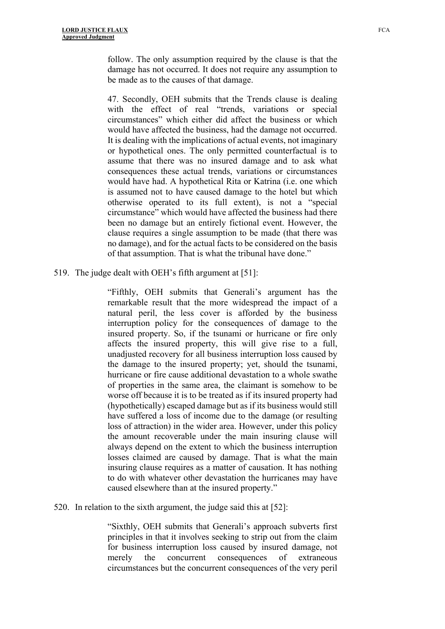follow. The only assumption required by the clause is that the damage has not occurred. It does not require any assumption to be made as to the causes of that damage.

47. Secondly, OEH submits that the Trends clause is dealing with the effect of real "trends, variations or special circumstances" which either did affect the business or which would have affected the business, had the damage not occurred. It is dealing with the implications of actual events, not imaginary or hypothetical ones. The only permitted counterfactual is to assume that there was no insured damage and to ask what consequences these actual trends, variations or circumstances would have had. A hypothetical Rita or Katrina (i.e. one which is assumed not to have caused damage to the hotel but which otherwise operated to its full extent), is not a "special circumstance" which would have affected the business had there been no damage but an entirely fictional event. However, the clause requires a single assumption to be made (that there was no damage), and for the actual facts to be considered on the basis of that assumption. That is what the tribunal have done."

#### 519. The judge dealt with OEH's fifth argument at [51]:

"Fifthly, OEH submits that Generali's argument has the remarkable result that the more widespread the impact of a natural peril, the less cover is afforded by the business interruption policy for the consequences of damage to the insured property. So, if the tsunami or hurricane or fire only affects the insured property, this will give rise to a full, unadjusted recovery for all business interruption loss caused by the damage to the insured property; yet, should the tsunami, hurricane or fire cause additional devastation to a whole swathe of properties in the same area, the claimant is somehow to be worse off because it is to be treated as if its insured property had (hypothetically) escaped damage but as if its business would still have suffered a loss of income due to the damage (or resulting loss of attraction) in the wider area. However, under this policy the amount recoverable under the main insuring clause will always depend on the extent to which the business interruption losses claimed are caused by damage. That is what the main insuring clause requires as a matter of causation. It has nothing to do with whatever other devastation the hurricanes may have caused elsewhere than at the insured property."

#### 520. In relation to the sixth argument, the judge said this at [52]:

"Sixthly, OEH submits that Generali's approach subverts first principles in that it involves seeking to strip out from the claim for business interruption loss caused by insured damage, not merely the concurrent consequences of extraneous circumstances but the concurrent consequences of the very peril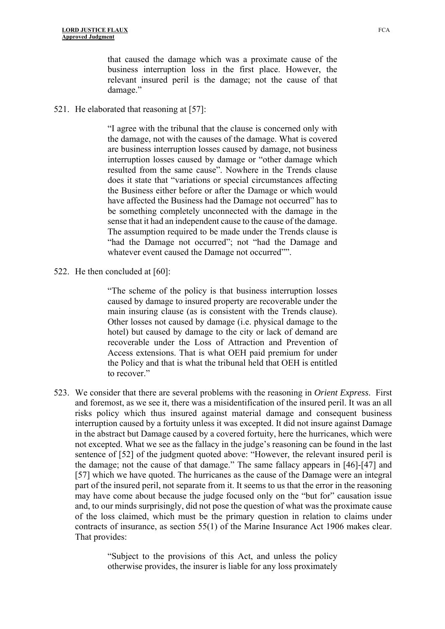521. He elaborated that reasoning at [57]:

"I agree with the tribunal that the clause is concerned only with the damage, not with the causes of the damage. What is covered are business interruption losses caused by damage, not business interruption losses caused by damage or "other damage which resulted from the same cause". Nowhere in the Trends clause does it state that "variations or special circumstances affecting the Business either before or after the Damage or which would have affected the Business had the Damage not occurred" has to be something completely unconnected with the damage in the sense that it had an independent cause to the cause of the damage. The assumption required to be made under the Trends clause is "had the Damage not occurred"; not "had the Damage and whatever event caused the Damage not occurred"".

522. He then concluded at [60]:

"The scheme of the policy is that business interruption losses caused by damage to insured property are recoverable under the main insuring clause (as is consistent with the Trends clause). Other losses not caused by damage (i.e. physical damage to the hotel) but caused by damage to the city or lack of demand are recoverable under the Loss of Attraction and Prevention of Access extensions. That is what OEH paid premium for under the Policy and that is what the tribunal held that OEH is entitled to recover."

523. We consider that there are several problems with the reasoning in *Orient Express*. First and foremost, as we see it, there was a misidentification of the insured peril. It was an all risks policy which thus insured against material damage and consequent business interruption caused by a fortuity unless it was excepted. It did not insure against Damage in the abstract but Damage caused by a covered fortuity, here the hurricanes, which were not excepted. What we see as the fallacy in the judge's reasoning can be found in the last sentence of [52] of the judgment quoted above: "However, the relevant insured peril is the damage; not the cause of that damage." The same fallacy appears in [46]-[47] and [57] which we have quoted. The hurricanes as the cause of the Damage were an integral part of the insured peril, not separate from it. It seems to us that the error in the reasoning may have come about because the judge focused only on the "but for" causation issue and, to our minds surprisingly, did not pose the question of what was the proximate cause of the loss claimed, which must be the primary question in relation to claims under contracts of insurance, as section 55(1) of the Marine Insurance Act 1906 makes clear. That provides:

> "Subject to the provisions of this Act, and unless the policy otherwise provides, the insurer is liable for any loss proximately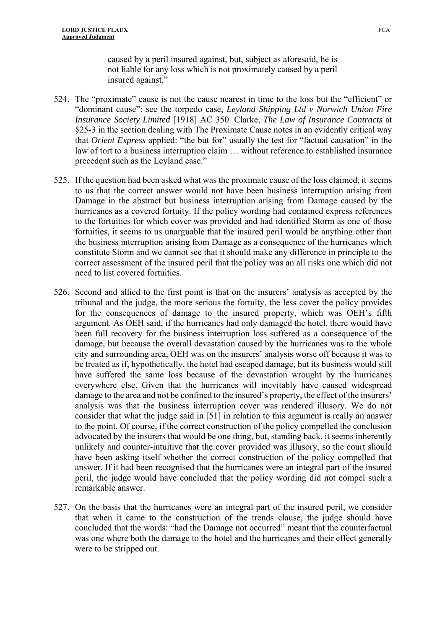caused by a peril insured against, but, subject as aforesaid, he is not liable for any loss which is not proximately caused by a peril insured against."

- 524. The "proximate" cause is not the cause nearest in time to the loss but the "efficient" or "dominant cause": see the torpedo case, *Leyland Shipping Ltd v Norwich Union Fire Insurance Society Limited* [1918] AC 350. Clarke, *The Law of Insurance Contracts* at §25-3 in the section dealing with The Proximate Cause notes in an evidently critical way that *Orient Express* applied: "the but for" usually the test for "factual causation" in the law of tort to a business interruption claim … without reference to established insurance precedent such as the Leyland case."
- 525. If the question had been asked what was the proximate cause of the loss claimed, it seems to us that the correct answer would not have been business interruption arising from Damage in the abstract but business interruption arising from Damage caused by the hurricanes as a covered fortuity. If the policy wording had contained express references to the fortuities for which cover was provided and had identified Storm as one of those fortuities, it seems to us unarguable that the insured peril would be anything other than the business interruption arising from Damage as a consequence of the hurricanes which constitute Storm and we cannot see that it should make any difference in principle to the correct assessment of the insured peril that the policy was an all risks one which did not need to list covered fortuities.
- 526. Second and allied to the first point is that on the insurers' analysis as accepted by the tribunal and the judge, the more serious the fortuity, the less cover the policy provides for the consequences of damage to the insured property, which was OEH's fifth argument. As OEH said, if the hurricanes had only damaged the hotel, there would have been full recovery for the business interruption loss suffered as a consequence of the damage, but because the overall devastation caused by the hurricanes was to the whole city and surrounding area, OEH was on the insurers' analysis worse off because it was to be treated as if, hypothetically, the hotel had escaped damage, but its business would still have suffered the same loss because of the devastation wrought by the hurricanes everywhere else. Given that the hurricanes will inevitably have caused widespread damage to the area and not be confined to the insured's property, the effect of the insurers' analysis was that the business interruption cover was rendered illusory. We do not consider that what the judge said in [51] in relation to this argument is really an answer to the point. Of course, if the correct construction of the policy compelled the conclusion advocated by the insurers that would be one thing, but, standing back, it seems inherently unlikely and counter-intuitive that the cover provided was illusory, so the court should have been asking itself whether the correct construction of the policy compelled that answer. If it had been recognised that the hurricanes were an integral part of the insured peril, the judge would have concluded that the policy wording did not compel such a remarkable answer.
- 527. On the basis that the hurricanes were an integral part of the insured peril, we consider that when it came to the construction of the trends clause, the judge should have concluded that the words: "had the Damage not occurred" meant that the counterfactual was one where both the damage to the hotel and the hurricanes and their effect generally were to be stripped out.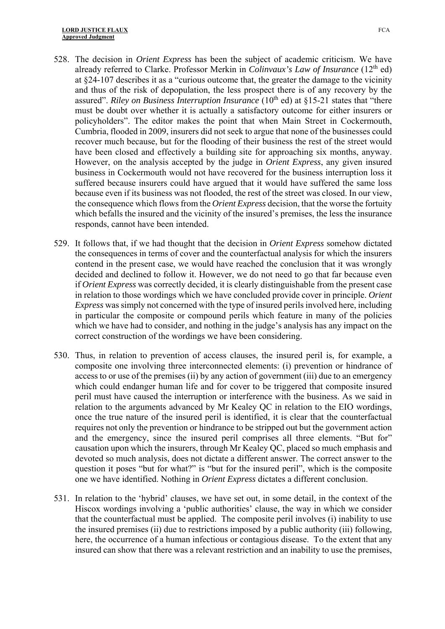- 528. The decision in *Orient Express* has been the subject of academic criticism. We have already referred to Clarke. Professor Merkin in *Colinvaux's Law of Insurance* (12<sup>th</sup> ed) at §24-107 describes it as a "curious outcome that, the greater the damage to the vicinity and thus of the risk of depopulation, the less prospect there is of any recovery by the assured". *Riley on Business Interruption Insurance* ( $10<sup>th</sup>$  ed) at §15-21 states that "there must be doubt over whether it is actually a satisfactory outcome for either insurers or policyholders". The editor makes the point that when Main Street in Cockermouth, Cumbria, flooded in 2009, insurers did not seek to argue that none of the businesses could recover much because, but for the flooding of their business the rest of the street would have been closed and effectively a building site for approaching six months, anyway. However, on the analysis accepted by the judge in *Orient Express*, any given insured business in Cockermouth would not have recovered for the business interruption loss it suffered because insurers could have argued that it would have suffered the same loss because even if its business was not flooded, the rest of the street was closed. In our view, the consequence which flows from the *Orient Express* decision, that the worse the fortuity which befalls the insured and the vicinity of the insured's premises, the less the insurance responds, cannot have been intended.
- 529. It follows that, if we had thought that the decision in *Orient Express* somehow dictated the consequences in terms of cover and the counterfactual analysis for which the insurers contend in the present case, we would have reached the conclusion that it was wrongly decided and declined to follow it. However, we do not need to go that far because even if *Orient Express* was correctly decided, it is clearly distinguishable from the present case in relation to those wordings which we have concluded provide cover in principle. *Orient Express* was simply not concerned with the type of insured perils involved here, including in particular the composite or compound perils which feature in many of the policies which we have had to consider, and nothing in the judge's analysis has any impact on the correct construction of the wordings we have been considering.
- 530. Thus, in relation to prevention of access clauses, the insured peril is, for example, a composite one involving three interconnected elements: (i) prevention or hindrance of access to or use of the premises (ii) by any action of government (iii) due to an emergency which could endanger human life and for cover to be triggered that composite insured peril must have caused the interruption or interference with the business. As we said in relation to the arguments advanced by Mr Kealey QC in relation to the EIO wordings, once the true nature of the insured peril is identified, it is clear that the counterfactual requires not only the prevention or hindrance to be stripped out but the government action and the emergency, since the insured peril comprises all three elements. "But for" causation upon which the insurers, through Mr Kealey QC, placed so much emphasis and devoted so much analysis, does not dictate a different answer. The correct answer to the question it poses "but for what?" is "but for the insured peril", which is the composite one we have identified. Nothing in *Orient Express* dictates a different conclusion.
- 531. In relation to the 'hybrid' clauses, we have set out, in some detail, in the context of the Hiscox wordings involving a 'public authorities' clause, the way in which we consider that the counterfactual must be applied. The composite peril involves (i) inability to use the insured premises (ii) due to restrictions imposed by a public authority (iii) following, here, the occurrence of a human infectious or contagious disease. To the extent that any insured can show that there was a relevant restriction and an inability to use the premises,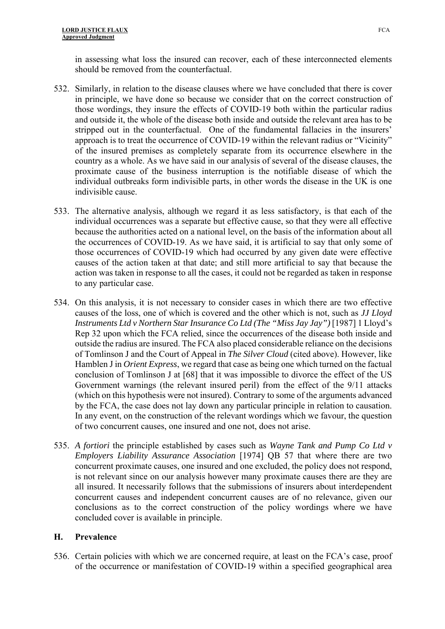in assessing what loss the insured can recover, each of these interconnected elements should be removed from the counterfactual.

- 532. Similarly, in relation to the disease clauses where we have concluded that there is cover in principle, we have done so because we consider that on the correct construction of those wordings, they insure the effects of COVID-19 both within the particular radius and outside it, the whole of the disease both inside and outside the relevant area has to be stripped out in the counterfactual. One of the fundamental fallacies in the insurers' approach is to treat the occurrence of COVID-19 within the relevant radius or "Vicinity" of the insured premises as completely separate from its occurrence elsewhere in the country as a whole. As we have said in our analysis of several of the disease clauses, the proximate cause of the business interruption is the notifiable disease of which the individual outbreaks form indivisible parts, in other words the disease in the UK is one indivisible cause.
- 533. The alternative analysis, although we regard it as less satisfactory, is that each of the individual occurrences was a separate but effective cause, so that they were all effective because the authorities acted on a national level, on the basis of the information about all the occurrences of COVID-19. As we have said, it is artificial to say that only some of those occurrences of COVID-19 which had occurred by any given date were effective causes of the action taken at that date; and still more artificial to say that because the action was taken in response to all the cases, it could not be regarded as taken in response to any particular case.
- 534. On this analysis, it is not necessary to consider cases in which there are two effective causes of the loss, one of which is covered and the other which is not, such as *JJ Lloyd Instruments Ltd v Northern Star Insurance Co Ltd (The "Miss Jay Jay")* [1987] 1 Lloyd's Rep 32 upon which the FCA relied, since the occurrences of the disease both inside and outside the radius are insured. The FCA also placed considerable reliance on the decisions of Tomlinson J and the Court of Appeal in *The Silver Cloud* (cited above). However, like Hamblen J in *Orient Express*, we regard that case as being one which turned on the factual conclusion of Tomlinson J at [68] that it was impossible to divorce the effect of the US Government warnings (the relevant insured peril) from the effect of the 9/11 attacks (which on this hypothesis were not insured). Contrary to some of the arguments advanced by the FCA, the case does not lay down any particular principle in relation to causation. In any event, on the construction of the relevant wordings which we favour, the question of two concurrent causes, one insured and one not, does not arise.
- 535. *A fortiori* the principle established by cases such as *Wayne Tank and Pump Co Ltd v Employers Liability Assurance Association* [1974] QB 57 that where there are two concurrent proximate causes, one insured and one excluded, the policy does not respond, is not relevant since on our analysis however many proximate causes there are they are all insured. It necessarily follows that the submissions of insurers about interdependent concurrent causes and independent concurrent causes are of no relevance, given our conclusions as to the correct construction of the policy wordings where we have concluded cover is available in principle.

## **H. Prevalence**

536. Certain policies with which we are concerned require, at least on the FCA's case, proof of the occurrence or manifestation of COVID-19 within a specified geographical area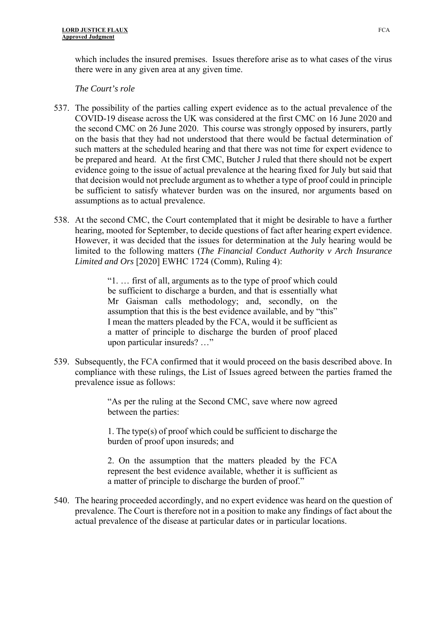which includes the insured premises. Issues therefore arise as to what cases of the virus there were in any given area at any given time.

## *The Court's role*

- 537. The possibility of the parties calling expert evidence as to the actual prevalence of the COVID-19 disease across the UK was considered at the first CMC on 16 June 2020 and the second CMC on 26 June 2020. This course was strongly opposed by insurers, partly on the basis that they had not understood that there would be factual determination of such matters at the scheduled hearing and that there was not time for expert evidence to be prepared and heard. At the first CMC, Butcher J ruled that there should not be expert evidence going to the issue of actual prevalence at the hearing fixed for July but said that that decision would not preclude argument as to whether a type of proof could in principle be sufficient to satisfy whatever burden was on the insured, nor arguments based on assumptions as to actual prevalence.
- 538. At the second CMC, the Court contemplated that it might be desirable to have a further hearing, mooted for September, to decide questions of fact after hearing expert evidence. However, it was decided that the issues for determination at the July hearing would be limited to the following matters (*The Financial Conduct Authority v Arch Insurance Limited and Ors* [2020] EWHC 1724 (Comm), Ruling 4):

"1. … first of all, arguments as to the type of proof which could be sufficient to discharge a burden, and that is essentially what Mr Gaisman calls methodology; and, secondly, on the assumption that this is the best evidence available, and by "this" I mean the matters pleaded by the FCA, would it be sufficient as a matter of principle to discharge the burden of proof placed upon particular insureds? …"

539. Subsequently, the FCA confirmed that it would proceed on the basis described above. In compliance with these rulings, the List of Issues agreed between the parties framed the prevalence issue as follows:

> "As per the ruling at the Second CMC, save where now agreed between the parties:

> 1. The type(s) of proof which could be sufficient to discharge the burden of proof upon insureds; and

> 2. On the assumption that the matters pleaded by the FCA represent the best evidence available, whether it is sufficient as a matter of principle to discharge the burden of proof."

540. The hearing proceeded accordingly, and no expert evidence was heard on the question of prevalence. The Court is therefore not in a position to make any findings of fact about the actual prevalence of the disease at particular dates or in particular locations.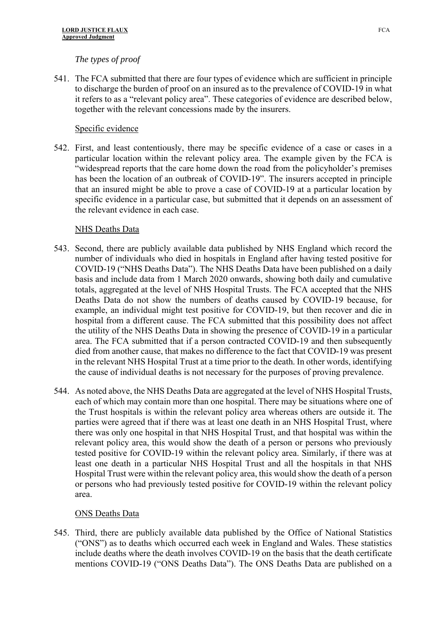### *The types of proof*

541. The FCA submitted that there are four types of evidence which are sufficient in principle to discharge the burden of proof on an insured as to the prevalence of COVID-19 in what it refers to as a "relevant policy area". These categories of evidence are described below, together with the relevant concessions made by the insurers.

## Specific evidence

542. First, and least contentiously, there may be specific evidence of a case or cases in a particular location within the relevant policy area. The example given by the FCA is "widespread reports that the care home down the road from the policyholder's premises has been the location of an outbreak of COVID-19". The insurers accepted in principle that an insured might be able to prove a case of COVID-19 at a particular location by specific evidence in a particular case, but submitted that it depends on an assessment of the relevant evidence in each case.

## NHS Deaths Data

- 543. Second, there are publicly available data published by NHS England which record the number of individuals who died in hospitals in England after having tested positive for COVID-19 ("NHS Deaths Data"). The NHS Deaths Data have been published on a daily basis and include data from 1 March 2020 onwards, showing both daily and cumulative totals, aggregated at the level of NHS Hospital Trusts. The FCA accepted that the NHS Deaths Data do not show the numbers of deaths caused by COVID-19 because, for example, an individual might test positive for COVID-19, but then recover and die in hospital from a different cause. The FCA submitted that this possibility does not affect the utility of the NHS Deaths Data in showing the presence of COVID-19 in a particular area. The FCA submitted that if a person contracted COVID-19 and then subsequently died from another cause, that makes no difference to the fact that COVID-19 was present in the relevant NHS Hospital Trust at a time prior to the death. In other words, identifying the cause of individual deaths is not necessary for the purposes of proving prevalence.
- 544. As noted above, the NHS Deaths Data are aggregated at the level of NHS Hospital Trusts, each of which may contain more than one hospital. There may be situations where one of the Trust hospitals is within the relevant policy area whereas others are outside it. The parties were agreed that if there was at least one death in an NHS Hospital Trust, where there was only one hospital in that NHS Hospital Trust, and that hospital was within the relevant policy area, this would show the death of a person or persons who previously tested positive for COVID-19 within the relevant policy area. Similarly, if there was at least one death in a particular NHS Hospital Trust and all the hospitals in that NHS Hospital Trust were within the relevant policy area, this would show the death of a person or persons who had previously tested positive for COVID-19 within the relevant policy area.

## ONS Deaths Data

545. Third, there are publicly available data published by the Office of National Statistics ("ONS") as to deaths which occurred each week in England and Wales. These statistics include deaths where the death involves COVID-19 on the basis that the death certificate mentions COVID-19 ("ONS Deaths Data"). The ONS Deaths Data are published on a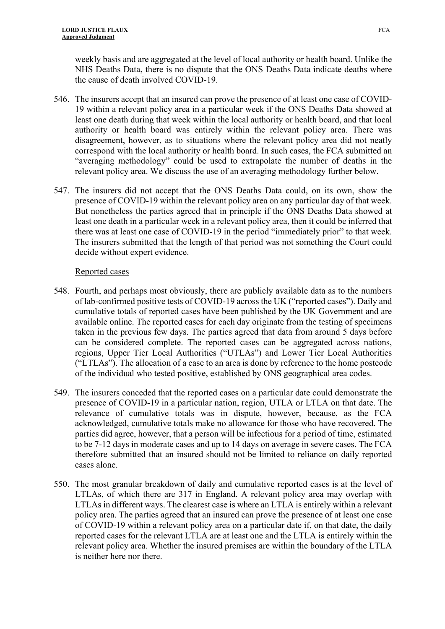weekly basis and are aggregated at the level of local authority or health board. Unlike the NHS Deaths Data, there is no dispute that the ONS Deaths Data indicate deaths where the cause of death involved COVID-19.

- 546. The insurers accept that an insured can prove the presence of at least one case of COVID-19 within a relevant policy area in a particular week if the ONS Deaths Data showed at least one death during that week within the local authority or health board, and that local authority or health board was entirely within the relevant policy area. There was disagreement, however, as to situations where the relevant policy area did not neatly correspond with the local authority or health board. In such cases, the FCA submitted an "averaging methodology" could be used to extrapolate the number of deaths in the relevant policy area. We discuss the use of an averaging methodology further below.
- 547. The insurers did not accept that the ONS Deaths Data could, on its own, show the presence of COVID-19 within the relevant policy area on any particular day of that week. But nonetheless the parties agreed that in principle if the ONS Deaths Data showed at least one death in a particular week in a relevant policy area, then it could be inferred that there was at least one case of COVID-19 in the period "immediately prior" to that week. The insurers submitted that the length of that period was not something the Court could decide without expert evidence.

## Reported cases

- 548. Fourth, and perhaps most obviously, there are publicly available data as to the numbers of lab-confirmed positive tests of COVID-19 across the UK ("reported cases"). Daily and cumulative totals of reported cases have been published by the UK Government and are available online. The reported cases for each day originate from the testing of specimens taken in the previous few days. The parties agreed that data from around 5 days before can be considered complete. The reported cases can be aggregated across nations, regions, Upper Tier Local Authorities ("UTLAs") and Lower Tier Local Authorities ("LTLAs"). The allocation of a case to an area is done by reference to the home postcode of the individual who tested positive, established by ONS geographical area codes.
- 549. The insurers conceded that the reported cases on a particular date could demonstrate the presence of COVID-19 in a particular nation, region, UTLA or LTLA on that date. The relevance of cumulative totals was in dispute, however, because, as the FCA acknowledged, cumulative totals make no allowance for those who have recovered. The parties did agree, however, that a person will be infectious for a period of time, estimated to be 7-12 days in moderate cases and up to 14 days on average in severe cases. The FCA therefore submitted that an insured should not be limited to reliance on daily reported cases alone.
- 550. The most granular breakdown of daily and cumulative reported cases is at the level of LTLAs, of which there are 317 in England. A relevant policy area may overlap with LTLAs in different ways. The clearest case is where an LTLA is entirely within a relevant policy area. The parties agreed that an insured can prove the presence of at least one case of COVID-19 within a relevant policy area on a particular date if, on that date, the daily reported cases for the relevant LTLA are at least one and the LTLA is entirely within the relevant policy area. Whether the insured premises are within the boundary of the LTLA is neither here nor there.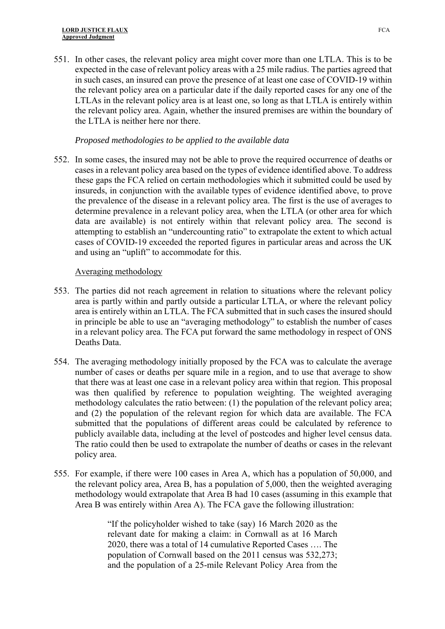551. In other cases, the relevant policy area might cover more than one LTLA. This is to be expected in the case of relevant policy areas with a 25 mile radius. The parties agreed that in such cases, an insured can prove the presence of at least one case of COVID-19 within the relevant policy area on a particular date if the daily reported cases for any one of the LTLAs in the relevant policy area is at least one, so long as that LTLA is entirely within the relevant policy area. Again, whether the insured premises are within the boundary of the LTLA is neither here nor there.

## *Proposed methodologies to be applied to the available data*

552. In some cases, the insured may not be able to prove the required occurrence of deaths or cases in a relevant policy area based on the types of evidence identified above. To address these gaps the FCA relied on certain methodologies which it submitted could be used by insureds, in conjunction with the available types of evidence identified above, to prove the prevalence of the disease in a relevant policy area. The first is the use of averages to determine prevalence in a relevant policy area, when the LTLA (or other area for which data are available) is not entirely within that relevant policy area. The second is attempting to establish an "undercounting ratio" to extrapolate the extent to which actual cases of COVID-19 exceeded the reported figures in particular areas and across the UK and using an "uplift" to accommodate for this.

## Averaging methodology

- 553. The parties did not reach agreement in relation to situations where the relevant policy area is partly within and partly outside a particular LTLA, or where the relevant policy area is entirely within an LTLA. The FCA submitted that in such cases the insured should in principle be able to use an "averaging methodology" to establish the number of cases in a relevant policy area. The FCA put forward the same methodology in respect of ONS Deaths Data.
- 554. The averaging methodology initially proposed by the FCA was to calculate the average number of cases or deaths per square mile in a region, and to use that average to show that there was at least one case in a relevant policy area within that region. This proposal was then qualified by reference to population weighting. The weighted averaging methodology calculates the ratio between: (1) the population of the relevant policy area; and (2) the population of the relevant region for which data are available. The FCA submitted that the populations of different areas could be calculated by reference to publicly available data, including at the level of postcodes and higher level census data. The ratio could then be used to extrapolate the number of deaths or cases in the relevant policy area.
- 555. For example, if there were 100 cases in Area A, which has a population of 50,000, and the relevant policy area, Area B, has a population of 5,000, then the weighted averaging methodology would extrapolate that Area B had 10 cases (assuming in this example that Area B was entirely within Area A). The FCA gave the following illustration:

"If the policyholder wished to take (say) 16 March 2020 as the relevant date for making a claim: in Cornwall as at 16 March 2020, there was a total of 14 cumulative Reported Cases …. The population of Cornwall based on the 2011 census was 532,273; and the population of a 25-mile Relevant Policy Area from the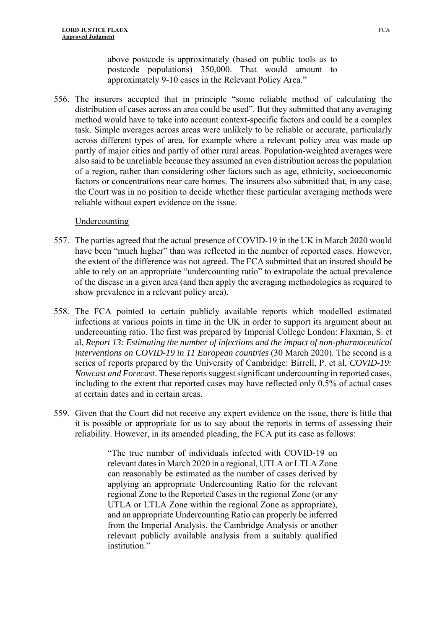above postcode is approximately (based on public tools as to postcode populations) 350,000. That would amount to approximately 9-10 cases in the Relevant Policy Area."

556. The insurers accepted that in principle "some reliable method of calculating the distribution of cases across an area could be used". But they submitted that any averaging method would have to take into account context-specific factors and could be a complex task. Simple averages across areas were unlikely to be reliable or accurate, particularly across different types of area, for example where a relevant policy area was made up partly of major cities and partly of other rural areas. Population-weighted averages were also said to be unreliable because they assumed an even distribution across the population of a region, rather than considering other factors such as age, ethnicity, socioeconomic factors or concentrations near care homes. The insurers also submitted that, in any case, the Court was in no position to decide whether these particular averaging methods were reliable without expert evidence on the issue.

### **Undercounting**

- 557. The parties agreed that the actual presence of COVID-19 in the UK in March 2020 would have been "much higher" than was reflected in the number of reported cases. However, the extent of the difference was not agreed. The FCA submitted that an insured should be able to rely on an appropriate "undercounting ratio" to extrapolate the actual prevalence of the disease in a given area (and then apply the averaging methodologies as required to show prevalence in a relevant policy area).
- 558. The FCA pointed to certain publicly available reports which modelled estimated infections at various points in time in the UK in order to support its argument about an undercounting ratio. The first was prepared by Imperial College London: Flaxman, S. et al, *Report 13: Estimating the number of infections and the impact of non-pharmaceutical interventions on COVID-19 in 11 European countries* (30 March 2020). The second is a series of reports prepared by the University of Cambridge: Birrell, P. et al, *COVID-19: Nowcast and Forecast*. These reports suggest significant undercounting in reported cases, including to the extent that reported cases may have reflected only 0.5% of actual cases at certain dates and in certain areas.
- 559. Given that the Court did not receive any expert evidence on the issue, there is little that it is possible or appropriate for us to say about the reports in terms of assessing their reliability. However, in its amended pleading, the FCA put its case as follows:

"The true number of individuals infected with COVID-19 on relevant dates in March 2020 in a regional, UTLA or LTLA Zone can reasonably be estimated as the number of cases derived by applying an appropriate Undercounting Ratio for the relevant regional Zone to the Reported Cases in the regional Zone (or any UTLA or LTLA Zone within the regional Zone as appropriate), and an appropriate Undercounting Ratio can properly be inferred from the Imperial Analysis, the Cambridge Analysis or another relevant publicly available analysis from a suitably qualified institution."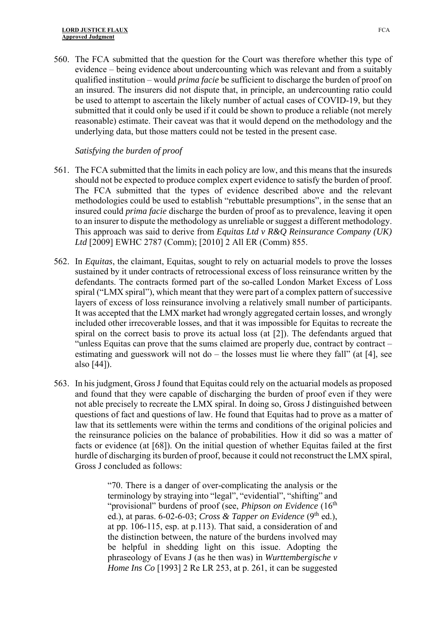560. The FCA submitted that the question for the Court was therefore whether this type of evidence – being evidence about undercounting which was relevant and from a suitably qualified institution – would *prima facie* be sufficient to discharge the burden of proof on an insured. The insurers did not dispute that, in principle, an undercounting ratio could be used to attempt to ascertain the likely number of actual cases of COVID-19, but they submitted that it could only be used if it could be shown to produce a reliable (not merely reasonable) estimate. Their caveat was that it would depend on the methodology and the underlying data, but those matters could not be tested in the present case.

### *Satisfying the burden of proof*

- 561. The FCA submitted that the limits in each policy are low, and this means that the insureds should not be expected to produce complex expert evidence to satisfy the burden of proof. The FCA submitted that the types of evidence described above and the relevant methodologies could be used to establish "rebuttable presumptions", in the sense that an insured could *prima facie* discharge the burden of proof as to prevalence, leaving it open to an insurer to dispute the methodology as unreliable or suggest a different methodology. This approach was said to derive from *Equitas Ltd v R&Q Reinsurance Company (UK) Ltd* [2009] EWHC 2787 (Comm); [2010] 2 All ER (Comm) 855.
- 562. In *Equitas*, the claimant, Equitas, sought to rely on actuarial models to prove the losses sustained by it under contracts of retrocessional excess of loss reinsurance written by the defendants. The contracts formed part of the so-called London Market Excess of Loss spiral ("LMX spiral"), which meant that they were part of a complex pattern of successive layers of excess of loss reinsurance involving a relatively small number of participants. It was accepted that the LMX market had wrongly aggregated certain losses, and wrongly included other irrecoverable losses, and that it was impossible for Equitas to recreate the spiral on the correct basis to prove its actual loss (at [2]). The defendants argued that "unless Equitas can prove that the sums claimed are properly due, contract by contract – estimating and guesswork will not do – the losses must lie where they fall" (at [4], see also [44]).
- 563. In his judgment, Gross J found that Equitas could rely on the actuarial models as proposed and found that they were capable of discharging the burden of proof even if they were not able precisely to recreate the LMX spiral. In doing so, Gross J distinguished between questions of fact and questions of law. He found that Equitas had to prove as a matter of law that its settlements were within the terms and conditions of the original policies and the reinsurance policies on the balance of probabilities. How it did so was a matter of facts or evidence (at [68]). On the initial question of whether Equitas failed at the first hurdle of discharging its burden of proof, because it could not reconstruct the LMX spiral, Gross J concluded as follows:

"70. There is a danger of over-complicating the analysis or the terminology by straying into "legal", "evidential", "shifting" and "provisional" burdens of proof (see, *Phipson on Evidence* (16<sup>th</sup> ed.), at paras.  $6-02-6-03$ ; *Cross & Tapper on Evidence* (9<sup>th</sup> ed.), at pp. 106-115, esp. at p.113). That said, a consideration of and the distinction between, the nature of the burdens involved may be helpful in shedding light on this issue. Adopting the phraseology of Evans J (as he then was) in *Wurttembergische v Home Ins Co* [1993] 2 Re LR 253, at p. 261, it can be suggested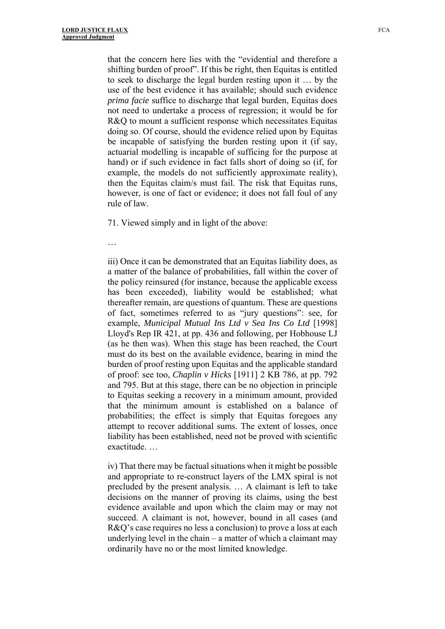that the concern here lies with the "evidential and therefore a shifting burden of proof". If this be right, then Equitas is entitled to seek to discharge the legal burden resting upon it … by the use of the best evidence it has available; should such evidence *prima facie* suffice to discharge that legal burden, Equitas does not need to undertake a process of regression; it would be for R&Q to mount a sufficient response which necessitates Equitas doing so. Of course, should the evidence relied upon by Equitas be incapable of satisfying the burden resting upon it (if say, actuarial modelling is incapable of sufficing for the purpose at hand) or if such evidence in fact falls short of doing so (if, for example, the models do not sufficiently approximate reality), then the Equitas claim/s must fail. The risk that Equitas runs, however, is one of fact or evidence; it does not fall foul of any rule of law.

71. Viewed simply and in light of the above:

…

iii) Once it can be demonstrated that an Equitas liability does, as a matter of the balance of probabilities, fall within the cover of the policy reinsured (for instance, because the applicable excess has been exceeded), liability would be established; what thereafter remain, are questions of quantum. These are questions of fact, sometimes referred to as "jury questions": see, for example, *Municipal Mutual Ins Ltd v Sea Ins Co Ltd* [1998] Lloyd's Rep IR 421, at pp. 436 and following, per Hobhouse LJ (as he then was). When this stage has been reached, the Court must do its best on the available evidence, bearing in mind the burden of proof resting upon Equitas and the applicable standard of proof: see too, *Chaplin v Hicks* [1911] 2 KB 786, at pp. 792 and 795. But at this stage, there can be no objection in principle to Equitas seeking a recovery in a minimum amount, provided that the minimum amount is established on a balance of probabilities; the effect is simply that Equitas foregoes any attempt to recover additional sums. The extent of losses, once liability has been established, need not be proved with scientific exactitude. …

iv) That there may be factual situations when it might be possible and appropriate to re-construct layers of the LMX spiral is not precluded by the present analysis. … A claimant is left to take decisions on the manner of proving its claims, using the best evidence available and upon which the claim may or may not succeed. A claimant is not, however, bound in all cases (and R&Q's case requires no less a conclusion) to prove a loss at each underlying level in the chain – a matter of which a claimant may ordinarily have no or the most limited knowledge.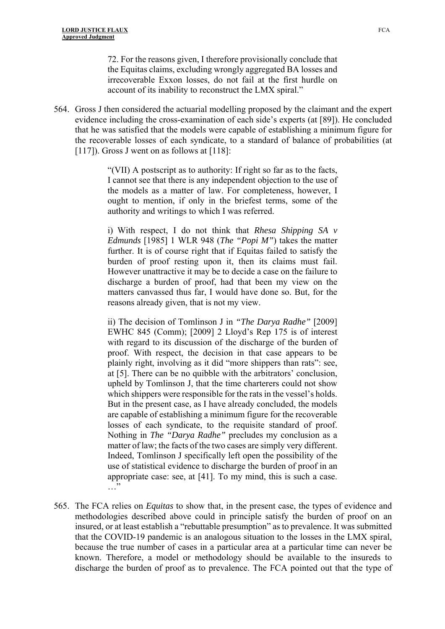72. For the reasons given, I therefore provisionally conclude that the Equitas claims, excluding wrongly aggregated BA losses and irrecoverable Exxon losses, do not fail at the first hurdle on account of its inability to reconstruct the LMX spiral."

564. Gross J then considered the actuarial modelling proposed by the claimant and the expert evidence including the cross-examination of each side's experts (at [89]). He concluded that he was satisfied that the models were capable of establishing a minimum figure for the recoverable losses of each syndicate, to a standard of balance of probabilities (at [117]). Gross J went on as follows at [118]:

> "(VII) A postscript as to authority: If right so far as to the facts, I cannot see that there is any independent objection to the use of the models as a matter of law. For completeness, however, I ought to mention, if only in the briefest terms, some of the authority and writings to which I was referred.

> i) With respect, I do not think that *Rhesa Shipping SA v Edmunds* [1985] 1 WLR 948 (*The "Popi M"*) takes the matter further. It is of course right that if Equitas failed to satisfy the burden of proof resting upon it, then its claims must fail. However unattractive it may be to decide a case on the failure to discharge a burden of proof, had that been my view on the matters canvassed thus far, I would have done so. But, for the reasons already given, that is not my view.

> ii) The decision of Tomlinson J in *"The Darya Radhe"* [2009] EWHC 845 (Comm); [2009] 2 Lloyd's Rep 175 is of interest with regard to its discussion of the discharge of the burden of proof. With respect, the decision in that case appears to be plainly right, involving as it did "more shippers than rats": see, at [5]. There can be no quibble with the arbitrators' conclusion, upheld by Tomlinson J, that the time charterers could not show which shippers were responsible for the rats in the vessel's holds. But in the present case, as I have already concluded, the models are capable of establishing a minimum figure for the recoverable losses of each syndicate, to the requisite standard of proof. Nothing in *The "Darya Radhe"* precludes my conclusion as a matter of law; the facts of the two cases are simply very different. Indeed, Tomlinson J specifically left open the possibility of the use of statistical evidence to discharge the burden of proof in an appropriate case: see, at [41]. To my mind, this is such a case. …"

565. The FCA relies on *Equitas* to show that, in the present case, the types of evidence and methodologies described above could in principle satisfy the burden of proof on an insured, or at least establish a "rebuttable presumption" as to prevalence. It was submitted that the COVID-19 pandemic is an analogous situation to the losses in the LMX spiral, because the true number of cases in a particular area at a particular time can never be known. Therefore, a model or methodology should be available to the insureds to discharge the burden of proof as to prevalence. The FCA pointed out that the type of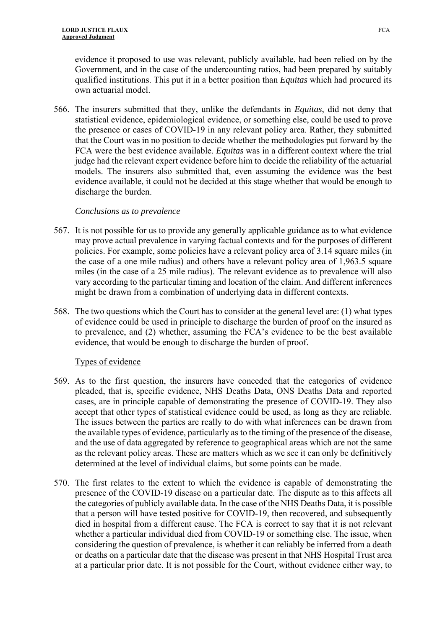evidence it proposed to use was relevant, publicly available, had been relied on by the Government, and in the case of the undercounting ratios, had been prepared by suitably qualified institutions. This put it in a better position than *Equitas* which had procured its own actuarial model.

566. The insurers submitted that they, unlike the defendants in *Equitas*, did not deny that statistical evidence, epidemiological evidence, or something else, could be used to prove the presence or cases of COVID-19 in any relevant policy area. Rather, they submitted that the Court was in no position to decide whether the methodologies put forward by the FCA were the best evidence available. *Equitas* was in a different context where the trial judge had the relevant expert evidence before him to decide the reliability of the actuarial models. The insurers also submitted that, even assuming the evidence was the best evidence available, it could not be decided at this stage whether that would be enough to discharge the burden.

### *Conclusions as to prevalence*

- 567. It is not possible for us to provide any generally applicable guidance as to what evidence may prove actual prevalence in varying factual contexts and for the purposes of different policies. For example, some policies have a relevant policy area of 3.14 square miles (in the case of a one mile radius) and others have a relevant policy area of 1,963.5 square miles (in the case of a 25 mile radius). The relevant evidence as to prevalence will also vary according to the particular timing and location of the claim. And different inferences might be drawn from a combination of underlying data in different contexts.
- 568. The two questions which the Court has to consider at the general level are: (1) what types of evidence could be used in principle to discharge the burden of proof on the insured as to prevalence, and (2) whether, assuming the FCA's evidence to be the best available evidence, that would be enough to discharge the burden of proof.

## Types of evidence

- 569. As to the first question, the insurers have conceded that the categories of evidence pleaded, that is, specific evidence, NHS Deaths Data, ONS Deaths Data and reported cases, are in principle capable of demonstrating the presence of COVID-19. They also accept that other types of statistical evidence could be used, as long as they are reliable. The issues between the parties are really to do with what inferences can be drawn from the available types of evidence, particularly as to the timing of the presence of the disease, and the use of data aggregated by reference to geographical areas which are not the same as the relevant policy areas. These are matters which as we see it can only be definitively determined at the level of individual claims, but some points can be made.
- 570. The first relates to the extent to which the evidence is capable of demonstrating the presence of the COVID-19 disease on a particular date. The dispute as to this affects all the categories of publicly available data. In the case of the NHS Deaths Data, it is possible that a person will have tested positive for COVID-19, then recovered, and subsequently died in hospital from a different cause. The FCA is correct to say that it is not relevant whether a particular individual died from COVID-19 or something else. The issue, when considering the question of prevalence, is whether it can reliably be inferred from a death or deaths on a particular date that the disease was present in that NHS Hospital Trust area at a particular prior date. It is not possible for the Court, without evidence either way, to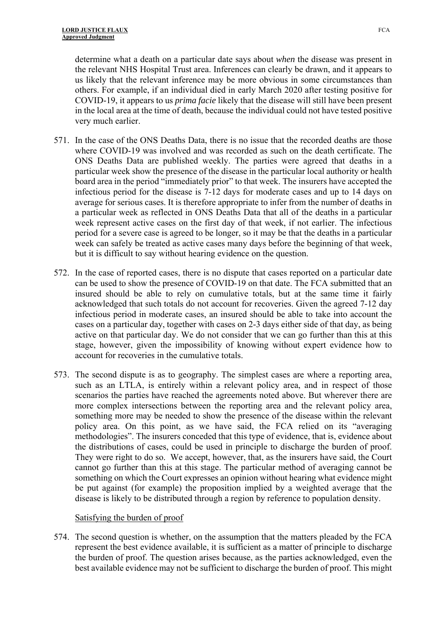determine what a death on a particular date says about *when* the disease was present in the relevant NHS Hospital Trust area. Inferences can clearly be drawn, and it appears to us likely that the relevant inference may be more obvious in some circumstances than others. For example, if an individual died in early March 2020 after testing positive for COVID-19, it appears to us *prima facie* likely that the disease will still have been present in the local area at the time of death, because the individual could not have tested positive very much earlier.

- 571. In the case of the ONS Deaths Data, there is no issue that the recorded deaths are those where COVID-19 was involved and was recorded as such on the death certificate. The ONS Deaths Data are published weekly. The parties were agreed that deaths in a particular week show the presence of the disease in the particular local authority or health board area in the period "immediately prior" to that week. The insurers have accepted the infectious period for the disease is 7-12 days for moderate cases and up to 14 days on average for serious cases. It is therefore appropriate to infer from the number of deaths in a particular week as reflected in ONS Deaths Data that all of the deaths in a particular week represent active cases on the first day of that week, if not earlier. The infectious period for a severe case is agreed to be longer, so it may be that the deaths in a particular week can safely be treated as active cases many days before the beginning of that week, but it is difficult to say without hearing evidence on the question.
- 572. In the case of reported cases, there is no dispute that cases reported on a particular date can be used to show the presence of COVID-19 on that date. The FCA submitted that an insured should be able to rely on cumulative totals, but at the same time it fairly acknowledged that such totals do not account for recoveries. Given the agreed 7-12 day infectious period in moderate cases, an insured should be able to take into account the cases on a particular day, together with cases on 2-3 days either side of that day, as being active on that particular day. We do not consider that we can go further than this at this stage, however, given the impossibility of knowing without expert evidence how to account for recoveries in the cumulative totals.
- 573. The second dispute is as to geography. The simplest cases are where a reporting area, such as an LTLA, is entirely within a relevant policy area, and in respect of those scenarios the parties have reached the agreements noted above. But wherever there are more complex intersections between the reporting area and the relevant policy area, something more may be needed to show the presence of the disease within the relevant policy area. On this point, as we have said, the FCA relied on its "averaging methodologies". The insurers conceded that this type of evidence, that is, evidence about the distributions of cases, could be used in principle to discharge the burden of proof. They were right to do so. We accept, however, that, as the insurers have said, the Court cannot go further than this at this stage. The particular method of averaging cannot be something on which the Court expresses an opinion without hearing what evidence might be put against (for example) the proposition implied by a weighted average that the disease is likely to be distributed through a region by reference to population density.

## Satisfying the burden of proof

574. The second question is whether, on the assumption that the matters pleaded by the FCA represent the best evidence available, it is sufficient as a matter of principle to discharge the burden of proof. The question arises because, as the parties acknowledged, even the best available evidence may not be sufficient to discharge the burden of proof. This might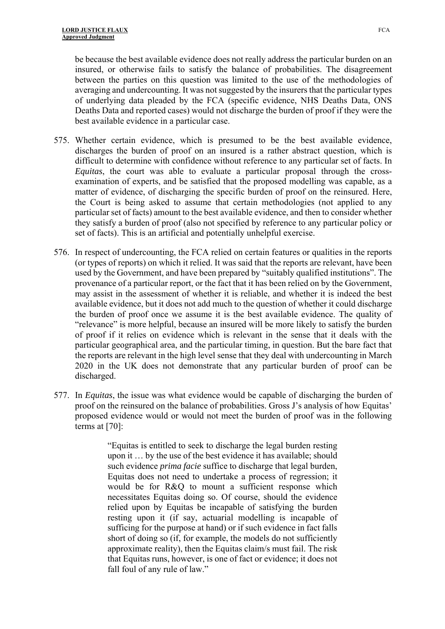be because the best available evidence does not really address the particular burden on an insured, or otherwise fails to satisfy the balance of probabilities. The disagreement between the parties on this question was limited to the use of the methodologies of averaging and undercounting. It was not suggested by the insurers that the particular types of underlying data pleaded by the FCA (specific evidence, NHS Deaths Data, ONS Deaths Data and reported cases) would not discharge the burden of proof if they were the best available evidence in a particular case.

- 575. Whether certain evidence, which is presumed to be the best available evidence, discharges the burden of proof on an insured is a rather abstract question, which is difficult to determine with confidence without reference to any particular set of facts. In *Equitas*, the court was able to evaluate a particular proposal through the crossexamination of experts, and be satisfied that the proposed modelling was capable, as a matter of evidence, of discharging the specific burden of proof on the reinsured. Here, the Court is being asked to assume that certain methodologies (not applied to any particular set of facts) amount to the best available evidence, and then to consider whether they satisfy a burden of proof (also not specified by reference to any particular policy or set of facts). This is an artificial and potentially unhelpful exercise.
- 576. In respect of undercounting, the FCA relied on certain features or qualities in the reports (or types of reports) on which it relied. It was said that the reports are relevant, have been used by the Government, and have been prepared by "suitably qualified institutions". The provenance of a particular report, or the fact that it has been relied on by the Government, may assist in the assessment of whether it is reliable, and whether it is indeed the best available evidence, but it does not add much to the question of whether it could discharge the burden of proof once we assume it is the best available evidence. The quality of "relevance" is more helpful, because an insured will be more likely to satisfy the burden of proof if it relies on evidence which is relevant in the sense that it deals with the particular geographical area, and the particular timing, in question. But the bare fact that the reports are relevant in the high level sense that they deal with undercounting in March 2020 in the UK does not demonstrate that any particular burden of proof can be discharged.
- 577. In *Equitas*, the issue was what evidence would be capable of discharging the burden of proof on the reinsured on the balance of probabilities. Gross J's analysis of how Equitas' proposed evidence would or would not meet the burden of proof was in the following terms at [70]:

"Equitas is entitled to seek to discharge the legal burden resting upon it … by the use of the best evidence it has available; should such evidence *prima facie* suffice to discharge that legal burden, Equitas does not need to undertake a process of regression; it would be for R&Q to mount a sufficient response which necessitates Equitas doing so. Of course, should the evidence relied upon by Equitas be incapable of satisfying the burden resting upon it (if say, actuarial modelling is incapable of sufficing for the purpose at hand) or if such evidence in fact falls short of doing so (if, for example, the models do not sufficiently approximate reality), then the Equitas claim/s must fail. The risk that Equitas runs, however, is one of fact or evidence; it does not fall foul of any rule of law."